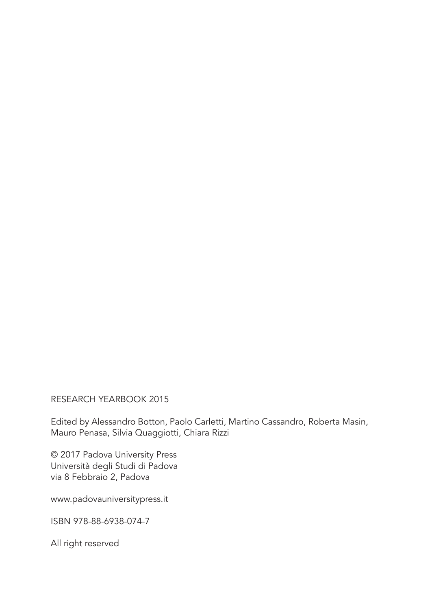RESEARCH YEARBOOK 2015

Edited by Alessandro Botton, Paolo Carletti, Martino Cassandro, Roberta Masin, Mauro Penasa, Silvia Quaggiotti, Chiara Rizzi

© 2017 Padova University Press Università degli Studi di Padova via 8 Febbraio 2, Padova

www.padovauniversitypress.it

ISBN 978-88-6938-074-7

All right reserved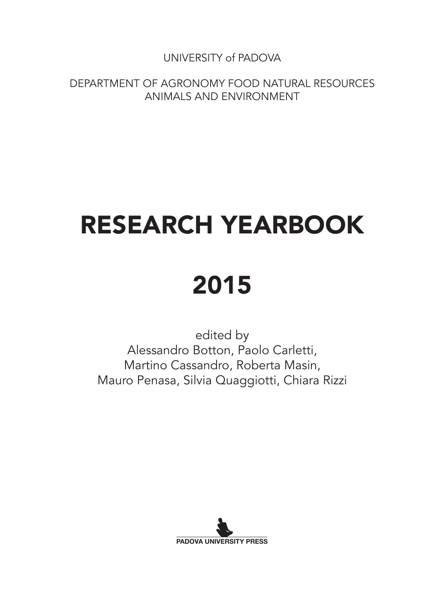UNIVERSITY of PADOVA

DEPARTMENT OF AGRONOMY FOOD NATURAL RESOURCES ANIMALS AND ENVIRONMENT

# RESEARCH YEARBOOK

## 2015

edited by Alessandro Botton, Paolo Carletti, Martino Cassandro, Roberta Masin, Mauro Penasa, Silvia Quaggiotti, Chiara Rizzi

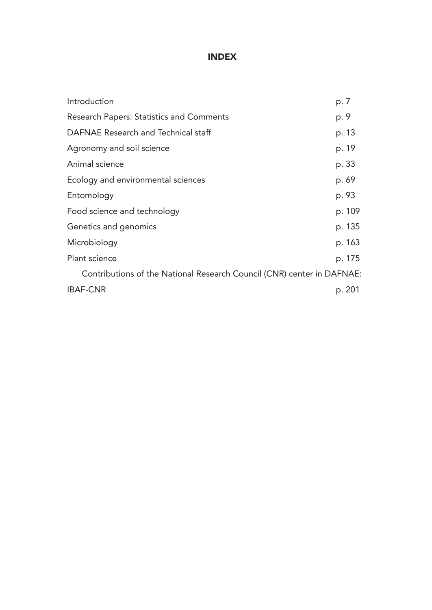## INDEX

| Introduction                                                           | p. 7   |
|------------------------------------------------------------------------|--------|
| Research Papers: Statistics and Comments                               | p. 9   |
| DAFNAE Research and Technical staff                                    | p. 13  |
| Agronomy and soil science                                              | p. 19  |
| Animal science                                                         | p. 33  |
| Ecology and environmental sciences                                     | p. 69  |
| Entomology                                                             | p. 93  |
| Food science and technology                                            | p. 109 |
| Genetics and genomics                                                  | p. 135 |
| Microbiology                                                           | p. 163 |
| Plant science                                                          | p. 175 |
| Contributions of the National Research Council (CNR) center in DAFNAE: |        |
| <b>IBAF-CNR</b>                                                        | p. 201 |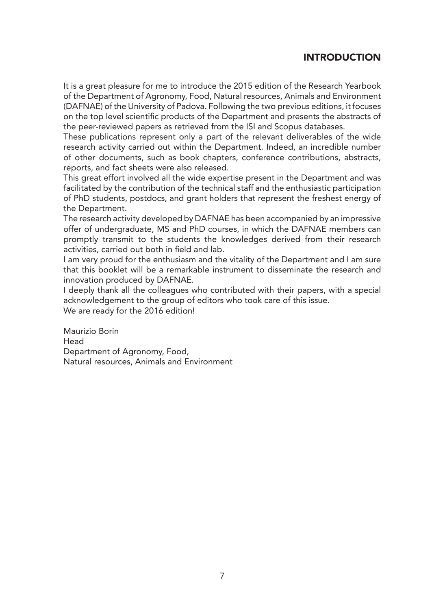## INTRODUCTION

It is a great pleasure for me to introduce the 2015 edition of the Research Yearbook of the Department of Agronomy, Food, Natural resources, Animals and Environment (DAFNAE) of the University of Padova. Following the two previous editions, it focuses on the top level scientific products of the Department and presents the abstracts of the peer-reviewed papers as retrieved from the ISI and Scopus databases.

These publications represent only a part of the relevant deliverables of the wide research activity carried out within the Department. Indeed, an incredible number of other documents, such as book chapters, conference contributions, abstracts, reports, and fact sheets were also released.

This great effort involved all the wide expertise present in the Department and was facilitated by the contribution of the technical staff and the enthusiastic participation of PhD students, postdocs, and grant holders that represent the freshest energy of the Department.

The research activity developed by DAFNAE has been accompanied by an impressive offer of undergraduate, MS and PhD courses, in which the DAFNAE members can promptly transmit to the students the knowledges derived from their research activities, carried out both in field and lab.

I am very proud for the enthusiasm and the vitality of the Department and I am sure that this booklet will be a remarkable instrument to disseminate the research and innovation produced by DAFNAE.

I deeply thank all the colleagues who contributed with their papers, with a special acknowledgement to the group of editors who took care of this issue. We are ready for the 2016 edition!

Maurizio Borin Head Department of Agronomy, Food, Natural resources, Animals and Environment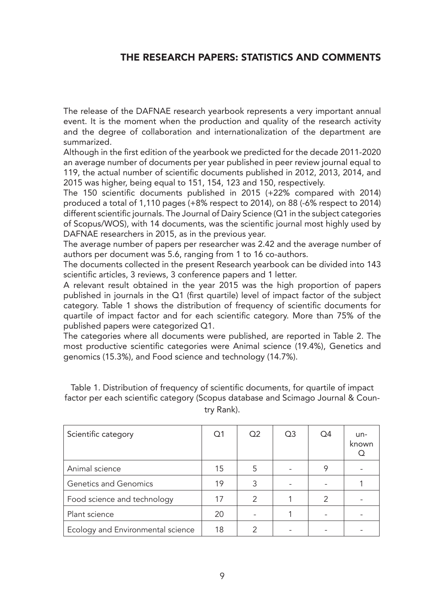## THE RESEARCH PAPERS: STATISTICS AND COMMENTS

The release of the DAFNAE research yearbook represents a very important annual event. It is the moment when the production and quality of the research activity and the degree of collaboration and internationalization of the department are summarized.

Although in the first edition of the yearbook we predicted for the decade 2011-2020 an average number of documents per year published in peer review journal equal to 119, the actual number of scientific documents published in 2012, 2013, 2014, and 2015 was higher, being equal to 151, 154, 123 and 150, respectively.

The 150 scientific documents published in 2015 (+22% compared with 2014) produced a total of 1,110 pages (+8% respect to 2014), on 88 (-6% respect to 2014) different scientific journals. The Journal of Dairy Science (Q1 in the subject categories of Scopus/WOS), with 14 documents, was the scientific journal most highly used by DAFNAE researchers in 2015, as in the previous year.

The average number of papers per researcher was 2.42 and the average number of authors per document was 5.6, ranging from 1 to 16 co-authors.

The documents collected in the present Research yearbook can be divided into 143 scientific articles, 3 reviews, 3 conference papers and 1 letter.

A relevant result obtained in the year 2015 was the high proportion of papers published in journals in the Q1 (first quartile) level of impact factor of the subject category. Table 1 shows the distribution of frequency of scientific documents for quartile of impact factor and for each scientific category. More than 75% of the published papers were categorized Q1.

The categories where all documents were published, are reported in Table 2. The most productive scientific categories were Animal science (19.4%), Genetics and genomics (15.3%), and Food science and technology (14.7%).

| Scientific category               | Q <sub>1</sub> | Q <sub>2</sub> | Q <sub>3</sub> | Q4 | $un-$<br>known |
|-----------------------------------|----------------|----------------|----------------|----|----------------|
| Animal science                    | 15             | 5              |                |    |                |
| Genetics and Genomics             | 19             | 3              |                |    |                |
| Food science and technology       | 17             | 2              |                | 2  |                |
| Plant science                     | 20             |                |                |    |                |
| Ecology and Environmental science | 18             |                |                |    |                |

Table 1. Distribution of frequency of scientific documents, for quartile of impact factor per each scientific category (Scopus database and Scimago Journal & Country Rank).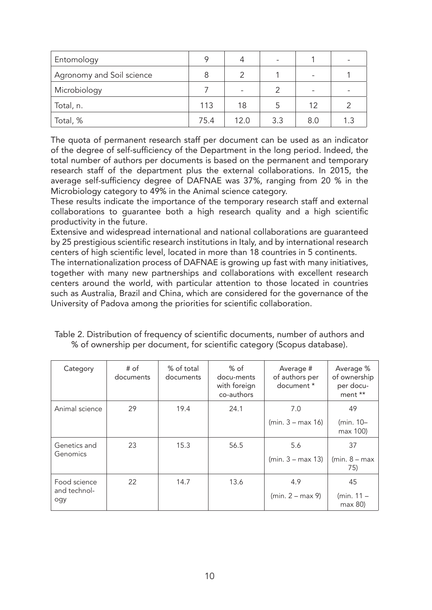| Entomology                |      |                          |     |                 | -   |
|---------------------------|------|--------------------------|-----|-----------------|-----|
| Agronomy and Soil science |      |                          |     |                 |     |
| Microbiology              |      | $\overline{\phantom{0}}$ |     | $\qquad \qquad$ |     |
| Total, n.                 | 113  | 18                       | 5   | 12              | 2   |
| Total, %                  | 75.4 | 12.0                     | 3.3 | 8.0             | 1.3 |

The quota of permanent research staff per document can be used as an indicator of the degree of self-sufficiency of the Department in the long period. Indeed, the total number of authors per documents is based on the permanent and temporary research staff of the department plus the external collaborations. In 2015, the average self-sufficiency degree of DAFNAE was 37%, ranging from 20 % in the Microbiology category to 49% in the Animal science category.

These results indicate the importance of the temporary research staff and external collaborations to guarantee both a high research quality and a high scientific productivity in the future.

Extensive and widespread international and national collaborations are guaranteed by 25 prestigious scientific research institutions in Italy, and by international research centers of high scientific level, located in more than 18 countries in 5 continents.

The internationalization process of DAFNAE is growing up fast with many initiatives, together with many new partnerships and collaborations with excellent research centers around the world, with particular attention to those located in countries such as Australia, Brazil and China, which are considered for the governance of the University of Padova among the priorities for scientific collaboration.

| Category                            | $#$ of<br>documents | % of total<br>documents | % of<br>docu-ments<br>with foreign<br>co-authors | Average #<br>of authors per<br>document * | Average %<br>of ownership<br>per docu-<br>ment ** |
|-------------------------------------|---------------------|-------------------------|--------------------------------------------------|-------------------------------------------|---------------------------------------------------|
| Animal science                      | 29                  | 19.4                    | 24.1                                             | 7.0<br>$(min.3 - max 16)$                 | 49<br>(min. 10-<br>max 100)                       |
| Genetics and<br>Genomics            | 23                  | 15.3                    | 56.5                                             | 5.6<br>$(min.3 - max 13)$                 | 37<br>$(min. 8 - max)$<br>75)                     |
| Food science<br>and technol-<br>ogy | 22                  | 14.7                    | 13.6                                             | 4.9<br>$(min. 2 - max 9)$                 | 45<br>(min. $11 -$<br>max 80                      |

Table 2. Distribution of frequency of scientific documents, number of authors and % of ownership per document, for scientific category (Scopus database).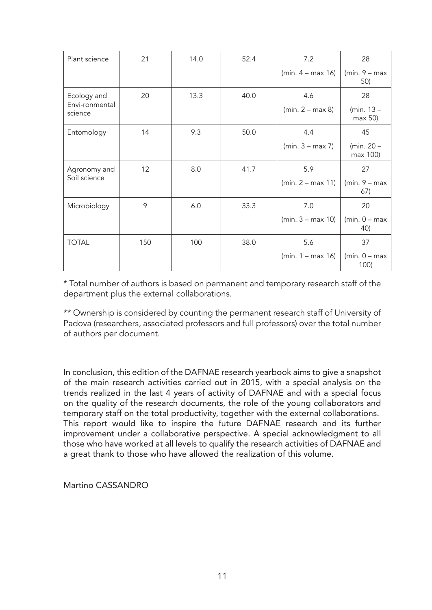| Plant science             | 21  | 14.0 | 52.4 | 7.2                 | 28                       |
|---------------------------|-----|------|------|---------------------|--------------------------|
|                           |     |      |      | $(min. 4 - max 16)$ | $(min. 9 - max)$<br>50)  |
| Ecology and               | 20  | 13.3 | 40.0 | 4.6                 | 28                       |
| Envi-ronmental<br>science |     |      |      | $(min. 2 - max 8)$  | (min. $13 -$<br>max 50   |
| Entomology                | 14  | 9.3  | 50.0 | 4.4                 | 45                       |
|                           |     |      |      | $(min. 3 - max 7)$  | (min. $20 -$<br>max 100) |
| Agronomy and              | 12  | 8.0  | 41.7 | 5.9                 | 27                       |
| Soil science              |     |      |      | $(min. 2 - max 11)$ | $(min. 9 - max)$<br>67)  |
| Microbiology              | 9   | 6.0  | 33.3 | 7.0                 | 20                       |
|                           |     |      |      | $(min. 3 - max 10)$ | $(min. 0 - max)$<br>40)  |
| <b>TOTAL</b>              | 150 | 100  | 38.0 | 5.6                 | 37                       |
|                           |     |      |      | $(min. 1 - max 16)$ | $(min. 0 - max)$<br>100) |

\* Total number of authors is based on permanent and temporary research staff of the department plus the external collaborations.

\*\* Ownership is considered by counting the permanent research staff of University of Padova (researchers, associated professors and full professors) over the total number of authors per document.

In conclusion, this edition of the DAFNAE research yearbook aims to give a snapshot of the main research activities carried out in 2015, with a special analysis on the trends realized in the last 4 years of activity of DAFNAE and with a special focus on the quality of the research documents, the role of the young collaborators and temporary staff on the total productivity, together with the external collaborations. This report would like to inspire the future DAFNAE research and its further improvement under a collaborative perspective. A special acknowledgment to all those who have worked at all levels to qualify the research activities of DAFNAE and a great thank to those who have allowed the realization of this volume.

Martino CASSANDRO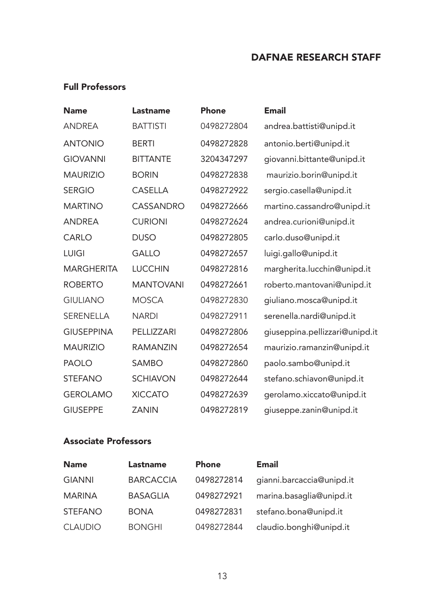## DAFNAE RESEARCH STAFF

## Full Professors

| <b>Name</b>       | Lastname         | <b>Phone</b> | <b>Email</b>                   |
|-------------------|------------------|--------------|--------------------------------|
| ANDREA            | <b>BATTISTI</b>  | 0498272804   | andrea.battisti@unipd.it       |
| <b>ANTONIO</b>    | <b>BERTI</b>     | 0498272828   | antonio.berti@unipd.it         |
| <b>GIOVANNI</b>   | <b>BITTANTE</b>  | 3204347297   | giovanni.bittante@unipd.it     |
| <b>MAURIZIO</b>   | <b>BORIN</b>     | 0498272838   | maurizio.borin@unipd.it        |
| <b>SERGIO</b>     | <b>CASELLA</b>   | 0498272922   | sergio.casella@unipd.it        |
| <b>MARTINO</b>    | <b>CASSANDRO</b> | 0498272666   | martino.cassandro@unipd.it     |
| <b>ANDREA</b>     | <b>CURIONI</b>   | 0498272624   | andrea.curioni@unipd.it        |
| CARLO             | <b>DUSO</b>      | 0498272805   | carlo.duso@unipd.it            |
| <b>LUIGI</b>      | <b>GALLO</b>     | 0498272657   | luigi.gallo@unipd.it           |
| MARGHERITA        | <b>LUCCHIN</b>   | 0498272816   | margherita.lucchin@unipd.it    |
| <b>ROBERTO</b>    | <b>MANTOVANI</b> | 0498272661   | roberto.mantovani@unipd.it     |
| <b>GIULIANO</b>   | <b>MOSCA</b>     | 0498272830   | giuliano.mosca@unipd.it        |
| SERENELLA         | <b>NARDI</b>     | 0498272911   | serenella.nardi@unipd.it       |
| <b>GIUSEPPINA</b> | PELLIZZARI       | 0498272806   | giuseppina.pellizzari@unipd.it |
| <b>MAURIZIO</b>   | <b>RAMANZIN</b>  | 0498272654   | maurizio.ramanzin@unipd.it     |
| <b>PAOLO</b>      | <b>SAMBO</b>     | 0498272860   | paolo.sambo@unipd.it           |
| <b>STEFANO</b>    | <b>SCHIAVON</b>  | 0498272644   | stefano.schiavon@unipd.it      |
| <b>GEROLAMO</b>   | <b>XICCATO</b>   | 0498272639   | gerolamo.xiccato@unipd.it      |
| <b>GIUSEPPE</b>   | <b>ZANIN</b>     | 0498272819   | giuseppe.zanin@unipd.it        |

## Associate Professors

| <b>Name</b>    | <b>Lastname</b>  | <b>Phone</b> | <b>Email</b>              |
|----------------|------------------|--------------|---------------------------|
| <b>GIANNI</b>  | <b>BARCACCIA</b> | 0498272814   | gianni.barcaccia@unipd.it |
| <b>MARINA</b>  | <b>BASAGLIA</b>  | 0498272921   | marina.basaglia@unipd.it  |
| <b>STEFANO</b> | <b>BONA</b>      | 0498272831   | stefano.bona@unipd.it     |
| <b>CLAUDIO</b> | <b>BONGHI</b>    | 0498272844   | claudio.bonghi@unipd.it   |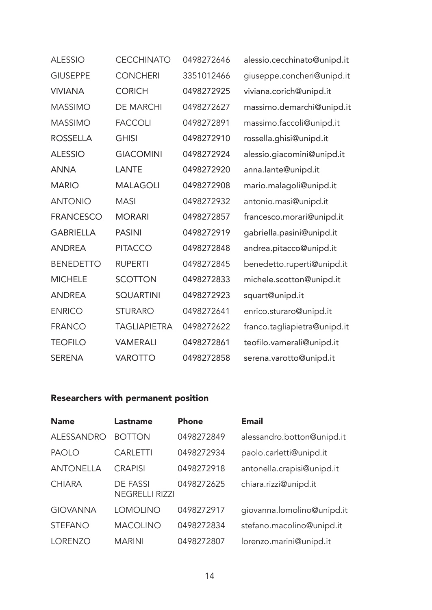| <b>ALESSIO</b>   | <b>CECCHINATO</b>   | 0498272646 | alessio.cecchinato@unipd.it  |
|------------------|---------------------|------------|------------------------------|
| <b>GIUSEPPE</b>  | <b>CONCHERI</b>     | 3351012466 | giuseppe.concheri@unipd.it   |
| <b>VIVIANA</b>   | <b>CORICH</b>       | 0498272925 | viviana.corich@unipd.it      |
| <b>MASSIMO</b>   | <b>DE MARCHI</b>    | 0498272627 | massimo.demarchi@unipd.it    |
| <b>MASSIMO</b>   | <b>FACCOLI</b>      | 0498272891 | massimo.faccoli@unipd.it     |
| <b>ROSSELLA</b>  | <b>GHISI</b>        | 0498272910 | rossella.ghisi@unipd.it      |
| <b>ALESSIO</b>   | <b>GIACOMINI</b>    | 0498272924 | alessio.giacomini@unipd.it   |
| <b>ANNA</b>      | LANTE               | 0498272920 | anna.lante@unipd.it          |
| <b>MARIO</b>     | <b>MALAGOLI</b>     | 0498272908 | mario.malagoli@unipd.it      |
| <b>ANTONIO</b>   | <b>MASI</b>         | 0498272932 | antonio.masi@unipd.it        |
| <b>FRANCESCO</b> | <b>MORARI</b>       | 0498272857 | francesco.morari@unipd.it    |
| <b>GABRIELLA</b> | <b>PASINI</b>       | 0498272919 | gabriella.pasini@unipd.it    |
| <b>ANDREA</b>    | <b>PITACCO</b>      | 0498272848 | andrea.pitacco@unipd.it      |
| <b>BENEDETTO</b> | <b>RUPERTI</b>      | 0498272845 | benedetto.ruperti@unipd.it   |
| <b>MICHELE</b>   | <b>SCOTTON</b>      | 0498272833 | michele.scotton@unipd.it     |
| <b>ANDREA</b>    | <b>SQUARTINI</b>    | 0498272923 | squart@unipd.it              |
| <b>ENRICO</b>    | <b>STURARO</b>      | 0498272641 | enrico.sturaro@unipd.it      |
| <b>FRANCO</b>    | <b>TAGLIAPIETRA</b> | 0498272622 | franco.tagliapietra@unipd.it |
| <b>TEOFILO</b>   | <b>VAMERALI</b>     | 0498272861 | teofilo.vamerali@unipd.it    |
| <b>SERENA</b>    | <b>VAROTTO</b>      | 0498272858 | serena.varotto@unipd.it      |

## Researchers with permanent position

| <b>Name</b>       | Lastname                          | Phone      | <b>Email</b>               |
|-------------------|-----------------------------------|------------|----------------------------|
| <b>ALESSANDRO</b> | <b>BOTTON</b>                     | 0498272849 | alessandro.botton@unipd.it |
| <b>PAOLO</b>      | <b>CARLETTI</b>                   | 0498272934 | paolo.carletti@unipd.it    |
| <b>ANTONELLA</b>  | <b>CRAPISI</b>                    | 0498272918 | antonella.crapisi@unipd.it |
| <b>CHIARA</b>     | DE FASSI<br><b>NEGRELLI RIZZI</b> | 0498272625 | chiara.rizzi@unipd.it      |
| <b>GIOVANNA</b>   | <b>LOMOLINO</b>                   | 0498272917 | giovanna.lomolino@unipd.it |
| <b>STEFANO</b>    | <b>MACOLINO</b>                   | 0498272834 | stefano.macolino@unipd.it  |
| <b>LORENZO</b>    | <b>MARINI</b>                     | 0498272807 | lorenzo.marini@unipd.it    |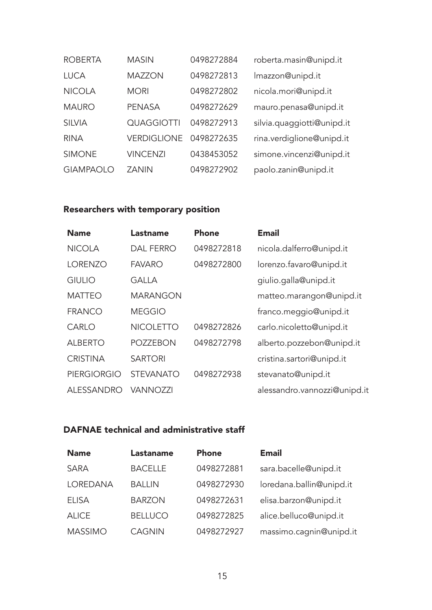| <b>ROBERTA</b>   | <b>MASIN</b>       | 0498272884 | roberta.masin@unipd.it     |
|------------------|--------------------|------------|----------------------------|
| LUCA             | <b>MAZZON</b>      | 0498272813 | Imazzon@unipd.it           |
| <b>NICOLA</b>    | <b>MORI</b>        | 0498272802 | nicola.mori@unipd.it       |
| <b>MAURO</b>     | <b>PENASA</b>      | 0498272629 | mauro.penasa@unipd.it      |
| <b>SILVIA</b>    | <b>QUAGGIOTTI</b>  | 0498272913 | silvia.quaggiotti@unipd.it |
| <b>RINA</b>      | <b>VERDIGLIONE</b> | 0498272635 | rina.verdiglione@unipd.it  |
| <b>SIMONE</b>    | <b>VINCENZI</b>    | 0438453052 | simone.vincenzi@unipd.it   |
| <b>GIAMPAOLO</b> | <b>ZANIN</b>       | 0498272902 | paolo.zanin@unipd.it       |

## Researchers with temporary position

| <b>Name</b>        | Lastname         | Phone      | <b>Email</b>                 |
|--------------------|------------------|------------|------------------------------|
| <b>NICOLA</b>      | <b>DAL FERRO</b> | 0498272818 | nicola.dalferro@unipd.it     |
| <b>LORENZO</b>     | <b>FAVARO</b>    | 0498272800 | lorenzo.favaro@unipd.it      |
| <b>GIULIO</b>      | <b>GALLA</b>     |            | giulio.galla@unipd.it        |
| <b>MATTEO</b>      | <b>MARANGON</b>  |            | matteo.marangon@unipd.it     |
| <b>FRANCO</b>      | <b>MEGGIO</b>    |            | franco.meggio@unipd.it       |
| CARLO              | <b>NICOLETTO</b> | 0498272826 | carlo.nicoletto@unipd.it     |
| <b>ALBERTO</b>     | <b>POZZEBON</b>  | 0498272798 | alberto.pozzebon@unipd.it    |
| <b>CRISTINA</b>    | <b>SARTORI</b>   |            | cristina.sartori@unipd.it    |
| <b>PIERGIORGIO</b> | <b>STEVANATO</b> | 0498272938 | stevanato@unipd.it           |
| ALESSANDRO         | <b>VANNOZZI</b>  |            | alessandro.vannozzi@unipd.it |

## DAFNAE technical and administrative staff

| <b>Name</b>    | Lastaname      | <b>Phone</b> | <b>Email</b>             |
|----------------|----------------|--------------|--------------------------|
| <b>SARA</b>    | <b>BACELLE</b> | 0498272881   | sara.bacelle@unipd.it    |
| LOREDANA       | <b>BALLIN</b>  | 0498272930   | loredana.ballin@unipd.it |
| <b>ELISA</b>   | <b>BARZON</b>  | 0498272631   | elisa.barzon@unipd.it    |
| <b>ALICE</b>   | <b>BELLUCO</b> | 0498272825   | alice.belluco@unipd.it   |
| <b>MASSIMO</b> | <b>CAGNIN</b>  | 0498272927   | massimo.cagnin@unipd.it  |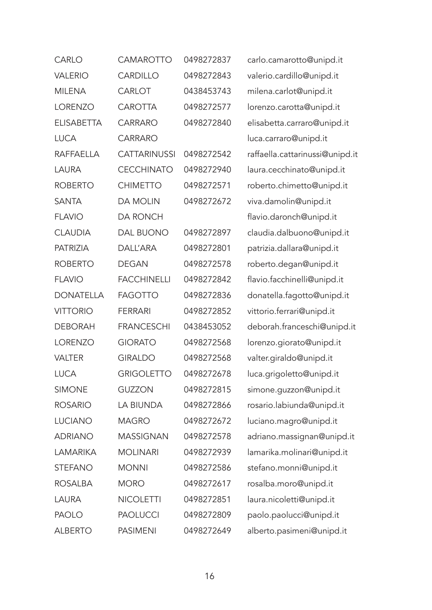| CARLO             | CAMAROTTO           | 0498272837 | carlo.camarotto@unipd.it        |
|-------------------|---------------------|------------|---------------------------------|
| <b>VALERIO</b>    | <b>CARDILLO</b>     | 0498272843 | valerio.cardillo@unipd.it       |
| <b>MILENA</b>     | CARLOT              | 0438453743 | milena.carlot@unipd.it          |
| <b>LORENZO</b>    | <b>CAROTTA</b>      | 0498272577 | lorenzo.carotta@unipd.it        |
| <b>ELISABETTA</b> | <b>CARRARO</b>      | 0498272840 | elisabetta.carraro@unipd.it     |
| <b>LUCA</b>       | CARRARO             |            | luca.carraro@unipd.it           |
| <b>RAFFAELLA</b>  | <b>CATTARINUSSI</b> | 0498272542 | raffaella.cattarinussi@unipd.it |
| <b>LAURA</b>      | <b>CECCHINATO</b>   | 0498272940 | laura.cecchinato@unipd.it       |
| <b>ROBERTO</b>    | <b>CHIMETTO</b>     | 0498272571 | roberto.chimetto@unipd.it       |
| <b>SANTA</b>      | <b>DA MOLIN</b>     | 0498272672 | viva.damolin@unipd.it           |
| <b>FLAVIO</b>     | <b>DA RONCH</b>     |            | flavio.daronch@unipd.it         |
| <b>CLAUDIA</b>    | <b>DAL BUONO</b>    | 0498272897 | claudia.dalbuono@unipd.it       |
| <b>PATRIZIA</b>   | <b>DALL'ARA</b>     | 0498272801 | patrizia.dallara@unipd.it       |
| <b>ROBERTO</b>    | <b>DEGAN</b>        | 0498272578 | roberto.degan@unipd.it          |
| <b>FLAVIO</b>     | <b>FACCHINELLI</b>  | 0498272842 | flavio.facchinelli@unipd.it     |
| <b>DONATELLA</b>  | <b>FAGOTTO</b>      | 0498272836 | donatella.fagotto@unipd.it      |
| <b>VITTORIO</b>   | <b>FERRARI</b>      | 0498272852 | vittorio.ferrari@unipd.it       |
| <b>DEBORAH</b>    | <b>FRANCESCHI</b>   | 0438453052 | deborah.franceschi@unipd.it     |
| <b>LORENZO</b>    | <b>GIORATO</b>      | 0498272568 | lorenzo.giorato@unipd.it        |
| <b>VALTER</b>     | <b>GIRALDO</b>      | 0498272568 | valter.giraldo@unipd.it         |
| <b>LUCA</b>       | <b>GRIGOLETTO</b>   | 0498272678 | luca.grigoletto@unipd.it        |
| <b>SIMONE</b>     | <b>GUZZON</b>       | 0498272815 | simone.guzzon@unipd.it          |
| <b>ROSARIO</b>    | LA BIUNDA           | 0498272866 | rosario.labiunda@unipd.it       |
| <b>LUCIANO</b>    | <b>MAGRO</b>        | 0498272672 | luciano.magro@unipd.it          |
| <b>ADRIANO</b>    | <b>MASSIGNAN</b>    | 0498272578 | adriano.massignan@unipd.it      |
| <b>LAMARIKA</b>   | <b>MOLINARI</b>     | 0498272939 | lamarika.molinari@unipd.it      |
| <b>STEFANO</b>    | <b>MONNI</b>        | 0498272586 | stefano.monni@unipd.it          |
| <b>ROSALBA</b>    | <b>MORO</b>         | 0498272617 | rosalba.moro@unipd.it           |
| LAURA             | <b>NICOLETTI</b>    | 0498272851 | laura.nicoletti@unipd.it        |
| <b>PAOLO</b>      | <b>PAOLUCCI</b>     | 0498272809 | paolo.paolucci@unipd.it         |
| <b>ALBERTO</b>    | <b>PASIMENI</b>     | 0498272649 | alberto.pasimeni@unipd.it       |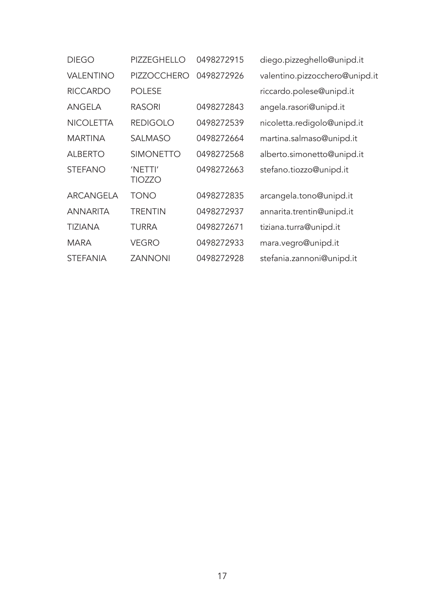| <b>DIEGO</b>     | PIZZEGHELLO        | 0498272915 | diego.pizzeghello@unipd.it     |
|------------------|--------------------|------------|--------------------------------|
| <b>VALENTINO</b> | <b>PIZZOCCHERO</b> | 0498272926 | valentino.pizzocchero@unipd.it |
| <b>RICCARDO</b>  | <b>POLESE</b>      |            | riccardo.polese@unipd.it       |
| ANGELA           | <b>RASORI</b>      | 0498272843 | angela.rasori@unipd.it         |
| <b>NICOLETTA</b> | <b>REDIGOLO</b>    | 0498272539 | nicoletta.redigolo@unipd.it    |
| <b>MARTINA</b>   | <b>SALMASO</b>     | 0498272664 | martina.salmaso@unipd.it       |
| <b>ALBERTO</b>   | <b>SIMONETTO</b>   | 0498272568 | alberto.simonetto@unipd.it     |
| <b>STEFANO</b>   | 'NETTI'<br>TIOZZO  | 0498272663 | stefano.tiozzo@unipd.it        |
| ARCANGELA        | <b>TONO</b>        | 0498272835 | arcangela.tono@unipd.it        |
| <b>ANNARITA</b>  | <b>TRENTIN</b>     | 0498272937 | annarita.trentin@unipd.it      |
| <b>TIZIANA</b>   | <b>TURRA</b>       | 0498272671 | tiziana.turra@unipd.it         |
| <b>MARA</b>      | <b>VEGRO</b>       | 0498272933 | mara.vegro@unipd.it            |
| <b>STEFANIA</b>  | <b>ZANNONI</b>     | 0498272928 | stefania.zannoni@unipd.it      |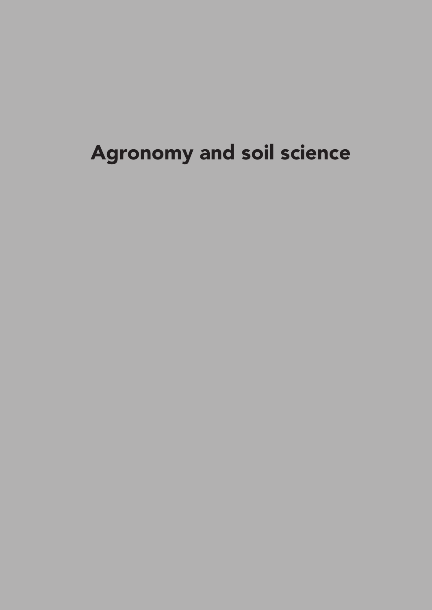## Agronomy and soil science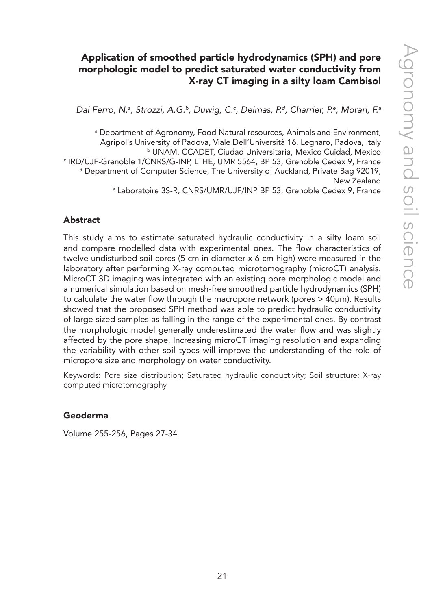## Application of smoothed particle hydrodynamics (SPH) and pore morphologic model to predict saturated water conductivity from X-ray CT imaging in a silty loam Cambisol

Dal Ferro, N.ª, Strozzi, A.G.<sup>ь</sup>, Duwig, C.<sup>c</sup>, Delmas, P.ª, Charrier, P.ª, Morari, F.ª

a Department of Agronomy, Food Natural resources, Animals and Environment, Agripolis University of Padova, Viale Dell'Università 16, Legnaro, Padova, Italy b UNAM, CCADET, Ciudad Universitaria, Mexico Cuidad, Mexico c IRD/UJF-Grenoble 1/CNRS/G-INP, LTHE, UMR 5564, BP 53, Grenoble Cedex 9, France <sup>d</sup> Department of Computer Science, The University of Auckland, Private Bag 92019, New Zealand e Laboratoire 3S-R, CNRS/UMR/UJF/INP BP 53, Grenoble Cedex 9, France

#### Abstract

This study aims to estimate saturated hydraulic conductivity in a silty loam soil and compare modelled data with experimental ones. The flow characteristics of twelve undisturbed soil cores (5 cm in diameter x 6 cm high) were measured in the laboratory after performing X-ray computed microtomography (microCT) analysis. MicroCT 3D imaging was integrated with an existing pore morphologic model and a numerical simulation based on mesh-free smoothed particle hydrodynamics (SPH) to calculate the water flow through the macropore network (pores > 40µm). Results showed that the proposed SPH method was able to predict hydraulic conductivity of large-sized samples as falling in the range of the experimental ones. By contrast the morphologic model generally underestimated the water flow and was slightly affected by the pore shape. Increasing microCT imaging resolution and expanding the variability with other soil types will improve the understanding of the role of micropore size and morphology on water conductivity.

Keywords: Pore size distribution; Saturated hydraulic conductivity; Soil structure; X-ray computed microtomography

#### Geoderma

Volume 255-256, Pages 27-34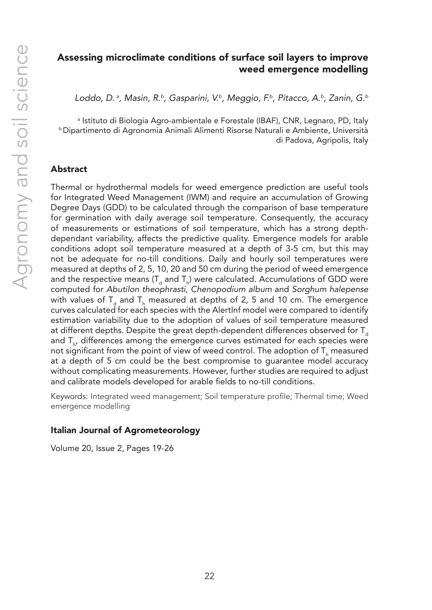## Assessing microclimate conditions of surface soil layers to improve weed emergence modelling

*Loddo, D. a, Masin, R.b, Gasparini, V.b, Meggio, F.b, Pitacco, A.b, Zanin, G.b*

a Istituto di Biologia Agro-ambientale e Forestale (IBAF), CNR, Legnaro, PD, Italy b Dipartimento di Agronomia Animali Alimenti Risorse Naturali e Ambiente, Università di Padova, Agripolis, Italy

#### Abstract

Thermal or hydrothermal models for weed emergence prediction are useful tools for Integrated Weed Management (IWM) and require an accumulation of Growing Degree Days (GDD) to be calculated through the comparison of base temperature for germination with daily average soil temperature. Consequently, the accuracy of measurements or estimations of soil temperature, which has a strong depthdependant variability, affects the predictive quality. Emergence models for arable conditions adopt soil temperature measured at a depth of 3-5 cm, but this may not be adequate for no-till conditions. Daily and hourly soil temperatures were measured at depths of 2, 5, 10, 20 and 50 cm during the period of weed emergence and the respective means (T<sub>d</sub> and T<sub>h</sub>) were calculated. Accumulations of GDD were computed for *Abutilon theophrasti*, *Chenopodium album* and *Sorghum halepense* with values of  $T_{\rm d}$  and  $T_{\rm h}$  measured at depths of 2, 5 and 10 cm. The emergence curves calculated for each species with the AlertInf model were compared to identify estimation variability due to the adoption of values of soil temperature measured at different depths. Despite the great depth-dependent differences observed for  $T_d$ and  $T_{h'}$  differences among the emergence curves estimated for each species were not significant from the point of view of weed control. The adoption of  $\mathsf{T}_{\mathsf{h}}$  measured at a depth of 5 cm could be the best compromise to guarantee model accuracy without complicating measurements. However, further studies are required to adjust and calibrate models developed for arable fields to no-till conditions.

Keywords: Integrated weed management; Soil temperature profile; Thermal time; Weed emergence modelling

#### Italian Journal of Agrometeorology

Volume 20, Issue 2, Pages 19-26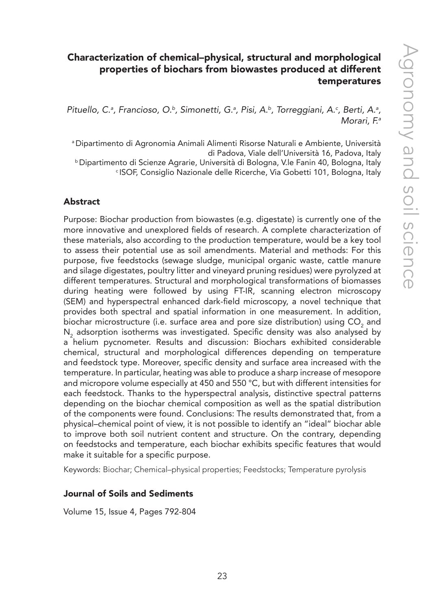## Characterization of chemical–physical, structural and morphological properties of biochars from biowastes produced at different temperatures

Pituello, C.ª, Francioso, O.ʰ, Simonetti, G.ª, Pisi, A.ʰ, Torreggiani, A.º, Berti, A.ª, *Morari, F.a*

a Dipartimento di Agronomia Animali Alimenti Risorse Naturali e Ambiente, Università di Padova, Viale dell'Università 16, Padova, Italy <sup>b</sup> Dipartimento di Scienze Agrarie, Università di Bologna, V.le Fanin 40, Bologna, Italy c ISOF, Consiglio Nazionale delle Ricerche, Via Gobetti 101, Bologna, Italy

#### Abstract

Purpose: Biochar production from biowastes (e.g. digestate) is currently one of the more innovative and unexplored fields of research. A complete characterization of these materials, also according to the production temperature, would be a key tool to assess their potential use as soil amendments. Material and methods: For this purpose, five feedstocks (sewage sludge, municipal organic waste, cattle manure and silage digestates, poultry litter and vineyard pruning residues) were pyrolyzed at different temperatures. Structural and morphological transformations of biomasses during heating were followed by using FT-IR, scanning electron microscopy (SEM) and hyperspectral enhanced dark-field microscopy, a novel technique that provides both spectral and spatial information in one measurement. In addition, biochar microstructure (i.e. surface area and pore size distribution) using  $\mathsf{CO}_{2}$  and  $\mathsf{N}_\mathsf{2}$  adsorption isotherms was investigated. Specific density was also analysed by a helium pycnometer. Results and discussion: Biochars exhibited considerable chemical, structural and morphological differences depending on temperature and feedstock type. Moreover, specific density and surface area increased with the temperature. In particular, heating was able to produce a sharp increase of mesopore and micropore volume especially at 450 and 550 °C, but with different intensities for each feedstock. Thanks to the hyperspectral analysis, distinctive spectral patterns depending on the biochar chemical composition as well as the spatial distribution of the components were found. Conclusions: The results demonstrated that, from a physical–chemical point of view, it is not possible to identify an "ideal" biochar able to improve both soil nutrient content and structure. On the contrary, depending on feedstocks and temperature, each biochar exhibits specific features that would make it suitable for a specific purpose.

Keywords: Biochar; Chemical–physical properties; Feedstocks; Temperature pyrolysis

#### Journal of Soils and Sediments

Volume 15, Issue 4, Pages 792-804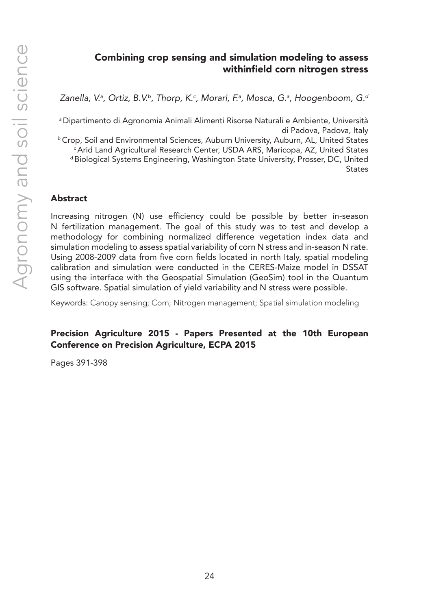#### Combining crop sensing and simulation modeling to assess withinfield corn nitrogen stress

Zanella, V.ª, Ortiz, B.V.ʰ, Thorp, K.<sup>c</sup>, Morari, F.ª, Mosca, G.ª, Hoogenboom, G.ª

a Dipartimento di Agronomia Animali Alimenti Risorse Naturali e Ambiente, Università di Padova, Padova, Italy

**b Crop, Soil and Environmental Sciences, Auburn University, Auburn, AL, United States** c Arid Land Agricultural Research Center, USDA ARS, Maricopa, AZ, United States d Biological Systems Engineering, Washington State University, Prosser, DC, United **States** 

#### Abstract

Increasing nitrogen (N) use efficiency could be possible by better in-season N fertilization management. The goal of this study was to test and develop a methodology for combining normalized difference vegetation index data and simulation modeling to assess spatial variability of corn N stress and in-season N rate. Using 2008-2009 data from five corn fields located in north Italy, spatial modeling calibration and simulation were conducted in the CERES-Maize model in DSSAT using the interface with the Geospatial Simulation (GeoSim) tool in the Quantum GIS software. Spatial simulation of yield variability and N stress were possible.

Keywords: Canopy sensing; Corn; Nitrogen management; Spatial simulation modeling

#### Precision Agriculture 2015 - Papers Presented at the 10th European Conference on Precision Agriculture, ECPA 2015

Pages 391-398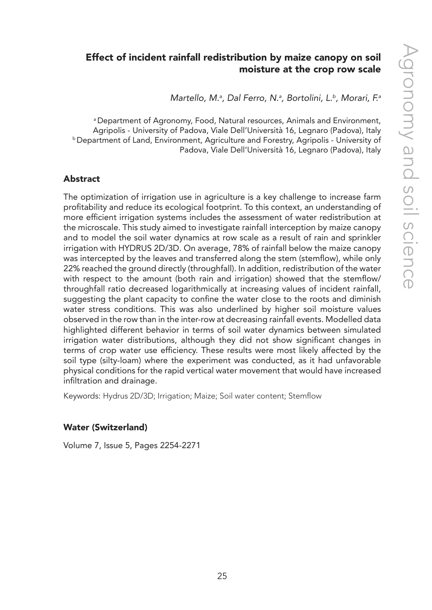## Effect of incident rainfall redistribution by maize canopy on soil moisture at the crop row scale

*Martello, M.a , Dal Ferro, N.a , Bortolini, L.b, Morari, F.a*

a Department of Agronomy, Food, Natural resources, Animals and Environment, Agripolis - University of Padova, Viale Dell'Università 16, Legnaro (Padova), Italy b Department of Land, Environment, Agriculture and Forestry, Agripolis - University of Padova, Viale Dell'Università 16, Legnaro (Padova), Italy

#### Abstract

The optimization of irrigation use in agriculture is a key challenge to increase farm profitability and reduce its ecological footprint. To this context, an understanding of more efficient irrigation systems includes the assessment of water redistribution at the microscale. This study aimed to investigate rainfall interception by maize canopy and to model the soil water dynamics at row scale as a result of rain and sprinkler irrigation with HYDRUS 2D/3D. On average, 78% of rainfall below the maize canopy was intercepted by the leaves and transferred along the stem (stemflow), while only 22% reached the ground directly (throughfall). In addition, redistribution of the water with respect to the amount (both rain and irrigation) showed that the stemflow/ throughfall ratio decreased logarithmically at increasing values of incident rainfall, suggesting the plant capacity to confine the water close to the roots and diminish water stress conditions. This was also underlined by higher soil moisture values observed in the row than in the inter-row at decreasing rainfall events. Modelled data highlighted different behavior in terms of soil water dynamics between simulated irrigation water distributions, although they did not show significant changes in terms of crop water use efficiency. These results were most likely affected by the soil type (silty-loam) where the experiment was conducted, as it had unfavorable physical conditions for the rapid vertical water movement that would have increased infiltration and drainage.

Keywords: Hydrus 2D/3D; Irrigation; Maize; Soil water content; Stemflow

#### Water (Switzerland)

Volume 7, Issue 5, Pages 2254-2271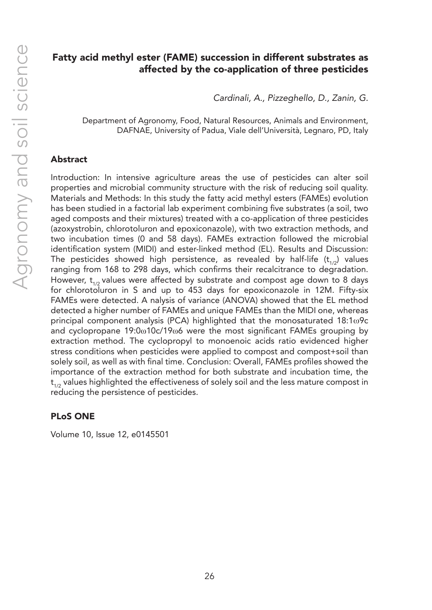#### Fatty acid methyl ester (FAME) succession in different substrates as affected by the co-application of three pesticides

*Cardinali, A., Pizzeghello, D., Zanin, G.*

Department of Agronomy, Food, Natural Resources, Animals and Environment, DAFNAE, University of Padua, Viale dell'Università, Legnaro, PD, Italy

#### Abstract

Introduction: In intensive agriculture areas the use of pesticides can alter soil properties and microbial community structure with the risk of reducing soil quality. Materials and Methods: In this study the fatty acid methyl esters (FAMEs) evolution has been studied in a factorial lab experiment combining five substrates (a soil, two aged composts and their mixtures) treated with a co-application of three pesticides (azoxystrobin, chlorotoluron and epoxiconazole), with two extraction methods, and two incubation times (0 and 58 days). FAMEs extraction followed the microbial identification system (MIDI) and ester-linked method (EL). Results and Discussion: The pesticides showed high persistence, as revealed by half-life ( $t_{1/2}$ ) values ranging from 168 to 298 days, which confirms their recalcitrance to degradation. However,  $t_{1/2}$  values were affected by substrate and compost age down to 8 days for chlorotoluron in S and up to 453 days for epoxiconazole in 12M. Fifty-six FAMEs were detected. A nalysis of variance (ANOVA) showed that the EL method detected a higher number of FAMEs and unique FAMEs than the MIDI one, whereas principal component analysis (PCA) highlighted that the monosaturated 18:1ω9c and cyclopropane 19:0ω10c/19ω6 were the most significant FAMEs grouping by extraction method. The cyclopropyl to monoenoic acids ratio evidenced higher stress conditions when pesticides were applied to compost and compost+soil than solely soil, as well as with final time. Conclusion: Overall, FAMEs profiles showed the importance of the extraction method for both substrate and incubation time, the  $t_{1/2}$  values highlighted the effectiveness of solely soil and the less mature compost in reducing the persistence of pesticides.

#### PLoS ONE

Volume 10, Issue 12, e0145501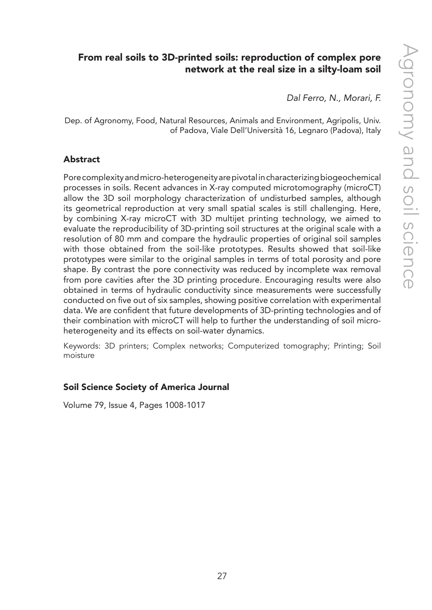## From real soils to 3D-printed soils: reproduction of complex pore network at the real size in a silty-loam soil

*Dal Ferro, N., Morari, F.*

Dep. of Agronomy, Food, Natural Resources, Animals and Environment, Agripolis, Univ. of Padova, Viale Dell'Università 16, Legnaro (Padova), Italy

#### Abstract

Pore complexity and micro-heterogeneity are pivotal in characterizing biogeochemical processes in soils. Recent advances in X-ray computed microtomography (microCT) allow the 3D soil morphology characterization of undisturbed samples, although its geometrical reproduction at very small spatial scales is still challenging. Here, by combining X-ray microCT with 3D multijet printing technology, we aimed to evaluate the reproducibility of 3D-printing soil structures at the original scale with a resolution of 80 mm and compare the hydraulic properties of original soil samples with those obtained from the soil-like prototypes. Results showed that soil-like prototypes were similar to the original samples in terms of total porosity and pore shape. By contrast the pore connectivity was reduced by incomplete wax removal from pore cavities after the 3D printing procedure. Encouraging results were also obtained in terms of hydraulic conductivity since measurements were successfully conducted on five out of six samples, showing positive correlation with experimental data. We are confident that future developments of 3D-printing technologies and of their combination with microCT will help to further the understanding of soil microheterogeneity and its effects on soil-water dynamics.

Keywords: 3D printers; Complex networks; Computerized tomography; Printing; Soil moisture

#### Soil Science Society of America Journal

Volume 79, Issue 4, Pages 1008-1017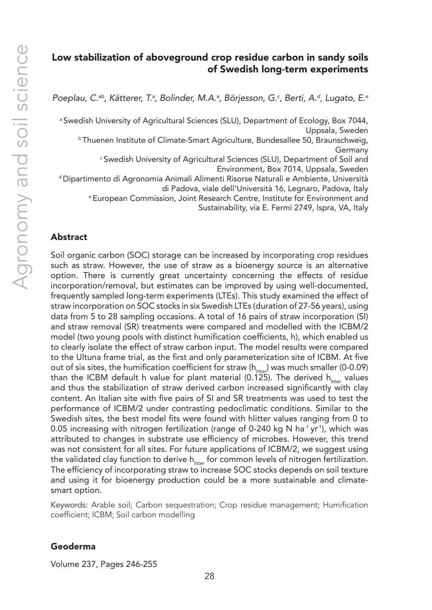#### Low stabilization of aboveground crop residue carbon in sandy soils of Swedish long-term experiments

*Poeplau, C.ab, Kätterer, T.a , Bolinder, M.A.a , Börjesson, G.c , Berti, A.d, Lugato, E.e*

<sup>a</sup> Swedish University of Agricultural Sciences (SLU), Department of Ecology, Box 7044, Uppsala, Sweden

b Thuenen Institute of Climate-Smart Agriculture, Bundesallee 50, Braunschweig, Germany

c Swedish University of Agricultural Sciences (SLU), Department of Soil and Environment, Box 7014, Uppsala, Sweden

d Dipartimento di Agronomia Animali Alimenti Risorse Naturali e Ambiente, Università di Padova, viale dell'Università 16, Legnaro, Padova, Italy

e European Commission, Joint Research Centre, Institute for Environment and

Sustainability, via E. Fermi 2749, Ispra, VA, Italy

#### Abstract

Soil organic carbon (SOC) storage can be increased by incorporating crop residues such as straw. However, the use of straw as a bioenergy source is an alternative option. There is currently great uncertainty concerning the effects of residue incorporation/removal, but estimates can be improved by using well-documented, frequently sampled long-term experiments (LTEs). This study examined the effect of straw incorporation on SOC stocks in six Swedish LTEs (duration of 27-56 years), using data from 5 to 28 sampling occasions. A total of 16 pairs of straw incorporation (SI) and straw removal (SR) treatments were compared and modelled with the ICBM/2 model (two young pools with distinct humification coefficients, h), which enabled us to clearly isolate the effect of straw carbon input. The model results were compared to the Ultuna frame trial, as the first and only parameterization site of ICBM. At five out of six sites, the humification coefficient for straw ( $h_{\text{litter}}$ ) was much smaller (0-0.09) than the ICBM default h value for plant material (0.125). The derived  $h_{\text{inter}}$  values and thus the stabilization of straw derived carbon increased significantly with clay content. An Italian site with five pairs of SI and SR treatments was used to test the performance of ICBM/2 under contrasting pedoclimatic conditions. Similar to the Swedish sites, the best model fits were found with hlitter values ranging from 0 to 0.05 increasing with nitrogen fertilization (range of 0-240 kg N ha<sup>-1</sup> yr<sup>-1</sup>), which was attributed to changes in substrate use efficiency of microbes. However, this trend was not consistent for all sites. For future applications of ICBM/2, we suggest using the validated clay function to derive  $h_{\text{inter}}$  for common levels of nitrogen fertilization. The efficiency of incorporating straw to increase SOC stocks depends on soil texture and using it for bioenergy production could be a more sustainable and climatesmart option.

Keywords: Arable soil; Carbon sequestration; Crop residue management; Humification coefficient; ICBM; Soil carbon modelling

#### Geoderma

Volume 237, Pages 246-255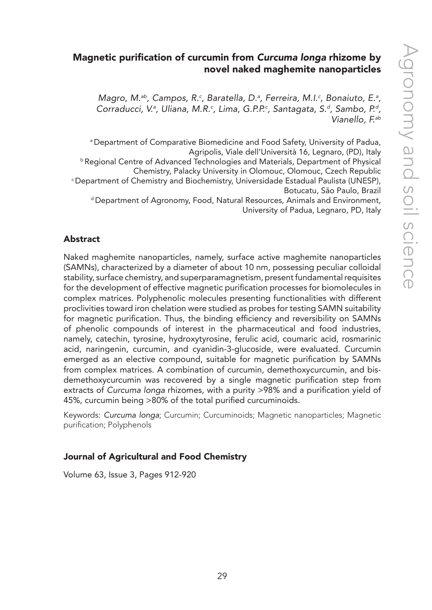#### Magnetic purification of curcumin from *Curcuma longa* rhizome by novel naked maghemite nanoparticles

Magro, M.<sup>ab</sup>, Campos, R.<sup>c</sup>, Baratella, D.ª, Ferreira, M.I.<sup>c</sup>, Bonaiuto, E.ª, *Corraducci, V.a , Uliana, M.R.c , Lima, G.P.P.c , Santagata, S.d, Sambo, P.d, Vianello, F.ab*

a Department of Comparative Biomedicine and Food Safety, University of Padua, Agripolis, Viale dell'Università 16, Legnaro, (PD), Italy b Regional Centre of Advanced Technologies and Materials, Department of Physical Chemistry, Palacky University in Olomouc, Olomouc, Czech Republic c Department of Chemistry and Biochemistry, Universidade Estadual Paulista (UNESP), Botucatu, São Paulo, Brazil d Department of Agronomy, Food, Natural Resources, Animals and Environment, University of Padua, Legnaro, PD, Italy

#### Abstract

Naked maghemite nanoparticles, namely, surface active maghemite nanoparticles (SAMNs), characterized by a diameter of about 10 nm, possessing peculiar colloidal stability, surface chemistry, and superparamagnetism, present fundamental requisites for the development of effective magnetic purification processes for biomolecules in complex matrices. Polyphenolic molecules presenting functionalities with different proclivities toward iron chelation were studied as probes for testing SAMN suitability for magnetic purification. Thus, the binding efficiency and reversibility on SAMNs of phenolic compounds of interest in the pharmaceutical and food industries, namely, catechin, tyrosine, hydroxytyrosine, ferulic acid, coumaric acid, rosmarinic acid, naringenin, curcumin, and cyanidin-3-glucoside, were evaluated. Curcumin emerged as an elective compound, suitable for magnetic purification by SAMNs from complex matrices. A combination of curcumin, demethoxycurcumin, and bisdemethoxycurcumin was recovered by a single magnetic purification step from extracts of *Curcuma longa* rhizomes, with a purity >98% and a purification yield of 45%, curcumin being >80% of the total purified curcuminoids.

Keywords: *Curcuma longa*; Curcumin; Curcuminoids; Magnetic nanoparticles; Magnetic purification; Polyphenols

#### Journal of Agricultural and Food Chemistry

Volume 63, Issue 3, Pages 912-920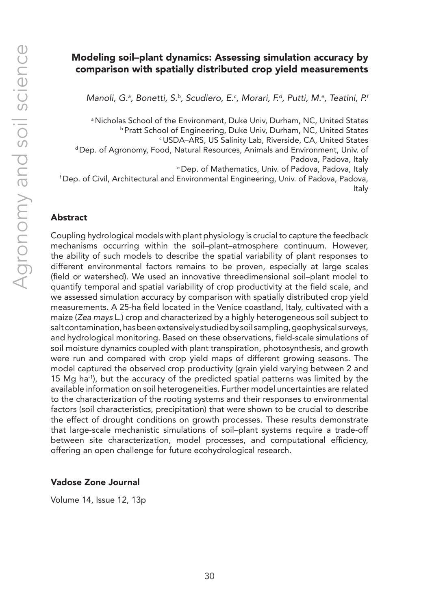## Modeling soil–plant dynamics: Assessing simulation accuracy by comparison with spatially distributed crop yield measurements

Manoli, G.ª, Bonetti, S.ʰ, Scudiero, E.¢, Morari, F.ª, Putti, M.ª, Teatini, P.ª

a Nicholas School of the Environment, Duke Univ, Durham, NC, United States b Pratt School of Engineering, Duke Univ, Durham, NC, United States c USDA–ARS, US Salinity Lab, Riverside, CA, United States d Dep. of Agronomy, Food, Natural Resources, Animals and Environment, Univ. of Padova, Padova, Italy e Dep. of Mathematics, Univ. of Padova, Padova, Italy f Dep. of Civil, Architectural and Environmental Engineering, Univ. of Padova, Padova, Italy

#### Abstract

Coupling hydrological models with plant physiology is crucial to capture the feedback mechanisms occurring within the soil–plant–atmosphere continuum. However, the ability of such models to describe the spatial variability of plant responses to different environmental factors remains to be proven, especially at large scales (field or watershed). We used an innovative threedimensional soil–plant model to quantify temporal and spatial variability of crop productivity at the field scale, and we assessed simulation accuracy by comparison with spatially distributed crop yield measurements. A 25-ha field located in the Venice coastland, Italy, cultivated with a maize (*Zea mays* L.) crop and characterized by a highly heterogeneous soil subject to salt contamination, has been extensively studied by soil sampling, geophysical surveys, and hydrological monitoring. Based on these observations, field-scale simulations of soil moisture dynamics coupled with plant transpiration, photosynthesis, and growth were run and compared with crop yield maps of different growing seasons. The model captured the observed crop productivity (grain yield varying between 2 and 15 Mg ha-1), but the accuracy of the predicted spatial patterns was limited by the available information on soil heterogeneities. Further model uncertainties are related to the characterization of the rooting systems and their responses to environmental factors (soil characteristics, precipitation) that were shown to be crucial to describe the effect of drought conditions on growth processes. These results demonstrate that large-scale mechanistic simulations of soil–plant systems require a trade-off between site characterization, model processes, and computational efficiency, offering an open challenge for future ecohydrological research.

#### Vadose Zone Journal

Volume 14, Issue 12, 13p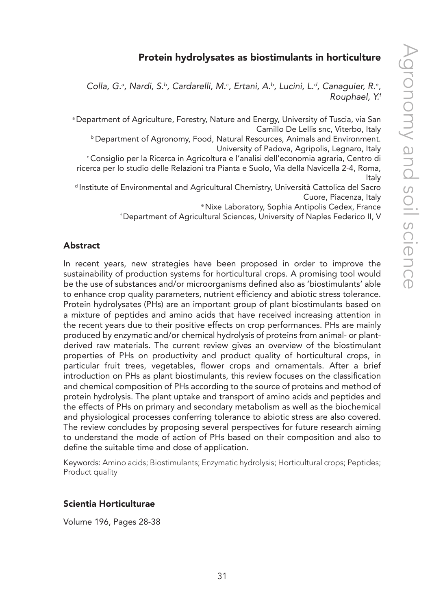#### Protein hydrolysates as biostimulants in horticulture

Colla, G.<sup>a</sup>, Nardi, S.<sup>b</sup>, Cardarelli, M.<sup>c</sup>, Ertani, A.<sup>b</sup>, Lucini, L.<sup>d</sup>, Canaguier, R.<sup>e</sup>, *Rouphael, Y.f*

a Department of Agriculture, Forestry, Nature and Energy, University of Tuscia, via San Camillo De Lellis snc, Viterbo, Italy

b Department of Agronomy, Food, Natural Resources, Animals and Environment. University of Padova, Agripolis, Legnaro, Italy

c Consiglio per la Ricerca in Agricoltura e l'analisi dell'economia agraria, Centro di ricerca per lo studio delle Relazioni tra Pianta e Suolo, Via della Navicella 2-4, Roma, Italy

d Institute of Environmental and Agricultural Chemistry, Università Cattolica del Sacro Cuore, Piacenza, Italy

e Nixe Laboratory, Sophia Antipolis Cedex, France

f Department of Agricultural Sciences, University of Naples Federico II, V

#### Abstract

In recent years, new strategies have been proposed in order to improve the sustainability of production systems for horticultural crops. A promising tool would be the use of substances and/or microorganisms defined also as 'biostimulants' able to enhance crop quality parameters, nutrient efficiency and abiotic stress tolerance. Protein hydrolysates (PHs) are an important group of plant biostimulants based on a mixture of peptides and amino acids that have received increasing attention in the recent years due to their positive effects on crop performances. PHs are mainly produced by enzymatic and/or chemical hydrolysis of proteins from animal- or plantderived raw materials. The current review gives an overview of the biostimulant properties of PHs on productivity and product quality of horticultural crops, in particular fruit trees, vegetables, flower crops and ornamentals. After a brief introduction on PHs as plant biostimulants, this review focuses on the classification and chemical composition of PHs according to the source of proteins and method of protein hydrolysis. The plant uptake and transport of amino acids and peptides and the effects of PHs on primary and secondary metabolism as well as the biochemical and physiological processes conferring tolerance to abiotic stress are also covered. The review concludes by proposing several perspectives for future research aiming to understand the mode of action of PHs based on their composition and also to define the suitable time and dose of application.

Keywords: Amino acids; Biostimulants; Enzymatic hydrolysis; Horticultural crops; Peptides; Product quality

#### Scientia Horticulturae

Volume 196, Pages 28-38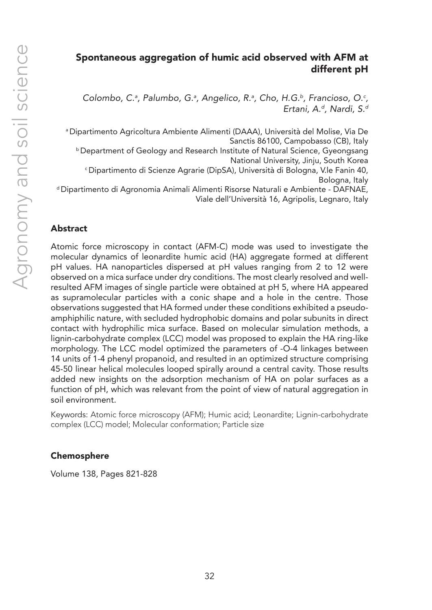## Spontaneous aggregation of humic acid observed with AFM at different pH

Colombo, C.ª, Palumbo, G.ª, Angelico, R.ª, Cho, H.G.<sup>b</sup>, Francioso, O.<sup>c</sup>, *Ertani, A.d, Nardi, S.d*

a Dipartimento Agricoltura Ambiente Alimenti (DAAA), Università del Molise, Via De Sanctis 86100, Campobasso (CB), Italy

b Department of Geology and Research Institute of Natural Science, Gyeongsang National University, Jinju, South Korea <sup>c</sup>Dipartimento di Scienze Agrarie (DipSA), Università di Bologna, V.le Fanin 40,

Bologna, Italy

d Dipartimento di Agronomia Animali Alimenti Risorse Naturali e Ambiente - DAFNAE, Viale dell'Università 16, Agripolis, Legnaro, Italy

#### Abstract

Atomic force microscopy in contact (AFM-C) mode was used to investigate the molecular dynamics of leonardite humic acid (HA) aggregate formed at different pH values. HA nanoparticles dispersed at pH values ranging from 2 to 12 were observed on a mica surface under dry conditions. The most clearly resolved and wellresulted AFM images of single particle were obtained at pH 5, where HA appeared as supramolecular particles with a conic shape and a hole in the centre. Those observations suggested that HA formed under these conditions exhibited a pseudoamphiphilic nature, with secluded hydrophobic domains and polar subunits in direct contact with hydrophilic mica surface. Based on molecular simulation methods, a lignin-carbohydrate complex (LCC) model was proposed to explain the HA ring-like morphology. The LCC model optimized the parameters of -O-4 linkages between 14 units of 1-4 phenyl propanoid, and resulted in an optimized structure comprising 45-50 linear helical molecules looped spirally around a central cavity. Those results added new insights on the adsorption mechanism of HA on polar surfaces as a function of pH, which was relevant from the point of view of natural aggregation in soil environment.

Keywords: Atomic force microscopy (AFM); Humic acid; Leonardite; Lignin-carbohydrate complex (LCC) model; Molecular conformation; Particle size

#### Chemosphere

Volume 138, Pages 821-828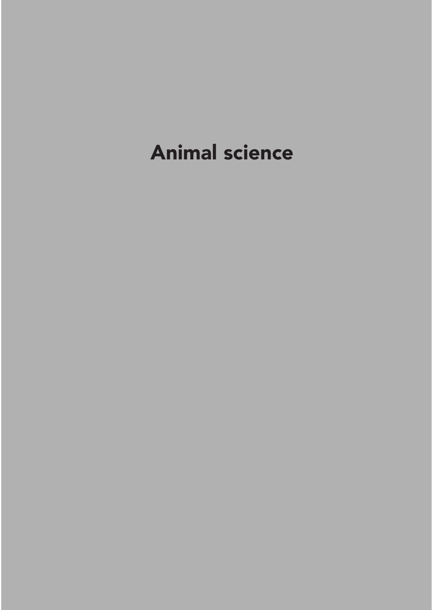## Animal science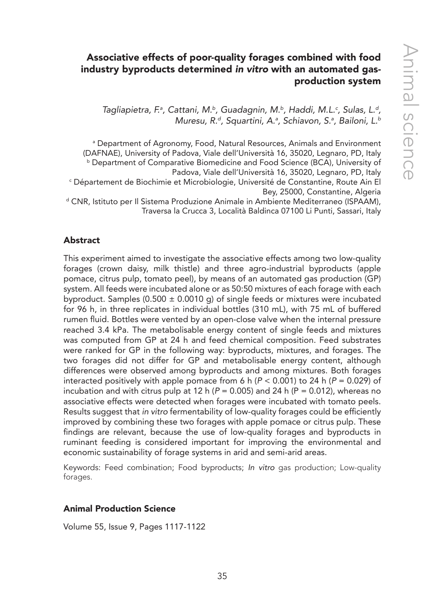## Associative effects of poor-quality forages combined with food industry byproducts determined *in vitro* with an automated gasproduction system

Tagliapietra, F.ª, Cattani, M.b, Guadagnin, M.b, Haddi, M.L.<sup>c</sup>, Sulas, L.<sup>d</sup>, *Muresu, R.d, Squartini, A.a , Schiavon, S.a , Bailoni, L.b*

a Department of Agronomy, Food, Natural Resources, Animals and Environment (DAFNAE), University of Padova, Viale dell'Università 16, 35020, Legnaro, PD, Italy b Department of Comparative Biomedicine and Food Science (BCA), University of Padova, Viale dell'Università 16, 35020, Legnaro, PD, Italy c Département de Biochimie et Microbiologie, Université de Constantine, Route Ain El Bey, 25000, Constantine, Algeria d CNR, Istituto per Il Sistema Produzione Animale in Ambiente Mediterraneo (ISPAAM), Traversa la Crucca 3, Località Baldinca 07100 Li Punti, Sassari, Italy

#### Abstract

This experiment aimed to investigate the associative effects among two low-quality forages (crown daisy, milk thistle) and three agro-industrial byproducts (apple pomace, citrus pulp, tomato peel), by means of an automated gas production (GP) system. All feeds were incubated alone or as 50:50 mixtures of each forage with each byproduct. Samples (0.500  $\pm$  0.0010 g) of single feeds or mixtures were incubated for 96 h, in three replicates in individual bottles (310 mL), with 75 mL of buffered rumen fluid. Bottles were vented by an open-close valve when the internal pressure reached 3.4 kPa. The metabolisable energy content of single feeds and mixtures was computed from GP at 24 h and feed chemical composition. Feed substrates were ranked for GP in the following way: byproducts, mixtures, and forages. The two forages did not differ for GP and metabolisable energy content, although differences were observed among byproducts and among mixtures. Both forages interacted positively with apple pomace from 6 h ( $P < 0.001$ ) to 24 h ( $P = 0.029$ ) of incubation and with citrus pulp at 12 h ( $P = 0.005$ ) and 24 h ( $P = 0.012$ ), whereas no associative effects were detected when forages were incubated with tomato peels. Results suggest that *in vitro* fermentability of low-quality forages could be efficiently improved by combining these two forages with apple pomace or citrus pulp. These findings are relevant, because the use of low-quality forages and byproducts in ruminant feeding is considered important for improving the environmental and economic sustainability of forage systems in arid and semi-arid areas.

Keywords: Feed combination; Food byproducts; *In vitro* gas production; Low-quality forages.

#### Animal Production Science

Volume 55, Issue 9, Pages 1117-1122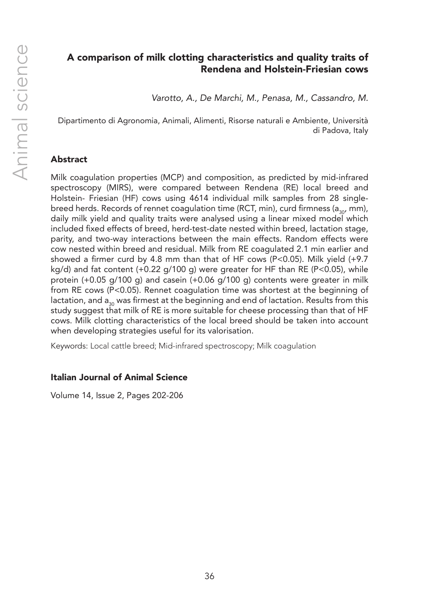## A comparison of milk clotting characteristics and quality traits of Rendena and Holstein-Friesian cows

*Varotto, A., De Marchi, M., Penasa, M., Cassandro, M.*

Dipartimento di Agronomia, Animali, Alimenti, Risorse naturali e Ambiente, Università di Padova, Italy

#### Abstract

Milk coagulation properties (MCP) and composition, as predicted by mid-infrared spectroscopy (MIRS), were compared between Rendena (RE) local breed and Holstein- Friesian (HF) cows using 4614 individual milk samples from 28 singlebreed herds. Records of rennet coagulation time (RCT, min), curd firmness ( $a_{30}$ , mm), daily milk yield and quality traits were analysed using a linear mixed model which included fixed effects of breed, herd-test-date nested within breed, lactation stage, parity, and two-way interactions between the main effects. Random effects were cow nested within breed and residual. Milk from RE coagulated 2.1 min earlier and showed a firmer curd by 4.8 mm than that of HF cows (P<0.05). Milk yield (+9.7  $kq/d$ ) and fat content (+0.22  $q/100 q$ ) were greater for HF than RE (P<0.05), while protein (+0.05 g/100 g) and casein (+0.06 g/100 g) contents were greater in milk from RE cows (P<0.05). Rennet coagulation time was shortest at the beginning of lactation, and  $a_{30}$  was firmest at the beginning and end of lactation. Results from this study suggest that milk of RE is more suitable for cheese processing than that of HF cows. Milk clotting characteristics of the local breed should be taken into account when developing strategies useful for its valorisation.

Keywords: Local cattle breed; Mid-infrared spectroscopy; Milk coagulation

#### Italian Journal of Animal Science

Volume 14, Issue 2, Pages 202-206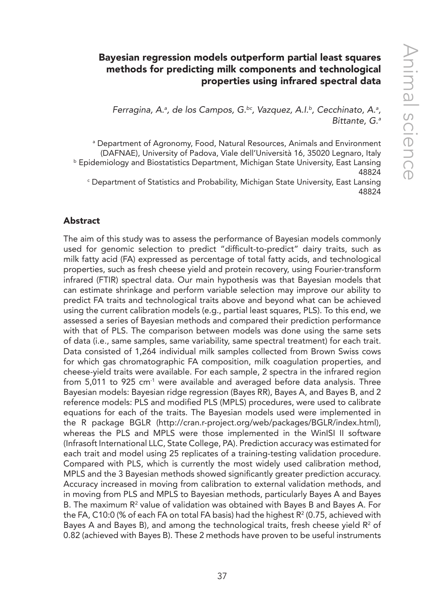# Bayesian regression models outperform partial least squares methods for predicting milk components and technological properties using infrared spectral data

*Ferragina, A.ª, de los Campos, G.<sup>bc</sup>, Vazquez, A.I.<sup>b</sup>, Cecchinato, A.ª, Bittante, G.a*

a Department of Agronomy, Food, Natural Resources, Animals and Environment (DAFNAE), University of Padova, Viale dell'Università 16, 35020 Legnaro, Italy **b Epidemiology and Biostatistics Department, Michigan State University, East Lansing** 48824

 $\mathop{\varepsilon}\nolimits$  Department of Statistics and Probability, Michigan State University, East Lansing 48824

## Abstract

The aim of this study was to assess the performance of Bayesian models commonly used for genomic selection to predict "difficult-to-predict" dairy traits, such as milk fatty acid (FA) expressed as percentage of total fatty acids, and technological properties, such as fresh cheese yield and protein recovery, using Fourier-transform infrared (FTIR) spectral data. Our main hypothesis was that Bayesian models that can estimate shrinkage and perform variable selection may improve our ability to predict FA traits and technological traits above and beyond what can be achieved using the current calibration models (e.g., partial least squares, PLS). To this end, we assessed a series of Bayesian methods and compared their prediction performance with that of PLS. The comparison between models was done using the same sets of data (i.e., same samples, same variability, same spectral treatment) for each trait. Data consisted of 1,264 individual milk samples collected from Brown Swiss cows for which gas chromatographic FA composition, milk coagulation properties, and cheese-yield traits were available. For each sample, 2 spectra in the infrared region from 5,011 to 925 cm<sup>-1</sup> were available and averaged before data analysis. Three Bayesian models: Bayesian ridge regression (Bayes RR), Bayes A, and Bayes B, and 2 reference models: PLS and modified PLS (MPLS) procedures, were used to calibrate equations for each of the traits. The Bayesian models used were implemented in the R package BGLR (http://cran.r-project.org/web/packages/BGLR/index.html), whereas the PLS and MPLS were those implemented in the WinISI II software (Infrasoft International LLC, State College, PA). Prediction accuracy was estimated for each trait and model using 25 replicates of a training-testing validation procedure. Compared with PLS, which is currently the most widely used calibration method, MPLS and the 3 Bayesian methods showed significantly greater prediction accuracy. Accuracy increased in moving from calibration to external validation methods, and in moving from PLS and MPLS to Bayesian methods, particularly Bayes A and Bayes B. The maximum  $\mathsf{R}^2$  value of validation was obtained with Bayes B and Bayes A. For the FA, C10:0 (% of each FA on total FA basis) had the highest R² (0.75, achieved with Bayes A and Bayes B), and among the technological traits, fresh cheese yield  $\mathsf{R}^{\scriptscriptstyle 2}$  of 0.82 (achieved with Bayes B). These 2 methods have proven to be useful instruments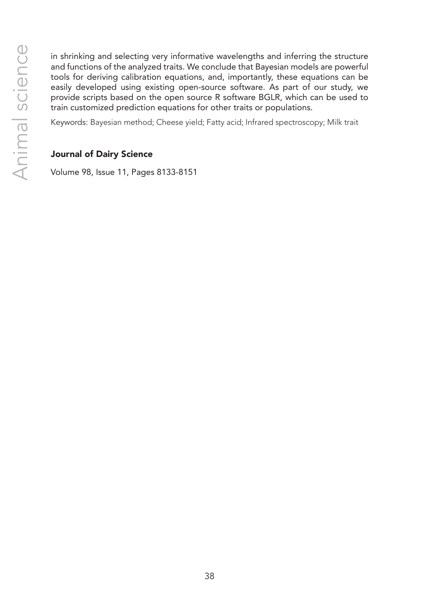in shrinking and selecting very informative wavelengths and inferring the structure and functions of the analyzed traits. We conclude that Bayesian models are powerful tools for deriving calibration equations, and, importantly, these equations can be easily developed using existing open-source software. As part of our study, we provide scripts based on the open source R software BGLR, which can be used to train customized prediction equations for other traits or populations.

Keywords: Bayesian method; Cheese yield; Fatty acid; Infrared spectroscopy; Milk trait

#### Journal of Dairy Science

Volume 98, Issue 11, Pages 8133-8151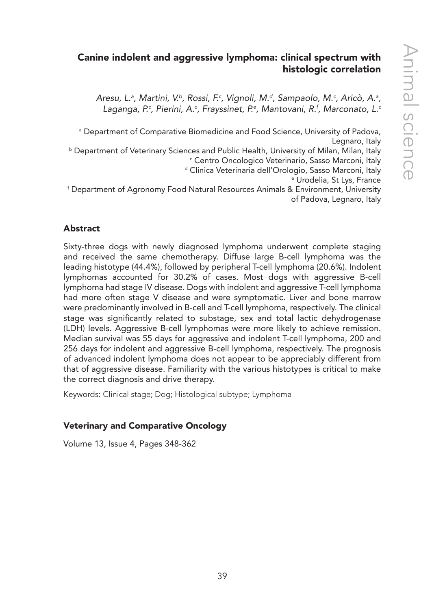# Canine indolent and aggressive lymphoma: clinical spectrum with histologic correlation

Aresu, L.ª, Martini, V.ʰ, Rossi, F.ª, Vignoli, M.ª, Sampaolo, M.ª, Aricò, A.ª, Laganga, P.<sup>c</sup>, Pierini, A.<sup>c</sup>, Frayssinet, P.ª, Mantovani, R.<sup>t</sup>, Marconato, L.<sup>c</sup>

a Department of Comparative Biomedicine and Food Science, University of Padova, Legnaro, Italy

**b Department of Veterinary Sciences and Public Health, University of Milan, Milan, Italy** c Centro Oncologico Veterinario, Sasso Marconi, Italy d Clinica Veterinaria dell'Orologio, Sasso Marconi, Italy

e Urodelia, St Lys, France

f Department of Agronomy Food Natural Resources Animals & Environment, University of Padova, Legnaro, Italy

## Abstract

Sixty-three dogs with newly diagnosed lymphoma underwent complete staging and received the same chemotherapy. Diffuse large B-cell lymphoma was the leading histotype (44.4%), followed by peripheral T-cell lymphoma (20.6%). Indolent lymphomas accounted for 30.2% of cases. Most dogs with aggressive B-cell lymphoma had stage IV disease. Dogs with indolent and aggressive T-cell lymphoma had more often stage V disease and were symptomatic. Liver and bone marrow were predominantly involved in B-cell and T-cell lymphoma, respectively. The clinical stage was significantly related to substage, sex and total lactic dehydrogenase (LDH) levels. Aggressive B-cell lymphomas were more likely to achieve remission. Median survival was 55 days for aggressive and indolent T-cell lymphoma, 200 and 256 days for indolent and aggressive B-cell lymphoma, respectively. The prognosis of advanced indolent lymphoma does not appear to be appreciably different from that of aggressive disease. Familiarity with the various histotypes is critical to make the correct diagnosis and drive therapy.

Keywords: Clinical stage; Dog; Histological subtype; Lymphoma

## Veterinary and Comparative Oncology

Volume 13, Issue 4, Pages 348-362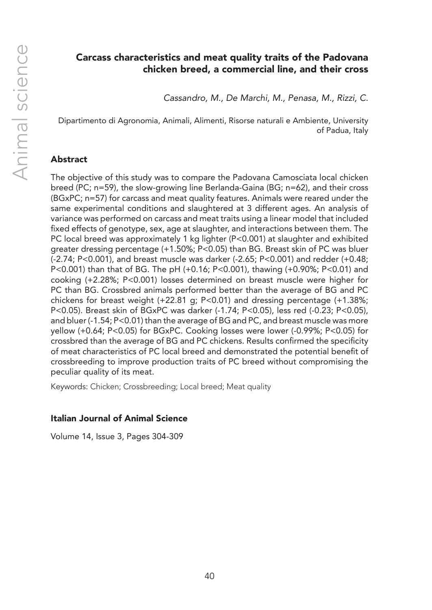## Carcass characteristics and meat quality traits of the Padovana chicken breed, a commercial line, and their cross

*Cassandro, M., De Marchi, M., Penasa, M., Rizzi, C.*

Dipartimento di Agronomia, Animali, Alimenti, Risorse naturali e Ambiente, University of Padua, Italy

## Abstract

The objective of this study was to compare the Padovana Camosciata local chicken breed (PC; n=59), the slow-growing line Berlanda-Gaina (BG; n=62), and their cross (BGxPC; n=57) for carcass and meat quality features. Animals were reared under the same experimental conditions and slaughtered at 3 different ages. An analysis of variance was performed on carcass and meat traits using a linear model that included fixed effects of genotype, sex, age at slaughter, and interactions between them. The PC local breed was approximately 1 kg lighter (P<0.001) at slaughter and exhibited greater dressing percentage (+1.50%; P<0.05) than BG. Breast skin of PC was bluer (-2.74; P<0.001), and breast muscle was darker (-2.65; P<0.001) and redder (+0.48; P<0.001) than that of BG. The pH (+0.16; P<0.001), thawing (+0.90%; P<0.01) and cooking (+2.28%; P<0.001) losses determined on breast muscle were higher for PC than BG. Crossbred animals performed better than the average of BG and PC chickens for breast weight (+22.81 g; P<0.01) and dressing percentage (+1.38%; P<0.05). Breast skin of BGxPC was darker (-1.74; P<0.05), less red (-0.23; P<0.05), and bluer (-1.54; P<0.01) than the average of BG and PC, and breast muscle was more yellow (+0.64; P<0.05) for BGxPC. Cooking losses were lower (-0.99%; P<0.05) for crossbred than the average of BG and PC chickens. Results confirmed the specificity of meat characteristics of PC local breed and demonstrated the potential benefit of crossbreeding to improve production traits of PC breed without compromising the peculiar quality of its meat.

Keywords: Chicken; Crossbreeding; Local breed; Meat quality

## Italian Journal of Animal Science

Volume 14, Issue 3, Pages 304-309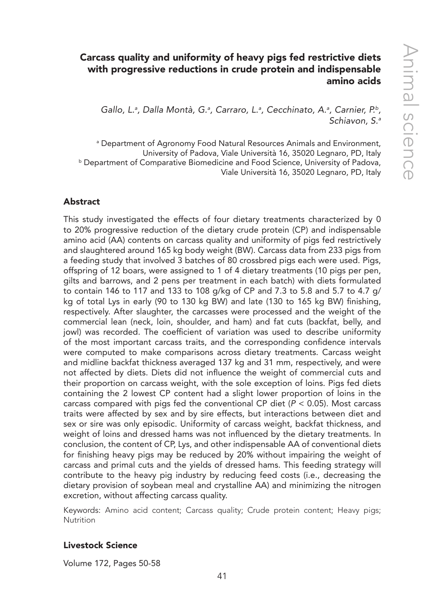## Carcass quality and uniformity of heavy pigs fed restrictive diets with progressive reductions in crude protein and indispensable amino acids

Gallo, L.<sup>a</sup>, Dalla Montà, G.<sup>a</sup>, Carraro, L.<sup>a</sup>, Cecchinato, A.<sup>a</sup>, Carnier, P.<sup>b</sup>, *Schiavon, S.a*

a Department of Agronomy Food Natural Resources Animals and Environment, University of Padova, Viale Università 16, 35020 Legnaro, PD, Italy **b Department of Comparative Biomedicine and Food Science, University of Padova,** Viale Università 16, 35020 Legnaro, PD, Italy

## Abstract

This study investigated the effects of four dietary treatments characterized by 0 to 20% progressive reduction of the dietary crude protein (CP) and indispensable amino acid (AA) contents on carcass quality and uniformity of pigs fed restrictively and slaughtered around 165 kg body weight (BW). Carcass data from 233 pigs from a feeding study that involved 3 batches of 80 crossbred pigs each were used. Pigs, offspring of 12 boars, were assigned to 1 of 4 dietary treatments (10 pigs per pen, gilts and barrows, and 2 pens per treatment in each batch) with diets formulated to contain 146 to 117 and 133 to 108 g/kg of CP and 7.3 to 5.8 and 5.7 to 4.7 g/ kg of total Lys in early (90 to 130 kg BW) and late (130 to 165 kg BW) finishing, respectively. After slaughter, the carcasses were processed and the weight of the commercial lean (neck, loin, shoulder, and ham) and fat cuts (backfat, belly, and jowl) was recorded. The coefficient of variation was used to describe uniformity of the most important carcass traits, and the corresponding confidence intervals were computed to make comparisons across dietary treatments. Carcass weight and midline backfat thickness averaged 137 kg and 31 mm, respectively, and were not affected by diets. Diets did not influence the weight of commercial cuts and their proportion on carcass weight, with the sole exception of loins. Pigs fed diets containing the 2 lowest CP content had a slight lower proportion of loins in the carcass compared with pigs fed the conventional CP diet (*P* < 0.05). Most carcass traits were affected by sex and by sire effects, but interactions between diet and sex or sire was only episodic. Uniformity of carcass weight, backfat thickness, and weight of loins and dressed hams was not influenced by the dietary treatments. In conclusion, the content of CP, Lys, and other indispensable AA of conventional diets for finishing heavy pigs may be reduced by 20% without impairing the weight of carcass and primal cuts and the yields of dressed hams. This feeding strategy will contribute to the heavy pig industry by reducing feed costs (i.e., decreasing the dietary provision of soybean meal and crystalline AA) and minimizing the nitrogen excretion, without affecting carcass quality.

Keywords: Amino acid content; Carcass quality; Crude protein content; Heavy pigs; Nutrition

## Livestock Science

Volume 172, Pages 50-58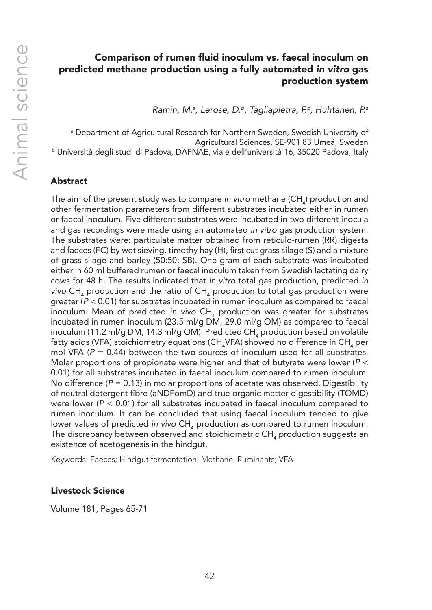## Comparison of rumen fluid inoculum vs. faecal inoculum on predicted methane production using a fully automated *in vitro* gas production system

*Ramin, M.a , Lerose, D.b, Tagliapietra, F.b, Huhtanen, P.a*

a Department of Agricultural Research for Northern Sweden, Swedish University of Agricultural Sciences, SE-901 83 Umeå, Sweden b Università degli studi di Padova, DAFNAE, viale dell'università 16, 35020 Padova, Italy

## Abstract

The aim of the present study was to compare *in vitro* methane (CH<sub>4</sub>) production and other fermentation parameters from different substrates incubated either in rumen or faecal inoculum. Five different substrates were incubated in two different inocula and gas recordings were made using an automated *in vitro* gas production system. The substrates were: particulate matter obtained from reticulo-rumen (RR) digesta and faeces (FC) by wet sieving, timothy hay (H), first cut grass silage (S) and a mixture of grass silage and barley (50:50; SB). One gram of each substrate was incubated either in 60 ml buffered rumen or faecal inoculum taken from Swedish lactating dairy cows for 48 h. The results indicated that *in vitro* total gas production, predicted *in*  vivo CH<sub>4</sub> production and the ratio of CH<sub>4</sub> production to total gas production were greater (*P* < 0.01) for substrates incubated in rumen inoculum as compared to faecal inoculum. Mean of predicted *in vivo* CH<sub>4</sub> production was greater for substrates incubated in rumen inoculum (23.5 ml/g DM, 29.0 ml/g OM) as compared to faecal inoculum (11.2 ml/g DM, 14.3 ml/g OM). Predicted CH $_4$  production based on volatile fatty acids (VFA) stoichiometry equations (CH $_{\textrm{\tiny{4}}}$ VFA) showed no difference in CH $_{\textrm{\tiny{4}}}$  per mol VFA ( $P = 0.44$ ) between the two sources of inoculum used for all substrates. Molar proportions of propionate were higher and that of butyrate were lower (*P* < 0.01) for all substrates incubated in faecal inoculum compared to rumen inoculum. No difference  $(P = 0.13)$  in molar proportions of acetate was observed. Digestibility of neutral detergent fibre (aNDFomD) and true organic matter digestibility (TOMD) were lower ( $P < 0.01$ ) for all substrates incubated in faecal inoculum compared to rumen inoculum. It can be concluded that using faecal inoculum tended to give lower values of predicted *in vivo* CH<sub>4</sub> production as compared to rumen inoculum. The discrepancy between observed and stoichiometric  $\mathsf{CH}_4$  production suggests an existence of acetogenesis in the hindgut.

Keywords: Faeces; Hindgut fermentation; Methane; Ruminants; VFA

#### Livestock Science

Volume 181, Pages 65-71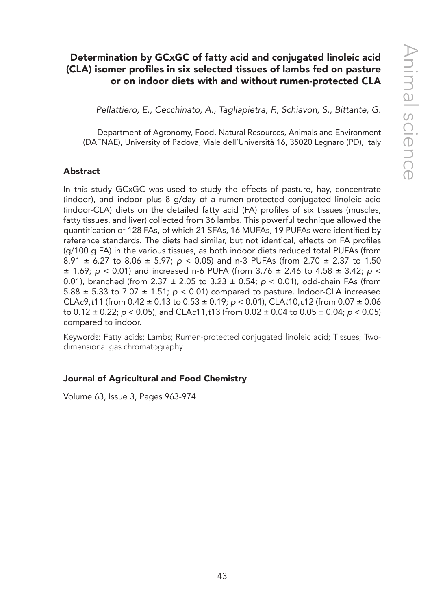## Determination by GCxGC of fatty acid and conjugated linoleic acid (CLA) isomer profiles in six selected tissues of lambs fed on pasture or on indoor diets with and without rumen-protected CLA

*Pellattiero, E., Cecchinato, A., Tagliapietra, F., Schiavon, S., Bittante, G.*

Department of Agronomy, Food, Natural Resources, Animals and Environment (DAFNAE), University of Padova, Viale dell'Università 16, 35020 Legnaro (PD), Italy

#### Abstract

In this study GCxGC was used to study the effects of pasture, hay, concentrate (indoor), and indoor plus 8 g/day of a rumen-protected conjugated linoleic acid (indoor-CLA) diets on the detailed fatty acid (FA) profiles of six tissues (muscles, fatty tissues, and liver) collected from 36 lambs. This powerful technique allowed the quantification of 128 FAs, of which 21 SFAs, 16 MUFAs, 19 PUFAs were identified by reference standards. The diets had similar, but not identical, effects on FA profiles (g/100 g FA) in the various tissues, as both indoor diets reduced total PUFAs (from 8.91 ± 6.27 to 8.06 ± 5.97; *p* < 0.05) and n-3 PUFAs (from 2.70 ± 2.37 to 1.50 ± 1.69; *p* < 0.01) and increased n-6 PUFA (from 3.76 ± 2.46 to 4.58 ± 3.42; *p* < 0.01), branched (from 2.37 ± 2.05 to 3.23 ± 0.54; *p* < 0.01), odd-chain FAs (from 5.88  $\pm$  5.33 to 7.07  $\pm$  1.51;  $p < 0.01$ ) compared to pasture. Indoor-CLA increased CLA*c*9,*t*11 (from 0.42  $\pm$  0.13 to 0.53  $\pm$  0.19; *p* < 0.01), CLA*t*10,*c*12 (from 0.07  $\pm$  0.06 to 0.12 ± 0.22; *p* < 0.05), and CLA*c*11,*t*13 (from 0.02 ± 0.04 to 0.05 ± 0.04; *p* < 0.05) compared to indoor.

Keywords: Fatty acids; Lambs; Rumen-protected conjugated linoleic acid; Tissues; Twodimensional gas chromatography

## Journal of Agricultural and Food Chemistry

Volume 63, Issue 3, Pages 963-974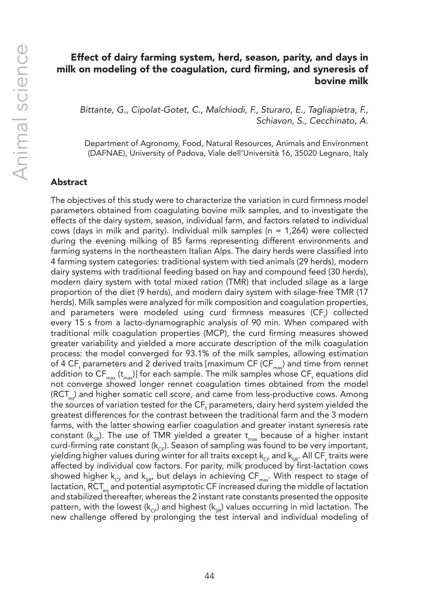## Effect of dairy farming system, herd, season, parity, and days in milk on modeling of the coagulation, curd firming, and syneresis of bovine milk

*Bittante, G., Cipolat-Gotet, C., Malchiodi, F., Sturaro, E., Tagliapietra, F., Schiavon, S., Cecchinato, A.*

Department of Agronomy, Food, Natural Resources, Animals and Environment (DAFNAE), University of Padova, Viale dell'Università 16, 35020 Legnaro, Italy

## Abstract

The objectives of this study were to characterize the variation in curd firmness model parameters obtained from coagulating bovine milk samples, and to investigate the effects of the dairy system, season, individual farm, and factors related to individual cows (days in milk and parity). Individual milk samples ( $n = 1,264$ ) were collected during the evening milking of 85 farms representing different environments and farming systems in the northeastern Italian Alps. The dairy herds were classified into 4 farming system categories: traditional system with tied animals (29 herds), modern dairy systems with traditional feeding based on hay and compound feed (30 herds), modern dairy system with total mixed ration (TMR) that included silage as a large proportion of the diet (9 herds), and modern dairy system with silage-free TMR (17 herds). Milk samples were analyzed for milk composition and coagulation properties, and parameters were modeled using curd firmness measures (CF<sub>t</sub>) collected every 15 s from a lacto-dynamographic analysis of 90 min. When compared with traditional milk coagulation properties (MCP), the curd firming measures showed greater variability and yielded a more accurate description of the milk coagulation process: the model converged for 93.1% of the milk samples, allowing estimation of 4 CF<sub>t</sub> parameters and 2 derived traits [maximum CF (CF $_{\mathtt{max}}$ ) and time from rennet addition to  $\mathsf{CF}_{\max}$  (t<sub>max</sub>)] for each sample. The milk samples whose  $\mathsf{CF}_{\mathsf{t}}$  equations did not converge showed longer rennet coagulation times obtained from the model (RCT<sub>eq</sub>) and higher somatic cell score, and came from less-productive cows. Among the sources of variation tested for the  $\mathsf{CF}_\mathsf{t}$  parameters, dairy herd system yielded the greatest differences for the contrast between the traditional farm and the 3 modern farms, with the latter showing earlier coagulation and greater instant syneresis rate constant ( $k_{SR}$ ). The use of TMR yielded a greater  $t_{max}$  because of a higher instant curd-firming rate constant ( $k_{CF}$ ). Season of sampling was found to be very important, yielding higher values during winter for all traits except  $\mathsf{k}_{\textup{CF}}$  and  $\mathsf{k}_{\textup{SR}}$  All CF, traits were affected by individual cow factors. For parity, milk produced by first-lactation cows showed higher  $k_{CF}$  and  $k_{SR}$ , but delays in achieving CF<sub>max</sub>. With respect to stage of lactation, RCT<sub>eq</sub> and potential asymptotic CF increased during the middle of lactation and stabilized thereafter, whereas the 2 instant rate constants presented the opposite pattern, with the lowest ( $k_{CF}$ ) and highest ( $k_{SP}$ ) values occurring in mid lactation. The new challenge offered by prolonging the test interval and individual modeling of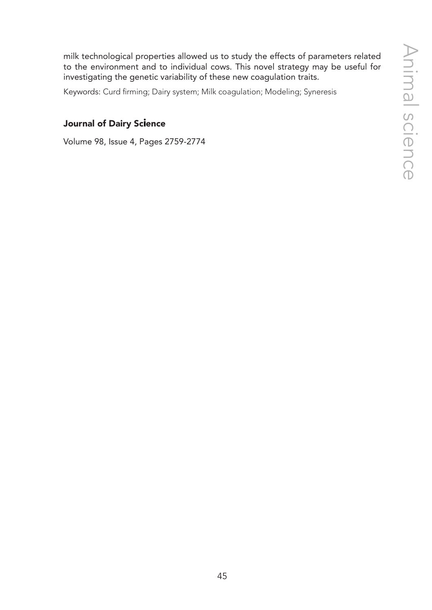milk technological properties allowed us to study the effects of parameters related to the environment and to individual cows. This novel strategy may be useful for investigating the genetic variability of these new coagulation traits.

Keywords: Curd firming; Dairy system; Milk coagulation; Modeling; Syneresis

## Journal of Dairy Science

Volume 98, Issue 4, Pages 2759-2774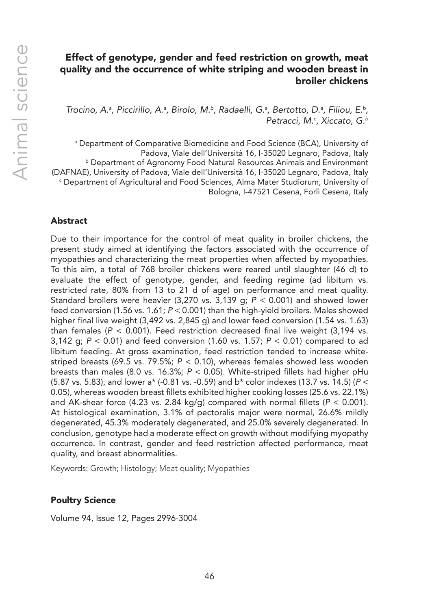## Effect of genotype, gender and feed restriction on growth, meat quality and the occurrence of white striping and wooden breast in broiler chickens

*Trocino, A.a , Piccirillo, A.a , Birolo, M.b, Radaelli, G.a , Bertotto, D.a , Filiou, E.b, Petracci, M.c , Xiccato, G.b*

a Department of Comparative Biomedicine and Food Science (BCA), University of Padova, Viale dell'Università 16, I-35020 Legnaro, Padova, Italy **b Department of Agronomy Food Natural Resources Animals and Environment** (DAFNAE), University of Padova, Viale dell'Università 16, I-35020 Legnaro, Padova, Italy c Department of Agricultural and Food Sciences, Alma Mater Studiorum, University of Bologna, I-47521 Cesena, Forlì Cesena, Italy

## Abstract

Due to their importance for the control of meat quality in broiler chickens, the present study aimed at identifying the factors associated with the occurrence of myopathies and characterizing the meat properties when affected by myopathies. To this aim, a total of 768 broiler chickens were reared until slaughter (46 d) to evaluate the effect of genotype, gender, and feeding regime (ad libitum vs. restricted rate, 80% from 13 to 21 d of age) on performance and meat quality. Standard broilers were heavier (3,270 vs. 3,139 g; *P* < 0.001) and showed lower feed conversion (1.56 vs. 1.61; *P* < 0.001) than the high-yield broilers. Males showed higher final live weight (3,492 vs. 2,845 g) and lower feed conversion (1.54 vs. 1.63) than females ( $P < 0.001$ ). Feed restriction decreased final live weight (3,194 vs. 3,142 g; *P* < 0.01) and feed conversion (1.60 vs. 1.57; *P* < 0.01) compared to ad libitum feeding. At gross examination, feed restriction tended to increase whitestriped breasts (69.5 vs. 79.5%; *P* < 0.10), whereas females showed less wooden breasts than males (8.0 vs. 16.3%; *P* < 0.05). White-striped fillets had higher pHu (5.87 vs. 5.83), and lower a\* (-0.81 vs. -0.59) and b\* color indexes (13.7 vs. 14.5) (*P* < 0.05), whereas wooden breast fillets exhibited higher cooking losses (25.6 vs. 22.1%) and AK-shear force  $(4.23 \text{ vs. } 2.84 \text{ kg/q})$  compared with normal fillets  $(P < 0.001)$ . At histological examination, 3.1% of pectoralis major were normal, 26.6% mildly degenerated, 45.3% moderately degenerated, and 25.0% severely degenerated. In conclusion, genotype had a moderate effect on growth without modifying myopathy occurrence. In contrast, gender and feed restriction affected performance, meat quality, and breast abnormalities.

Keywords: Growth; Histology; Meat quality; Myopathies

#### Poultry Science

Volume 94, Issue 12, Pages 2996-3004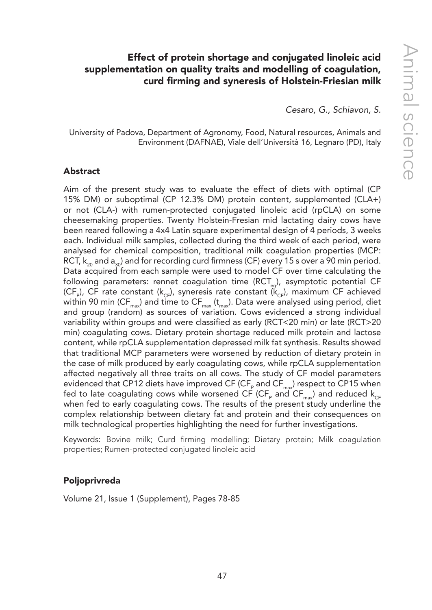## Effect of protein shortage and conjugated linoleic acid supplementation on quality traits and modelling of coagulation, curd firming and syneresis of Holstein-Friesian milk

*Cesaro, G., Schiavon, S.*

University of Padova, Department of Agronomy, Food, Natural resources, Animals and Environment (DAFNAE), Viale dell'Università 16, Legnaro (PD), Italy

#### Abstract

Aim of the present study was to evaluate the effect of diets with optimal (CP 15% DM) or suboptimal (CP 12.3% DM) protein content, supplemented (CLA+) or not (CLA-) with rumen-protected conjugated linoleic acid (rpCLA) on some cheesemaking properties. Twenty Holstein-Fresian mid lactating dairy cows have been reared following a 4x4 Latin square experimental design of 4 periods, 3 weeks each. Individual milk samples, collected during the third week of each period, were analysed for chemical composition, traditional milk coagulation properties (MCP: RCT,  $k_{20}$  and  $a_{30}$ ) and for recording curd firmness (CF) every 15 s over a 90 min period. Data acquired from each sample were used to model CF over time calculating the following parameters: rennet coagulation time (RCT<sub>eq</sub>), asymptotic potential CF (CF<sub>P</sub>), CF rate constant (k<sub>CF</sub>), syneresis rate constant ( $\vec{k}_{CF}$ ), maximum CF achieved within 90 min (CF<sub>max</sub>) and time to CF<sub>max</sub> ( $t_{max}$ ). Data were analysed using period, diet and group (random) as sources of variation. Cows evidenced a strong individual variability within groups and were classified as early (RCT<20 min) or late (RCT>20 min) coagulating cows. Dietary protein shortage reduced milk protein and lactose content, while rpCLA supplementation depressed milk fat synthesis. Results showed that traditional MCP parameters were worsened by reduction of dietary protein in the case of milk produced by early coagulating cows, while rpCLA supplementation affected negatively all three traits on all cows. The study of CF model parameters evidenced that CP12 diets have improved CF (CF<sub>P</sub> and CF<sub>max</sub>) respect to CP15 when fed to late coagulating cows while worsened CF (CF<sub>P</sub> and CF<sub>max</sub>) and reduced k<sub>CF</sub> when fed to early coagulating cows. The results of the present study underline the complex relationship between dietary fat and protein and their consequences on milk technological properties highlighting the need for further investigations.

Keywords: Bovine milk; Curd firming modelling; Dietary protein; Milk coagulation properties; Rumen-protected conjugated linoleic acid

#### Poljoprivreda

Volume 21, Issue 1 (Supplement), Pages 78-85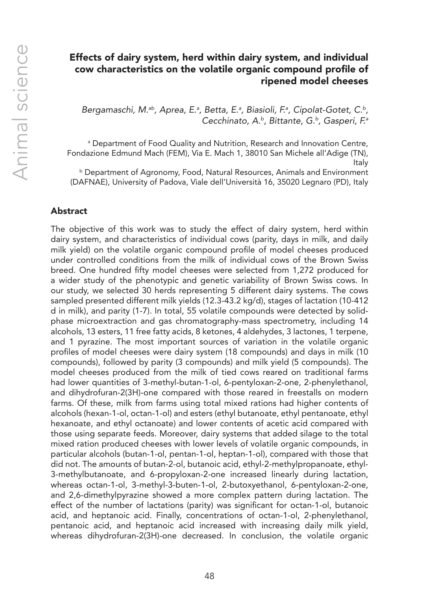## Effects of dairy system, herd within dairy system, and individual cow characteristics on the volatile organic compound profile of ripened model cheeses

Bergamaschi, M.<sup>ab</sup>, Aprea, E.ª, Betta, E.ª, Biasioli, F.ª, Cipolat-Gotet, C.<sup>b</sup>, *Cecchinato, A.b, Bittante, G.b, Gasperi, F.a*

a Department of Food Quality and Nutrition, Research and Innovation Centre, Fondazione Edmund Mach (FEM), Via E. Mach 1, 38010 San Michele all'Adige (TN), Italy

b Department of Agronomy, Food, Natural Resources, Animals and Environment (DAFNAE), University of Padova, Viale dell'Università 16, 35020 Legnaro (PD), Italy

#### Abstract

The objective of this work was to study the effect of dairy system, herd within dairy system, and characteristics of individual cows (parity, days in milk, and daily milk yield) on the volatile organic compound profile of model cheeses produced under controlled conditions from the milk of individual cows of the Brown Swiss breed. One hundred fifty model cheeses were selected from 1,272 produced for a wider study of the phenotypic and genetic variability of Brown Swiss cows. In our study, we selected 30 herds representing 5 different dairy systems. The cows sampled presented different milk yields (12.3-43.2 kg/d), stages of lactation (10-412 d in milk), and parity (1-7). In total, 55 volatile compounds were detected by solidphase microextraction and gas chromatography-mass spectrometry, including 14 alcohols, 13 esters, 11 free fatty acids, 8 ketones, 4 aldehydes, 3 lactones, 1 terpene, and 1 pyrazine. The most important sources of variation in the volatile organic profiles of model cheeses were dairy system (18 compounds) and days in milk (10 compounds), followed by parity (3 compounds) and milk yield (5 compounds). The model cheeses produced from the milk of tied cows reared on traditional farms had lower quantities of 3-methyl-butan-1-ol, 6-pentyloxan-2-one, 2-phenylethanol, and dihydrofuran-2(3H)-one compared with those reared in freestalls on modern farms. Of these, milk from farms using total mixed rations had higher contents of alcohols (hexan-1-ol, octan-1-ol) and esters (ethyl butanoate, ethyl pentanoate, ethyl hexanoate, and ethyl octanoate) and lower contents of acetic acid compared with those using separate feeds. Moreover, dairy systems that added silage to the total mixed ration produced cheeses with lower levels of volatile organic compounds, in particular alcohols (butan-1-ol, pentan-1-ol, heptan-1-ol), compared with those that did not. The amounts of butan-2-ol, butanoic acid, ethyl-2-methylpropanoate, ethyl-3-methylbutanoate, and 6-propyloxan-2-one increased linearly during lactation, whereas octan-1-ol, 3-methyl-3-buten-1-ol, 2-butoxyethanol, 6-pentyloxan-2-one, and 2,6-dimethylpyrazine showed a more complex pattern during lactation. The effect of the number of lactations (parity) was significant for octan-1-ol, butanoic acid, and heptanoic acid. Finally, concentrations of octan-1-ol, 2-phenylethanol, pentanoic acid, and heptanoic acid increased with increasing daily milk yield, whereas dihydrofuran-2(3H)-one decreased. In conclusion, the volatile organic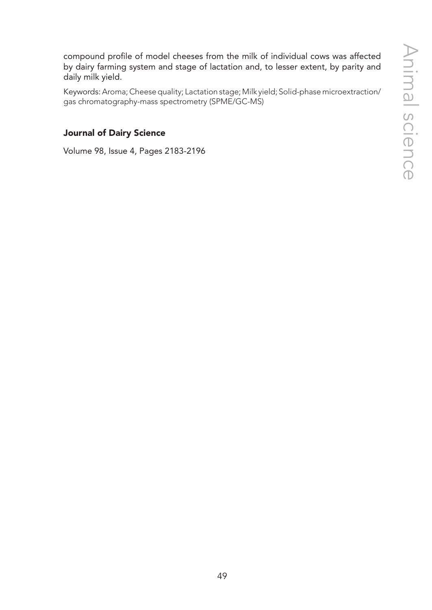compound profile of model cheeses from the milk of individual cows was affected by dairy farming system and stage of lactation and, to lesser extent, by parity and daily milk yield.

Keywords: Aroma; Cheese quality; Lactation stage; Milk yield; Solid-phase microextraction/ gas chromatography-mass spectrometry (SPME/GC-MS)

## Journal of Dairy Science

Volume 98, Issue 4, Pages 2183-2196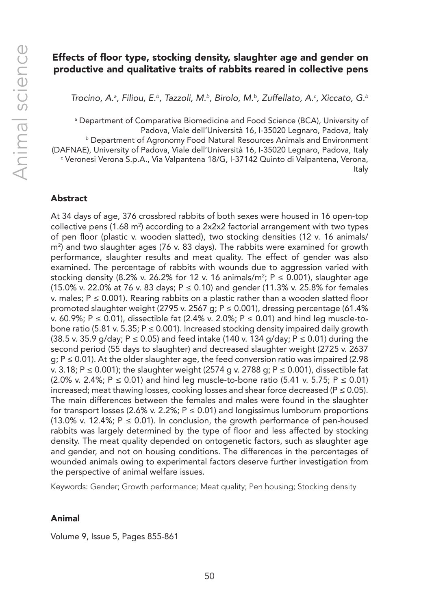## Effects of floor type, stocking density, slaughter age and gender on productive and qualitative traits of rabbits reared in collective pens

Trocino, A.ª, Filiou, E.b, Tazzoli, M.b, Birolo, M.b, Zuffellato, A.<sup>c</sup>, Xiccato, G.b

a Department of Comparative Biomedicine and Food Science (BCA), University of Padova, Viale dell'Università 16, I-35020 Legnaro, Padova, Italy **b Department of Agronomy Food Natural Resources Animals and Environment** (DAFNAE), University of Padova, Viale dell'Università 16, I-35020 Legnaro, Padova, Italy c Veronesi Verona S.p.A., Via Valpantena 18/G, I-37142 Quinto di Valpantena, Verona, Italy

#### Abstract

At 34 days of age, 376 crossbred rabbits of both sexes were housed in 16 open-top collective pens (1.68 m²) according to a 2x2x2 factorial arrangement with two types of pen floor (plastic v. wooden slatted), two stocking densities (12 v. 16 animals/ m2 ) and two slaughter ages (76 v. 83 days). The rabbits were examined for growth performance, slaughter results and meat quality. The effect of gender was also examined. The percentage of rabbits with wounds due to aggression varied with stocking density (8.2% v. 26.2% for 12 v. 16 animals/m<sup>2</sup>; P  $\leq$  0.001), slaughter age (15.0% v. 22.0% at 76 v. 83 days;  $P \le 0.10$ ) and gender (11.3% v. 25.8% for females v. males;  $P \le 0.001$ ). Rearing rabbits on a plastic rather than a wooden slatted floor promoted slaughter weight (2795 v. 2567 g; P ≤ 0.001), dressing percentage (61.4% v. 60.9%; P ≤ 0.01), dissectible fat (2.4% v. 2.0%; P ≤ 0.01) and hind leg muscle-tobone ratio (5.81 v. 5.35;  $P \le 0.001$ ). Increased stocking density impaired daily growth (38.5 v. 35.9 g/day;  $P \le 0.05$ ) and feed intake (140 v. 134 g/day;  $P \le 0.01$ ) during the second period (55 days to slaughter) and decreased slaughter weight (2725 v. 2637  $g: P \leq 0.01$ ). At the older slaughter age, the feed conversion ratio was impaired (2.98 v. 3.18; P ≤ 0.001); the slaughter weight (2574 g v. 2788 g; P ≤ 0.001), dissectible fat (2.0% v. 2.4%;  $P \le 0.01$ ) and hind leg muscle-to-bone ratio (5.41 v. 5.75;  $P \le 0.01$ ) increased; meat thawing losses, cooking losses and shear force decreased ( $P \le 0.05$ ). The main differences between the females and males were found in the slaughter for transport losses (2.6% v. 2.2%;  $P \le 0.01$ ) and longissimus lumborum proportions (13.0% v. 12.4%;  $P \le 0.01$ ). In conclusion, the growth performance of pen-housed rabbits was largely determined by the type of floor and less affected by stocking density. The meat quality depended on ontogenetic factors, such as slaughter age and gender, and not on housing conditions. The differences in the percentages of wounded animals owing to experimental factors deserve further investigation from the perspective of animal welfare issues.

Keywords: Gender; Growth performance; Meat quality; Pen housing; Stocking density

#### Animal

Volume 9, Issue 5, Pages 855-861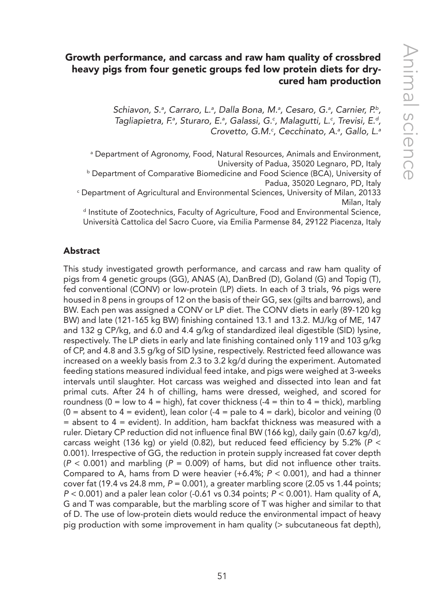# Growth performance, and carcass and raw ham quality of crossbred heavy pigs from four genetic groups fed low protein diets for drycured ham production

Schiavon, S.ª, Carraro, L.ª, Dalla Bona, M.ª, Cesaro, G.ª, Carnier, P.<sup>b</sup>, Tagliapietra, F.ª, Sturaro, E.ª, Galassi, G.<sup>c</sup>, Malagutti, L.<sup>c</sup>, Trevisi, E.<sup>d</sup>, *Crovetto, G.M.c , Cecchinato, A.a , Gallo, L.a*

a Department of Agronomy, Food, Natural Resources, Animals and Environment, University of Padua, 35020 Legnaro, PD, Italy

**b Department of Comparative Biomedicine and Food Science (BCA), University of** Padua, 35020 Legnaro, PD, Italy

c Department of Agricultural and Environmental Sciences, University of Milan, 20133 Milan, Italy

d Institute of Zootechnics, Faculty of Agriculture, Food and Environmental Science, Università Cattolica del Sacro Cuore, via Emilia Parmense 84, 29122 Piacenza, Italy

## Abstract

This study investigated growth performance, and carcass and raw ham quality of pigs from 4 genetic groups (GG), ANAS (A), DanBred (D), Goland (G) and Topig (T), fed conventional (CONV) or low-protein (LP) diets. In each of 3 trials, 96 pigs were housed in 8 pens in groups of 12 on the basis of their GG, sex (gilts and barrows), and BW. Each pen was assigned a CONV or LP diet. The CONV diets in early (89-120 kg BW) and late (121-165 kg BW) finishing contained 13.1 and 13.2. MJ/kg of ME, 147 and 132 g CP/kg, and 6.0 and 4.4 g/kg of standardized ileal digestible (SID) lysine, respectively. The LP diets in early and late finishing contained only 119 and 103 g/kg of CP, and 4.8 and 3.5 g/kg of SID lysine, respectively. Restricted feed allowance was increased on a weekly basis from 2.3 to 3.2 kg/d during the experiment. Automated feeding stations measured individual feed intake, and pigs were weighed at 3-weeks intervals until slaughter. Hot carcass was weighed and dissected into lean and fat primal cuts. After 24 h of chilling, hams were dressed, weighed, and scored for roundness ( $0 = low to 4 = high$ ), fat cover thickness ( $-4 = thin to 4 = thick$ ), marbling  $(0 =$  absent to  $4 =$  evident), lean color  $(-4 =$  pale to  $4 =$  dark), bicolor and veining (0  $=$  absent to  $4 =$  evident). In addition, ham backfat thickness was measured with a ruler. Dietary CP reduction did not influence final BW (166 kg), daily gain (0.67 kg/d), carcass weight (136 kg) or yield (0.82), but reduced feed efficiency by 5.2% (*P* < 0.001). Irrespective of GG, the reduction in protein supply increased fat cover depth (*P* < 0.001) and marbling (*P* = 0.009) of hams, but did not influence other traits. Compared to A, hams from D were heavier (+6.4%; *P* < 0.001), and had a thinner cover fat (19.4 vs 24.8 mm, *P* = 0.001), a greater marbling score (2.05 vs 1.44 points; *P* < 0.001) and a paler lean color (-0.61 vs 0.34 points; *P* < 0.001). Ham quality of A, G and T was comparable, but the marbling score of T was higher and similar to that of D. The use of low-protein diets would reduce the environmental impact of heavy pig production with some improvement in ham quality (> subcutaneous fat depth),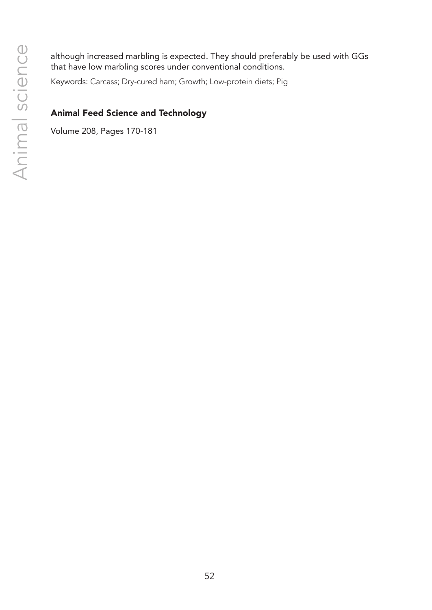although increased marbling is expected. They should preferably be used with GGs that have low marbling scores under conventional conditions.

Keywords: Carcass; Dry-cured ham; Growth; Low-protein diets; Pig

## Animal Feed Science and Technology

Volume 208, Pages 170-181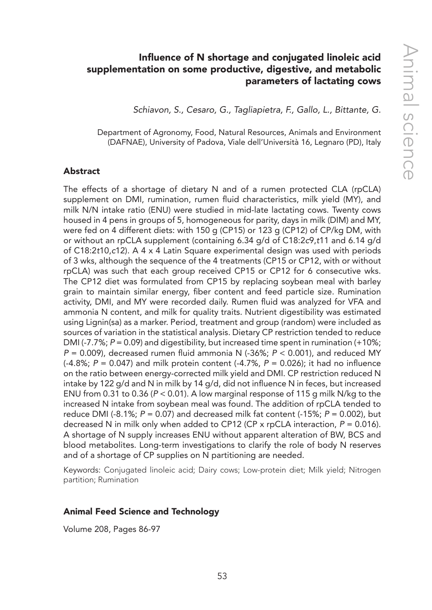## Influence of N shortage and conjugated linoleic acid supplementation on some productive, digestive, and metabolic parameters of lactating cows

*Schiavon, S., Cesaro, G., Tagliapietra, F., Gallo, L., Bittante, G.*

Department of Agronomy, Food, Natural Resources, Animals and Environment (DAFNAE), University of Padova, Viale dell'Università 16, Legnaro (PD), Italy

#### Abstract

The effects of a shortage of dietary N and of a rumen protected CLA (rpCLA) supplement on DMI, rumination, rumen fluid characteristics, milk yield (MY), and milk N/N intake ratio (ENU) were studied in mid-late lactating cows. Twenty cows housed in 4 pens in groups of 5, homogeneous for parity, days in milk (DIM) and MY, were fed on 4 different diets: with 150 g (CP15) or 123 g (CP12) of CP/kg DM, with or without an rpCLA supplement (containing 6.34 g/d of C18:2*c*9,*t*11 and 6.14 g/d of C18:2*t*10,*c*12). A 4 x 4 Latin Square experimental design was used with periods of 3 wks, although the sequence of the 4 treatments (CP15 or CP12, with or without rpCLA) was such that each group received CP15 or CP12 for 6 consecutive wks. The CP12 diet was formulated from CP15 by replacing soybean meal with barley grain to maintain similar energy, fiber content and feed particle size. Rumination activity, DMI, and MY were recorded daily. Rumen fluid was analyzed for VFA and ammonia N content, and milk for quality traits. Nutrient digestibility was estimated using Lignin(sa) as a marker. Period, treatment and group (random) were included as sources of variation in the statistical analysis. Dietary CP restriction tended to reduce DMI (-7.7%;  $P = 0.09$ ) and digestibility, but increased time spent in rumination (+10%; *P* = 0.009), decreased rumen fluid ammonia N (-36%; *P* < 0.001), and reduced MY (-4.8%; *P* = 0.047) and milk protein content (-4.7%, *P* = 0.026); it had no influence on the ratio between energy-corrected milk yield and DMI. CP restriction reduced N intake by 122 g/d and N in milk by 14 g/d, did not influence N in feces, but increased ENU from 0.31 to 0.36 (*P* < 0.01). A low marginal response of 115 g milk N/kg to the increased N intake from soybean meal was found. The addition of rpCLA tended to reduce DMI (-8.1%; *P* = 0.07) and decreased milk fat content (-15%; *P* = 0.002), but decreased N in milk only when added to CP12 (CP x rpCLA interaction, *P* = 0.016). A shortage of N supply increases ENU without apparent alteration of BW, BCS and blood metabolites. Long-term investigations to clarify the role of body N reserves and of a shortage of CP supplies on N partitioning are needed.

Keywords: Conjugated linoleic acid; Dairy cows; Low-protein diet; Milk yield; Nitrogen partition; Rumination

#### Animal Feed Science and Technology

Volume 208, Pages 86-97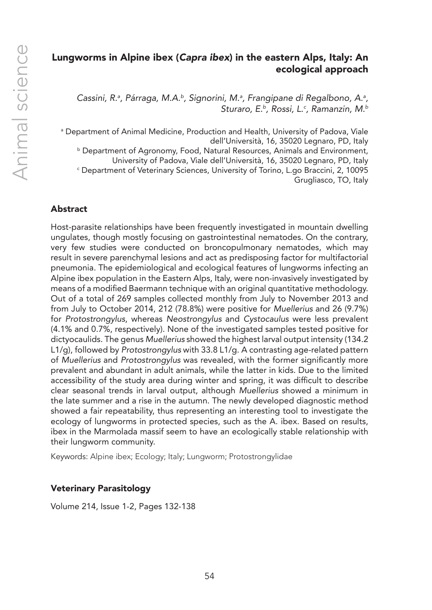## Lungworms in Alpine ibex (*Capra ibex*) in the eastern Alps, Italy: An ecological approach

Cassini, R.ª, Párraga, M.A.ʰ, Signorini, M.ª, Frangipane di Regalbono, A.ª, *Sturaro, E.b, Rossi, L.c , Ramanzin, M.b*

a Department of Animal Medicine, Production and Health, University of Padova, Viale dell'Università, 16, 35020 Legnaro, PD, Italy b Department of Agronomy, Food, Natural Resources, Animals and Environment, University of Padova, Viale dell'Università, 16, 35020 Legnaro, PD, Italy c Department of Veterinary Sciences, University of Torino, L.go Braccini, 2, 10095 Grugliasco, TO, Italy

## Abstract

Host-parasite relationships have been frequently investigated in mountain dwelling ungulates, though mostly focusing on gastrointestinal nematodes. On the contrary, very few studies were conducted on broncopulmonary nematodes, which may result in severe parenchymal lesions and act as predisposing factor for multifactorial pneumonia. The epidemiological and ecological features of lungworms infecting an Alpine ibex population in the Eastern Alps, Italy, were non-invasively investigated by means of a modified Baermann technique with an original quantitative methodology. Out of a total of 269 samples collected monthly from July to November 2013 and from July to October 2014, 212 (78.8%) were positive for *Muellerius* and 26 (9.7%) for *Protostrongylus*, whereas *Neostrongylus* and *Cystocaulus* were less prevalent (4.1% and 0.7%, respectively). None of the investigated samples tested positive for dictyocaulids. The genus *Muellerius* showed the highest larval output intensity (134.2 L1/g), followed by *Protostrongylus* with 33.8 L1/g. A contrasting age-related pattern of *Muellerius* and *Protostrongylus* was revealed, with the former significantly more prevalent and abundant in adult animals, while the latter in kids. Due to the limited accessibility of the study area during winter and spring, it was difficult to describe clear seasonal trends in larval output, although *Muellerius* showed a minimum in the late summer and a rise in the autumn. The newly developed diagnostic method showed a fair repeatability, thus representing an interesting tool to investigate the ecology of lungworms in protected species, such as the A. ibex. Based on results, ibex in the Marmolada massif seem to have an ecologically stable relationship with their lungworm community.

Keywords: Alpine ibex; Ecology; Italy; Lungworm; Protostrongylidae

## Veterinary Parasitology

Volume 214, Issue 1-2, Pages 132-138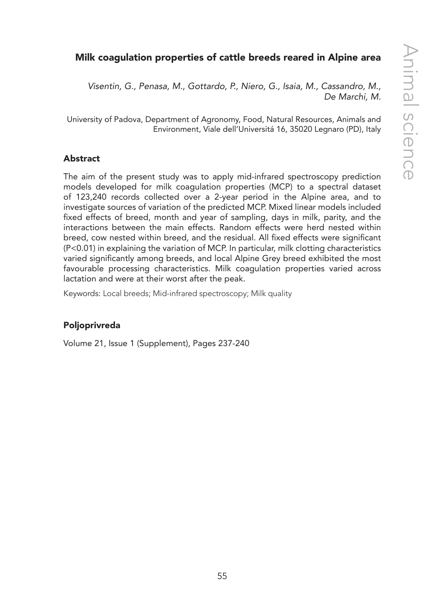# Milk coagulation properties of cattle breeds reared in Alpine area

*Visentin, G., Penasa, M., Gottardo, P., Niero, G., Isaia, M., Cassandro, M., De Marchi, M.*

University of Padova, Department of Agronomy, Food, Natural Resources, Animals and Environment, Viale dell'Universitá 16, 35020 Legnaro (PD), Italy

## Abstract

The aim of the present study was to apply mid-infrared spectroscopy prediction models developed for milk coagulation properties (MCP) to a spectral dataset of 123,240 records collected over a 2-year period in the Alpine area, and to investigate sources of variation of the predicted MCP. Mixed linear models included fixed effects of breed, month and year of sampling, days in milk, parity, and the interactions between the main effects. Random effects were herd nested within breed, cow nested within breed, and the residual. All fixed effects were significant (P<0.01) in explaining the variation of MCP. In particular, milk clotting characteristics varied significantly among breeds, and local Alpine Grey breed exhibited the most favourable processing characteristics. Milk coagulation properties varied across lactation and were at their worst after the peak.

Keywords: Local breeds; Mid-infrared spectroscopy; Milk quality

## Poljoprivreda

Volume 21, Issue 1 (Supplement), Pages 237-240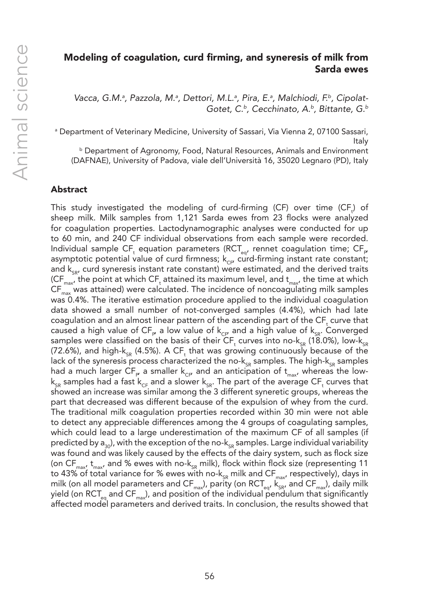## Modeling of coagulation, curd firming, and syneresis of milk from Sarda ewes

Vacca, G.M.ª, Pazzola, M.ª, Dettori, M.L.ª, Pira, E.ª, Malchiodi, F.ʰ, Cipolat-*Gotet, C.b, Cecchinato, A.b, Bittante, G.b*

a Department of Veterinary Medicine, University of Sassari, Via Vienna 2, 07100 Sassari, Italy

b Department of Agronomy, Food, Natural Resources, Animals and Environment (DAFNAE), University of Padova, viale dell'Università 16, 35020 Legnaro (PD), Italy

#### Abstract

This study investigated the modeling of curd-firming (CF) over time (CF<sub>t</sub>) of sheep milk. Milk samples from 1,121 Sarda ewes from 23 flocks were analyzed for coagulation properties. Lactodynamographic analyses were conducted for up to 60 min, and 240 CF individual observations from each sample were recorded. Individual sample CF, equation parameters (RCT $_{\!_{\rm eq}}$ , rennet coagulation time; CF $_{\rm p}$ asymptotic potential value of curd firmness;  $k_{CF}$  curd-firming instant rate constant; and  $k_{\rm{c}}$ , curd syneresis instant rate constant) were estimated, and the derived traits (CF $_{\sf max}$ , the point at which CF $_{\sf t}$  attained its maximum level, and  ${\sf t}_{\sf max}$ , the time at which  $CF<sub>max</sub>$  was attained) were calculated. The incidence of noncoagulating milk samples was 0.4%. The iterative estimation procedure applied to the individual coagulation data showed a small number of not-converged samples (4.4%), which had late coagulation and an almost linear pattern of the ascending part of the  $\mathsf{CF}_{\mathsf{t}}$  curve that caused a high value of CF<sub>P</sub> a low value of k<sub>CP</sub> and a high value of k<sub>sR</sub>. Converged samples were classified on the basis of their CF<sub>t</sub> curves into no-k<sub>sR</sub> (18.0%), low-k<sub>sR</sub> (72.6%), and high-k $_{\rm SR}$  (4.5%). A CF<sub>t</sub> that was growing continuously because of the lack of the syneresis process characterized the no- $k_{SR}$  samples. The high- $k_{SR}$  samples had a much larger CF<sub>P</sub> a smaller k<sub>cP</sub> and an anticipation of  ${\rm t_{max}}$ , whereas the low- ${\sf k}_{_{\sf SR}}$  samples had a fast  ${\sf k}_{_{\sf CF}}$  and a slower  ${\sf k}_{_{\sf SR}}$ . The part of the average CF<sub>t</sub> curves that showed an increase was similar among the 3 different syneretic groups, whereas the part that decreased was different because of the expulsion of whey from the curd. The traditional milk coagulation properties recorded within 30 min were not able to detect any appreciable differences among the 4 groups of coagulating samples, which could lead to a large underestimation of the maximum CF of all samples (if predicted by  $a_{30}$ , with the exception of the no- $k_{SB}$  samples. Large individual variability was found and was likely caused by the effects of the dairy system, such as flock size (on CF<sub>max</sub>,  $t_{max}$  and % ewes with no-k<sub>SR</sub> milk), flock within flock size (representing 11 to 43% of total variance for % ewes with no- $k_{SR}$  milk and CF<sub>max</sub>, respectively), days in milk (on all model parameters and CF<sub>max</sub>), parity (on RCT<sub>eq</sub>,  $k_{\text{SFR}}^{T}$ , and CF<sub>max</sub>), daily milk yield (on  $\text{RCT}_{eq}$  and  $\text{CF}_{max}$ ), and position of the individual pendulum that significantly affected model parameters and derived traits. In conclusion, the results showed that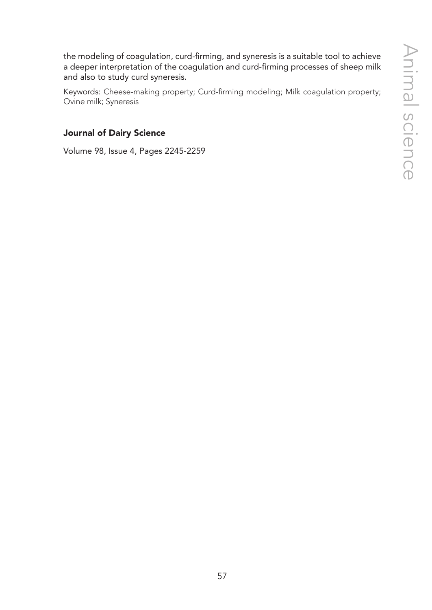the modeling of coagulation, curd-firming, and syneresis is a suitable tool to achieve a deeper interpretation of the coagulation and curd-firming processes of sheep milk and also to study curd syneresis.

Keywords: Cheese-making property; Curd-firming modeling; Milk coagulation property; Ovine milk; Syneresis

## Journal of Dairy Science

Volume 98, Issue 4, Pages 2245-2259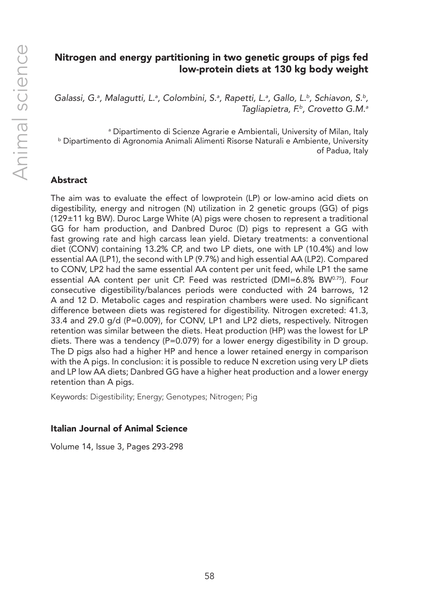## Nitrogen and energy partitioning in two genetic groups of pigs fed low-protein diets at 130 kg body weight

Galassi, G.ª, Malagutti, L.ª, Colombini, S.ª, Rapetti, L.ª, Gallo, L.ʰ, Schiavon, S.ʰ, *Tagliapietra, F.b, Crovetto G.M.a*

a Dipartimento di Scienze Agrarie e Ambientali, University of Milan, Italy b Dipartimento di Agronomia Animali Alimenti Risorse Naturali e Ambiente, University of Padua, Italy

## Abstract

The aim was to evaluate the effect of lowprotein (LP) or low-amino acid diets on digestibility, energy and nitrogen (N) utilization in 2 genetic groups (GG) of pigs (129±11 kg BW). Duroc Large White (A) pigs were chosen to represent a traditional GG for ham production, and Danbred Duroc (D) pigs to represent a GG with fast growing rate and high carcass lean yield. Dietary treatments: a conventional diet (CONV) containing 13.2% CP, and two LP diets, one with LP (10.4%) and low essential AA (LP1), the second with LP (9.7%) and high essential AA (LP2). Compared to CONV, LP2 had the same essential AA content per unit feed, while LP1 the same essential AA content per unit CP. Feed was restricted (DMI=6.8% BW<sup>0.75</sup>). Four consecutive digestibility/balances periods were conducted with 24 barrows, 12 A and 12 D. Metabolic cages and respiration chambers were used. No significant difference between diets was registered for digestibility. Nitrogen excreted: 41.3, 33.4 and 29.0 g/d (P=0.009), for CONV, LP1 and LP2 diets, respectively. Nitrogen retention was similar between the diets. Heat production (HP) was the lowest for LP diets. There was a tendency (P=0.079) for a lower energy digestibility in D group. The D pigs also had a higher HP and hence a lower retained energy in comparison with the A pigs. In conclusion: it is possible to reduce N excretion using very LP diets and LP low AA diets; Danbred GG have a higher heat production and a lower energy retention than A pigs.

Keywords: Digestibility; Energy; Genotypes; Nitrogen; Pig

## Italian Journal of Animal Science

Volume 14, Issue 3, Pages 293-298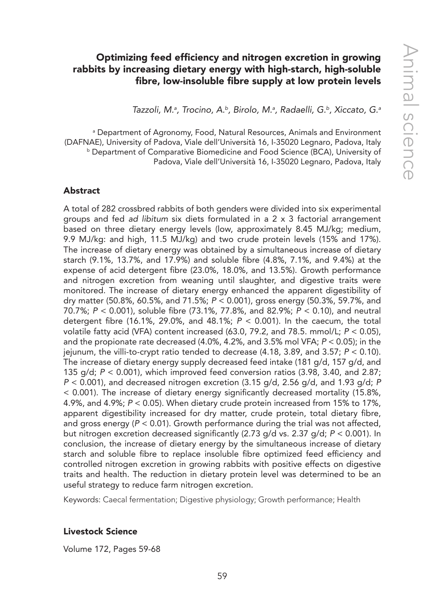## Optimizing feed efficiency and nitrogen excretion in growing rabbits by increasing dietary energy with high-starch, high-soluble fibre, low-insoluble fibre supply at low protein levels

*Tazzoli, M.a , Trocino, A.b, Birolo, M.a , Radaelli, G.b, Xiccato, G.a*

a Department of Agronomy, Food, Natural Resources, Animals and Environment (DAFNAE), University of Padova, Viale dell'Università 16, I-35020 Legnaro, Padova, Italy b Department of Comparative Biomedicine and Food Science (BCA), University of Padova, Viale dell'Università 16, I-35020 Legnaro, Padova, Italy

#### Abstract

A total of 282 crossbred rabbits of both genders were divided into six experimental groups and fed *ad libitum* six diets formulated in a 2 x 3 factorial arrangement based on three dietary energy levels (low, approximately 8.45 MJ/kg; medium, 9.9 MJ/kg: and high, 11.5 MJ/kg) and two crude protein levels (15% and 17%). The increase of dietary energy was obtained by a simultaneous increase of dietary starch (9.1%, 13.7%, and 17.9%) and soluble fibre (4.8%, 7.1%, and 9.4%) at the expense of acid detergent fibre (23.0%, 18.0%, and 13.5%). Growth performance and nitrogen excretion from weaning until slaughter, and digestive traits were monitored. The increase of dietary energy enhanced the apparent digestibility of dry matter (50.8%, 60.5%, and 71.5%; *P* < 0.001), gross energy (50.3%, 59.7%, and 70.7%; *P* < 0.001), soluble fibre (73.1%, 77.8%, and 82.9%; *P* < 0.10), and neutral detergent fibre (16.1%, 29.0%, and 48.1%; *P* < 0.001). In the caecum, the total volatile fatty acid (VFA) content increased (63.0, 79.2, and 78.5. mmol/L; *P* < 0.05), and the propionate rate decreased (4.0%, 4.2%, and 3.5% mol VFA; *P* < 0.05); in the jejunum, the villi-to-crypt ratio tended to decrease (4.18, 3.89, and 3.57; *P* < 0.10). The increase of dietary energy supply decreased feed intake (181 g/d, 157 g/d, and 135 g/d; *P* < 0.001), which improved feed conversion ratios (3.98, 3.40, and 2.87; *P* < 0.001), and decreased nitrogen excretion (3.15 g/d, 2.56 g/d, and 1.93 g/d; *P* < 0.001). The increase of dietary energy significantly decreased mortality (15.8%, 4.9%, and 4.9%; *P* < 0.05). When dietary crude protein increased from 15% to 17%, apparent digestibility increased for dry matter, crude protein, total dietary fibre, and gross energy (*P* < 0.01). Growth performance during the trial was not affected, but nitrogen excretion decreased significantly (2.73 g/d vs. 2.37 g/d; *P* < 0.001). In conclusion, the increase of dietary energy by the simultaneous increase of dietary starch and soluble fibre to replace insoluble fibre optimized feed efficiency and controlled nitrogen excretion in growing rabbits with positive effects on digestive traits and health. The reduction in dietary protein level was determined to be an useful strategy to reduce farm nitrogen excretion.

Keywords: Caecal fermentation; Digestive physiology; Growth performance; Health

#### Livestock Science

Volume 172, Pages 59-68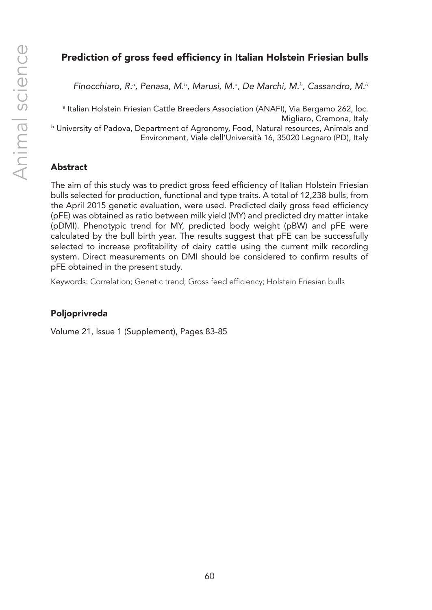# Prediction of gross feed efficiency in Italian Holstein Friesian bulls

*Finocchiaro, R.a , Penasa, M.b, Marusi, M.a , De Marchi, M.b, Cassandro, M.b*

a Italian Holstein Friesian Cattle Breeders Association (ANAFI), Via Bergamo 262, loc. Migliaro, Cremona, Italy b University of Padova, Department of Agronomy, Food, Natural resources, Animals and Environment, Viale dell'Università 16, 35020 Legnaro (PD), Italy

## Abstract

The aim of this study was to predict gross feed efficiency of Italian Holstein Friesian bulls selected for production, functional and type traits. A total of 12,238 bulls, from the April 2015 genetic evaluation, were used. Predicted daily gross feed efficiency (pFE) was obtained as ratio between milk yield (MY) and predicted dry matter intake (pDMI). Phenotypic trend for MY, predicted body weight (pBW) and pFE were calculated by the bull birth year. The results suggest that pFE can be successfully selected to increase profitability of dairy cattle using the current milk recording system. Direct measurements on DMI should be considered to confirm results of pFE obtained in the present study.

Keywords: Correlation; Genetic trend; Gross feed efficiency; Holstein Friesian bulls

## Poljoprivreda

Volume 21, Issue 1 (Supplement), Pages 83-85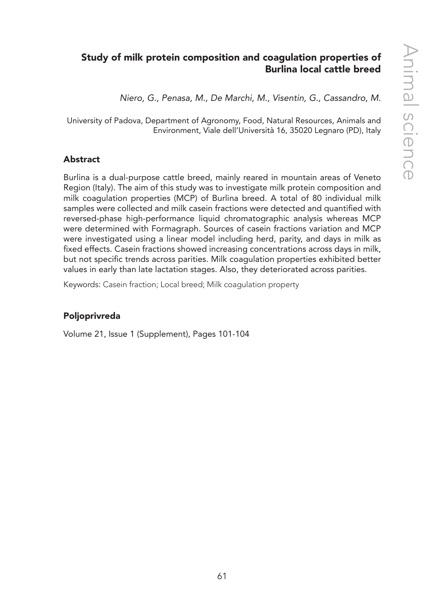# Study of milk protein composition and coagulation properties of Burlina local cattle breed

*Niero, G., Penasa, M., De Marchi, M., Visentin, G., Cassandro, M.*

University of Padova, Department of Agronomy, Food, Natural Resources, Animals and Environment, Viale dell'Università 16, 35020 Legnaro (PD), Italy

## Abstract

Burlina is a dual-purpose cattle breed, mainly reared in mountain areas of Veneto Region (Italy). The aim of this study was to investigate milk protein composition and milk coagulation properties (MCP) of Burlina breed. A total of 80 individual milk samples were collected and milk casein fractions were detected and quantified with reversed-phase high-performance liquid chromatographic analysis whereas MCP were determined with Formagraph. Sources of casein fractions variation and MCP were investigated using a linear model including herd, parity, and days in milk as fixed effects. Casein fractions showed increasing concentrations across days in milk, but not specific trends across parities. Milk coagulation properties exhibited better values in early than late lactation stages. Also, they deteriorated across parities.

Keywords: Casein fraction; Local breed; Milk coagulation property

## Poljoprivreda

Volume 21, Issue 1 (Supplement), Pages 101-104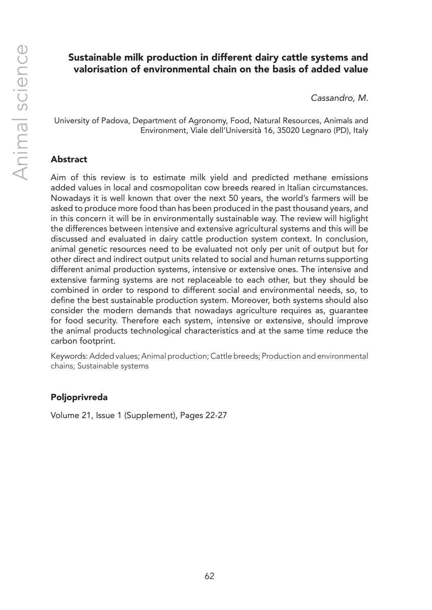## Sustainable milk production in different dairy cattle systems and valorisation of environmental chain on the basis of added value

*Cassandro, M.*

University of Padova, Department of Agronomy, Food, Natural Resources, Animals and Environment, Viale dell'Università 16, 35020 Legnaro (PD), Italy

#### Abstract

Aim of this review is to estimate milk yield and predicted methane emissions added values in local and cosmopolitan cow breeds reared in Italian circumstances. Nowadays it is well known that over the next 50 years, the world's farmers will be asked to produce more food than has been produced in the past thousand years, and in this concern it will be in environmentally sustainable way. The review will higlight the differences between intensive and extensive agricultural systems and this will be discussed and evaluated in dairy cattle production system context. In conclusion, animal genetic resources need to be evaluated not only per unit of output but for other direct and indirect output units related to social and human returns supporting different animal production systems, intensive or extensive ones. The intensive and extensive farming systems are not replaceable to each other, but they should be combined in order to respond to different social and environmental needs, so, to define the best sustainable production system. Moreover, both systems should also consider the modern demands that nowadays agriculture requires as, guarantee for food security. Therefore each system, intensive or extensive, should improve the animal products technological characteristics and at the same time reduce the carbon footprint.

Keywords: Added values; Animal production; Cattle breeds; Production and environmental chains; Sustainable systems

#### Poljoprivreda

Volume 21, Issue 1 (Supplement), Pages 22-27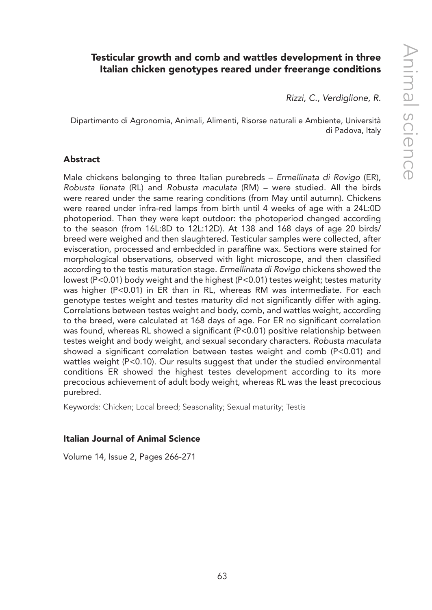# Testicular growth and comb and wattles development in three Italian chicken genotypes reared under freerange conditions

*Rizzi, C., Verdiglione, R.*

Dipartimento di Agronomia, Animali, Alimenti, Risorse naturali e Ambiente, Università di Padova, Italy

#### Abstract

Male chickens belonging to three Italian purebreds – *Ermellinata di Rovigo* (ER), *Robusta lionata* (RL) and *Robusta maculata* (RM) – were studied. All the birds were reared under the same rearing conditions (from May until autumn). Chickens were reared under infra-red lamps from birth until 4 weeks of age with a 24L:0D photoperiod. Then they were kept outdoor: the photoperiod changed according to the season (from 16L:8D to 12L:12D). At 138 and 168 days of age 20 birds/ breed were weighed and then slaughtered. Testicular samples were collected, after evisceration, processed and embedded in paraffine wax. Sections were stained for morphological observations, observed with light microscope, and then classified according to the testis maturation stage. *Ermellinata di Rovigo* chickens showed the lowest (P<0.01) body weight and the highest (P<0.01) testes weight; testes maturity was higher (P<0.01) in ER than in RL, whereas RM was intermediate. For each genotype testes weight and testes maturity did not significantly differ with aging. Correlations between testes weight and body, comb, and wattles weight, according to the breed, were calculated at 168 days of age. For ER no significant correlation was found, whereas RL showed a significant (P<0.01) positive relationship between testes weight and body weight, and sexual secondary characters. *Robusta maculata* showed a significant correlation between testes weight and comb (P<0.01) and wattles weight (P<0.10). Our results suggest that under the studied environmental conditions ER showed the highest testes development according to its more precocious achievement of adult body weight, whereas RL was the least precocious purebred.

Keywords: Chicken; Local breed; Seasonality; Sexual maturity; Testis

#### Italian Journal of Animal Science

Volume 14, Issue 2, Pages 266-271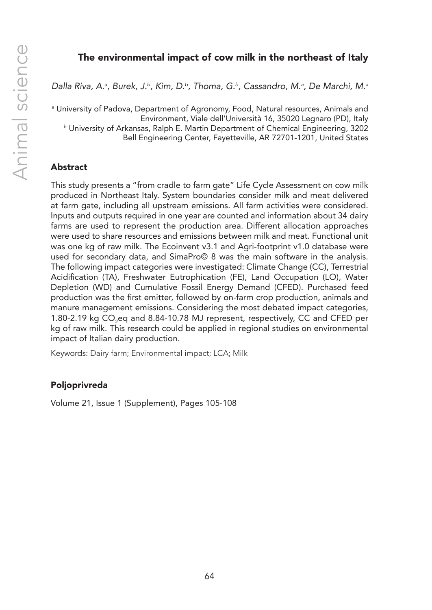## The environmental impact of cow milk in the northeast of Italy

*Dalla Riva, A.a , Burek, J.b, Kim, D.b, Thoma, G.b, Cassandro, M.a , De Marchi, M.a*

a University of Padova, Department of Agronomy, Food, Natural resources, Animals and Environment, Viale dell'Università 16, 35020 Legnaro (PD), Italy b University of Arkansas, Ralph E. Martin Department of Chemical Engineering, 3202 Bell Engineering Center, Fayetteville, AR 72701-1201, United States

#### Abstract

This study presents a "from cradle to farm gate" Life Cycle Assessment on cow milk produced in Northeast Italy. System boundaries consider milk and meat delivered at farm gate, including all upstream emissions. All farm activities were considered. Inputs and outputs required in one year are counted and information about 34 dairy farms are used to represent the production area. Different allocation approaches were used to share resources and emissions between milk and meat. Functional unit was one kg of raw milk. The Ecoinvent v3.1 and Agri-footprint v1.0 database were used for secondary data, and SimaPro© 8 was the main software in the analysis. The following impact categories were investigated: Climate Change (CC), Terrestrial Acidification (TA), Freshwater Eutrophication (FE), Land Occupation (LO), Water Depletion (WD) and Cumulative Fossil Energy Demand (CFED). Purchased feed production was the first emitter, followed by on-farm crop production, animals and manure management emissions. Considering the most debated impact categories, 1.80-2.19 kg  $\textsf{CO}_2$ eq and 8.84-10.78 MJ represent, respectively, CC and CFED per kg of raw milk. This research could be applied in regional studies on environmental impact of Italian dairy production.

Keywords: Dairy farm; Environmental impact; LCA; Milk

#### Poljoprivreda

Volume 21, Issue 1 (Supplement), Pages 105-108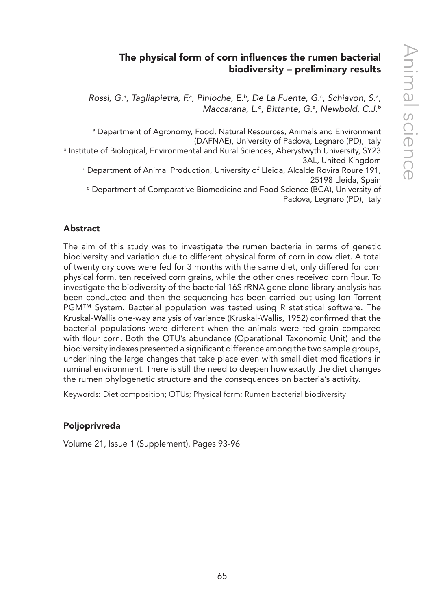## The physical form of corn influences the rumen bacterial biodiversity – preliminary results

Rossi, G.ª, Tagliapietra, F.ª, Pinloche, E.ʰ, De La Fuente, G.ª, Schiavon, S.ª, *Maccarana, L.d, Bittante, G.a , Newbold, C.J.b*

a Department of Agronomy, Food, Natural Resources, Animals and Environment (DAFNAE), University of Padova, Legnaro (PD), Italy

b Institute of Biological, Environmental and Rural Sciences, Aberystwyth University, SY23 3AL, United Kingdom

c Department of Animal Production, University of Lleida, Alcalde Rovira Roure 191, 25198 Lleida, Spain

d Department of Comparative Biomedicine and Food Science (BCA), University of Padova, Legnaro (PD), Italy

## Abstract

The aim of this study was to investigate the rumen bacteria in terms of genetic biodiversity and variation due to different physical form of corn in cow diet. A total of twenty dry cows were fed for 3 months with the same diet, only differed for corn physical form, ten received corn grains, while the other ones received corn flour. To investigate the biodiversity of the bacterial 16S rRNA gene clone library analysis has been conducted and then the sequencing has been carried out using Ion Torrent PGM™ System. Bacterial population was tested using R statistical software. The Kruskal-Wallis one-way analysis of variance (Kruskal-Wallis, 1952) confirmed that the bacterial populations were different when the animals were fed grain compared with flour corn. Both the OTU's abundance (Operational Taxonomic Unit) and the biodiversity indexes presented a significant difference among the two sample groups, underlining the large changes that take place even with small diet modifications in ruminal environment. There is still the need to deepen how exactly the diet changes the rumen phylogenetic structure and the consequences on bacteria's activity.

Keywords: Diet composition; OTUs; Physical form; Rumen bacterial biodiversity

## Poljoprivreda

Volume 21, Issue 1 (Supplement), Pages 93-96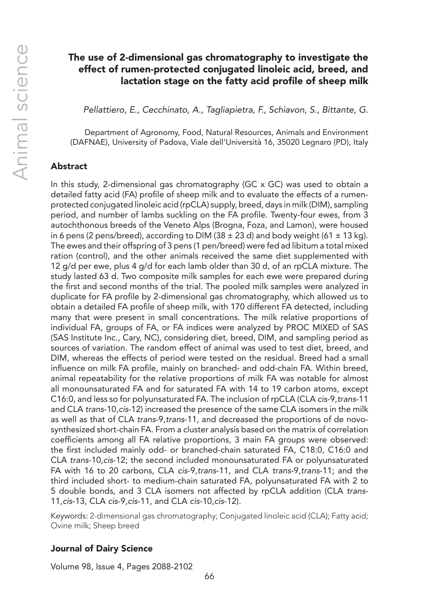## The use of 2-dimensional gas chromatography to investigate the effect of rumen-protected conjugated linoleic acid, breed, and lactation stage on the fatty acid profile of sheep milk

*Pellattiero, E., Cecchinato, A., Tagliapietra, F., Schiavon, S., Bittante, G.*

Department of Agronomy, Food, Natural Resources, Animals and Environment (DAFNAE), University of Padova, Viale dell'Università 16, 35020 Legnaro (PD), Italy

#### Abstract

In this study, 2-dimensional gas chromatography (GC x GC) was used to obtain a detailed fatty acid (FA) profile of sheep milk and to evaluate the effects of a rumenprotected conjugated linoleic acid (rpCLA) supply, breed, days in milk (DIM), sampling period, and number of lambs suckling on the FA profile. Twenty-four ewes, from 3 autochthonous breeds of the Veneto Alps (Brogna, Foza, and Lamon), were housed in 6 pens (2 pens/breed), according to DIM (38  $\pm$  23 d) and body weight (61  $\pm$  13 kg). The ewes and their offspring of 3 pens (1 pen/breed) were fed ad libitum a total mixed ration (control), and the other animals received the same diet supplemented with 12 g/d per ewe, plus 4 g/d for each lamb older than 30 d, of an rpCLA mixture. The study lasted 63 d. Two composite milk samples for each ewe were prepared during the first and second months of the trial. The pooled milk samples were analyzed in duplicate for FA profile by 2-dimensional gas chromatography, which allowed us to obtain a detailed FA profile of sheep milk, with 170 different FA detected, including many that were present in small concentrations. The milk relative proportions of individual FA, groups of FA, or FA indices were analyzed by PROC MIXED of SAS (SAS Institute Inc., Cary, NC), considering diet, breed, DIM, and sampling period as sources of variation. The random effect of animal was used to test diet, breed, and DIM, whereas the effects of period were tested on the residual. Breed had a small influence on milk FA profile, mainly on branched- and odd-chain FA. Within breed, animal repeatability for the relative proportions of milk FA was notable for almost all monounsaturated FA and for saturated FA with 14 to 19 carbon atoms, except C16:0, and less so for polyunsaturated FA. The inclusion of rpCLA (CLA *cis*-9,*trans*-11 and CLA *trans*-10,*cis*-12) increased the presence of the same CLA isomers in the milk as well as that of CLA *trans*-9,*trans*-11, and decreased the proportions of de novosynthesized short-chain FA. From a cluster analysis based on the matrix of correlation coefficients among all FA relative proportions, 3 main FA groups were observed: the first included mainly odd- or branched-chain saturated FA, C18:0, C16:0 and CLA *trans*-10,*cis*-12; the second included monounsaturated FA or polyunsaturated FA with 16 to 20 carbons, CLA *cis*-9,*trans*-11, and CLA *trans*-9,*trans*-11; and the third included short- to medium-chain saturated FA, polyunsaturated FA with 2 to 5 double bonds, and 3 CLA isomers not affected by rpCLA addition (CLA *trans*-11,*cis*-13, CLA *cis*-9,*cis*-11, and CLA *cis*-10,*cis*-12).

Keywords: 2-dimensional gas chromatography; Conjugated linoleic acid (CLA); Fatty acid; Ovine milk; Sheep breed

## Journal of Dairy Science

Volume 98, Issue 4, Pages 2088-2102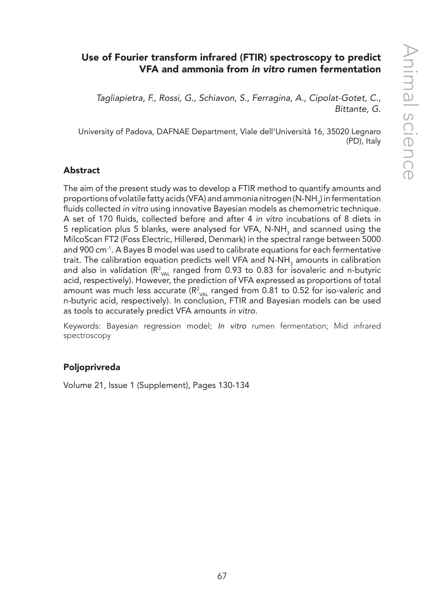# Use of Fourier transform infrared (FTIR) spectroscopy to predict VFA and ammonia from *in vitro* rumen fermentation

*Tagliapietra, F., Rossi, G., Schiavon, S., Ferragina, A., Cipolat-Gotet, C., Bittante, G.*

University of Padova, DAFNAE Department, Viale dell'Università 16, 35020 Legnaro (PD), Italy

## Abstract

The aim of the present study was to develop a FTIR method to quantify amounts and proportions of volatile fatty acids (VFA) and ammonia nitrogen (N-NH $_{\tiny 3}$ ) in fermentation fluids collected *in vitro* using innovative Bayesian models as chemometric technique. A set of 170 fluids, collected before and after 4 *in vitro* incubations of 8 diets in 5 replication plus 5 blanks, were analysed for VFA, N-NH<sub>3</sub> and scanned using the MilcoScan FT2 (Foss Electric, Hillerød, Denmark) in the spectral range between 5000 and 900 cm-1. A Bayes B model was used to calibrate equations for each fermentative trait. The calibration equation predicts well VFA and  $N-NH<sub>3</sub>$  amounts in calibration and also in validation ( $R^2_{\text{VAL}}$  ranged from 0.93 to 0.83 for isovaleric and n-butyric acid, respectively). However, the prediction of VFA expressed as proportions of total amount was much less accurate ( $R^2_{\text{VAL}}$  ranged from 0.81 to 0.52 for iso-valeric and n-butyric acid, respectively). In conclusion, FTIR and Bayesian models can be used as tools to accurately predict VFA amounts *in vitro*.

Keywords: Bayesian regression model; *In vitro* rumen fermentation; Mid infrared spectroscopy

## Poljoprivreda

Volume 21, Issue 1 (Supplement), Pages 130-134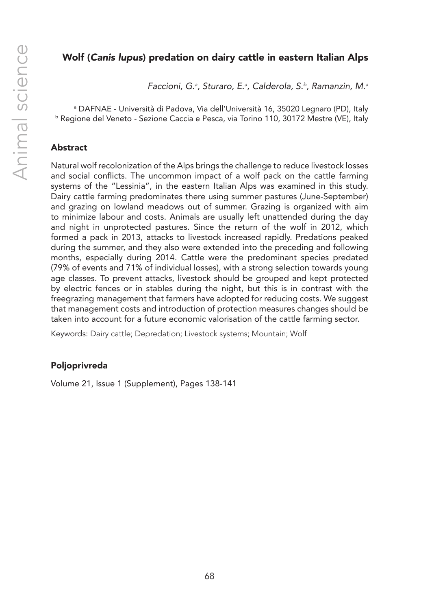## Wolf (*Canis lupus*) predation on dairy cattle in eastern Italian Alps

*Faccioni, G.a , Sturaro, E.a , Calderola, S.b, Ramanzin, M.a*

a DAFNAE - Università di Padova, Via dell'Università 16, 35020 Legnaro (PD), Italy <sup>b</sup> Regione del Veneto - Sezione Caccia e Pesca, via Torino 110, 30172 Mestre (VE), Italy

## Abstract

Natural wolf recolonization of the Alps brings the challenge to reduce livestock losses and social conflicts. The uncommon impact of a wolf pack on the cattle farming systems of the "Lessinia", in the eastern Italian Alps was examined in this study. Dairy cattle farming predominates there using summer pastures (June-September) and grazing on lowland meadows out of summer. Grazing is organized with aim to minimize labour and costs. Animals are usually left unattended during the day and night in unprotected pastures. Since the return of the wolf in 2012, which formed a pack in 2013, attacks to livestock increased rapidly. Predations peaked during the summer, and they also were extended into the preceding and following months, especially during 2014. Cattle were the predominant species predated (79% of events and 71% of individual losses), with a strong selection towards young age classes. To prevent attacks, livestock should be grouped and kept protected by electric fences or in stables during the night, but this is in contrast with the freegrazing management that farmers have adopted for reducing costs. We suggest that management costs and introduction of protection measures changes should be taken into account for a future economic valorisation of the cattle farming sector.

Keywords: Dairy cattle; Depredation; Livestock systems; Mountain; Wolf

## Poljoprivreda

Volume 21, Issue 1 (Supplement), Pages 138-141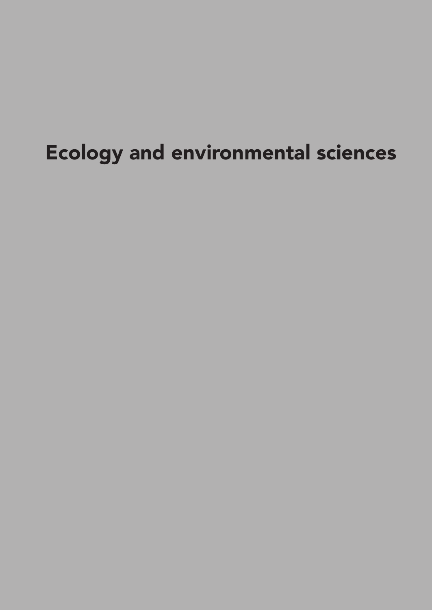# Ecology and environmental sciences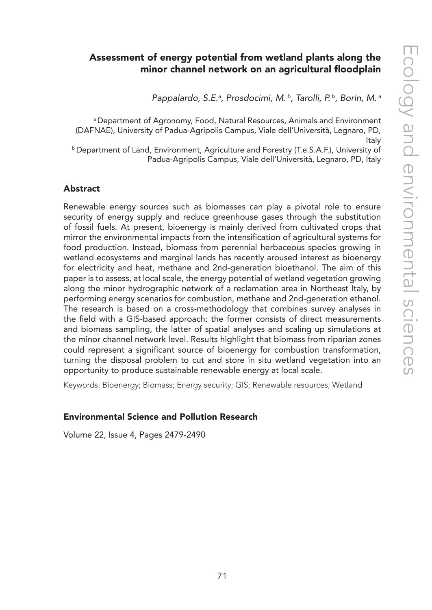## Assessment of energy potential from wetland plants along the minor channel network on an agricultural floodplain

*Pappalardo, S.E.a , Prosdocimi, M. b, Tarolli, P. b, Borin, M. a*

a Department of Agronomy, Food, Natural Resources, Animals and Environment (DAFNAE), University of Padua-Agripolis Campus, Viale dell'Università, Legnaro, PD, Italy

**b Department of Land, Environment, Agriculture and Forestry (T.e.S.A.F.), University of** Padua-Agripolis Campus, Viale dell'Università, Legnaro, PD, Italy

#### Abstract

Renewable energy sources such as biomasses can play a pivotal role to ensure security of energy supply and reduce greenhouse gases through the substitution of fossil fuels. At present, bioenergy is mainly derived from cultivated crops that mirror the environmental impacts from the intensification of agricultural systems for food production. Instead, biomass from perennial herbaceous species growing in wetland ecosystems and marginal lands has recently aroused interest as bioenergy for electricity and heat, methane and 2nd-generation bioethanol. The aim of this paper is to assess, at local scale, the energy potential of wetland vegetation growing along the minor hydrographic network of a reclamation area in Northeast Italy, by performing energy scenarios for combustion, methane and 2nd-generation ethanol. The research is based on a cross-methodology that combines survey analyses in the field with a GIS-based approach: the former consists of direct measurements and biomass sampling, the latter of spatial analyses and scaling up simulations at the minor channel network level. Results highlight that biomass from riparian zones could represent a significant source of bioenergy for combustion transformation, turning the disposal problem to cut and store in situ wetland vegetation into an opportunity to produce sustainable renewable energy at local scale.

Keywords: Bioenergy; Biomass; Energy security; GIS; Renewable resources; Wetland

#### Environmental Science and Pollution Research

Volume 22, Issue 4, Pages 2479-2490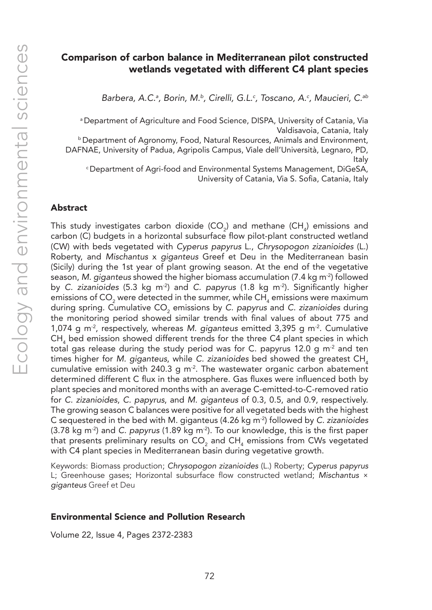## Comparison of carbon balance in Mediterranean pilot constructed wetlands vegetated with different C4 plant species

Barbera, A.C.<sup>a</sup>, Borin, M.<sup>b</sup>, Cirelli, G.L.<sup>c</sup>, Toscano, A.<sup>c</sup>, Maucieri, C.<sup>ab</sup>

<sup>a</sup> Department of Agriculture and Food Science, DISPA, University of Catania, Via Valdisavoia, Catania, Italy

b Department of Agronomy, Food, Natural Resources, Animals and Environment, DAFNAE, University of Padua, Agripolis Campus, Viale dell'Università, Legnaro, PD,

Italy c Department of Agri-food and Environmental Systems Management, DiGeSA, University of Catania, Via S. Sofia, Catania, Italy

#### Abstract

This study investigates carbon dioxide  $(CO_2)$  and methane  $(CH_4)$  emissions and carbon (C) budgets in a horizontal subsurface flow pilot-plant constructed wetland (CW) with beds vegetated with *Cyperus papyrus* L., *Chrysopogon zizanioides* (L.) Roberty, and *Mischantus* x *giganteus* Greef et Deu in the Mediterranean basin (Sicily) during the 1st year of plant growing season. At the end of the vegetative season, *M. giganteus* showed the higher biomass accumulation (7.4 kg m-2) followed by *C. zizanioides* (5.3 kg m-2) and *C. papyrus* (1.8 kg m-2). Significantly higher emissions of CO<sub>2</sub> were detected in the summer, while CH<sub>4</sub> emissions were maximum during spring. Cumulative CO<sub>2</sub> emissions by *C. papyrus* and *C. zizanioides* during the monitoring period showed similar trends with final values of about 775 and 1,074 g m-2, respectively, whereas *M. giganteus* emitted 3,395 g m-2. Cumulative  $CH<sub>4</sub>$  bed emission showed different trends for the three C4 plant species in which total gas release during the study period was for C. papyrus 12.0 g  $m^2$  and ten times higher for *M. giganteus*, while *C. zizanioides* bed showed the greatest CH, cumulative emission with 240.3 g m<sup>-2</sup>. The wastewater organic carbon abatement determined different C flux in the atmosphere. Gas fluxes were influenced both by plant species and monitored months with an average C-emitted-to-C-removed ratio for *C. zizanioides*, *C. papyrus*, and *M. giganteus* of 0.3, 0.5, and 0.9, respectively. The growing season C balances were positive for all vegetated beds with the highest C sequestered in the bed with M. giganteus (4.26 kg m-2) followed by *C. zizanioides* (3.78 kg m-2) and *C. papyrus* (1.89 kg m-2). To our knowledge, this is the first paper that presents preliminary results on CO<sub>2</sub> and CH<sub>4</sub> emissions from CWs vegetated with C4 plant species in Mediterranean basin during vegetative growth.

Keywords: Biomass production; *Chrysopogon zizanioides* (L.) Roberty; *Cyperus papyrus* L; Greenhouse gases; Horizontal subsurface flow constructed wetland; *Mischantus* × *giganteus* Greef et Deu

#### Environmental Science and Pollution Research

Volume 22, Issue 4, Pages 2372-2383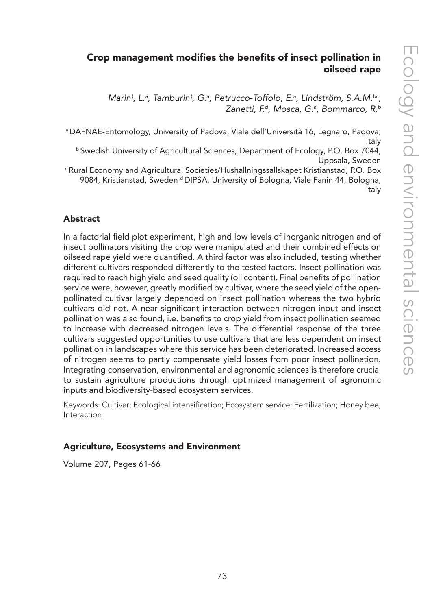# Crop management modifies the benefits of insect pollination in oilseed rape

Marini, L.ª, Tamburini, G.ª, Petrucco-Toffolo, E.ª, Lindström, S.A.M.<sup>bc</sup>, *Zanetti, F.d, Mosca, G.a , Bommarco, R.b*

a DAFNAE-Entomology, University of Padova, Viale dell'Università 16, Legnaro, Padova, Italy<br>Swedish University of Agricultural Sciences, Department of Ecology, P.O. Box 7044,

Uppsala, Sweden c Rural Economy and Agricultural Societies/Hushallningssallskapet Kristianstad, P.O. Box

9084, Kristianstad, Sweden <sup>d</sup> DIPSA, University of Bologna, Viale Fanin 44, Bologna, Italy

## Abstract

In a factorial field plot experiment, high and low levels of inorganic nitrogen and of insect pollinators visiting the crop were manipulated and their combined effects on oilseed rape yield were quantified. A third factor was also included, testing whether different cultivars responded differently to the tested factors. Insect pollination was required to reach high yield and seed quality (oil content). Final benefits of pollination service were, however, greatly modified by cultivar, where the seed yield of the openpollinated cultivar largely depended on insect pollination whereas the two hybrid cultivars did not. A near significant interaction between nitrogen input and insect pollination was also found, i.e. benefits to crop yield from insect pollination seemed to increase with decreased nitrogen levels. The differential response of the three cultivars suggested opportunities to use cultivars that are less dependent on insect pollination in landscapes where this service has been deteriorated. Increased access of nitrogen seems to partly compensate yield losses from poor insect pollination. Integrating conservation, environmental and agronomic sciences is therefore crucial to sustain agriculture productions through optimized management of agronomic inputs and biodiversity-based ecosystem services.

Keywords: Cultivar; Ecological intensification; Ecosystem service; Fertilization; Honey bee; Interaction

## Agriculture, Ecosystems and Environment

Volume 207, Pages 61-66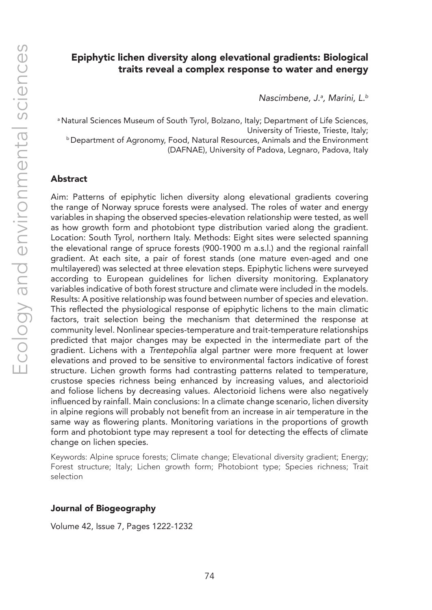## Epiphytic lichen diversity along elevational gradients: Biological traits reveal a complex response to water and energy

*Nascimbene, J.a , Marini, L.b*

<sup>a</sup> Natural Sciences Museum of South Tyrol, Bolzano, Italy; Department of Life Sciences, University of Trieste, Trieste, Italy; b Department of Agronomy, Food, Natural Resources, Animals and the Environment (DAFNAE), University of Padova, Legnaro, Padova, Italy

#### Abstract

Aim: Patterns of epiphytic lichen diversity along elevational gradients covering the range of Norway spruce forests were analysed. The roles of water and energy variables in shaping the observed species-elevation relationship were tested, as well as how growth form and photobiont type distribution varied along the gradient. Location: South Tyrol, northern Italy. Methods: Eight sites were selected spanning the elevational range of spruce forests (900-1900 m a.s.l.) and the regional rainfall gradient. At each site, a pair of forest stands (one mature even-aged and one multilayered) was selected at three elevation steps. Epiphytic lichens were surveyed according to European guidelines for lichen diversity monitoring. Explanatory variables indicative of both forest structure and climate were included in the models. Results: A positive relationship was found between number of species and elevation. This reflected the physiological response of epiphytic lichens to the main climatic factors, trait selection being the mechanism that determined the response at community level. Nonlinear species-temperature and trait-temperature relationships predicted that major changes may be expected in the intermediate part of the gradient. Lichens with a *Trentepohlia* algal partner were more frequent at lower elevations and proved to be sensitive to environmental factors indicative of forest structure. Lichen growth forms had contrasting patterns related to temperature, crustose species richness being enhanced by increasing values, and alectorioid and foliose lichens by decreasing values. Alectorioid lichens were also negatively influenced by rainfall. Main conclusions: In a climate change scenario, lichen diversity in alpine regions will probably not benefit from an increase in air temperature in the same way as flowering plants. Monitoring variations in the proportions of growth form and photobiont type may represent a tool for detecting the effects of climate change on lichen species.

Keywords: Alpine spruce forests; Climate change; Elevational diversity gradient; Energy; Forest structure; Italy; Lichen growth form; Photobiont type; Species richness; Trait selection

#### Journal of Biogeography

Volume 42, Issue 7, Pages 1222-1232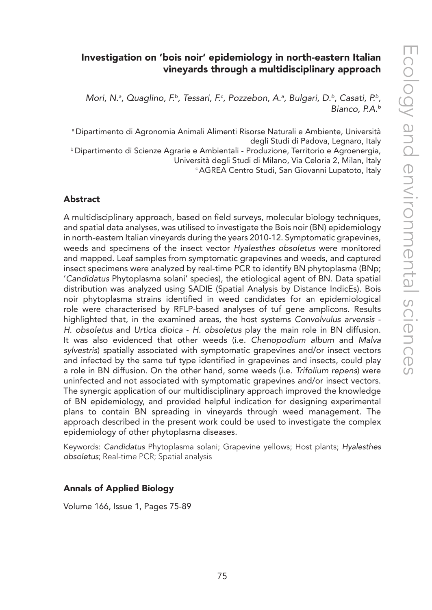# Investigation on 'bois noir' epidemiology in north-eastern Italian vineyards through a multidisciplinary approach

Mori, N.ª, Quaglino, F.ª, Tessari, F.ª, Pozzebon, A.ª, Bulgari, D.ʰ, Casati, P.ʰ, *Bianco, P.A.b*

a Dipartimento di Agronomia Animali Alimenti Risorse Naturali e Ambiente, Università degli Studi di Padova, Legnaro, Italy<br>Dipartimento di Scienze Agrarie e Ambientali - Produzione, Territorio e Agroenergia, Università degli Studi di Milano, Via Celoria 2, Milan, Italy<br><sup>c</sup> AGREA Centro Studi, San Giovanni Lupatoto, Italy

#### Abstract

A multidisciplinary approach, based on field surveys, molecular biology techniques, and spatial data analyses, was utilised to investigate the Bois noir (BN) epidemiology in north-eastern Italian vineyards during the years 2010-12. Symptomatic grapevines, weeds and specimens of the insect vector *Hyalesthes obsoletus* were monitored and mapped. Leaf samples from symptomatic grapevines and weeds, and captured insect specimens were analyzed by real-time PCR to identify BN phytoplasma (BNp; '*Candidatus* Phytoplasma solani' species), the etiological agent of BN. Data spatial distribution was analyzed using SADIE (Spatial Analysis by Distance IndicEs). Bois noir phytoplasma strains identified in weed candidates for an epidemiological role were characterised by RFLP-based analyses of tuf gene amplicons. Results highlighted that, in the examined areas, the host systems *Convolvulus arvensis* - *H. obsoletus* and *Urtica dioica* - *H. obsoletus* play the main role in BN diffusion. It was also evidenced that other weeds (i.e. *Chenopodium album* and *Malva sylvestris*) spatially associated with symptomatic grapevines and/or insect vectors and infected by the same tuf type identified in grapevines and insects, could play a role in BN diffusion. On the other hand, some weeds (i.e. *Trifolium repens*) were uninfected and not associated with symptomatic grapevines and/or insect vectors. The synergic application of our multidisciplinary approach improved the knowledge of BN epidemiology, and provided helpful indication for designing experimental plans to contain BN spreading in vineyards through weed management. The approach described in the present work could be used to investigate the complex epidemiology of other phytoplasma diseases.

Keywords: *Candidatus* Phytoplasma solani; Grapevine yellows; Host plants; *Hyalesthes obsoletus*; Real-time PCR; Spatial analysis

#### Annals of Applied Biology

Volume 166, Issue 1, Pages 75-89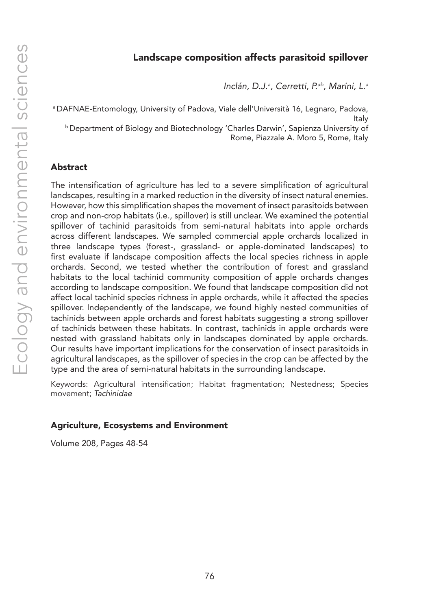## Landscape composition affects parasitoid spillover

*Inclán, D.J.a , Cerretti, P.ab, Marini, L.a*

a DAFNAE-Entomology, University of Padova, Viale dell'Università 16, Legnaro, Padova, Italy<br>Department of Biology and Biotechnology 'Charles Darwin', Sapienza University of Rome, Piazzale A. Moro 5, Rome, Italy

#### Abstract

The intensification of agriculture has led to a severe simplification of agricultural landscapes, resulting in a marked reduction in the diversity of insect natural enemies. However, how this simplification shapes the movement of insect parasitoids between crop and non-crop habitats (i.e., spillover) is still unclear. We examined the potential spillover of tachinid parasitoids from semi-natural habitats into apple orchards across different landscapes. We sampled commercial apple orchards localized in three landscape types (forest-, grassland- or apple-dominated landscapes) to first evaluate if landscape composition affects the local species richness in apple orchards. Second, we tested whether the contribution of forest and grassland habitats to the local tachinid community composition of apple orchards changes according to landscape composition. We found that landscape composition did not affect local tachinid species richness in apple orchards, while it affected the species spillover. Independently of the landscape, we found highly nested communities of tachinids between apple orchards and forest habitats suggesting a strong spillover of tachinids between these habitats. In contrast, tachinids in apple orchards were nested with grassland habitats only in landscapes dominated by apple orchards. Our results have important implications for the conservation of insect parasitoids in agricultural landscapes, as the spillover of species in the crop can be affected by the type and the area of semi-natural habitats in the surrounding landscape.

Keywords: Agricultural intensification; Habitat fragmentation; Nestedness; Species movement; *Tachinidae*

#### Agriculture, Ecosystems and Environment

Volume 208, Pages 48-54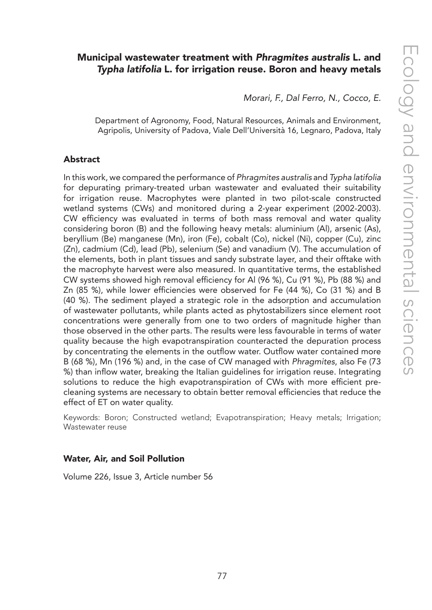# Municipal wastewater treatment with *Phragmites australis* L. and *Typha latifolia* L. for irrigation reuse. Boron and heavy metals

*Morari, F., Dal Ferro, N., Cocco, E.*

Department of Agronomy, Food, Natural Resources, Animals and Environment, Agripolis, University of Padova, Viale Dell'Università 16, Legnaro, Padova, Italy

#### Abstract

In this work, we compared the performance of *Phragmites australis* and *Typha latifolia* for depurating primary-treated urban wastewater and evaluated their suitability for irrigation reuse. Macrophytes were planted in two pilot-scale constructed wetland systems (CWs) and monitored during a 2-year experiment (2002-2003). CW efficiency was evaluated in terms of both mass removal and water quality considering boron (B) and the following heavy metals: aluminium (Al), arsenic (As), beryllium (Be) manganese (Mn), iron (Fe), cobalt (Co), nickel (Ni), copper (Cu), zinc (Zn), cadmium (Cd), lead (Pb), selenium (Se) and vanadium (V). The accumulation of the elements, both in plant tissues and sandy substrate layer, and their offtake with the macrophyte harvest were also measured. In quantitative terms, the established CW systems showed high removal efficiency for Al (96 %), Cu (91 %), Pb (88 %) and Zn (85 %), while lower efficiencies were observed for Fe (44 %), Co (31 %) and B (40 %). The sediment played a strategic role in the adsorption and accumulation of wastewater pollutants, while plants acted as phytostabilizers since element root concentrations were generally from one to two orders of magnitude higher than those observed in the other parts. The results were less favourable in terms of water quality because the high evapotranspiration counteracted the depuration process by concentrating the elements in the outflow water. Outflow water contained more B (68 %), Mn (196 %) and, in the case of CW managed with *Phragmites*, also Fe (73 %) than inflow water, breaking the Italian guidelines for irrigation reuse. Integrating solutions to reduce the high evapotranspiration of CWs with more efficient precleaning systems are necessary to obtain better removal efficiencies that reduce the effect of ET on water quality.

Keywords: Boron; Constructed wetland; Evapotranspiration; Heavy metals; Irrigation; Wastewater reuse

#### Water, Air, and Soil Pollution

Volume 226, Issue 3, Article number 56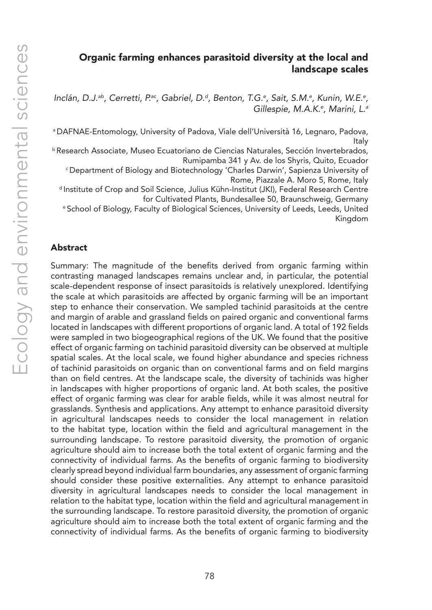## Organic farming enhances parasitoid diversity at the local and landscape scales

Inclán, D.J.<sup>ab</sup>, Cerretti, P.<sup>ac</sup>, Gabriel, D.<sup>d</sup>, Benton, T.G.<sup>e</sup>, Sait, S.M.<sup>e</sup>, Kunin, W.E.<sup>e</sup>, *Gillespie, M.A.K.e , Marini, L.a*

a DAFNAE-Entomology, University of Padova, Viale dell'Università 16, Legnaro, Padova, Italy

b Research Associate, Museo Ecuatoriano de Ciencias Naturales, Sección Invertebrados, Rumipamba 341 y Av. de los Shyris, Quito, Ecuador

<sup>c</sup>Department of Biology and Biotechnology 'Charles Darwin', Sapienza University of Rome, Piazzale A. Moro 5, Rome, Italy<br>Institute of Crop and Soil Science, Julius Kühn-Institut (JKI), Federal Research Centre

for Cultivated Plants, Bundesallee 50, Braunschweig, Germany e School of Biology, Faculty of Biological Sciences, University of Leeds, Leeds, United

Kingdom

#### Abstract

Summary: The magnitude of the benefits derived from organic farming within contrasting managed landscapes remains unclear and, in particular, the potential scale-dependent response of insect parasitoids is relatively unexplored. Identifying the scale at which parasitoids are affected by organic farming will be an important step to enhance their conservation. We sampled tachinid parasitoids at the centre and margin of arable and grassland fields on paired organic and conventional farms located in landscapes with different proportions of organic land. A total of 192 fields were sampled in two biogeographical regions of the UK. We found that the positive effect of organic farming on tachinid parasitoid diversity can be observed at multiple spatial scales. At the local scale, we found higher abundance and species richness of tachinid parasitoids on organic than on conventional farms and on field margins than on field centres. At the landscape scale, the diversity of tachinids was higher in landscapes with higher proportions of organic land. At both scales, the positive effect of organic farming was clear for arable fields, while it was almost neutral for grasslands. Synthesis and applications. Any attempt to enhance parasitoid diversity in agricultural landscapes needs to consider the local management in relation to the habitat type, location within the field and agricultural management in the surrounding landscape. To restore parasitoid diversity, the promotion of organic agriculture should aim to increase both the total extent of organic farming and the connectivity of individual farms. As the benefits of organic farming to biodiversity clearly spread beyond individual farm boundaries, any assessment of organic farming should consider these positive externalities. Any attempt to enhance parasitoid diversity in agricultural landscapes needs to consider the local management in relation to the habitat type, location within the field and agricultural management in the surrounding landscape. To restore parasitoid diversity, the promotion of organic agriculture should aim to increase both the total extent of organic farming and the connectivity of individual farms. As the benefits of organic farming to biodiversity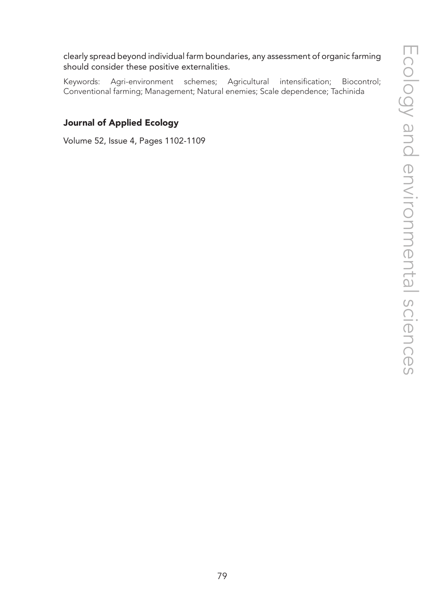clearly spread beyond individual farm boundaries, any assessment of organic farming should consider these positive externalities.

Keywords: Agri-environment schemes; Agricultural intensification; Biocontrol; Conventional farming; Management; Natural enemies; Scale dependence; Tachinida

## Journal of Applied Ecology

Volume 52, Issue 4, Pages 1102-1109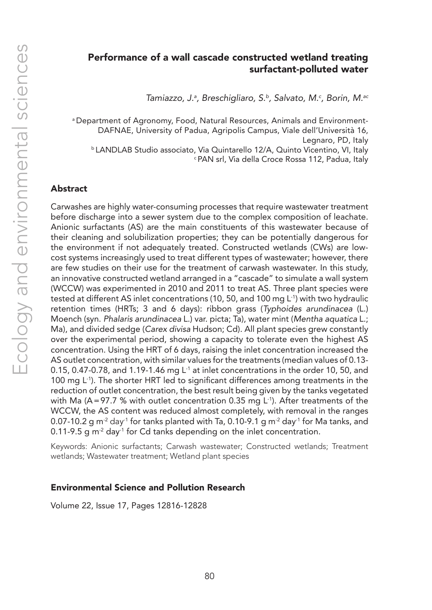## Performance of a wall cascade constructed wetland treating surfactant-polluted water

*Tamiazzo, J.a , Breschigliaro, S.b, Salvato, M.c , Borin, M.ac*

a Department of Agronomy, Food, Natural Resources, Animals and Environment-DAFNAE, University of Padua, Agripolis Campus, Viale dell'Università 16, Legnaro, PD, Italy b LANDLAB Studio associato, Via Quintarello 12/A, Quinto Vicentino, VI, Italy c PAN srl, Via della Croce Rossa 112, Padua, Italy

## Abstract

Carwashes are highly water-consuming processes that require wastewater treatment before discharge into a sewer system due to the complex composition of leachate. Anionic surfactants (AS) are the main constituents of this wastewater because of their cleaning and solubilization properties; they can be potentially dangerous for the environment if not adequately treated. Constructed wetlands (CWs) are lowcost systems increasingly used to treat different types of wastewater; however, there are few studies on their use for the treatment of carwash wastewater. In this study, an innovative constructed wetland arranged in a "cascade" to simulate a wall system (WCCW) was experimented in 2010 and 2011 to treat AS. Three plant species were tested at different AS inlet concentrations (10, 50, and 100 mg L-1) with two hydraulic retention times (HRTs; 3 and 6 days): ribbon grass (*Typhoides arundinacea* (L.) Moench (syn. *Phalaris arundinacea* L.) var. picta; Ta), water mint (*Mentha aquatica* L.; Ma), and divided sedge (*Carex divisa* Hudson; Cd). All plant species grew constantly over the experimental period, showing a capacity to tolerate even the highest AS concentration. Using the HRT of 6 days, raising the inlet concentration increased the AS outlet concentration, with similar values for the treatments (median values of 0.13- 0.15, 0.47-0.78, and 1.19-1.46 mg  $L<sup>1</sup>$  at inlet concentrations in the order 10, 50, and 100 mg  $L^{-1}$ ). The shorter HRT led to significant differences among treatments in the reduction of outlet concentration, the best result being given by the tanks vegetated with Ma (A=97.7 % with outlet concentration 0.35 mg L<sup>-1</sup>). After treatments of the WCCW, the AS content was reduced almost completely, with removal in the ranges 0.07-10.2 g m<sup>-2</sup> day<sup>-1</sup> for tanks planted with Ta, 0.10-9.1 g m<sup>-2</sup> day<sup>-1</sup> for Ma tanks, and 0.11-9.5 g  $m<sup>2</sup>$  day<sup>-1</sup> for Cd tanks depending on the inlet concentration.

Keywords: Anionic surfactants; Carwash wastewater; Constructed wetlands; Treatment wetlands; Wastewater treatment; Wetland plant species

#### Environmental Science and Pollution Research

Volume 22, Issue 17, Pages 12816-12828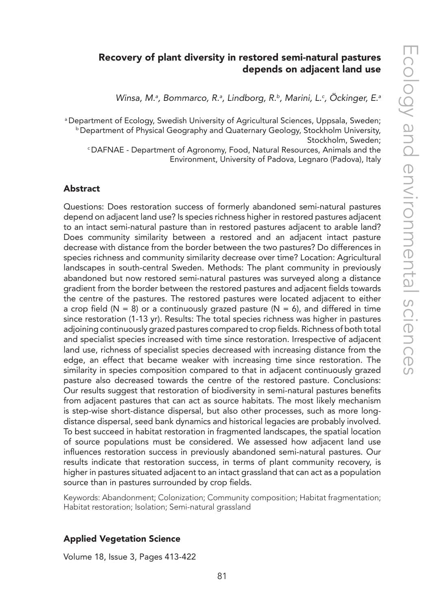## Recovery of plant diversity in restored semi-natural pastures depends on adjacent land use

Winsa, M.ª, Bommarco, R.ª, Lindborg, R.<sup>b</sup>, Marini, L.º, Ockinger, E.ª

a Department of Ecology, Swedish University of Agricultural Sciences, Uppsala, Sweden;<br>b Department of Physical Geography and Quaternary Geology, Stockholm University, Stockholm, Sweden;<br>DAFNAE - Department of Agronomy, Food, Natural Resources, Animals and the

Environment, University of Padova, Legnaro (Padova), Italy

#### Abstract

Questions: Does restoration success of formerly abandoned semi-natural pastures depend on adjacent land use? Is species richness higher in restored pastures adjacent to an intact semi-natural pasture than in restored pastures adjacent to arable land? Does community similarity between a restored and an adjacent intact pasture decrease with distance from the border between the two pastures? Do differences in species richness and community similarity decrease over time? Location: Agricultural landscapes in south-central Sweden. Methods: The plant community in previously abandoned but now restored semi-natural pastures was surveyed along a distance gradient from the border between the restored pastures and adjacent fields towards the centre of the pastures. The restored pastures were located adjacent to either a crop field ( $N = 8$ ) or a continuously grazed pasture ( $N = 6$ ), and differed in time since restoration (1-13 yr). Results: The total species richness was higher in pastures adjoining continuously grazed pastures compared to crop fields. Richness of both total and specialist species increased with time since restoration. Irrespective of adjacent land use, richness of specialist species decreased with increasing distance from the edge, an effect that became weaker with increasing time since restoration. The similarity in species composition compared to that in adjacent continuously grazed pasture also decreased towards the centre of the restored pasture. Conclusions: Our results suggest that restoration of biodiversity in semi-natural pastures benefits from adjacent pastures that can act as source habitats. The most likely mechanism is step-wise short-distance dispersal, but also other processes, such as more longdistance dispersal, seed bank dynamics and historical legacies are probably involved. To best succeed in habitat restoration in fragmented landscapes, the spatial location of source populations must be considered. We assessed how adjacent land use influences restoration success in previously abandoned semi-natural pastures. Our results indicate that restoration success, in terms of plant community recovery, is higher in pastures situated adjacent to an intact grassland that can act as a population source than in pastures surrounded by crop fields.

Keywords: Abandonment; Colonization; Community composition; Habitat fragmentation; Habitat restoration; Isolation; Semi-natural grassland

#### Applied Vegetation Science

Volume 18, Issue 3, Pages 413-422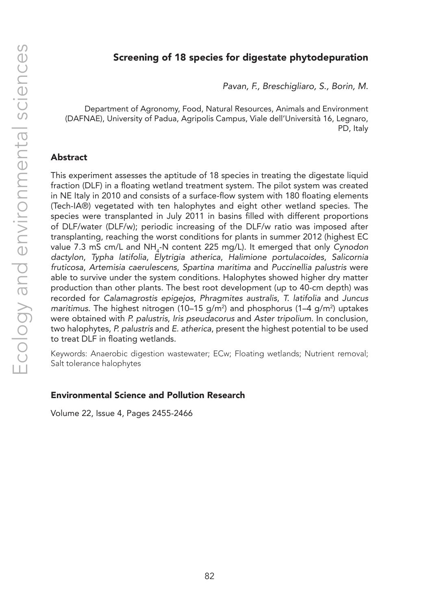## Screening of 18 species for digestate phytodepuration

*Pavan, F., Breschigliaro, S., Borin, M.*

Department of Agronomy, Food, Natural Resources, Animals and Environment (DAFNAE), University of Padua, Agripolis Campus, Viale dell'Università 16, Legnaro, PD, Italy

#### Abstract

This experiment assesses the aptitude of 18 species in treating the digestate liquid fraction (DLF) in a floating wetland treatment system. The pilot system was created in NE Italy in 2010 and consists of a surface-flow system with 180 floating elements (Tech-IA®) vegetated with ten halophytes and eight other wetland species. The species were transplanted in July 2011 in basins filled with different proportions of DLF/water (DLF/w); periodic increasing of the DLF/w ratio was imposed after transplanting, reaching the worst conditions for plants in summer 2012 (highest EC value 7.3 mS cm/L and NH<sub>4</sub>-N content 225 mg/L). It emerged that only *Cynodon dactylon*, *Typha latifolia*, *Elytrigia atherica*, *Halimione portulacoides*, *Salicornia fruticosa*, *Artemisia caerulescens*, *Spartina maritima* and *Puccinellia palustris* were able to survive under the system conditions. Halophytes showed higher dry matter production than other plants. The best root development (up to 40-cm depth) was recorded for *Calamagrostis epigejos*, *Phragmites australis*, *T. latifolia* and *Juncus*  maritimus. The highest nitrogen (10–15 g/m<sup>2</sup>) and phosphorus (1–4 g/m<sup>2</sup>) uptakes were obtained with *P. palustris*, *Iris pseudacorus* and *Aster tripolium*. In conclusion, two halophytes, *P. palustris* and *E. atherica*, present the highest potential to be used to treat DLF in floating wetlands.

Keywords: Anaerobic digestion wastewater; ECw; Floating wetlands; Nutrient removal; Salt tolerance halophytes

#### Environmental Science and Pollution Research

Volume 22, Issue 4, Pages 2455-2466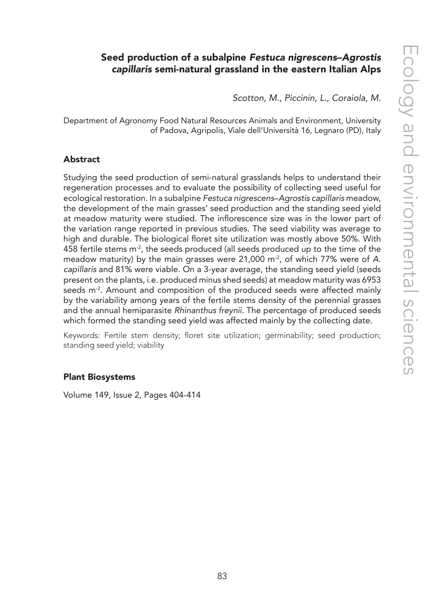# Seed production of a subalpine *Festuca nigrescens*–*Agrostis capillaris* semi-natural grassland in the eastern Italian Alps

*Scotton, M., Piccinin, L., Coraiola, M.*

Department of Agronomy Food Natural Resources Animals and Environment, University of Padova, Agripolis, Viale dell'Università 16, Legnaro (PD), Italy

#### Abstract

Studying the seed production of semi-natural grasslands helps to understand their regeneration processes and to evaluate the possibility of collecting seed useful for ecological restoration. In a subalpine *Festuca nigrescens*–*Agrostis capillaris* meadow, the development of the main grasses' seed production and the standing seed yield at meadow maturity were studied. The inflorescence size was in the lower part of the variation range reported in previous studies. The seed viability was average to high and durable. The biological floret site utilization was mostly above 50%. With 458 fertile stems  $m<sup>2</sup>$ , the seeds produced (all seeds produced up to the time of the meadow maturity) by the main grasses were 21,000 m<sup>2</sup>, of which 77% were of A. *capillaris* and 81% were viable. On a 3-year average, the standing seed yield (seeds present on the plants, i.e. produced minus shed seeds) at meadow maturity was 6953 seeds m<sup>-2</sup>. Amount and composition of the produced seeds were affected mainly by the variability among years of the fertile stems density of the perennial grasses and the annual hemiparasite *Rhinanthus freynii*. The percentage of produced seeds which formed the standing seed yield was affected mainly by the collecting date.

Keywords: Fertile stem density; floret site utilization; germinability; seed production; standing seed yield; viability

#### Plant Biosystems

Volume 149, Issue 2, Pages 404-414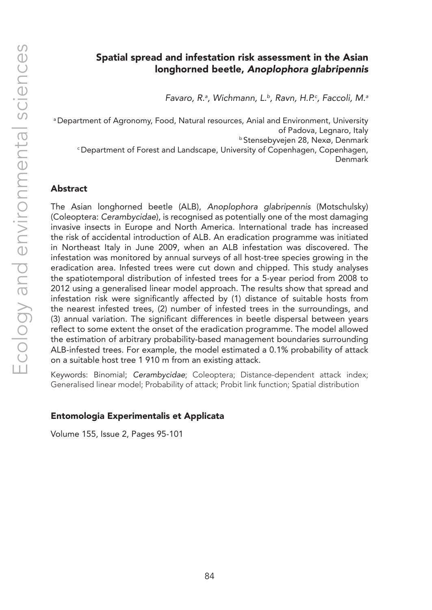*Favaro, R.a , Wichmann, L.b, Ravn, H.P.c , Faccoli, M.a*

a Department of Agronomy, Food, Natural resources, Anial and Environment, University of Padova, Legnaro, Italy b Stensebyvejen 28, Nexø, Denmark c Department of Forest and Landscape, University of Copenhagen, Copenhagen, Denmark

## Abstract

The Asian longhorned beetle (ALB), *Anoplophora glabripennis* (Motschulsky) (Coleoptera: *Cerambycidae*), is recognised as potentially one of the most damaging invasive insects in Europe and North America. International trade has increased the risk of accidental introduction of ALB. An eradication programme was initiated in Northeast Italy in June 2009, when an ALB infestation was discovered. The infestation was monitored by annual surveys of all host-tree species growing in the eradication area. Infested trees were cut down and chipped. This study analyses the spatiotemporal distribution of infested trees for a 5-year period from 2008 to 2012 using a generalised linear model approach. The results show that spread and infestation risk were significantly affected by (1) distance of suitable hosts from the nearest infested trees, (2) number of infested trees in the surroundings, and (3) annual variation. The significant differences in beetle dispersal between years reflect to some extent the onset of the eradication programme. The model allowed the estimation of arbitrary probability-based management boundaries surrounding ALB-infested trees. For example, the model estimated a 0.1% probability of attack on a suitable host tree 1 910 m from an existing attack.

Keywords: Binomial; *Cerambycidae*; Coleoptera; Distance-dependent attack index; Generalised linear model; Probability of attack; Probit link function; Spatial distribution

## Entomologia Experimentalis et Applicata

Volume 155, Issue 2, Pages 95-101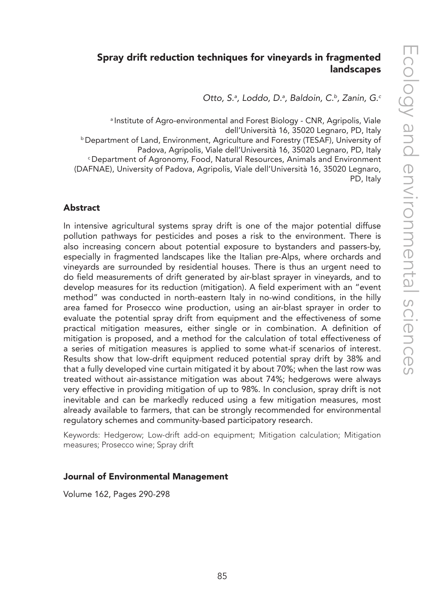# Spray drift reduction techniques for vineyards in fragmented landscapes

*Otto, S.a , Loddo, D.a , Baldoin, C.b, Zanin, G.c*

a Institute of Agro-environmental and Forest Biology - CNR, Agripolis, Viale dell'Università 16, 35020 Legnaro, PD, Italy b Department of Land, Environment, Agriculture and Forestry (TESAF), University of Padova, Agripolis, Viale dell'Università 16, 35020 Legnaro, PD, Italy c Department of Agronomy, Food, Natural Resources, Animals and Environment (DAFNAE), University of Padova, Agripolis, Viale dell'Università 16, 35020 Legnaro, PD, Italy

#### Abstract

In intensive agricultural systems spray drift is one of the major potential diffuse pollution pathways for pesticides and poses a risk to the environment. There is also increasing concern about potential exposure to bystanders and passers-by, especially in fragmented landscapes like the Italian pre-Alps, where orchards and vineyards are surrounded by residential houses. There is thus an urgent need to do field measurements of drift generated by air-blast sprayer in vineyards, and to develop measures for its reduction (mitigation). A field experiment with an "event method" was conducted in north-eastern Italy in no-wind conditions, in the hilly area famed for Prosecco wine production, using an air-blast sprayer in order to evaluate the potential spray drift from equipment and the effectiveness of some practical mitigation measures, either single or in combination. A definition of mitigation is proposed, and a method for the calculation of total effectiveness of a series of mitigation measures is applied to some what-if scenarios of interest. Results show that low-drift equipment reduced potential spray drift by 38% and that a fully developed vine curtain mitigated it by about 70%; when the last row was treated without air-assistance mitigation was about 74%; hedgerows were always very effective in providing mitigation of up to 98%. In conclusion, spray drift is not inevitable and can be markedly reduced using a few mitigation measures, most already available to farmers, that can be strongly recommended for environmental regulatory schemes and community-based participatory research.

Keywords: Hedgerow; Low-drift add-on equipment; Mitigation calculation; Mitigation measures; Prosecco wine; Spray drift

#### Journal of Environmental Management

Volume 162, Pages 290-298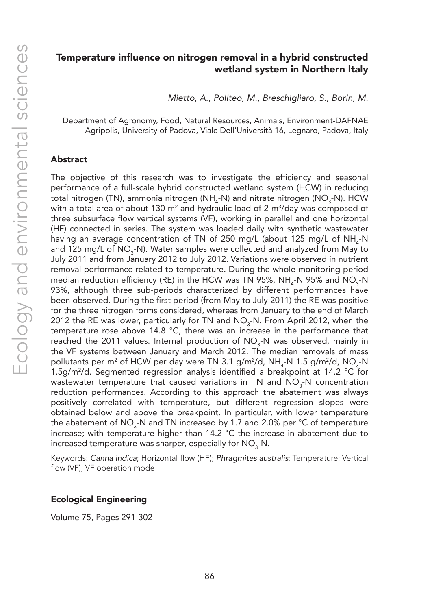## Temperature influence on nitrogen removal in a hybrid constructed wetland system in Northern Italy

*Mietto, A., Politeo, M., Breschigliaro, S., Borin, M.*

Department of Agronomy, Food, Natural Resources, Animals, Environment-DAFNAE Agripolis, University of Padova, Viale Dell'Università 16, Legnaro, Padova, Italy

#### Abstract

The objective of this research was to investigate the efficiency and seasonal performance of a full-scale hybrid constructed wetland system (HCW) in reducing total nitrogen (TN), ammonia nitrogen (NH<sub>4</sub>-N) and nitrate nitrogen (NO<sub>3</sub>-N). HCW with a total area of about 130 m² and hydraulic load of 2 m $^3$ /day was composed of three subsurface flow vertical systems (VF), working in parallel and one horizontal (HF) connected in series. The system was loaded daily with synthetic wastewater having an average concentration of TN of 250 mg/L (about 125 mg/L of  $\text{NH}_{\text{4}}\text{-N}$ and 125 mg/L of  $NO_3$ -N). Water samples were collected and analyzed from May to July 2011 and from January 2012 to July 2012. Variations were observed in nutrient removal performance related to temperature. During the whole monitoring period median reduction efficiency (RE) in the HCW was TN 95%, NH<sub>4</sub>-N 95% and NO<sub>3</sub>-N 93%, although three sub-periods characterized by different performances have been observed. During the first period (from May to July 2011) the RE was positive for the three nitrogen forms considered, whereas from January to the end of March 2012 the RE was lower, particularly for TN and  $\mathsf{NO}_3\text{-}\mathsf{N}.$  From April 2012, when the temperature rose above 14.8 °C, there was an increase in the performance that reached the 2011 values. Internal production of NO<sub>3</sub>-N was observed, mainly in the VF systems between January and March 2012. The median removals of mass pollutants per m² of HCW per day were TN 3.1 g/m²/d, NH<sub>4</sub>-N 1.5 g/m²/d, NO<sub>3</sub>-N 1.5g/m2 /d. Segmented regression analysis identified a breakpoint at 14.2 °C for wastewater temperature that caused variations in TN and  $\mathsf{NO}_{3}$ -N concentration reduction performances. According to this approach the abatement was always positively correlated with temperature, but different regression slopes were obtained below and above the breakpoint. In particular, with lower temperature the abatement of NO<sub>3</sub>-N and TN increased by 1.7 and 2.0% per °C of temperature increase; with temperature higher than 14.2 °C the increase in abatement due to increased temperature was sharper, especially for NO<sub>3</sub>-N.

Keywords: *Canna indica*; Horizontal flow (HF); *Phragmites australis*; Temperature; Vertical flow (VF); VF operation mode

#### Ecological Engineering

Volume 75, Pages 291-302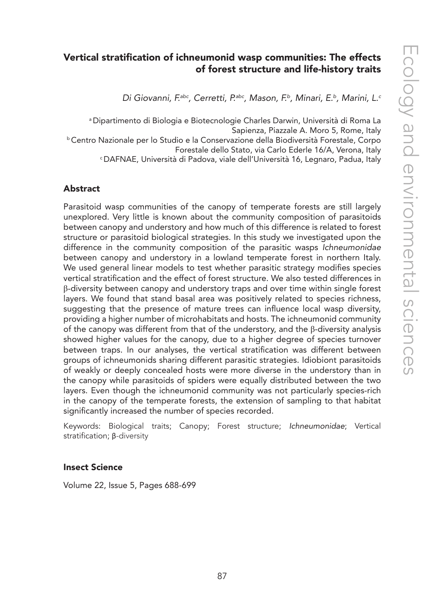# Vertical stratification of ichneumonid wasp communities: The effects of forest structure and life-history traits

*Di Giovanni, F.abc, Cerretti, P.abc, Mason, F.b, Minari, E.b, Marini, L.c*

a Dipartimento di Biologia e Biotecnologie Charles Darwin, Università di Roma La Sapienza, Piazzale A. Moro 5, Rome, Italy<br>Centro Nazionale per lo Studio e la Conservazione della Biodiversità Forestale, Corpo<br>Forestale dello Stato, via Carlo Ederle 16/A, Verona, Italy <sup>c</sup> DAFNAE, Università di Padova, viale dell'Università 16, Legnaro, Padua, Italy

#### Abstract

Parasitoid wasp communities of the canopy of temperate forests are still largely unexplored. Very little is known about the community composition of parasitoids between canopy and understory and how much of this difference is related to forest structure or parasitoid biological strategies. In this study we investigated upon the difference in the community composition of the parasitic wasps *Ichneumonidae* between canopy and understory in a lowland temperate forest in northern Italy. We used general linear models to test whether parasitic strategy modifies species vertical stratification and the effect of forest structure. We also tested differences in β-diversity between canopy and understory traps and over time within single forest layers. We found that stand basal area was positively related to species richness, suggesting that the presence of mature trees can influence local wasp diversity, providing a higher number of microhabitats and hosts. The ichneumonid community of the canopy was different from that of the understory, and the  $\beta$ -diversity analysis showed higher values for the canopy, due to a higher degree of species turnover between traps. In our analyses, the vertical stratification was different between groups of ichneumonids sharing different parasitic strategies. Idiobiont parasitoids of weakly or deeply concealed hosts were more diverse in the understory than in the canopy while parasitoids of spiders were equally distributed between the two layers. Even though the ichneumonid community was not particularly species-rich in the canopy of the temperate forests, the extension of sampling to that habitat significantly increased the number of species recorded.

Keywords: Biological traits; Canopy; Forest structure; *Ichneumonidae*; Vertical stratification; β-diversity

#### Insect Science

Volume 22, Issue 5, Pages 688-699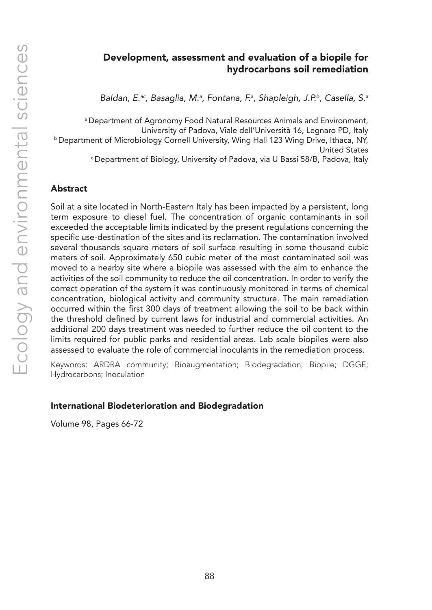## Development, assessment and evaluation of a biopile for hydrocarbons soil remediation

*Baldan, E.ac, Basaglia, M.a , Fontana, F.a , Shapleigh, J.P.b, Casella, S.a*

a Department of Agronomy Food Natural Resources Animals and Environment, University of Padova, Viale dell'Università 16, Legnaro PD, Italy<br>Department of Microbiology Cornell University, Wing Hall 123 Wing Drive, Ithaca, NY, United States c Department of Biology, University of Padova, via U Bassi 58/B, Padova, Italy

#### Abstract

Soil at a site located in North-Eastern Italy has been impacted by a persistent, long term exposure to diesel fuel. The concentration of organic contaminants in soil exceeded the acceptable limits indicated by the present regulations concerning the specific use-destination of the sites and its reclamation. The contamination involved several thousands square meters of soil surface resulting in some thousand cubic meters of soil. Approximately 650 cubic meter of the most contaminated soil was moved to a nearby site where a biopile was assessed with the aim to enhance the activities of the soil community to reduce the oil concentration. In order to verify the correct operation of the system it was continuously monitored in terms of chemical concentration, biological activity and community structure. The main remediation occurred within the first 300 days of treatment allowing the soil to be back within the threshold defined by current laws for industrial and commercial activities. An additional 200 days treatment was needed to further reduce the oil content to the limits required for public parks and residential areas. Lab scale biopiles were also assessed to evaluate the role of commercial inoculants in the remediation process.

Keywords: ARDRA community; Bioaugmentation; Biodegradation; Biopile; DGGE; Hydrocarbons; Inoculation

#### International Biodeterioration and Biodegradation

Volume 98, Pages 66-72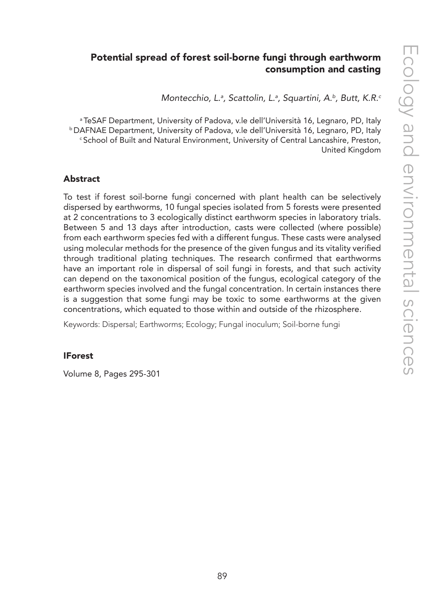# Potential spread of forest soil-borne fungi through earthworm consumption and casting

*Montecchio, L.a , Scattolin, L.a , Squartini, A.b, Butt, K.R.c*

a TeSAF Department, University of Padova, v.le dell'Università 16, Legnaro, PD, Italy b DAFNAE Department, University of Padova, v.le dell'Università 16, Legnaro, PD, Italy c School of Built and Natural Environment, University of Central Lancashire, Preston, United Kingdom

#### Abstract

To test if forest soil-borne fungi concerned with plant health can be selectively dispersed by earthworms, 10 fungal species isolated from 5 forests were presented at 2 concentrations to 3 ecologically distinct earthworm species in laboratory trials. Between 5 and 13 days after introduction, casts were collected (where possible) from each earthworm species fed with a different fungus. These casts were analysed using molecular methods for the presence of the given fungus and its vitality verified through traditional plating techniques. The research confirmed that earthworms have an important role in dispersal of soil fungi in forests, and that such activity can depend on the taxonomical position of the fungus, ecological category of the earthworm species involved and the fungal concentration. In certain instances there is a suggestion that some fungi may be toxic to some earthworms at the given concentrations, which equated to those within and outside of the rhizosphere.

Keywords: Dispersal; Earthworms; Ecology; Fungal inoculum; Soil-borne fungi

#### **IForest**

Volume 8, Pages 295-301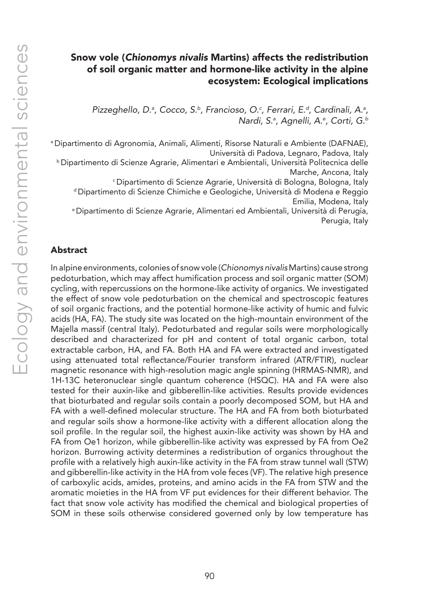## Snow vole (*Chionomys nivalis* Martins) affects the redistribution of soil organic matter and hormone-like activity in the alpine ecosystem: Ecological implications

*Pizzeghello, D.ª, Cocco, S.ʰ, Francioso, O.ª, Ferrari, E.ª, Cardinali, A.ª, Nardi, S.a , Agnelli, A.e , Corti, G.b*

a Dipartimento di Agronomia, Animali, Alimenti, Risorse Naturali e Ambiente (DAFNAE), Università di Padova, Legnaro, Padova, Italy b Dipartimento di Scienze Agrarie, Alimentari e Ambientali, Università Politecnica delle Marche, Ancona, Italy<br>Dipartimento di Scienze Agrarie, Università di Bologna, Bologna, Italy <sup>d</sup> Dipartimento di Scienze Chimiche e Geologiche, Università di Modena e Reggio Emilia, Modena, Italy e Dipartimento di Scienze Agrarie, Alimentari ed Ambientali, Università di Perugia,

Perugia, Italy

#### Abstract

In alpine environments, colonies of snow vole (*Chionomys nivalis* Martins) cause strong pedoturbation, which may affect humification process and soil organic matter (SOM) cycling, with repercussions on the hormone-like activity of organics. We investigated the effect of snow vole pedoturbation on the chemical and spectroscopic features of soil organic fractions, and the potential hormone-like activity of humic and fulvic acids (HA, FA). The study site was located on the high-mountain environment of the Majella massif (central Italy). Pedoturbated and regular soils were morphologically described and characterized for pH and content of total organic carbon, total extractable carbon, HA, and FA. Both HA and FA were extracted and investigated using attenuated total reflectance/Fourier transform infrared (ATR/FTIR), nuclear magnetic resonance with high-resolution magic angle spinning (HRMAS-NMR), and 1H-13C heteronuclear single quantum coherence (HSQC). HA and FA were also tested for their auxin-like and gibberellin-like activities. Results provide evidences that bioturbated and regular soils contain a poorly decomposed SOM, but HA and FA with a well-defined molecular structure. The HA and FA from both bioturbated and regular soils show a hormone-like activity with a different allocation along the soil profile. In the regular soil, the highest auxin-like activity was shown by HA and FA from Oe1 horizon, while gibberellin-like activity was expressed by FA from Oe2 horizon. Burrowing activity determines a redistribution of organics throughout the profile with a relatively high auxin-like activity in the FA from straw tunnel wall (STW) and gibberellin-like activity in the HA from vole feces (VF). The relative high presence of carboxylic acids, amides, proteins, and amino acids in the FA from STW and the aromatic moieties in the HA from VF put evidences for their different behavior. The fact that snow vole activity has modified the chemical and biological properties of SOM in these soils otherwise considered governed only by low temperature has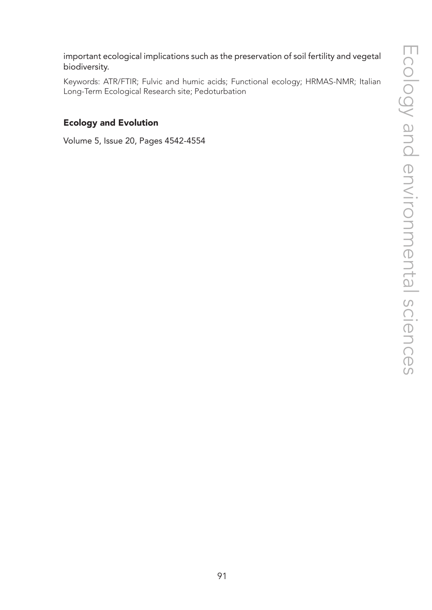important ecological implications such as the preservation of soil fertility and vegetal biodiversity.

Keywords: ATR/FTIR; Fulvic and humic acids; Functional ecology; HRMAS-NMR; Italian Long-Term Ecological Research site; Pedoturbation

## Ecology and Evolution

Volume 5, Issue 20, Pages 4542-4554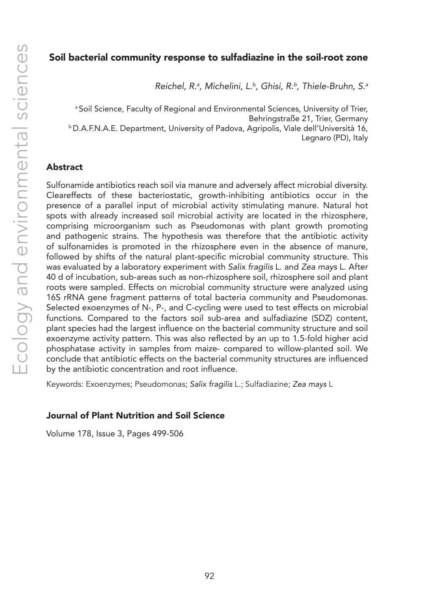#### Soil bacterial community response to sulfadiazine in the soil-root zone

*Reichel, R.a , Michelini, L.b, Ghisi, R.b, Thiele-Bruhn, S.a*

a Soil Science, Faculty of Regional and Environmental Sciences, University of Trier, Behringstraße 21, Trier, Germany b D.A.F.N.A.E. Department, University of Padova, Agripolis, Viale dell'Università 16, Legnaro (PD), Italy

#### Abstract

Sulfonamide antibiotics reach soil via manure and adversely affect microbial diversity. Cleareffects of these bacteriostatic, growth-inhibiting antibiotics occur in the presence of a parallel input of microbial activity stimulating manure. Natural hot spots with already increased soil microbial activity are located in the rhizosphere, comprising microorganism such as Pseudomonas with plant growth promoting and pathogenic strains. The hypothesis was therefore that the antibiotic activity of sulfonamides is promoted in the rhizosphere even in the absence of manure, followed by shifts of the natural plant-specific microbial community structure. This was evaluated by a laboratory experiment with *Salix fragilis* L. and *Zea mays* L. After 40 d of incubation, sub-areas such as non-rhizosphere soil, rhizosphere soil and plant roots were sampled. Effects on microbial community structure were analyzed using 16S rRNA gene fragment patterns of total bacteria community and Pseudomonas. Selected exoenzymes of N-, P-, and C-cycling were used to test effects on microbial functions. Compared to the factors soil sub-area and sulfadiazine (SDZ) content, plant species had the largest influence on the bacterial community structure and soil exoenzyme activity pattern. This was also reflected by an up to 1.5-fold higher acid phosphatase activity in samples from maize- compared to willow-planted soil. We conclude that antibiotic effects on the bacterial community structures are influenced by the antibiotic concentration and root influence.

Keywords: Exoenzymes; Pseudomonas; *Salix fragilis* L.; Sulfadiazine; *Zea mays* L

#### Journal of Plant Nutrition and Soil Science

Volume 178, Issue 3, Pages 499-506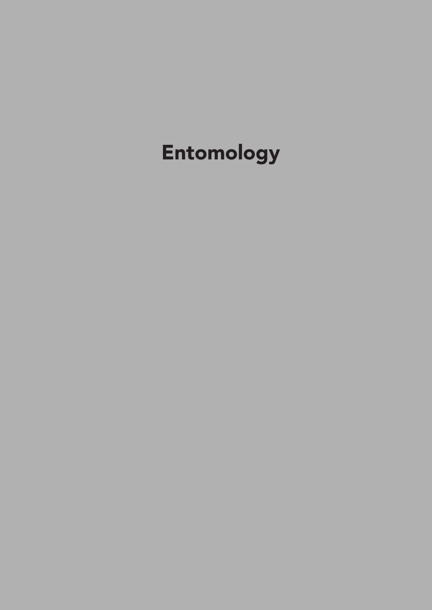# Entomology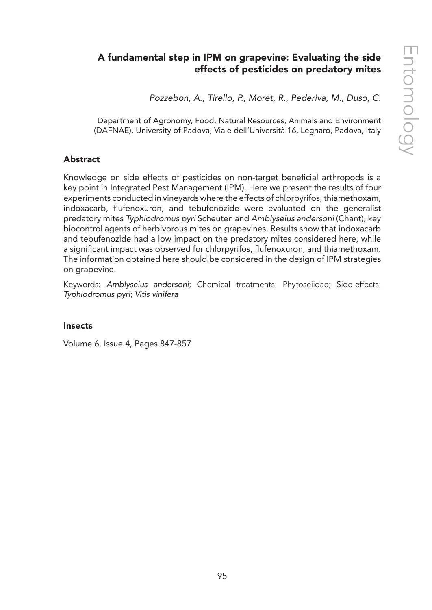# A fundamental step in IPM on grapevine: Evaluating the side effects of pesticides on predatory mites

*Pozzebon, A., Tirello, P., Moret, R., Pederiva, M., Duso, C.*

Department of Agronomy, Food, Natural Resources, Animals and Environment (DAFNAE), University of Padova, Viale dell'Università 16, Legnaro, Padova, Italy

## Abstract

Knowledge on side effects of pesticides on non-target beneficial arthropods is a key point in Integrated Pest Management (IPM). Here we present the results of four experiments conducted in vineyards where the effects of chlorpyrifos, thiamethoxam, indoxacarb, flufenoxuron, and tebufenozide were evaluated on the generalist predatory mites *Typhlodromus pyri* Scheuten and *Amblyseius andersoni* (Chant), key biocontrol agents of herbivorous mites on grapevines. Results show that indoxacarb and tebufenozide had a low impact on the predatory mites considered here, while a significant impact was observed for chlorpyrifos, flufenoxuron, and thiamethoxam. The information obtained here should be considered in the design of IPM strategies on grapevine.

Keywords: *Amblyseius andersoni*; Chemical treatments; Phytoseiidae; Side-effects; *Typhlodromus pyri*; *Vitis vinifera*

## Insects

Volume 6, Issue 4, Pages 847-857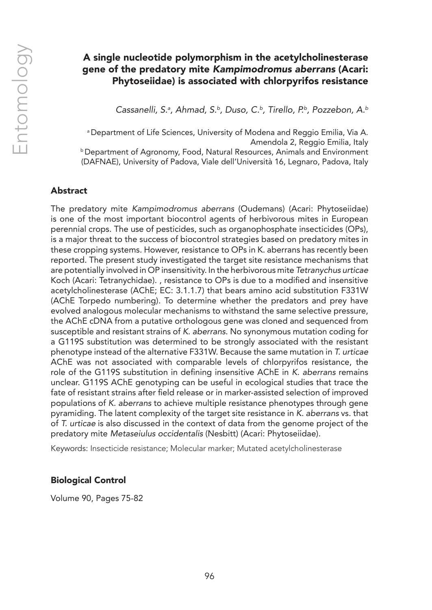# A single nucleotide polymorphism in the acetylcholinesterase gene of the predatory mite *Kampimodromus aberrans* (Acari: Phytoseiidae) is associated with chlorpyrifos resistance

*Cassanelli, S.a , Ahmad, S.b, Duso, C.b, Tirello, P.b, Pozzebon, A.b*

a Department of Life Sciences, University of Modena and Reggio Emilia, Via A. Amendola 2, Reggio Emilia, Italy **b Department of Agronomy, Food, Natural Resources, Animals and Environment** (DAFNAE), University of Padova, Viale dell'Università 16, Legnaro, Padova, Italy

## Abstract

The predatory mite *Kampimodromus aberrans* (Oudemans) (Acari: Phytoseiidae) is one of the most important biocontrol agents of herbivorous mites in European perennial crops. The use of pesticides, such as organophosphate insecticides (OPs), is a major threat to the success of biocontrol strategies based on predatory mites in these cropping systems. However, resistance to OPs in K. aberrans has recently been reported. The present study investigated the target site resistance mechanisms that are potentially involved in OP insensitivity. In the herbivorous mite *Tetranychus urticae* Koch (Acari: Tetranychidae). , resistance to OPs is due to a modified and insensitive acetylcholinesterase (AChE; EC: 3.1.1.7) that bears amino acid substitution F331W (AChE Torpedo numbering). To determine whether the predators and prey have evolved analogous molecular mechanisms to withstand the same selective pressure, the AChE cDNA from a putative orthologous gene was cloned and sequenced from susceptible and resistant strains of *K. aberrans*. No synonymous mutation coding for a G119S substitution was determined to be strongly associated with the resistant phenotype instead of the alternative F331W. Because the same mutation in *T. urticae* AChE was not associated with comparable levels of chlorpyrifos resistance, the role of the G119S substitution in defining insensitive AChE in *K. aberrans* remains unclear. G119S AChE genotyping can be useful in ecological studies that trace the fate of resistant strains after field release or in marker-assisted selection of improved populations of *K. aberrans* to achieve multiple resistance phenotypes through gene pyramiding. The latent complexity of the target site resistance in *K. aberrans* vs. that of *T. urticae* is also discussed in the context of data from the genome project of the predatory mite *Metaseiulus occidentalis* (Nesbitt) (Acari: Phytoseiidae).

Keywords: Insecticide resistance; Molecular marker; Mutated acetylcholinesterase

## Biological Control

Volume 90, Pages 75-82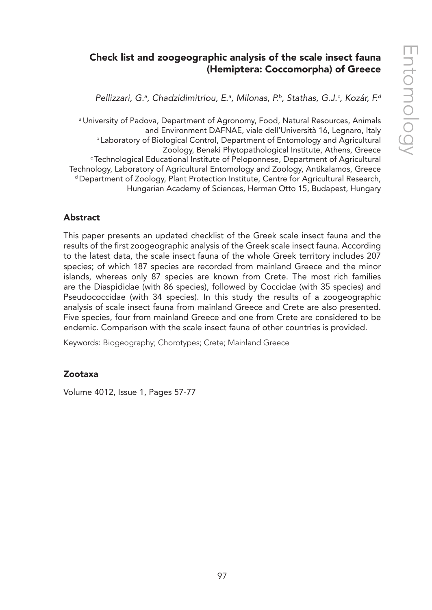# Check list and zoogeographic analysis of the scale insect fauna (Hemiptera: Coccomorpha) of Greece

*Pellizzari, G.a , Chadzidimitriou, E.a , Milonas, P.b, Stathas, G.J.c , Kozár, F.d*

a University of Padova, Department of Agronomy, Food, Natural Resources, Animals and Environment DAFNAE, viale dell'Università 16, Legnaro, Italy b Laboratory of Biological Control, Department of Entomology and Agricultural Zoology, Benaki Phytopathological Institute, Athens, Greece c Technological Educational Institute of Peloponnese, Department of Agricultural Technology, Laboratory of Agricultural Entomology and Zoology, Antikalamos, Greece d Department of Zoology, Plant Protection Institute, Centre for Agricultural Research, Hungarian Academy of Sciences, Herman Otto 15, Budapest, Hungary

## Abstract

This paper presents an updated checklist of the Greek scale insect fauna and the results of the first zoogeographic analysis of the Greek scale insect fauna. According to the latest data, the scale insect fauna of the whole Greek territory includes 207 species; of which 187 species are recorded from mainland Greece and the minor islands, whereas only 87 species are known from Crete. The most rich families are the Diaspididae (with 86 species), followed by Coccidae (with 35 species) and Pseudococcidae (with 34 species). In this study the results of a zoogeographic analysis of scale insect fauna from mainland Greece and Crete are also presented. Five species, four from mainland Greece and one from Crete are considered to be endemic. Comparison with the scale insect fauna of other countries is provided.

Keywords: Biogeography; Chorotypes; Crete; Mainland Greece

## Zootaxa

Volume 4012, Issue 1, Pages 57-77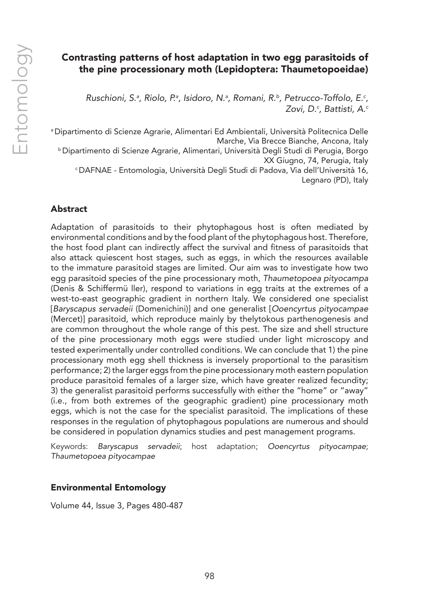# Contrasting patterns of host adaptation in two egg parasitoids of the pine processionary moth (Lepidoptera: Thaumetopoeidae)

Ruschioni, S.ª, Riolo, P.ª, Isidoro, N.ª, Romani, R.♭, Petrucco-Toffolo, E.<sup>c</sup>, *Zovi, D.c , Battisti, A.c*

a Dipartimento di Scienze Agrarie, Alimentari Ed Ambientali, Università Politecnica Delle Marche, Via Brecce Bianche, Ancona, Italy b Dipartimento di Scienze Agrarie, Alimentari, Università Degli Studi di Perugia, Borgo XX Giugno, 74, Perugia, Italy c DAFNAE - Entomologia, Università Degli Studi di Padova, Via dell'Università 16, Legnaro (PD), Italy

# Abstract

Adaptation of parasitoids to their phytophagous host is often mediated by environmental conditions and by the food plant of the phytophagous host. Therefore, the host food plant can indirectly affect the survival and fitness of parasitoids that also attack quiescent host stages, such as eggs, in which the resources available to the immature parasitoid stages are limited. Our aim was to investigate how two egg parasitoid species of the pine processionary moth, *Thaumetopoea pityocampa* (Denis & Schiffermü ller), respond to variations in egg traits at the extremes of a west-to-east geographic gradient in northern Italy. We considered one specialist [*Baryscapus servadeii* (Domenichini)] and one generalist [*Ooencyrtus pityocampae* (Mercet)] parasitoid, which reproduce mainly by thelytokous parthenogenesis and are common throughout the whole range of this pest. The size and shell structure of the pine processionary moth eggs were studied under light microscopy and tested experimentally under controlled conditions. We can conclude that 1) the pine processionary moth egg shell thickness is inversely proportional to the parasitism performance; 2) the larger eggs from the pine processionary moth eastern population produce parasitoid females of a larger size, which have greater realized fecundity; 3) the generalist parasitoid performs successfully with either the "home" or "away" (i.e., from both extremes of the geographic gradient) pine processionary moth eggs, which is not the case for the specialist parasitoid. The implications of these responses in the regulation of phytophagous populations are numerous and should be considered in population dynamics studies and pest management programs.

Keywords: *Baryscapus servadeii*; host adaptation; *Ooencyrtus pityocampae*; *Thaumetopoea pityocampae*

## Environmental Entomology

Volume 44, Issue 3, Pages 480-487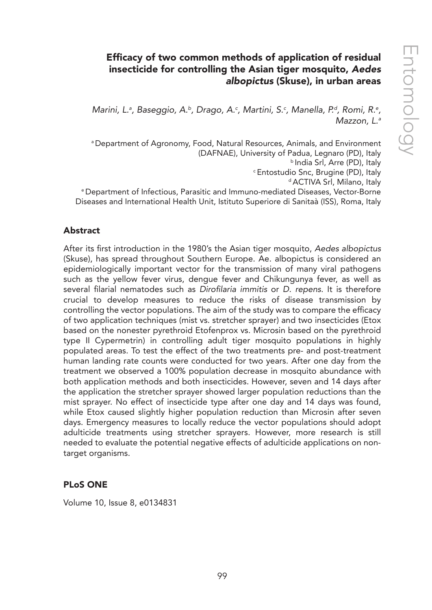# Efficacy of two common methods of application of residual insecticide for controlling the Asian tiger mosquito, *Aedes albopictus* (Skuse), in urban areas

Marini, L.ª, Baseggio, A.ʰ, Drago, A.ˤ, Martini, S.ˤ, Manella, P.ª, Romi, R.º, *Mazzon, L.a*

a Department of Agronomy, Food, Natural Resources, Animals, and Environment (DAFNAE), University of Padua, Legnaro (PD), Italy b India Srl, Arre (PD), Italy c Entostudio Snc, Brugine (PD), Italy d ACTIVA Srl, Milano, Italy

e Department of Infectious, Parasitic and Immuno-mediated Diseases, Vector-Borne Diseases and International Health Unit, Istituto Superiore di Sanitaà (ISS), Roma, Italy

## Abstract

After its first introduction in the 1980's the Asian tiger mosquito, *Aedes albopictus* (Skuse), has spread throughout Southern Europe. Ae. albopictus is considered an epidemiologically important vector for the transmission of many viral pathogens such as the yellow fever virus, dengue fever and Chikungunya fever, as well as several filarial nematodes such as Dirofilaria immitis or *D. repens*. It is therefore crucial to develop measures to reduce the risks of disease transmission by controlling the vector populations. The aim of the study was to compare the efficacy of two application techniques (mist vs. stretcher sprayer) and two insecticides (Etox based on the nonester pyrethroid Etofenprox vs. Microsin based on the pyrethroid type II Cypermetrin) in controlling adult tiger mosquito populations in highly populated areas. To test the effect of the two treatments pre- and post-treatment human landing rate counts were conducted for two years. After one day from the treatment we observed a 100% population decrease in mosquito abundance with both application methods and both insecticides. However, seven and 14 days after the application the stretcher sprayer showed larger population reductions than the mist sprayer. No effect of insecticide type after one day and 14 days was found, while Etox caused slightly higher population reduction than Microsin after seven days. Emergency measures to locally reduce the vector populations should adopt adulticide treatments using stretcher sprayers. However, more research is still needed to evaluate the potential negative effects of adulticide applications on nontarget organisms.

## PLoS ONE

Volume 10, Issue 8, e0134831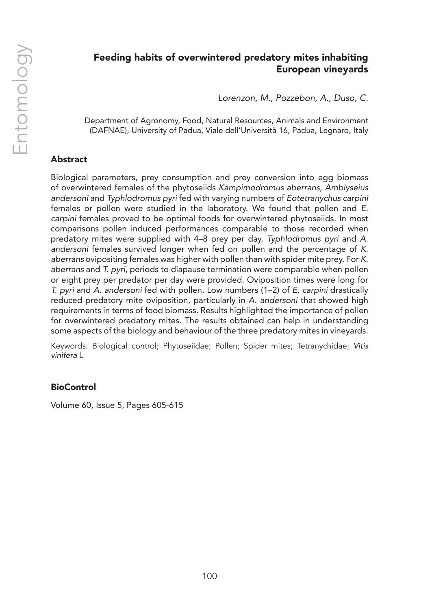# Feeding habits of overwintered predatory mites inhabiting European vineyards

*Lorenzon, M., Pozzebon, A., Duso, C.*

Department of Agronomy, Food, Natural Resources, Animals and Environment (DAFNAE), University of Padua, Viale dell'Università 16, Padua, Legnaro, Italy

# Abstract

Biological parameters, prey consumption and prey conversion into egg biomass of overwintered females of the phytoseiids *Kampimodromus aberrans*, *Amblyseius andersoni* and *Typhlodromus pyri* fed with varying numbers of *Eotetranychus carpini* females or pollen were studied in the laboratory. We found that pollen and *E. carpini* females proved to be optimal foods for overwintered phytoseiids. In most comparisons pollen induced performances comparable to those recorded when predatory mites were supplied with 4–8 prey per day. *Typhlodromus pyri* and *A. andersoni* females survived longer when fed on pollen and the percentage of *K. aberrans* ovipositing females was higher with pollen than with spider mite prey. For *K. aberrans* and *T. pyri*, periods to diapause termination were comparable when pollen or eight prey per predator per day were provided. Oviposition times were long for *T. pyri* and *A. andersoni* fed with pollen. Low numbers (1–2) of *E. carpini* drastically reduced predatory mite oviposition, particularly in *A. andersoni* that showed high requirements in terms of food biomass. Results highlighted the importance of pollen for overwintered predatory mites. The results obtained can help in understanding some aspects of the biology and behaviour of the three predatory mites in vineyards.

Keywords: Biological control; Phytoseiidae; Pollen; Spider mites; Tetranychidae; *Vitis vinifera* L

## **BioControl**

Volume 60, Issue 5, Pages 605-615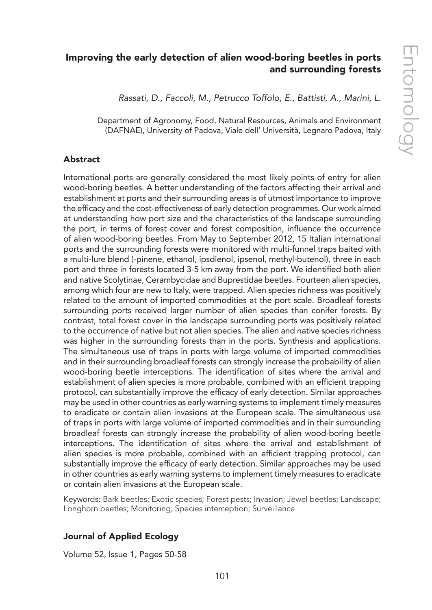# Improving the early detection of alien wood-boring beetles in ports and surrounding forests

*Rassati, D., Faccoli, M., Petrucco Toffolo, E., Battisti, A., Marini, L.*

Department of Agronomy, Food, Natural Resources, Animals and Environment (DAFNAE), University of Padova, Viale dell' Università, Legnaro Padova, Italy

## Abstract

International ports are generally considered the most likely points of entry for alien wood-boring beetles. A better understanding of the factors affecting their arrival and establishment at ports and their surrounding areas is of utmost importance to improve the efficacy and the cost-effectiveness of early detection programmes. Our work aimed at understanding how port size and the characteristics of the landscape surrounding the port, in terms of forest cover and forest composition, influence the occurrence of alien wood-boring beetles. From May to September 2012, 15 Italian international ports and the surrounding forests were monitored with multi-funnel traps baited with a multi-lure blend (-pinene, ethanol, ipsdienol, ipsenol, methyl-butenol), three in each port and three in forests located 3-5 km away from the port. We identified both alien and native Scolytinae, Cerambycidae and Buprestidae beetles. Fourteen alien species, among which four are new to Italy, were trapped. Alien species richness was positively related to the amount of imported commodities at the port scale. Broadleaf forests surrounding ports received larger number of alien species than conifer forests. By contrast, total forest cover in the landscape surrounding ports was positively related to the occurrence of native but not alien species. The alien and native species richness was higher in the surrounding forests than in the ports. Synthesis and applications. The simultaneous use of traps in ports with large volume of imported commodities and in their surrounding broadleaf forests can strongly increase the probability of alien wood-boring beetle interceptions. The identification of sites where the arrival and establishment of alien species is more probable, combined with an efficient trapping protocol, can substantially improve the efficacy of early detection. Similar approaches may be used in other countries as early warning systems to implement timely measures to eradicate or contain alien invasions at the European scale. The simultaneous use of traps in ports with large volume of imported commodities and in their surrounding broadleaf forests can strongly increase the probability of alien wood-boring beetle interceptions. The identification of sites where the arrival and establishment of alien species is more probable, combined with an efficient trapping protocol, can substantially improve the efficacy of early detection. Similar approaches may be used in other countries as early warning systems to implement timely measures to eradicate or contain alien invasions at the European scale.

Keywords: Bark beetles; Exotic species; Forest pests; Invasion; Jewel beetles; Landscape; Longhorn beetles; Monitoring; Species interception; Surveillance

## Journal of Applied Ecology

Volume 52, Issue 1, Pages 50-58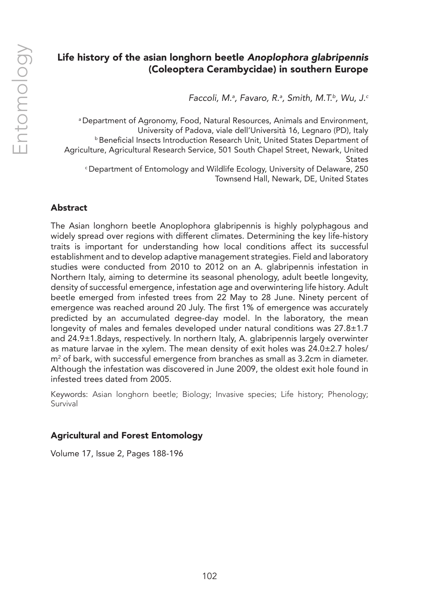# Life history of the asian longhorn beetle *Anoplophora glabripennis* (Coleoptera Cerambycidae) in southern Europe

*Faccoli, M.a , Favaro, R.a , Smith, M.T.b, Wu, J.c*

a Department of Agronomy, Food, Natural Resources, Animals and Environment, University of Padova, viale dell'Università 16, Legnaro (PD), Italy **b** Beneficial Insects Introduction Research Unit, United States Department of Agriculture, Agricultural Research Service, 501 South Chapel Street, Newark, United **States** c Department of Entomology and Wildlife Ecology, University of Delaware, 250 Townsend Hall, Newark, DE, United States

# Abstract

The Asian longhorn beetle Anoplophora glabripennis is highly polyphagous and widely spread over regions with different climates. Determining the key life-history traits is important for understanding how local conditions affect its successful establishment and to develop adaptive management strategies. Field and laboratory studies were conducted from 2010 to 2012 on an A. glabripennis infestation in Northern Italy, aiming to determine its seasonal phenology, adult beetle longevity, density of successful emergence, infestation age and overwintering life history. Adult beetle emerged from infested trees from 22 May to 28 June. Ninety percent of emergence was reached around 20 July. The first 1% of emergence was accurately predicted by an accumulated degree-day model. In the laboratory, the mean longevity of males and females developed under natural conditions was 27.8±1.7 and 24.9±1.8days, respectively. In northern Italy, A. glabripennis largely overwinter as mature larvae in the xylem. The mean density of exit holes was 24.0±2.7 holes/ m2 of bark, with successful emergence from branches as small as 3.2cm in diameter. Although the infestation was discovered in June 2009, the oldest exit hole found in infested trees dated from 2005.

Keywords: Asian longhorn beetle; Biology; Invasive species; Life history; Phenology; Survival

## Agricultural and Forest Entomology

Volume 17, Issue 2, Pages 188-196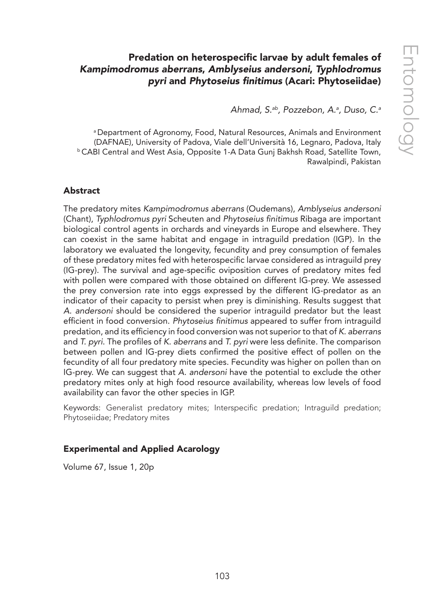# Predation on heterospecific larvae by adult females of *Kampimodromus aberrans*, *Amblyseius andersoni*, *Typhlodromus pyri* and Phytoseius finitimus (Acari: Phytoseiidae)

*Ahmad, S.ab, Pozzebon, A.a , Duso, C.a*

a Department of Agronomy, Food, Natural Resources, Animals and Environment (DAFNAE), University of Padova, Viale dell'Università 16, Legnaro, Padova, Italy b CABI Central and West Asia, Opposite 1-A Data Gunj Bakhsh Road, Satellite Town, Rawalpindi, Pakistan

## Abstract

The predatory mites *Kampimodromus aberrans* (Oudemans), *Amblyseius andersoni* (Chant), *Typhlodromus pyri* Scheuten and Phytoseius finitimus Ribaga are important biological control agents in orchards and vineyards in Europe and elsewhere. They can coexist in the same habitat and engage in intraguild predation (IGP). In the laboratory we evaluated the longevity, fecundity and prey consumption of females of these predatory mites fed with heterospecific larvae considered as intraguild prey (IG-prey). The survival and age-specific oviposition curves of predatory mites fed with pollen were compared with those obtained on different IG-prey. We assessed the prey conversion rate into eggs expressed by the different IG-predator as an indicator of their capacity to persist when prey is diminishing. Results suggest that *A. andersoni* should be considered the superior intraguild predator but the least efficient in food conversion. Phytoseius finitimus appeared to suffer from intraguild predation, and its efficiency in food conversion was not superior to that of *K. aberrans* and *T. pyri*. The profiles of *K. aberrans* and *T. pyri* were less definite. The comparison between pollen and IG-prey diets confirmed the positive effect of pollen on the fecundity of all four predatory mite species. Fecundity was higher on pollen than on IG-prey. We can suggest that *A. andersoni* have the potential to exclude the other predatory mites only at high food resource availability, whereas low levels of food availability can favor the other species in IGP.

Keywords: Generalist predatory mites; Interspecific predation; Intraguild predation; Phytoseiidae; Predatory mites

## Experimental and Applied Acarology

Volume 67, Issue 1, 20p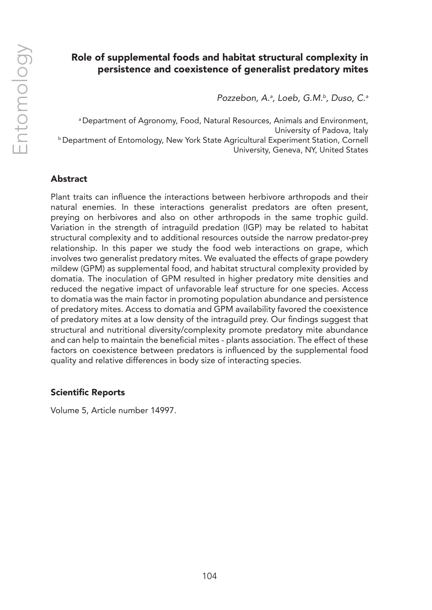# Role of supplemental foods and habitat structural complexity in persistence and coexistence of generalist predatory mites

*Pozzebon, A.a , Loeb, G.M.b, Duso, C.a*

a Department of Agronomy, Food, Natural Resources, Animals and Environment, University of Padova, Italy b Department of Entomology, New York State Agricultural Experiment Station, Cornell University, Geneva, NY, United States

## Abstract

Plant traits can influence the interactions between herbivore arthropods and their natural enemies. In these interactions generalist predators are often present, preying on herbivores and also on other arthropods in the same trophic guild. Variation in the strength of intraguild predation (IGP) may be related to habitat structural complexity and to additional resources outside the narrow predator-prey relationship. In this paper we study the food web interactions on grape, which involves two generalist predatory mites. We evaluated the effects of grape powdery mildew (GPM) as supplemental food, and habitat structural complexity provided by domatia. The inoculation of GPM resulted in higher predatory mite densities and reduced the negative impact of unfavorable leaf structure for one species. Access to domatia was the main factor in promoting population abundance and persistence of predatory mites. Access to domatia and GPM availability favored the coexistence of predatory mites at a low density of the intraguild prey. Our findings suggest that structural and nutritional diversity/complexity promote predatory mite abundance and can help to maintain the beneficial mites - plants association. The effect of these factors on coexistence between predators is influenced by the supplemental food quality and relative differences in body size of interacting species.

## Scientific Reports

Volume 5, Article number 14997.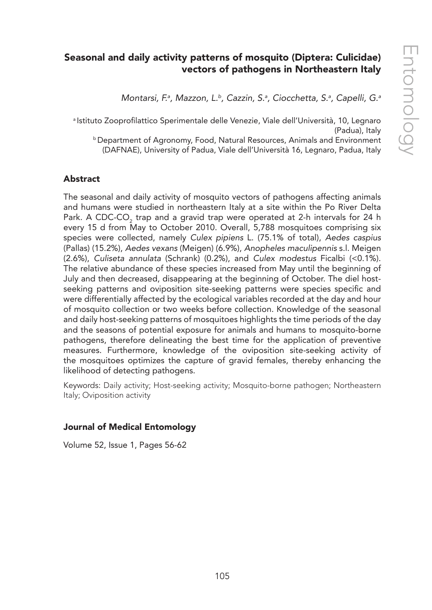# Seasonal and daily activity patterns of mosquito (Diptera: Culicidae) vectors of pathogens in Northeastern Italy

*Montarsi, F.a , Mazzon, L.b, Cazzin, S.a , Ciocchetta, S.a , Capelli, G.a*

<sup>a</sup> Istituto Zooprofilattico Sperimentale delle Venezie, Viale dell'Università, 10, Legnaro (Padua), Italy

b Department of Agronomy, Food, Natural Resources, Animals and Environment (DAFNAE), University of Padua, Viale dell'Università 16, Legnaro, Padua, Italy

## Abstract

The seasonal and daily activity of mosquito vectors of pathogens affecting animals and humans were studied in northeastern Italy at a site within the Po River Delta Park. A CDC-CO<sub>2</sub> trap and a gravid trap were operated at 2-h intervals for 24 h every 15 d from May to October 2010. Overall, 5,788 mosquitoes comprising six species were collected, namely *Culex pipiens* L. (75.1% of total), *Aedes caspius* (Pallas) (15.2%), *Aedes vexans* (Meigen) (6.9%), *Anopheles maculipennis* s.l. Meigen (2.6%), *Culiseta annulata* (Schrank) (0.2%), and *Culex modestus* Ficalbi (<0.1%). The relative abundance of these species increased from May until the beginning of July and then decreased, disappearing at the beginning of October. The diel hostseeking patterns and oviposition site-seeking patterns were species specific and were differentially affected by the ecological variables recorded at the day and hour of mosquito collection or two weeks before collection. Knowledge of the seasonal and daily host-seeking patterns of mosquitoes highlights the time periods of the day and the seasons of potential exposure for animals and humans to mosquito-borne pathogens, therefore delineating the best time for the application of preventive measures. Furthermore, knowledge of the oviposition site-seeking activity of the mosquitoes optimizes the capture of gravid females, thereby enhancing the likelihood of detecting pathogens.

Keywords: Daily activity; Host-seeking activity; Mosquito-borne pathogen; Northeastern Italy; Oviposition activity

## Journal of Medical Entomology

Volume 52, Issue 1, Pages 56-62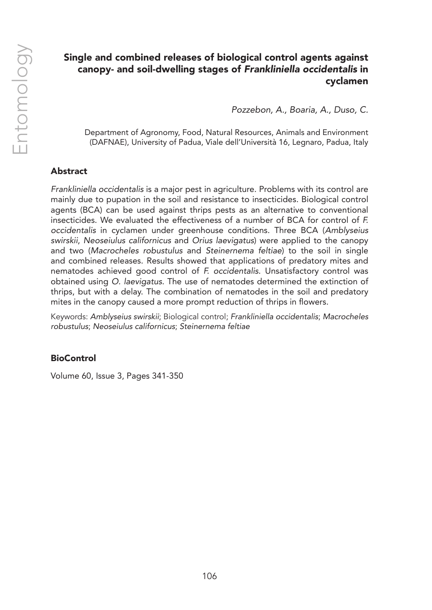# Single and combined releases of biological control agents against canopy- and soil-dwelling stages of *Frankliniella occidentalis* in cyclamen

*Pozzebon, A., Boaria, A., Duso, C.*

Department of Agronomy, Food, Natural Resources, Animals and Environment (DAFNAE), University of Padua, Viale dell'Università 16, Legnaro, Padua, Italy

## Abstract

*Frankliniella occidentalis* is a major pest in agriculture. Problems with its control are mainly due to pupation in the soil and resistance to insecticides. Biological control agents (BCA) can be used against thrips pests as an alternative to conventional insecticides. We evaluated the effectiveness of a number of BCA for control of *F. occidentalis* in cyclamen under greenhouse conditions. Three BCA (*Amblyseius swirskii*, *Neoseiulus californicus* and *Orius laevigatus*) were applied to the canopy and two (*Macrocheles robustulus* and *Steinernema feltiae*) to the soil in single and combined releases. Results showed that applications of predatory mites and nematodes achieved good control of *F. occidentalis*. Unsatisfactory control was obtained using *O. laevigatus*. The use of nematodes determined the extinction of thrips, but with a delay. The combination of nematodes in the soil and predatory mites in the canopy caused a more prompt reduction of thrips in flowers.

Keywords: *Amblyseius swirskii*; Biological control; *Frankliniella occidentalis*; *Macrocheles robustulus*; *Neoseiulus californicus*; *Steinernema feltiae*

## **BioControl**

Volume 60, Issue 3, Pages 341-350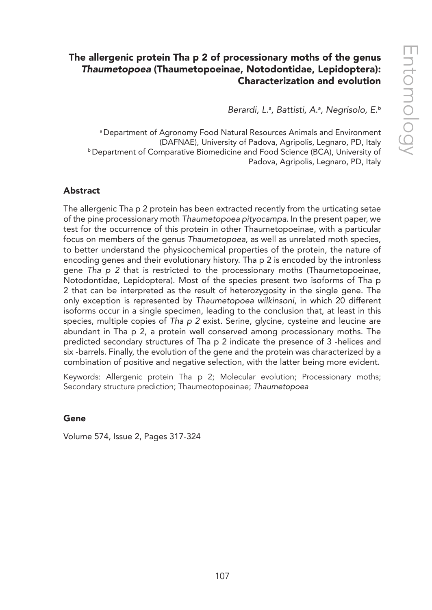# The allergenic protein Tha p 2 of processionary moths of the genus *Thaumetopoea* (Thaumetopoeinae, Notodontidae, Lepidoptera): Characterization and evolution

*Berardi, L.a , Battisti, A.a , Negrisolo, E.b*

a Department of Agronomy Food Natural Resources Animals and Environment (DAFNAE), University of Padova, Agripolis, Legnaro, PD, Italy b Department of Comparative Biomedicine and Food Science (BCA), University of Padova, Agripolis, Legnaro, PD, Italy

#### Abstract

The allergenic Tha p 2 protein has been extracted recently from the urticating setae of the pine processionary moth *Thaumetopoea pityocampa*. In the present paper, we test for the occurrence of this protein in other Thaumetopoeinae, with a particular focus on members of the genus *Thaumetopoea*, as well as unrelated moth species, to better understand the physicochemical properties of the protein, the nature of encoding genes and their evolutionary history. Tha p 2 is encoded by the intronless gene *Tha p 2* that is restricted to the processionary moths (Thaumetopoeinae, Notodontidae, Lepidoptera). Most of the species present two isoforms of Tha p 2 that can be interpreted as the result of heterozygosity in the single gene. The only exception is represented by *Thaumetopoea wilkinsoni*, in which 20 different isoforms occur in a single specimen, leading to the conclusion that, at least in this species, multiple copies of *Tha p 2* exist. Serine, glycine, cysteine and leucine are abundant in Tha p 2, a protein well conserved among processionary moths. The predicted secondary structures of Tha p 2 indicate the presence of 3 -helices and six -barrels. Finally, the evolution of the gene and the protein was characterized by a combination of positive and negative selection, with the latter being more evident.

Keywords: Allergenic protein Tha p 2; Molecular evolution; Processionary moths; Secondary structure prediction; Thaumeotopoeinae; *Thaumetopoea*

#### Gene

Volume 574, Issue 2, Pages 317-324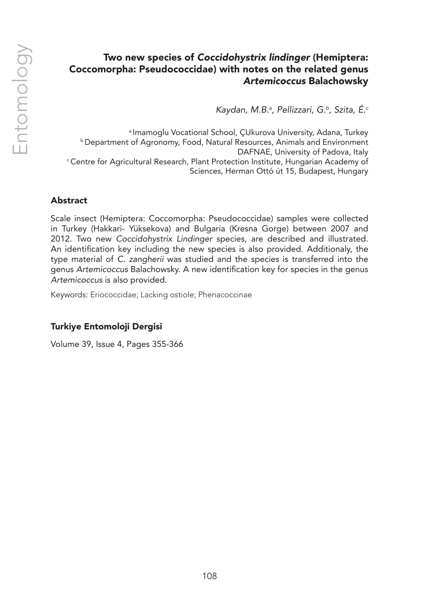# Two new species of *Coccidohystrix lindinger* (Hemiptera: Coccomorpha: Pseudococcidae) with notes on the related genus *Artemicoccus* Balachowsky

*Kaydan, M.B.a , Pellizzari, G.b, Szita, É.c*

a Imamoglu Vocational School, ÇUkurova University, Adana, Turkey **b Department of Agronomy, Food, Natural Resources, Animals and Environment** DAFNAE, University of Padova, Italy c Centre for Agricultural Research, Plant Protection Institute, Hungarian Academy of Sciences, Herman Ottó út 15, Budapest, Hungary

## Abstract

Scale insect (Hemiptera: Coccomorpha: Pseudococcidae) samples were collected in Turkey (Hakkari- Yüksekova) and Bulgaria (Kresna Gorge) between 2007 and 2012. Two new *Coccidohystrix Lindinger* species, are described and illustrated. An identification key including the new species is also provided. Additionaly, the type material of *C. zangherii* was studied and the species is transferred into the genus *Artemicoccus* Balachowsky. A new identification key for species in the genus *Artemicoccus* is also provided.

Keywords: Eriococcidae; Lacking ostiole; Phenacoccinae

# Turkiye Entomoloji Dergisi

Volume 39, Issue 4, Pages 355-366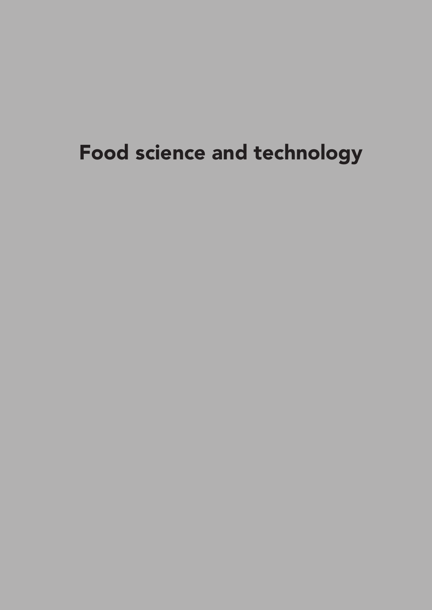# Food science and technology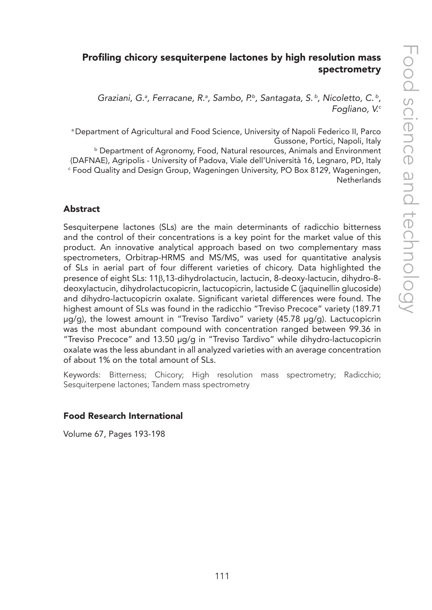# Profiling chicory sesquiterpene lactones by high resolution mass spectrometry

Graziani, G.<sup>a</sup>, Ferracane, R.<sup>a</sup>, Sambo, P.<sup>b</sup>, Santagata, S.<sup>b</sup>, Nicoletto, C.<sup>b</sup>, *Fogliano, V.c*

a Department of Agricultural and Food Science, University of Napoli Federico II, Parco Gussone, Portici, Napoli, Italy

**b Department of Agronomy, Food, Natural resources, Animals and Environment** (DAFNAE), Agripolis - University of Padova, Viale dell'Università 16, Legnaro, PD, Italy c Food Quality and Design Group, Wageningen University, PO Box 8129, Wageningen, **Netherlands** 

## Abstract

Sesquiterpene lactones (SLs) are the main determinants of radicchio bitterness and the control of their concentrations is a key point for the market value of this product. An innovative analytical approach based on two complementary mass spectrometers, Orbitrap-HRMS and MS/MS, was used for quantitative analysis of SLs in aerial part of four different varieties of chicory. Data highlighted the presence of eight SLs: 11β,13-dihydrolactucin, lactucin, 8-deoxy-lactucin, dihydro-8 deoxylactucin, dihydrolactucopicrin, lactucopicrin, lactuside C (jaquinellin glucoside) and dihydro-lactucopicrin oxalate. Significant varietal differences were found. The highest amount of SLs was found in the radicchio "Treviso Precoce" variety (189.71 µg/g), the lowest amount in "Treviso Tardivo" variety (45.78 µg/g). Lactucopicrin was the most abundant compound with concentration ranged between 99.36 in "Treviso Precoce" and 13.50 µg/g in "Treviso Tardivo" while dihydro-lactucopicrin oxalate was the less abundant in all analyzed varieties with an average concentration of about 1% on the total amount of SLs.

Keywords: Bitterness; Chicory; High resolution mass spectrometry; Radicchio; Sesquiterpene lactones; Tandem mass spectrometry

## Food Research International

Volume 67, Pages 193-198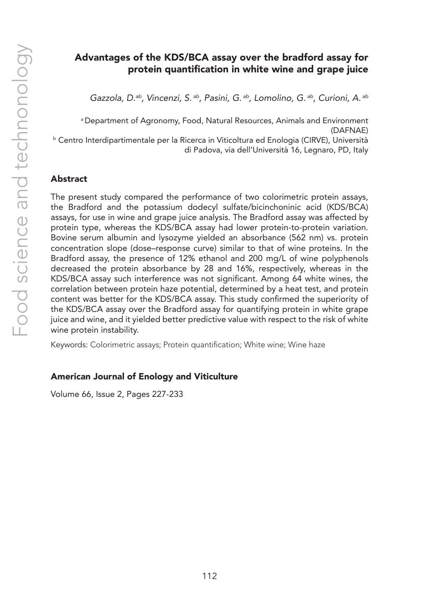# Advantages of the KDS/BCA assay over the bradford assay for protein quantification in white wine and grape juice

*Gazzola, D.ab, Vincenzi, S. ab, Pasini, G. ab, Lomolino, G. ab, Curioni, A. ab*

a Department of Agronomy, Food, Natural Resources, Animals and Environment (DAFNAE)

<sup>b</sup> Centro Interdipartimentale per la Ricerca in Viticoltura ed Enologia (CIRVE), Università di Padova, via dell'Università 16, Legnaro, PD, Italy

#### Abstract

The present study compared the performance of two colorimetric protein assays, the Bradford and the potassium dodecyl sulfate/bicinchoninic acid (KDS/BCA) assays, for use in wine and grape juice analysis. The Bradford assay was affected by protein type, whereas the KDS/BCA assay had lower protein-to-protein variation. Bovine serum albumin and lysozyme yielded an absorbance (562 nm) vs. protein concentration slope (dose–response curve) similar to that of wine proteins. In the Bradford assay, the presence of 12% ethanol and 200 mg/L of wine polyphenols decreased the protein absorbance by 28 and 16%, respectively, whereas in the KDS/BCA assay such interference was not significant. Among 64 white wines, the correlation between protein haze potential, determined by a heat test, and protein content was better for the KDS/BCA assay. This study confirmed the superiority of the KDS/BCA assay over the Bradford assay for quantifying protein in white grape juice and wine, and it yielded better predictive value with respect to the risk of white wine protein instability.

Keywords: Colorimetric assays; Protein quantification; White wine; Wine haze

#### American Journal of Enology and Viticulture

Volume 66, Issue 2, Pages 227-233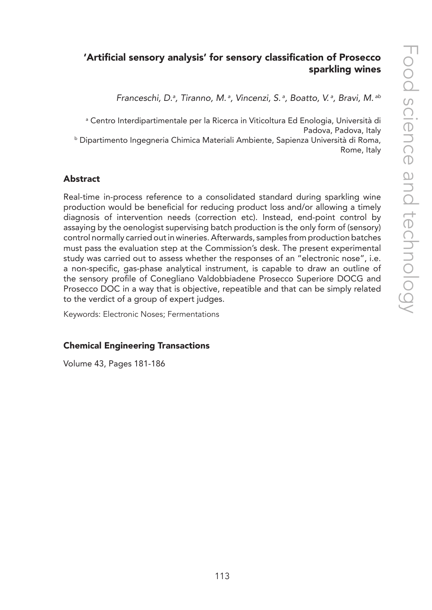# 'Artificial sensory analysis' for sensory classification of Prosecco sparkling wines

*Franceschi, D.a , Tiranno, M. a, Vincenzi, S. a, Boatto, V. a, Bravi, M. ab*

a Centro Interdipartimentale per la Ricerca in Viticoltura Ed Enologia, Università di Padova, Padova, Italy b Dipartimento Ingegneria Chimica Materiali Ambiente, Sapienza Università di Roma,

Rome, Italy

## Abstract

Real-time in-process reference to a consolidated standard during sparkling wine production would be beneficial for reducing product loss and/or allowing a timely diagnosis of intervention needs (correction etc). Instead, end-point control by assaying by the oenologist supervising batch production is the only form of (sensory) control normally carried out in wineries. Afterwards, samples from production batches must pass the evaluation step at the Commission's desk. The present experimental study was carried out to assess whether the responses of an "electronic nose", i.e. a non-specific, gas-phase analytical instrument, is capable to draw an outline of the sensory profile of Conegliano Valdobbiadene Prosecco Superiore DOCG and Prosecco DOC in a way that is objective, repeatible and that can be simply related to the verdict of a group of expert judges.

Keywords: Electronic Noses; Fermentations

## Chemical Engineering Transactions

Volume 43, Pages 181-186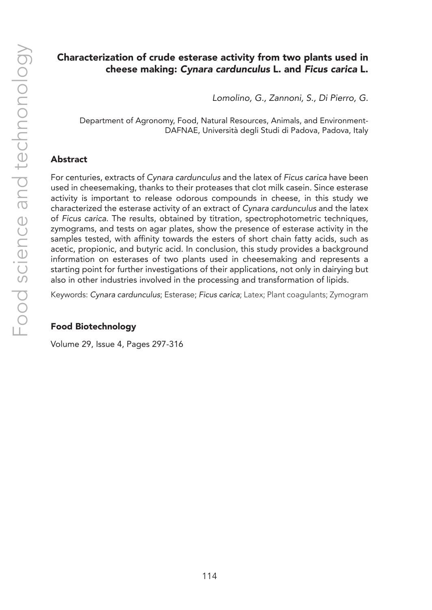# Characterization of crude esterase activity from two plants used in cheese making: *Cynara cardunculus* L. and *Ficus carica* L.

*Lomolino, G., Zannoni, S., Di Pierro, G.*

Department of Agronomy, Food, Natural Resources, Animals, and Environment-DAFNAE, Università degli Studi di Padova, Padova, Italy

## Abstract

For centuries, extracts of *Cynara cardunculus* and the latex of *Ficus carica* have been used in cheesemaking, thanks to their proteases that clot milk casein. Since esterase activity is important to release odorous compounds in cheese, in this study we characterized the esterase activity of an extract of *Cynara cardunculus* and the latex of *Ficus carica*. The results, obtained by titration, spectrophotometric techniques, zymograms, and tests on agar plates, show the presence of esterase activity in the samples tested, with affinity towards the esters of short chain fatty acids, such as acetic, propionic, and butyric acid. In conclusion, this study provides a background information on esterases of two plants used in cheesemaking and represents a starting point for further investigations of their applications, not only in dairying but also in other industries involved in the processing and transformation of lipids.

Keywords: *Cynara cardunculus*; Esterase; *Ficus carica*; Latex; Plant coagulants; Zymogram

## Food Biotechnology

Volume 29, Issue 4, Pages 297-316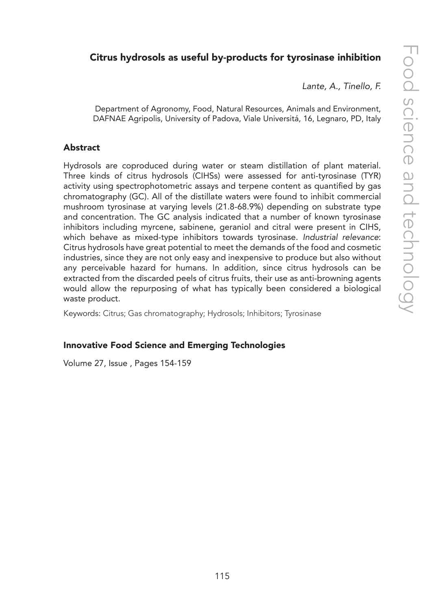# Citrus hydrosols as useful by-products for tyrosinase inhibition

*Lante, A., Tinello, F.*

Department of Agronomy, Food, Natural Resources, Animals and Environment, DAFNAE Agripolis, University of Padova, Viale Universitá, 16, Legnaro, PD, Italy

## Abstract

Hydrosols are coproduced during water or steam distillation of plant material. Three kinds of citrus hydrosols (CIHSs) were assessed for anti-tyrosinase (TYR) activity using spectrophotometric assays and terpene content as quantified by gas chromatography (GC). All of the distillate waters were found to inhibit commercial mushroom tyrosinase at varying levels (21.8-68.9%) depending on substrate type and concentration. The GC analysis indicated that a number of known tyrosinase inhibitors including myrcene, sabinene, geraniol and citral were present in CIHS, which behave as mixed-type inhibitors towards tyrosinase. *Industrial relevance*: Citrus hydrosols have great potential to meet the demands of the food and cosmetic industries, since they are not only easy and inexpensive to produce but also without any perceivable hazard for humans. In addition, since citrus hydrosols can be extracted from the discarded peels of citrus fruits, their use as anti-browning agents would allow the repurposing of what has typically been considered a biological waste product.

Keywords: Citrus; Gas chromatography; Hydrosols; Inhibitors; Tyrosinase

## Innovative Food Science and Emerging Technologies

Volume 27, Issue , Pages 154-159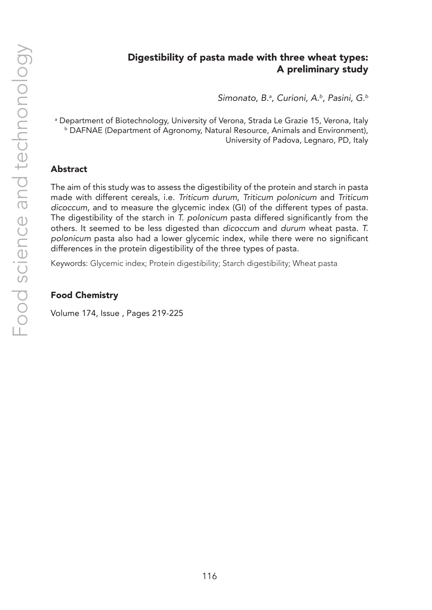# Digestibility of pasta made with three wheat types: A preliminary study

*Simonato, B.a , Curioni, A.b, Pasini, G.b*

a Department of Biotechnology, University of Verona, Strada Le Grazie 15, Verona, Italy b DAFNAE (Department of Agronomy, Natural Resource, Animals and Environment), University of Padova, Legnaro, PD, Italy

### Abstract

The aim of this study was to assess the digestibility of the protein and starch in pasta made with different cereals, i.e. *Triticum durum*, *Triticum polonicum* and *Triticum dicoccum*, and to measure the glycemic index (GI) of the different types of pasta. The digestibility of the starch in *T. polonicum* pasta differed significantly from the others. It seemed to be less digested than *dicoccum* and *durum* wheat pasta. *T. polonicum* pasta also had a lower glycemic index, while there were no significant differences in the protein digestibility of the three types of pasta.

Keywords: Glycemic index; Protein digestibility; Starch digestibility; Wheat pasta

## Food Chemistry

Volume 174, Issue , Pages 219-225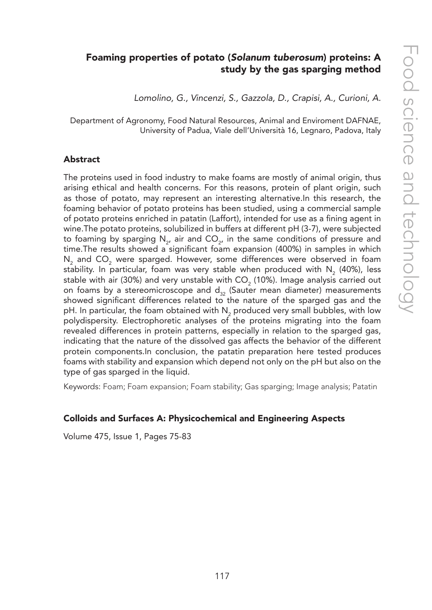# Foaming properties of potato (*Solanum tuberosum*) proteins: A study by the gas sparging method

*Lomolino, G., Vincenzi, S., Gazzola, D., Crapisi, A., Curioni, A.*

Department of Agronomy, Food Natural Resources, Animal and Enviroment DAFNAE, University of Padua, Viale dell'Università 16, Legnaro, Padova, Italy

#### Abstract

The proteins used in food industry to make foams are mostly of animal origin, thus arising ethical and health concerns. For this reasons, protein of plant origin, such as those of potato, may represent an interesting alternative.In this research, the foaming behavior of potato proteins has been studied, using a commercial sample of potato proteins enriched in patatin (Laffort), intended for use as a fining agent in wine.The potato proteins, solubilized in buffers at different pH (3-7), were subjected to foaming by sparging  $N_{2}$ , air and  $CO_{2}$ , in the same conditions of pressure and time.The results showed a significant foam expansion (400%) in samples in which  $\mathsf{N}_2$  and  $\mathsf{CO}_2$  were sparged. However, some differences were observed in foam stability. In particular, foam was very stable when produced with  $N_{2}$  (40%), less stable with air (30%) and very unstable with  $\mathsf{CO}_2$  (10%). Image analysis carried out on foams by a stereomicroscope and  $d_{32}$  (Sauter mean diameter) measurements showed significant differences related to the nature of the sparged gas and the pH. In particular, the foam obtained with  $\mathsf{N}_2$  produced very small bubbles, with low polydispersity. Electrophoretic analyses of the proteins migrating into the foam revealed differences in protein patterns, especially in relation to the sparged gas, indicating that the nature of the dissolved gas affects the behavior of the different protein components.In conclusion, the patatin preparation here tested produces foams with stability and expansion which depend not only on the pH but also on the type of gas sparged in the liquid.

Keywords: Foam; Foam expansion; Foam stability; Gas sparging; Image analysis; Patatin

#### Colloids and Surfaces A: Physicochemical and Engineering Aspects

Volume 475, Issue 1, Pages 75-83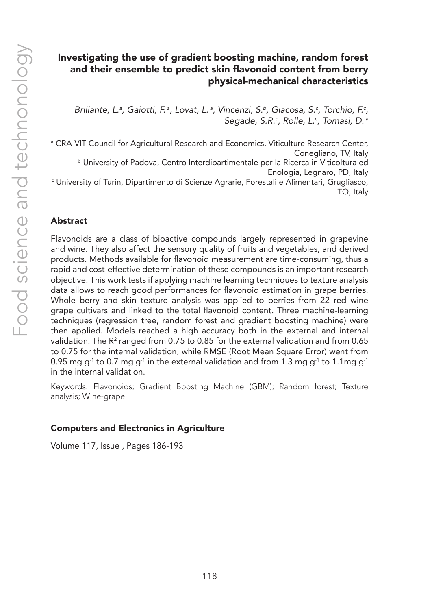# Investigating the use of gradient boosting machine, random forest and their ensemble to predict skin flavonoid content from berry physical-mechanical characteristics

Brillante, L.<sup>a</sup>, Gaiotti, F.<sup>a</sup>, Lovat, L.<sup>a</sup>, Vincenzi, S.<sup>b</sup>, Giacosa, S.<sup>c</sup>, Torchio, F.<sup>c</sup>, *Segade, S.R.c , Rolle, L.c , Tomasi, D. a*

a CRA-VIT Council for Agricultural Research and Economics, Viticulture Research Center, Conegliano, TV, Italy **b University of Padova, Centro Interdipartimentale per la Ricerca in Viticoltura ed** Enologia, Legnaro, PD, Italy c University of Turin, Dipartimento di Scienze Agrarie, Forestali e Alimentari, Grugliasco, TO, Italy

#### Abstract

Flavonoids are a class of bioactive compounds largely represented in grapevine and wine. They also affect the sensory quality of fruits and vegetables, and derived products. Methods available for flavonoid measurement are time-consuming, thus a rapid and cost-effective determination of these compounds is an important research objective. This work tests if applying machine learning techniques to texture analysis data allows to reach good performances for flavonoid estimation in grape berries. Whole berry and skin texture analysis was applied to berries from 22 red wine grape cultivars and linked to the total flavonoid content. Three machine-learning techniques (regression tree, random forest and gradient boosting machine) were then applied. Models reached a high accuracy both in the external and internal validation. The R<sup>2</sup> ranged from 0.75 to 0.85 for the external validation and from 0.65 to 0.75 for the internal validation, while RMSE (Root Mean Square Error) went from 0.95 mg g<sup>-1</sup> to 0.7 mg g<sup>-1</sup> in the external validation and from 1.3 mg g<sup>-1</sup> to 1.1mg g<sup>-1</sup> in the internal validation.

Keywords: Flavonoids; Gradient Boosting Machine (GBM); Random forest; Texture analysis; Wine-grape

#### Computers and Electronics in Agriculture

Volume 117, Issue , Pages 186-193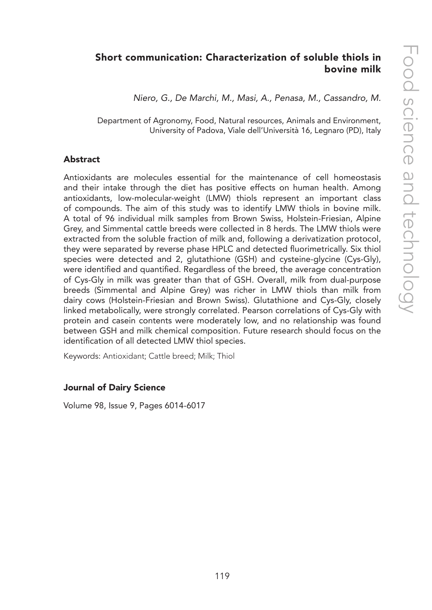# Short communication: Characterization of soluble thiols in bovine milk

*Niero, G., De Marchi, M., Masi, A., Penasa, M., Cassandro, M.*

Department of Agronomy, Food, Natural resources, Animals and Environment, University of Padova, Viale dell'Università 16, Legnaro (PD), Italy

#### Abstract

Antioxidants are molecules essential for the maintenance of cell homeostasis and their intake through the diet has positive effects on human health. Among antioxidants, low-molecular-weight (LMW) thiols represent an important class of compounds. The aim of this study was to identify LMW thiols in bovine milk. A total of 96 individual milk samples from Brown Swiss, Holstein-Friesian, Alpine Grey, and Simmental cattle breeds were collected in 8 herds. The LMW thiols were extracted from the soluble fraction of milk and, following a derivatization protocol, they were separated by reverse phase HPLC and detected fluorimetrically. Six thiol species were detected and 2, glutathione (GSH) and cysteine-glycine (Cys-Gly), were identified and quantified. Regardless of the breed, the average concentration of Cys-Gly in milk was greater than that of GSH. Overall, milk from dual-purpose breeds (Simmental and Alpine Grey) was richer in LMW thiols than milk from dairy cows (Holstein-Friesian and Brown Swiss). Glutathione and Cys-Gly, closely linked metabolically, were strongly correlated. Pearson correlations of Cys-Gly with protein and casein contents were moderately low, and no relationship was found between GSH and milk chemical composition. Future research should focus on the identification of all detected LMW thiol species.

Keywords: Antioxidant; Cattle breed; Milk; Thiol

#### Journal of Dairy Science

Volume 98, Issue 9, Pages 6014-6017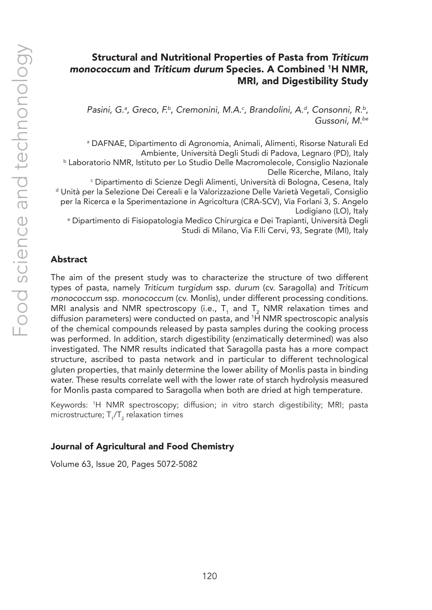# Structural and Nutritional Properties of Pasta from *Triticum monococcum* and *Triticum durum* Species. A Combined 1H NMR, MRI, and Digestibility Study

Pasini, G.ª, Greco, F.ª, Cremonini, M.A.<sup>c</sup>, Brandolini, A.ª, Consonni, R.<sup>b</sup>, *Gussoni, M.be*

a DAFNAE, Dipartimento di Agronomia, Animali, Alimenti, Risorse Naturali Ed Ambiente, Università Degli Studi di Padova, Legnaro (PD), Italy b Laboratorio NMR, Istituto per Lo Studio Delle Macromolecole, Consiglio Nazionale Delle Ricerche, Milano, Italy c Dipartimento di Scienze Degli Alimenti, Università di Bologna, Cesena, Italy d Unità per la Selezione Dei Cereali e la Valorizzazione Delle Varietà Vegetali, Consiglio per la Ricerca e la Sperimentazione in Agricoltura (CRA-SCV), Via Forlani 3, S. Angelo Lodigiano (LO), Italy e Dipartimento di Fisiopatologia Medico Chirurgica e Dei Trapianti, Università Degli Studi di Milano, Via F.lli Cervi, 93, Segrate (MI), Italy

### Abstract

The aim of the present study was to characterize the structure of two different types of pasta, namely *Triticum turgidum* ssp. *durum* (cv. Saragolla) and *Triticum monococcum* ssp. *monococcum* (cv. Monlis), under different processing conditions. MRI analysis and NMR spectroscopy (i.e.,  $T_1$  and  $T_2$  NMR relaxation times and diffusion parameters) were conducted on pasta, and 1 H NMR spectroscopic analysis of the chemical compounds released by pasta samples during the cooking process was performed. In addition, starch digestibility (enzimatically determined) was also investigated. The NMR results indicated that Saragolla pasta has a more compact structure, ascribed to pasta network and in particular to different technological gluten properties, that mainly determine the lower ability of Monlis pasta in binding water. These results correlate well with the lower rate of starch hydrolysis measured for Monlis pasta compared to Saragolla when both are dried at high temperature.

Keywords: 1 H NMR spectroscopy; diffusion; in vitro starch digestibility; MRI; pasta microstructure;  ${\sf T_1}\!/{\sf T_2}$  relaxation times

#### Journal of Agricultural and Food Chemistry

Volume 63, Issue 20, Pages 5072-5082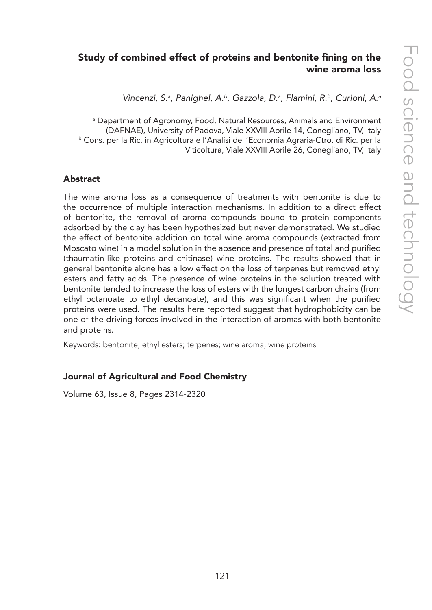# Study of combined effect of proteins and bentonite fining on the wine aroma loss

Vincenzi, S.ª, Panighel, A.<sup>b</sup>, Gazzola, D.ª, Flamini, R.b, Curioni, A.ª

a Department of Agronomy, Food, Natural Resources, Animals and Environment (DAFNAE), University of Padova, Viale XXVIII Aprile 14, Conegliano, TV, Italy b Cons. per la Ric. in Agricoltura e l'Analisi dell'Economia Agraria-Ctro. di Ric. per la Viticoltura, Viale XXVIII Aprile 26, Conegliano, TV, Italy

#### Abstract

The wine aroma loss as a consequence of treatments with bentonite is due to the occurrence of multiple interaction mechanisms. In addition to a direct effect of bentonite, the removal of aroma compounds bound to protein components adsorbed by the clay has been hypothesized but never demonstrated. We studied the effect of bentonite addition on total wine aroma compounds (extracted from Moscato wine) in a model solution in the absence and presence of total and purified (thaumatin-like proteins and chitinase) wine proteins. The results showed that in general bentonite alone has a low effect on the loss of terpenes but removed ethyl esters and fatty acids. The presence of wine proteins in the solution treated with bentonite tended to increase the loss of esters with the longest carbon chains (from ethyl octanoate to ethyl decanoate), and this was significant when the purified proteins were used. The results here reported suggest that hydrophobicity can be one of the driving forces involved in the interaction of aromas with both bentonite and proteins.

Keywords: bentonite; ethyl esters; terpenes; wine aroma; wine proteins

## Journal of Agricultural and Food Chemistry

Volume 63, Issue 8, Pages 2314-2320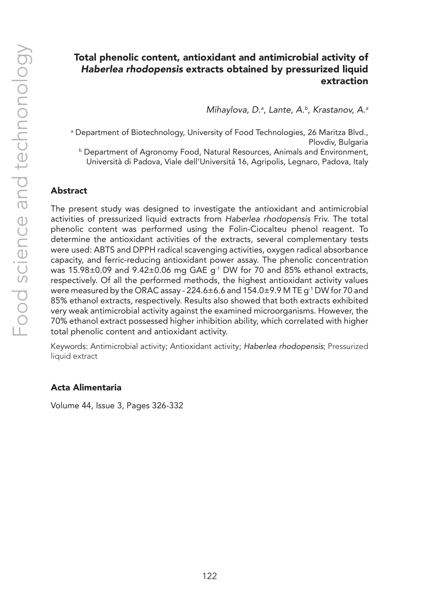# Total phenolic content, antioxidant and antimicrobial activity of *Haberlea rhodopensis* extracts obtained by pressurized liquid extraction

*Mihaylova, D.a , Lante, A.b, Krastanov, A.a*

a Department of Biotechnology, University of Food Technologies, 26 Maritza Blvd., Plovdiv, Bulgaria

b Department of Agronomy Food, Natural Resources, Animals and Environment, Università di Padova, Viale dell'Universitá 16, Agripolis, Legnaro, Padova, Italy

## Abstract

The present study was designed to investigate the antioxidant and antimicrobial activities of pressurized liquid extracts from *Haberlea rhodopensis* Friv. The total phenolic content was performed using the Folin-Ciocalteu phenol reagent. To determine the antioxidant activities of the extracts, several complementary tests were used: ABTS and DPPH radical scavenging activities, oxygen radical absorbance capacity, and ferric-reducing antioxidant power assay. The phenolic concentration was 15.98 $\pm$ 0.09 and 9.42 $\pm$ 0.06 mg GAE g<sup>-1</sup> DW for 70 and 85% ethanol extracts, respectively. Of all the performed methods, the highest antioxidant activity values were measured by the ORAC assay -  $224.6\pm6.6$  and  $154.0\pm9.9$  M TE g<sup>-1</sup> DW for 70 and 85% ethanol extracts, respectively. Results also showed that both extracts exhibited very weak antimicrobial activity against the examined microorganisms. However, the 70% ethanol extract possessed higher inhibition ability, which correlated with higher total phenolic content and antioxidant activity.

Keywords: Antimicrobial activity; Antioxidant activity; *Haberlea rhodopensis*; Pressurized liquid extract

#### Acta Alimentaria

Volume 44, Issue 3, Pages 326-332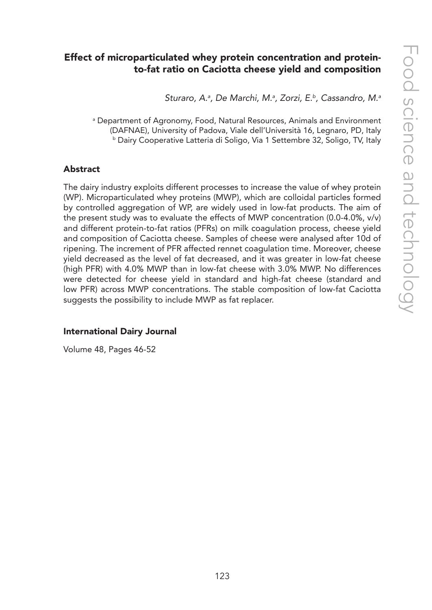# Effect of microparticulated whey protein concentration and proteinto-fat ratio on Caciotta cheese yield and composition

*Sturaro, A.a , De Marchi, M.a , Zorzi, E.b, Cassandro, M.a*

a Department of Agronomy, Food, Natural Resources, Animals and Environment (DAFNAE), University of Padova, Viale dell'Università 16, Legnaro, PD, Italy b Dairy Cooperative Latteria di Soligo, Via 1 Settembre 32, Soligo, TV, Italy

#### Abstract

The dairy industry exploits different processes to increase the value of whey protein (WP). Microparticulated whey proteins (MWP), which are colloidal particles formed by controlled aggregation of WP, are widely used in low-fat products. The aim of the present study was to evaluate the effects of MWP concentration (0.0-4.0%, v/v) and different protein-to-fat ratios (PFRs) on milk coagulation process, cheese yield and composition of Caciotta cheese. Samples of cheese were analysed after 10d of ripening. The increment of PFR affected rennet coagulation time. Moreover, cheese yield decreased as the level of fat decreased, and it was greater in low-fat cheese (high PFR) with 4.0% MWP than in low-fat cheese with 3.0% MWP. No differences were detected for cheese yield in standard and high-fat cheese (standard and low PFR) across MWP concentrations. The stable composition of low-fat Caciotta suggests the possibility to include MWP as fat replacer.

#### International Dairy Journal

Volume 48, Pages 46-52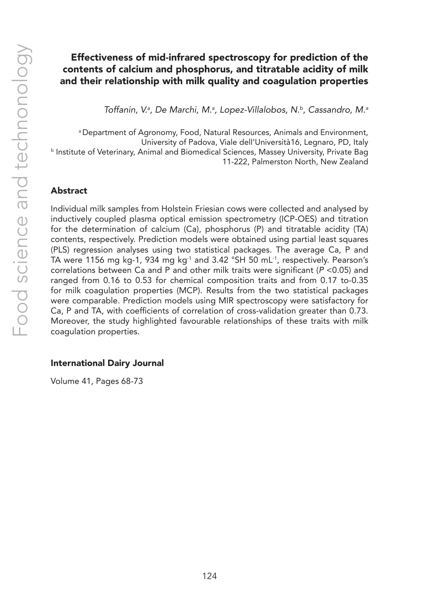# Effectiveness of mid-infrared spectroscopy for prediction of the contents of calcium and phosphorus, and titratable acidity of milk and their relationship with milk quality and coagulation properties

*Toffanin, V.a , De Marchi, M.a , Lopez-Villalobos, N.b, Cassandro, M.a*

a Department of Agronomy, Food, Natural Resources, Animals and Environment, University of Padova, Viale dell'Università16, Legnaro, PD, Italy **b Institute of Veterinary, Animal and Biomedical Sciences, Massey University, Private Bag** 11-222, Palmerston North, New Zealand

## Abstract

Individual milk samples from Holstein Friesian cows were collected and analysed by inductively coupled plasma optical emission spectrometry (ICP-OES) and titration for the determination of calcium (Ca), phosphorus (P) and titratable acidity (TA) contents, respectively. Prediction models were obtained using partial least squares (PLS) regression analyses using two statistical packages. The average Ca, P and TA were 1156 mg kg-1, 934 mg kg<sup>-1</sup> and 3.42 °SH 50 mL<sup>-1</sup>, respectively. Pearson's correlations between Ca and P and other milk traits were significant (*P* <0.05) and ranged from 0.16 to 0.53 for chemical composition traits and from 0.17 to-0.35 for milk coagulation properties (MCP). Results from the two statistical packages were comparable. Prediction models using MIR spectroscopy were satisfactory for Ca, P and TA, with coefficients of correlation of cross-validation greater than 0.73. Moreover, the study highlighted favourable relationships of these traits with milk coagulation properties.

#### International Dairy Journal

Volume 41, Pages 68-73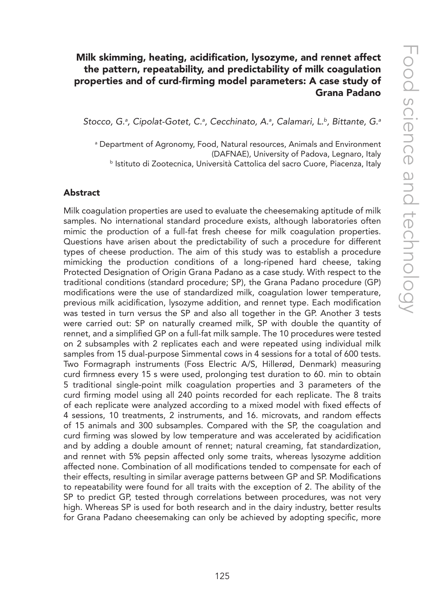# Milk skimming, heating, acidification, lysozyme, and rennet affect the pattern, repeatability, and predictability of milk coagulation properties and of curd-firming model parameters: A case study of Grana Padano

*Stocco, G.a , Cipolat-Gotet, C.a , Cecchinato, A.a , Calamari, L.b, Bittante, G.a*

a Department of Agronomy, Food, Natural resources, Animals and Environment (DAFNAE), University of Padova, Legnaro, Italy b Istituto di Zootecnica, Università Cattolica del sacro Cuore, Piacenza, Italy

#### Abstract

Milk coagulation properties are used to evaluate the cheesemaking aptitude of milk samples. No international standard procedure exists, although laboratories often mimic the production of a full-fat fresh cheese for milk coagulation properties. Questions have arisen about the predictability of such a procedure for different types of cheese production. The aim of this study was to establish a procedure mimicking the production conditions of a long-ripened hard cheese, taking Protected Designation of Origin Grana Padano as a case study. With respect to the traditional conditions (standard procedure; SP), the Grana Padano procedure (GP) modifications were the use of standardized milk, coagulation lower temperature, previous milk acidification, lysozyme addition, and rennet type. Each modification was tested in turn versus the SP and also all together in the GP. Another 3 tests were carried out: SP on naturally creamed milk, SP with double the quantity of rennet, and a simplified GP on a full-fat milk sample. The 10 procedures were tested on 2 subsamples with 2 replicates each and were repeated using individual milk samples from 15 dual-purpose Simmental cows in 4 sessions for a total of 600 tests. Two Formagraph instruments (Foss Electric A/S, Hillerød, Denmark) measuring curd firmness every 15 s were used, prolonging test duration to 60. min to obtain 5 traditional single-point milk coagulation properties and 3 parameters of the curd firming model using all 240 points recorded for each replicate. The 8 traits of each replicate were analyzed according to a mixed model with fixed effects of 4 sessions, 10 treatments, 2 instruments, and 16. microvats, and random effects of 15 animals and 300 subsamples. Compared with the SP, the coagulation and curd firming was slowed by low temperature and was accelerated by acidification and by adding a double amount of rennet; natural creaming, fat standardization, and rennet with 5% pepsin affected only some traits, whereas lysozyme addition affected none. Combination of all modifications tended to compensate for each of their effects, resulting in similar average patterns between GP and SP. Modifications to repeatability were found for all traits with the exception of 2. The ability of the SP to predict GP, tested through correlations between procedures, was not very high. Whereas SP is used for both research and in the dairy industry, better results for Grana Padano cheesemaking can only be achieved by adopting specific, more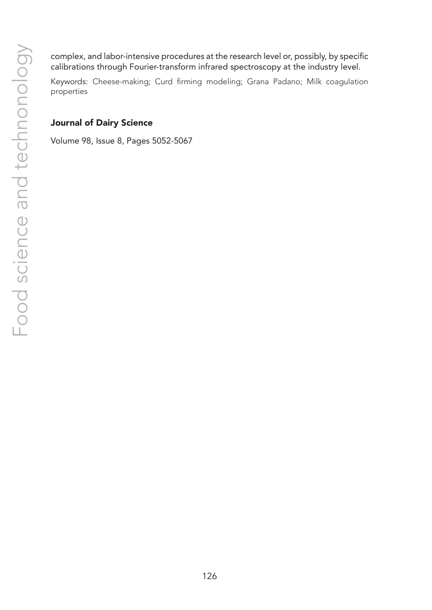complex, and labor-intensive procedures at the research level or, possibly, by specific calibrations through Fourier-transform infrared spectroscopy at the industry level.

Keywords: Cheese-making; Curd firming modeling; Grana Padano; Milk coagulation properties

## Journal of Dairy Science

Volume 98, Issue 8, Pages 5052-5067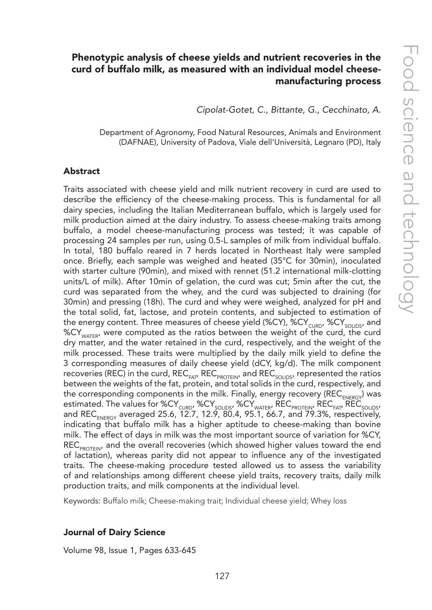# Phenotypic analysis of cheese yields and nutrient recoveries in the curd of buffalo milk, as measured with an individual model cheesemanufacturing process

*Cipolat-Gotet, C., Bittante, G., Cecchinato, A.*

Department of Agronomy, Food Natural Resources, Animals and Environment (DAFNAE), University of Padova, Viale dell'Università, Legnaro (PD), Italy

#### Abstract

Traits associated with cheese yield and milk nutrient recovery in curd are used to describe the efficiency of the cheese-making process. This is fundamental for all dairy species, including the Italian Mediterranean buffalo, which is largely used for milk production aimed at the dairy industry. To assess cheese-making traits among buffalo, a model cheese-manufacturing process was tested; it was capable of processing 24 samples per run, using 0.5-L samples of milk from individual buffalo. In total, 180 buffalo reared in 7 herds located in Northeast Italy were sampled once. Briefly, each sample was weighed and heated (35°C for 30min), inoculated with starter culture (90min), and mixed with rennet (51.2 international milk-clotting units/L of milk). After 10min of gelation, the curd was cut; 5min after the cut, the curd was separated from the whey, and the curd was subjected to draining (for 30min) and pressing (18h). The curd and whey were weighed, analyzed for pH and the total solid, fat, lactose, and protein contents, and subjected to estimation of the energy content. Three measures of cheese yield (%CY), %CY<sub>CURD</sub>, %CY<sub>SOUDS</sub>, and %CY<sub>WATER</sub>, were computed as the ratios between the weight of the curd, the curd dry matter, and the water retained in the curd, respectively, and the weight of the milk processed. These traits were multiplied by the daily milk yield to define the 3 corresponding measures of daily cheese yield (dCY, kg/d). The milk component recoveries (REC) in the curd,  $REC_{FAT}$ , REC<sub>PROTEIN</sub>, and REC<sub>SOLIDS</sub>, represented the ratios between the weights of the fat, protein, and total solids in the curd, respectively, and the corresponding components in the milk. Finally, energy recovery (REC<sub>ENERGY</sub>) was estimated. The values for %CY<sub>cuRD</sub>, %CY<sub>soliDs</sub>, %CY<sub>wATER</sub>, REC<sub>PROTEIN</sub>, REC<sub>FAT</sub>, REC<sub>soliDs</sub>, and REC<sub>ENERGY</sub> averaged 25.6, 12.7, 12.9, 80.4, 95.1, 66.7, and 79.3%, respectively, indicating that buffalo milk has a higher aptitude to cheese-making than bovine milk. The effect of days in milk was the most important source of variation for %CY,  $REC_{PROTENV}$  and the overall recoveries (which showed higher values toward the end of lactation), whereas parity did not appear to influence any of the investigated traits. The cheese-making procedure tested allowed us to assess the variability of and relationships among different cheese yield traits, recovery traits, daily milk production traits, and milk components at the individual level.

Keywords: Buffalo milk; Cheese-making trait; Individual cheese yield; Whey loss

#### Journal of Dairy Science

Volume 98, Issue 1, Pages 633-645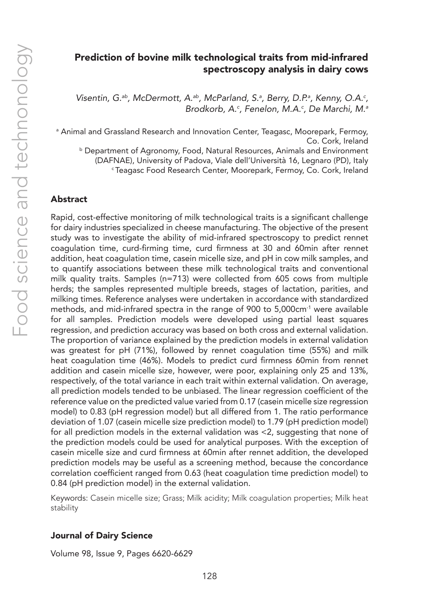# Prediction of bovine milk technological traits from mid-infrared spectroscopy analysis in dairy cows

Visentin, G.<sup>ab</sup>, McDermott, A.<sup>ab</sup>, McParland, S.<sup>a</sup>, Berry, D.P.<sup>a</sup>, Kenny, O.A.<sup>c</sup>, *Brodkorb, A.c , Fenelon, M.A.c , De Marchi, M.a*

a Animal and Grassland Research and Innovation Center, Teagasc, Moorepark, Fermoy, Co. Cork, Ireland b Department of Agronomy, Food, Natural Resources, Animals and Environment (DAFNAE), University of Padova, Viale dell'Università 16, Legnaro (PD), Italy c Teagasc Food Research Center, Moorepark, Fermoy, Co. Cork, Ireland

#### Abstract

Rapid, cost-effective monitoring of milk technological traits is a significant challenge for dairy industries specialized in cheese manufacturing. The objective of the present study was to investigate the ability of mid-infrared spectroscopy to predict rennet coagulation time, curd-firming time, curd firmness at 30 and 60min after rennet addition, heat coagulation time, casein micelle size, and pH in cow milk samples, and to quantify associations between these milk technological traits and conventional milk quality traits. Samples (n=713) were collected from 605 cows from multiple herds; the samples represented multiple breeds, stages of lactation, parities, and milking times. Reference analyses were undertaken in accordance with standardized methods, and mid-infrared spectra in the range of 900 to 5,000cm<sup>-1</sup> were available for all samples. Prediction models were developed using partial least squares regression, and prediction accuracy was based on both cross and external validation. The proportion of variance explained by the prediction models in external validation was greatest for pH (71%), followed by rennet coagulation time (55%) and milk heat coagulation time (46%). Models to predict curd firmness 60min from rennet addition and casein micelle size, however, were poor, explaining only 25 and 13%, respectively, of the total variance in each trait within external validation. On average, all prediction models tended to be unbiased. The linear regression coefficient of the reference value on the predicted value varied from 0.17 (casein micelle size regression model) to 0.83 (pH regression model) but all differed from 1. The ratio performance deviation of 1.07 (casein micelle size prediction model) to 1.79 (pH prediction model) for all prediction models in the external validation was <2, suggesting that none of the prediction models could be used for analytical purposes. With the exception of casein micelle size and curd firmness at 60min after rennet addition, the developed prediction models may be useful as a screening method, because the concordance correlation coefficient ranged from 0.63 (heat coagulation time prediction model) to 0.84 (pH prediction model) in the external validation.

Keywords: Casein micelle size; Grass; Milk acidity; Milk coagulation properties; Milk heat stability

#### Journal of Dairy Science

Volume 98, Issue 9, Pages 6620-6629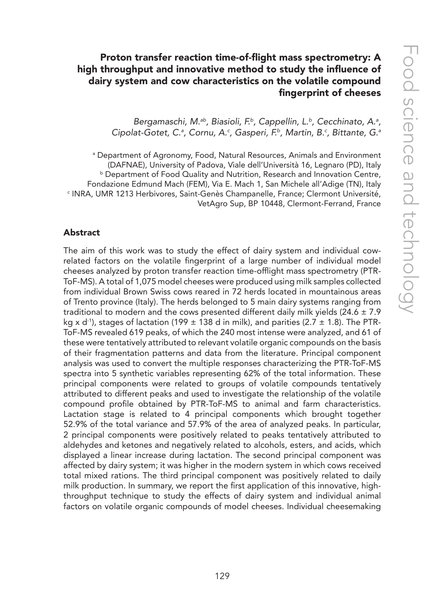# Proton transfer reaction time-of-flight mass spectrometry: A high throughput and innovative method to study the influence of dairy system and cow characteristics on the volatile compound fingerprint of cheeses

Bergamaschi, M.<sup>ab</sup>, Biasioli, F.<sup>b</sup>, Cappellin, L.<sup>b</sup>, Cecchinato, A.<sup>a</sup>, *Cipolat-Gotet, C.a , Cornu, A.c , Gasperi, F.b, Martin, B.c , Bittante, G.a*

a Department of Agronomy, Food, Natural Resources, Animals and Environment (DAFNAE), University of Padova, Viale dell'Università 16, Legnaro (PD), Italy **b** Department of Food Quality and Nutrition, Research and Innovation Centre, Fondazione Edmund Mach (FEM), Via E. Mach 1, San Michele all'Adige (TN), Italy c INRA, UMR 1213 Herbivores, Saint-Genès Champanelle, France; Clermont Université, VetAgro Sup, BP 10448, Clermont-Ferrand, France

#### Abstract

The aim of this work was to study the effect of dairy system and individual cowrelated factors on the volatile fingerprint of a large number of individual model cheeses analyzed by proton transfer reaction time-offlight mass spectrometry (PTR-ToF-MS). A total of 1,075 model cheeses were produced using milk samples collected from individual Brown Swiss cows reared in 72 herds located in mountainous areas of Trento province (Italy). The herds belonged to 5 main dairy systems ranging from traditional to modern and the cows presented different daily milk yields (24.6  $\pm$  7.9 kg x d<sup>-1</sup>), stages of lactation (199  $\pm$  138 d in milk), and parities (2.7  $\pm$  1.8). The PTR-ToF-MS revealed 619 peaks, of which the 240 most intense were analyzed, and 61 of these were tentatively attributed to relevant volatile organic compounds on the basis of their fragmentation patterns and data from the literature. Principal component analysis was used to convert the multiple responses characterizing the PTR-ToF-MS spectra into 5 synthetic variables representing 62% of the total information. These principal components were related to groups of volatile compounds tentatively attributed to different peaks and used to investigate the relationship of the volatile compound profile obtained by PTR-ToF-MS to animal and farm characteristics. Lactation stage is related to 4 principal components which brought together 52.9% of the total variance and 57.9% of the area of analyzed peaks. In particular, 2 principal components were positively related to peaks tentatively attributed to aldehydes and ketones and negatively related to alcohols, esters, and acids, which displayed a linear increase during lactation. The second principal component was affected by dairy system; it was higher in the modern system in which cows received total mixed rations. The third principal component was positively related to daily milk production. In summary, we report the first application of this innovative, highthroughput technique to study the effects of dairy system and individual animal factors on volatile organic compounds of model cheeses. Individual cheesemaking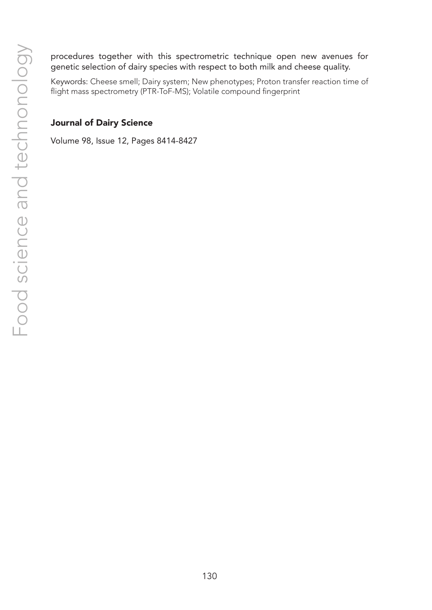procedures together with this spectrometric technique open new avenues for genetic selection of dairy species with respect to both milk and cheese quality.

Keywords: Cheese smell; Dairy system; New phenotypes; Proton transfer reaction time of flight mass spectrometry (PTR-ToF-MS); Volatile compound fingerprint

## Journal of Dairy Science

Volume 98, Issue 12, Pages 8414-8427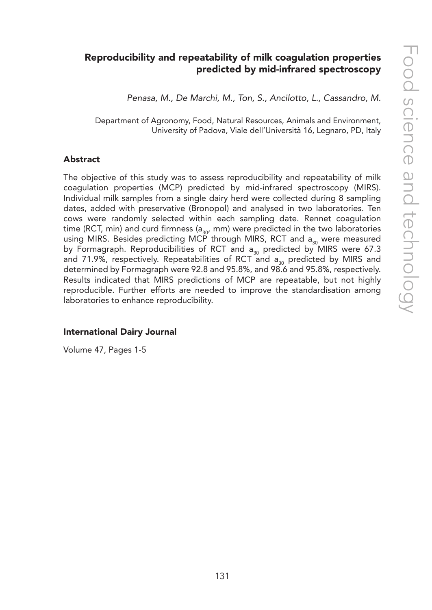# Reproducibility and repeatability of milk coagulation properties predicted by mid-infrared spectroscopy

*Penasa, M., De Marchi, M., Ton, S., Ancilotto, L., Cassandro, M.*

Department of Agronomy, Food, Natural Resources, Animals and Environment, University of Padova, Viale dell'Università 16, Legnaro, PD, Italy

#### Abstract

The objective of this study was to assess reproducibility and repeatability of milk coagulation properties (MCP) predicted by mid-infrared spectroscopy (MIRS). Individual milk samples from a single dairy herd were collected during 8 sampling dates, added with preservative (Bronopol) and analysed in two laboratories. Ten cows were randomly selected within each sampling date. Rennet coagulation time (RCT, min) and curd firmness ( $a_{30}$ , mm) were predicted in the two laboratories using MIRS. Besides predicting MCP through MIRS, RCT and  $a_{30}$  were measured by Formagraph. Reproducibilities of RCT and  $a_{30}$  predicted by MIRS were 67.3 and 71.9%, respectively. Repeatabilities of RCT and  $a_{30}$  predicted by MIRS and determined by Formagraph were 92.8 and 95.8%, and 98.6 and 95.8%, respectively. Results indicated that MIRS predictions of MCP are repeatable, but not highly reproducible. Further efforts are needed to improve the standardisation among laboratories to enhance reproducibility.

#### International Dairy Journal

Volume 47, Pages 1-5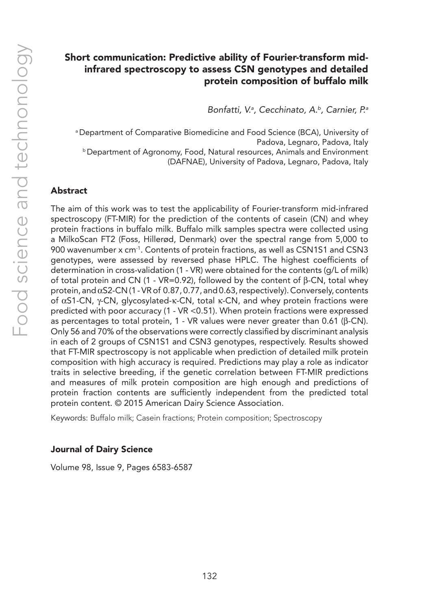# Short communication: Predictive ability of Fourier-transform midinfrared spectroscopy to assess CSN genotypes and detailed protein composition of buffalo milk

*Bonfatti, V.a , Cecchinato, A.b, Carnier, P.a*

a Department of Comparative Biomedicine and Food Science (BCA), University of Padova, Legnaro, Padova, Italy **b Department of Agronomy, Food, Natural resources, Animals and Environment** (DAFNAE), University of Padova, Legnaro, Padova, Italy

## Abstract

The aim of this work was to test the applicability of Fourier-transform mid-infrared spectroscopy (FT-MIR) for the prediction of the contents of casein (CN) and whey protein fractions in buffalo milk. Buffalo milk samples spectra were collected using a MilkoScan FT2 (Foss, Hillerød, Denmark) over the spectral range from 5,000 to 900 wavenumber x cm-1. Contents of protein fractions, as well as CSN1S1 and CSN3 genotypes, were assessed by reversed phase HPLC. The highest coefficients of determination in cross-validation (1 - VR) were obtained for the contents (g/L of milk) of total protein and CN (1 - VR=0.92), followed by the content of β-CN, total whey protein, and αS2-CN (1 - VR of 0.87, 0.77, and 0.63, respectively). Conversely, contents of αS1-CN, γ-CN, glycosylated-κ-CN, total κ-CN, and whey protein fractions were predicted with poor accuracy (1 - VR <0.51). When protein fractions were expressed as percentages to total protein, 1 - VR values were never greater than 0.61 (β-CN). Only 56 and 70% of the observations were correctly classified by discriminant analysis in each of 2 groups of CSN1S1 and CSN3 genotypes, respectively. Results showed that FT-MIR spectroscopy is not applicable when prediction of detailed milk protein composition with high accuracy is required. Predictions may play a role as indicator traits in selective breeding, if the genetic correlation between FT-MIR predictions and measures of milk protein composition are high enough and predictions of protein fraction contents are sufficiently independent from the predicted total protein content. © 2015 American Dairy Science Association.

Keywords: Buffalo milk; Casein fractions; Protein composition; Spectroscopy

#### Journal of Dairy Science

Volume 98, Issue 9, Pages 6583-6587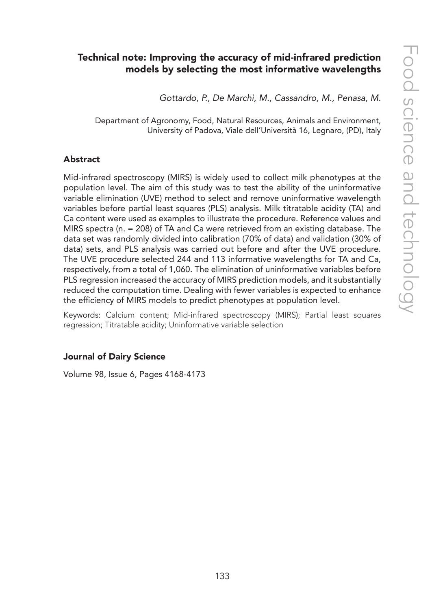# Technical note: Improving the accuracy of mid-infrared prediction models by selecting the most informative wavelengths

*Gottardo, P., De Marchi, M., Cassandro, M., Penasa, M.*

Department of Agronomy, Food, Natural Resources, Animals and Environment, University of Padova, Viale dell'Università 16, Legnaro, (PD), Italy

#### Abstract

Mid-infrared spectroscopy (MIRS) is widely used to collect milk phenotypes at the population level. The aim of this study was to test the ability of the uninformative variable elimination (UVE) method to select and remove uninformative wavelength variables before partial least squares (PLS) analysis. Milk titratable acidity (TA) and Ca content were used as examples to illustrate the procedure. Reference values and MIRS spectra (n. = 208) of TA and Ca were retrieved from an existing database. The data set was randomly divided into calibration (70% of data) and validation (30% of data) sets, and PLS analysis was carried out before and after the UVE procedure. The UVE procedure selected 244 and 113 informative wavelengths for TA and Ca, respectively, from a total of 1,060. The elimination of uninformative variables before PLS regression increased the accuracy of MIRS prediction models, and it substantially reduced the computation time. Dealing with fewer variables is expected to enhance the efficiency of MIRS models to predict phenotypes at population level.

Keywords: Calcium content; Mid-infrared spectroscopy (MIRS); Partial least squares regression; Titratable acidity; Uninformative variable selection

#### Journal of Dairy Science

Volume 98, Issue 6, Pages 4168-4173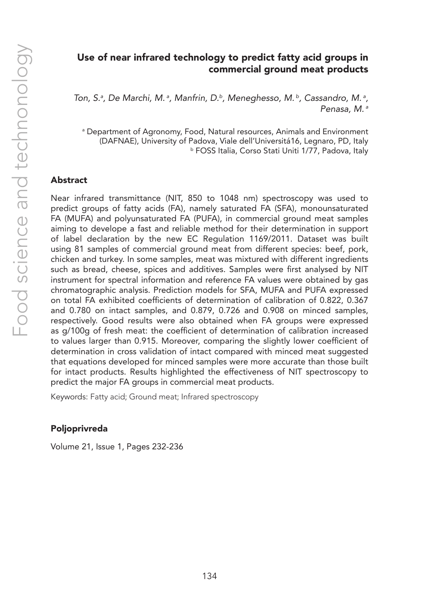## Use of near infrared technology to predict fatty acid groups in commercial ground meat products

Ton, S.ª, De Marchi, M.ª, Manfrin, D.<sup>b</sup>, Meneghesso, M.<sup>b</sup>, Cassandro, M.ª, *Penasa, M. a*

a Department of Agronomy, Food, Natural resources, Animals and Environment (DAFNAE), University of Padova, Viale dell'Universitá16, Legnaro, PD, Italy b FOSS Italia, Corso Stati Uniti 1/77, Padova, Italy

#### Abstract

Near infrared transmittance (NIT, 850 to 1048 nm) spectroscopy was used to predict groups of fatty acids (FA), namely saturated FA (SFA), monounsaturated FA (MUFA) and polyunsaturated FA (PUFA), in commercial ground meat samples aiming to develope a fast and reliable method for their determination in support of label declaration by the new EC Regulation 1169/2011. Dataset was built using 81 samples of commercial ground meat from different species: beef, pork, chicken and turkey. In some samples, meat was mixtured with different ingredients such as bread, cheese, spices and additives. Samples were first analysed by NIT instrument for spectral information and reference FA values were obtained by gas chromatographic analysis. Prediction models for SFA, MUFA and PUFA expressed on total FA exhibited coefficients of determination of calibration of 0.822, 0.367 and 0.780 on intact samples, and 0.879, 0.726 and 0.908 on minced samples, respectively. Good results were also obtained when FA groups were expressed as g/100g of fresh meat: the coefficient of determination of calibration increased to values larger than 0.915. Moreover, comparing the slightly lower coefficient of determination in cross validation of intact compared with minced meat suggested that equations developed for minced samples were more accurate than those built for intact products. Results highlighted the effectiveness of NIT spectroscopy to predict the major FA groups in commercial meat products.

Keywords: Fatty acid; Ground meat; Infrared spectroscopy

#### Poljoprivreda

Volume 21, Issue 1, Pages 232-236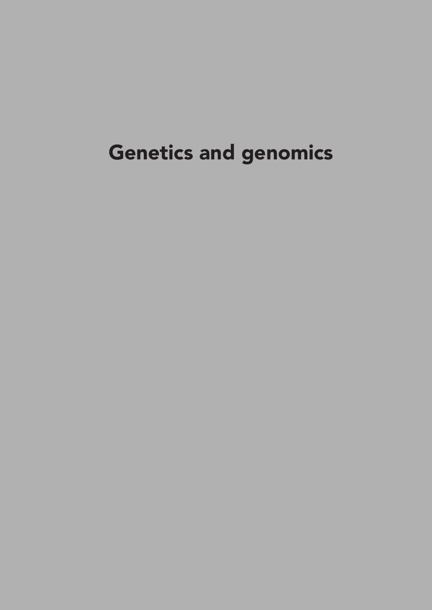# Genetics and genomics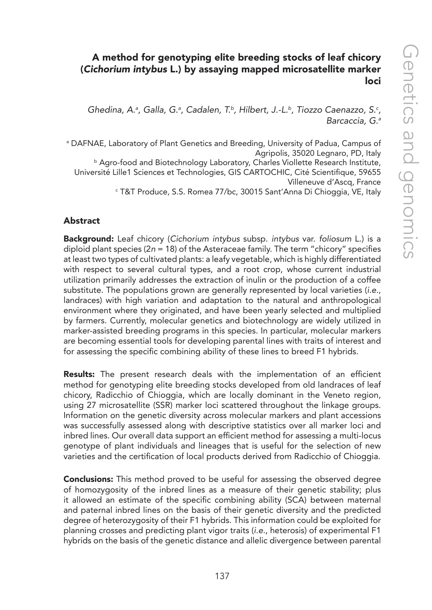# A method for genotyping elite breeding stocks of leaf chicory (*Cichorium intybus* L.) by assaying mapped microsatellite marker loci

Ghedina, A.ª, Galla, G.ª, Cadalen, T.ʰ, Hilbert, J.-L.ʰ, Tiozzo Caenazzo, S.<sup>c</sup>, *Barcaccia, G.a*

a DAFNAE, Laboratory of Plant Genetics and Breeding, University of Padua, Campus of Agripolis, 35020 Legnaro, PD, Italy **b Agro-food and Biotechnology Laboratory, Charles Viollette Research Institute,** Université Lille1 Sciences et Technologies, GIS CARTOCHIC, Cité Scientifique, 59655 Villeneuve d'Ascq, France c T&T Produce, S.S. Romea 77/bc, 30015 Sant'Anna Di Chioggia, VE, Italy

## Abstract

Background: Leaf chicory (*Cichorium intybus* subsp. *intybus* var. *foliosum* L.) is a diploid plant species (2*n* = 18) of the Asteraceae family. The term "chicory" specifies at least two types of cultivated plants: a leafy vegetable, which is highly differentiated with respect to several cultural types, and a root crop, whose current industrial utilization primarily addresses the extraction of inulin or the production of a coffee substitute. The populations grown are generally represented by local varieties (*i.e.*, landraces) with high variation and adaptation to the natural and anthropological environment where they originated, and have been yearly selected and multiplied by farmers. Currently, molecular genetics and biotechnology are widely utilized in marker-assisted breeding programs in this species. In particular, molecular markers are becoming essential tools for developing parental lines with traits of interest and for assessing the specific combining ability of these lines to breed F1 hybrids.

**Results:** The present research deals with the implementation of an efficient method for genotyping elite breeding stocks developed from old landraces of leaf chicory, Radicchio of Chioggia, which are locally dominant in the Veneto region, using 27 microsatellite (SSR) marker loci scattered throughout the linkage groups. Information on the genetic diversity across molecular markers and plant accessions was successfully assessed along with descriptive statistics over all marker loci and inbred lines. Our overall data support an efficient method for assessing a multi-locus genotype of plant individuals and lineages that is useful for the selection of new varieties and the certification of local products derived from Radicchio of Chioggia.

**Conclusions:** This method proved to be useful for assessing the observed degree of homozygosity of the inbred lines as a measure of their genetic stability; plus it allowed an estimate of the specific combining ability (SCA) between maternal and paternal inbred lines on the basis of their genetic diversity and the predicted degree of heterozygosity of their F1 hybrids. This information could be exploited for planning crosses and predicting plant vigor traits (*i.e.*, heterosis) of experimental F1 hybrids on the basis of the genetic distance and allelic divergence between parental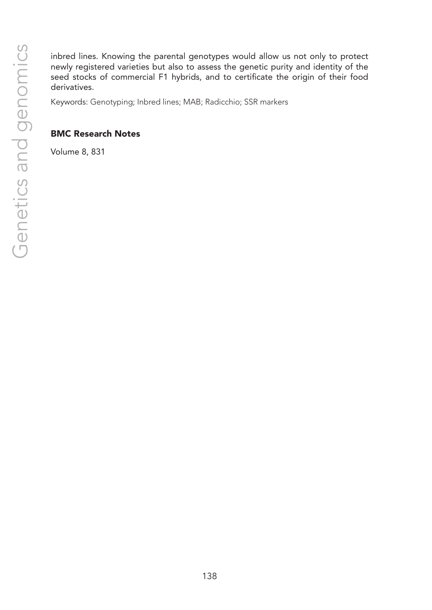inbred lines. Knowing the parental genotypes would allow us not only to protect newly registered varieties but also to assess the genetic purity and identity of the seed stocks of commercial F1 hybrids, and to certificate the origin of their food derivatives.

Keywords: Genotyping; Inbred lines; MAB; Radicchio; SSR markers

## BMC Research Notes

Volume 8, 831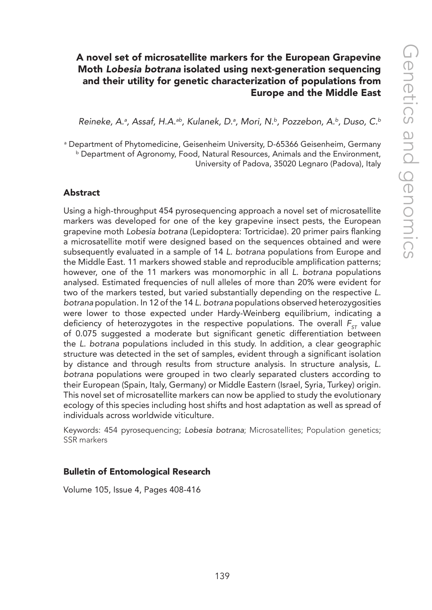# A novel set of microsatellite markers for the European Grapevine Moth *Lobesia botrana* isolated using next-generation sequencing and their utility for genetic characterization of populations from Europe and the Middle East

*Reineke, A.a , Assaf, H.A.ab, Kulanek, D.a , Mori, N.b, Pozzebon, A.b, Duso, C.b*

a Department of Phytomedicine, Geisenheim University, D-65366 Geisenheim, Germany b Department of Agronomy, Food, Natural Resources, Animals and the Environment, University of Padova, 35020 Legnaro (Padova), Italy

## Abstract

Using a high-throughput 454 pyrosequencing approach a novel set of microsatellite markers was developed for one of the key grapevine insect pests, the European grapevine moth *Lobesia botrana* (Lepidoptera: Tortricidae). 20 primer pairs flanking a microsatellite motif were designed based on the sequences obtained and were subsequently evaluated in a sample of 14 *L. botrana* populations from Europe and the Middle East. 11 markers showed stable and reproducible amplification patterns; however, one of the 11 markers was monomorphic in all *L. botrana* populations analysed. Estimated frequencies of null alleles of more than 20% were evident for two of the markers tested, but varied substantially depending on the respective *L. botrana* population. In 12 of the 14 *L. botrana* populations observed heterozygosities were lower to those expected under Hardy-Weinberg equilibrium, indicating a deficiency of heterozygotes in the respective populations. The overall F<sub>ST</sub> value of 0.075 suggested a moderate but significant genetic differentiation between the *L. botrana* populations included in this study. In addition, a clear geographic structure was detected in the set of samples, evident through a significant isolation by distance and through results from structure analysis. In structure analysis, *L. botrana* populations were grouped in two clearly separated clusters according to their European (Spain, Italy, Germany) or Middle Eastern (Israel, Syria, Turkey) origin. This novel set of microsatellite markers can now be applied to study the evolutionary ecology of this species including host shifts and host adaptation as well as spread of individuals across worldwide viticulture.

Keywords: 454 pyrosequencing; *Lobesia botrana*; Microsatellites; Population genetics; SSR markers

## Bulletin of Entomological Research

Volume 105, Issue 4, Pages 408-416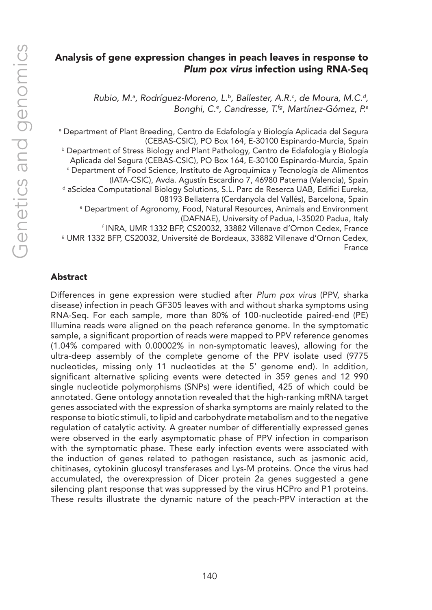# Analysis of gene expression changes in peach leaves in response to *Plum pox virus* infection using RNA-Seq

*Rubio, M.a , Rodríguez-Moreno, L.b, Ballester, A.R.c , de Moura, M.C.d, Bonghi, C.e , Candresse, T.fg, Martínez-Gómez, P.a*

a Department of Plant Breeding, Centro de Edafología y Biología Aplicada del Segura (CEBAS-CSIC), PO Box 164, E-30100 Espinardo-Murcia, Spain **b Department of Stress Biology and Plant Pathology, Centro de Edafología y Biología** Aplicada del Segura (CEBAS-CSIC), PO Box 164, E-30100 Espinardo-Murcia, Spain c Department of Food Science, Instituto de Agroquímica y Tecnología de Alimentos (IATA-CSIC), Avda. Agustín Escardino 7, 46980 Paterna (Valencia), Spain <sup>d</sup> aScidea Computational Biology Solutions, S.L. Parc de Reserca UAB, Edifici Eureka, 08193 Bellaterra (Cerdanyola del Vallés), Barcelona, Spain e Department of Agronomy, Food, Natural Resources, Animals and Environment (DAFNAE), University of Padua, I-35020 Padua, Italy f INRA, UMR 1332 BFP, CS20032, 33882 Villenave d'Ornon Cedex, France <sup>g</sup> UMR 1332 BFP, CS20032, Université de Bordeaux, 33882 Villenave d'Ornon Cedex, France

## Abstract

Differences in gene expression were studied after *Plum pox virus* (PPV, sharka disease) infection in peach GF305 leaves with and without sharka symptoms using RNA-Seq. For each sample, more than 80% of 100-nucleotide paired-end (PE) Illumina reads were aligned on the peach reference genome. In the symptomatic sample, a significant proportion of reads were mapped to PPV reference genomes (1.04% compared with 0.00002% in non-symptomatic leaves), allowing for the ultra-deep assembly of the complete genome of the PPV isolate used (9775 nucleotides, missing only 11 nucleotides at the 5' genome end). In addition, significant alternative splicing events were detected in 359 genes and 12 990 single nucleotide polymorphisms (SNPs) were identified, 425 of which could be annotated. Gene ontology annotation revealed that the high-ranking mRNA target genes associated with the expression of sharka symptoms are mainly related to the response to biotic stimuli, to lipid and carbohydrate metabolism and to the negative regulation of catalytic activity. A greater number of differentially expressed genes were observed in the early asymptomatic phase of PPV infection in comparison with the symptomatic phase. These early infection events were associated with the induction of genes related to pathogen resistance, such as jasmonic acid, chitinases, cytokinin glucosyl transferases and Lys-M proteins. Once the virus had accumulated, the overexpression of Dicer protein 2a genes suggested a gene silencing plant response that was suppressed by the virus HCPro and P1 proteins. These results illustrate the dynamic nature of the peach-PPV interaction at the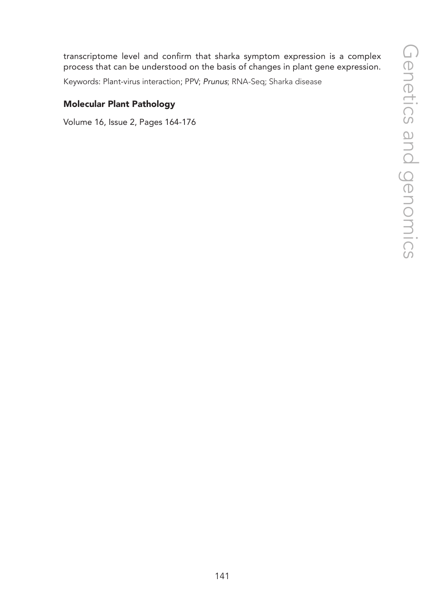transcriptome level and confirm that sharka symptom expression is a complex process that can be understood on the basis of changes in plant gene expression.

Keywords: Plant-virus interaction; PPV; *Prunus*; RNA-Seq; Sharka disease

## Molecular Plant Pathology

Volume 16, Issue 2, Pages 164-176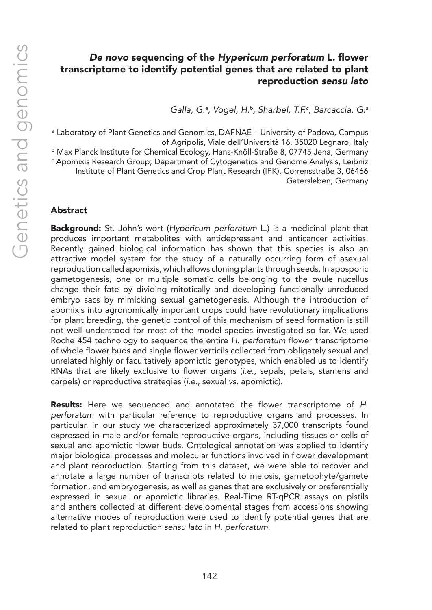# *De novo* sequencing of the *Hypericum perforatum* L. flower transcriptome to identify potential genes that are related to plant reproduction *sensu lato*

*Galla, G.a , Vogel, H.b, Sharbel, T.F.c , Barcaccia, G.a*

a Laboratory of Plant Genetics and Genomics, DAFNAE – University of Padova, Campus of Agripolis, Viale dell'Università 16, 35020 Legnaro, Italy <sup>b</sup> Max Planck Institute for Chemical Ecology, Hans-Knöll-Straße 8, 07745 Jena, Germany c Apomixis Research Group; Department of Cytogenetics and Genome Analysis, Leibniz Institute of Plant Genetics and Crop Plant Research (IPK), Corrensstraße 3, 06466 Gatersleben, Germany

## Abstract

Background: St. John's wort (*Hypericum perforatum* L.) is a medicinal plant that produces important metabolites with antidepressant and anticancer activities. Recently gained biological information has shown that this species is also an attractive model system for the study of a naturally occurring form of asexual reproduction called apomixis, which allows cloning plants through seeds. In aposporic gametogenesis, one or multiple somatic cells belonging to the ovule nucellus change their fate by dividing mitotically and developing functionally unreduced embryo sacs by mimicking sexual gametogenesis. Although the introduction of apomixis into agronomically important crops could have revolutionary implications for plant breeding, the genetic control of this mechanism of seed formation is still not well understood for most of the model species investigated so far. We used Roche 454 technology to sequence the entire *H. perforatum* flower transcriptome of whole flower buds and single flower verticils collected from obligately sexual and unrelated highly or facultatively apomictic genotypes, which enabled us to identify RNAs that are likely exclusive to flower organs (*i.e.*, sepals, petals, stamens and carpels) or reproductive strategies (*i.e.*, sexual *vs.* apomictic).

Results: Here we sequenced and annotated the flower transcriptome of *H. perforatum* with particular reference to reproductive organs and processes. In particular, in our study we characterized approximately 37,000 transcripts found expressed in male and/or female reproductive organs, including tissues or cells of sexual and apomictic flower buds. Ontological annotation was applied to identify major biological processes and molecular functions involved in flower development and plant reproduction. Starting from this dataset, we were able to recover and annotate a large number of transcripts related to meiosis, gametophyte/gamete formation, and embryogenesis, as well as genes that are exclusively or preferentially expressed in sexual or apomictic libraries. Real-Time RT-qPCR assays on pistils and anthers collected at different developmental stages from accessions showing alternative modes of reproduction were used to identify potential genes that are related to plant reproduction *sensu lato* in *H. perforatum*.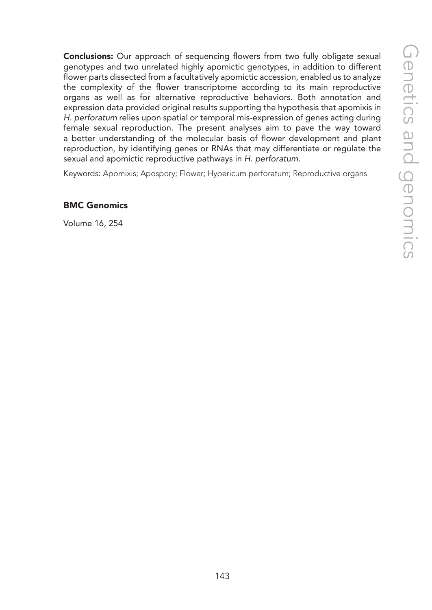**Conclusions:** Our approach of sequencing flowers from two fully obligate sexual genotypes and two unrelated highly apomictic genotypes, in addition to different flower parts dissected from a facultatively apomictic accession, enabled us to analyze the complexity of the flower transcriptome according to its main reproductive organs as well as for alternative reproductive behaviors. Both annotation and expression data provided original results supporting the hypothesis that apomixis in *H. perforatum* relies upon spatial or temporal mis-expression of genes acting during female sexual reproduction. The present analyses aim to pave the way toward a better understanding of the molecular basis of flower development and plant reproduction, by identifying genes or RNAs that may differentiate or regulate the sexual and apomictic reproductive pathways in *H. perforatum*.

Keywords: Apomixis; Apospory; Flower; Hypericum perforatum; Reproductive organs

## BMC Genomics

Volume 16, 254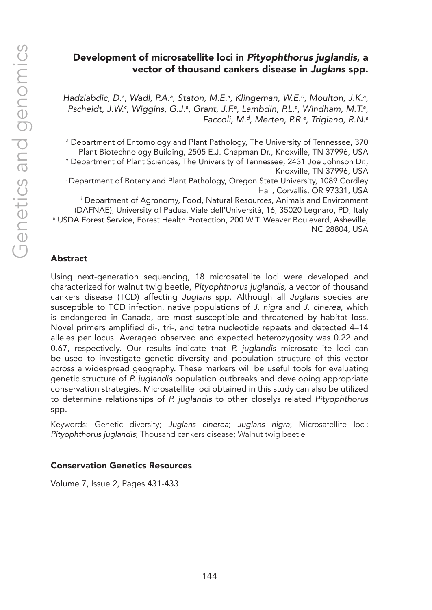# Development of microsatellite loci in *Pityophthorus juglandis*, a vector of thousand cankers disease in *Juglans* spp.

Hadziabdic, D.ª, Wadl, P.A.ª, Staton, M.E.ª, Klingeman, W.E.ʰ, Moulton, J.K.ª, Pscheidt, J.W.<sup>c</sup>, Wiggins, G.J.ª, Grant, J.F.ª, Lambdin, P.L.ª, Windham, M.T.ª, *Faccoli, M.d, Merten, P.R.e , Trigiano, R.N.a*

a Department of Entomology and Plant Pathology, The University of Tennessee, 370 Plant Biotechnology Building, 2505 E.J. Chapman Dr., Knoxville, TN 37996, USA

<sup>b</sup> Department of Plant Sciences, The University of Tennessee, 2431 Joe Johnson Dr., Knoxville, TN 37996, USA

c Department of Botany and Plant Pathology, Oregon State University, 1089 Cordley Hall, Corvallis, OR 97331, USA

<sup>d</sup> Department of Agronomy, Food, Natural Resources, Animals and Environment (DAFNAE), University of Padua, Viale dell'Università, 16, 35020 Legnaro, PD, Italy e USDA Forest Service, Forest Health Protection, 200 W.T. Weaver Boulevard, Asheville, NC 28804, USA

## Abstract

Using next-generation sequencing, 18 microsatellite loci were developed and characterized for walnut twig beetle, *Pityophthorus juglandis*, a vector of thousand cankers disease (TCD) affecting *Juglans* spp. Although all *Juglans* species are susceptible to TCD infection, native populations of *J. nigra* and *J. cinerea*, which is endangered in Canada, are most susceptible and threatened by habitat loss. Novel primers amplified di-, tri-, and tetra nucleotide repeats and detected 4–14 alleles per locus. Averaged observed and expected heterozygosity was 0.22 and 0.67, respectively. Our results indicate that *P. juglandis* microsatellite loci can be used to investigate genetic diversity and population structure of this vector across a widespread geography. These markers will be useful tools for evaluating genetic structure of *P. juglandis* population outbreaks and developing appropriate conservation strategies. Microsatellite loci obtained in this study can also be utilized to determine relationships of *P. juglandis* to other closelys related *Pityophthorus* spp.

Keywords: Genetic diversity; *Juglans cinerea*; *Juglans nigra*; Microsatellite loci; *Pityophthorus juglandis*; Thousand cankers disease; Walnut twig beetle

## Conservation Genetics Resources

Volume 7, Issue 2, Pages 431-433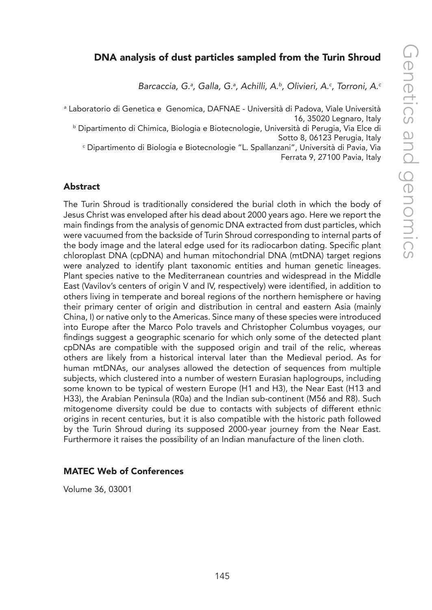# DNA analysis of dust particles sampled from the Turin Shroud

*Barcaccia, G.a , Galla, G.a , Achilli, A.b, Olivieri, A.c , Torroni, A.c*

a Laboratorio di Genetica e Genomica, DAFNAE - Università di Padova, Viale Università 16, 35020 Legnaro, Italy

b Dipartimento di Chimica, Biologia e Biotecnologie, Università di Perugia, Via Elce di Sotto 8, 06123 Perugia, Italy

c Dipartimento di Biologia e Biotecnologie "L. Spallanzani", Università di Pavia, Via Ferrata 9, 27100 Pavia, Italy

#### Abstract

The Turin Shroud is traditionally considered the burial cloth in which the body of Jesus Christ was enveloped after his dead about 2000 years ago. Here we report the main findings from the analysis of genomic DNA extracted from dust particles, which were vacuumed from the backside of Turin Shroud corresponding to internal parts of the body image and the lateral edge used for its radiocarbon dating. Specific plant chloroplast DNA (cpDNA) and human mitochondrial DNA (mtDNA) target regions were analyzed to identify plant taxonomic entities and human genetic lineages. Plant species native to the Mediterranean countries and widespread in the Middle East (Vavilov's centers of origin V and IV, respectively) were identified, in addition to others living in temperate and boreal regions of the northern hemisphere or having their primary center of origin and distribution in central and eastern Asia (mainly China, I) or native only to the Americas. Since many of these species were introduced into Europe after the Marco Polo travels and Christopher Columbus voyages, our findings suggest a geographic scenario for which only some of the detected plant cpDNAs are compatible with the supposed origin and trail of the relic, whereas others are likely from a historical interval later than the Medieval period. As for human mtDNAs, our analyses allowed the detection of sequences from multiple subjects, which clustered into a number of western Eurasian haplogroups, including some known to be typical of western Europe (H1 and H3), the Near East (H13 and H33), the Arabian Peninsula (R0a) and the Indian sub-continent (M56 and R8). Such mitogenome diversity could be due to contacts with subjects of different ethnic origins in recent centuries, but it is also compatible with the historic path followed by the Turin Shroud during its supposed 2000-year journey from the Near East. Furthermore it raises the possibility of an Indian manufacture of the linen cloth.

#### MATEC Web of Conferences

Volume 36, 03001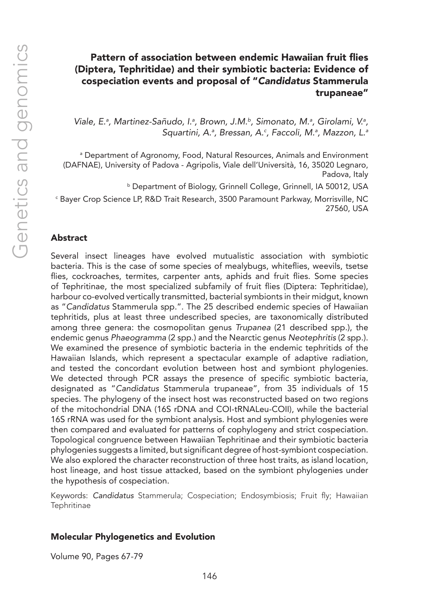# Pattern of association between endemic Hawaiian fruit flies (Diptera, Tephritidae) and their symbiotic bacteria: Evidence of cospeciation events and proposal of "*Candidatus* Stammerula trupaneae"

Viale, E.<sup>a</sup>, Martinez-Sañudo, I.<sup>a</sup>, Brown, J.M.<sup>b</sup>, Simonato, M.<sup>a</sup>, Girolami, V.<sup>a</sup>, *Squartini, A.a , Bressan, A.c , Faccoli, M.a , Mazzon, L.a*

a Department of Agronomy, Food, Natural Resources, Animals and Environment (DAFNAE), University of Padova - Agripolis, Viale dell'Università, 16, 35020 Legnaro, Padova, Italy

b Department of Biology, Grinnell College, Grinnell, IA 50012, USA

c Bayer Crop Science LP, R&D Trait Research, 3500 Paramount Parkway, Morrisville, NC 27560, USA

#### Abstract

Several insect lineages have evolved mutualistic association with symbiotic bacteria. This is the case of some species of mealybugs, whiteflies, weevils, tsetse flies, cockroaches, termites, carpenter ants, aphids and fruit flies. Some species of Tephritinae, the most specialized subfamily of fruit flies (Diptera: Tephritidae), harbour co-evolved vertically transmitted, bacterial symbionts in their midgut, known as "*Candidatus* Stammerula spp.". The 25 described endemic species of Hawaiian tephritids, plus at least three undescribed species, are taxonomically distributed among three genera: the cosmopolitan genus *Trupanea* (21 described spp.), the endemic genus *Phaeogramma* (2 spp.) and the Nearctic genus *Neotephritis* (2 spp.). We examined the presence of symbiotic bacteria in the endemic tephritids of the Hawaiian Islands, which represent a spectacular example of adaptive radiation, and tested the concordant evolution between host and symbiont phylogenies. We detected through PCR assays the presence of specific symbiotic bacteria, designated as "*Candidatus* Stammerula trupaneae", from 35 individuals of 15 species. The phylogeny of the insect host was reconstructed based on two regions of the mitochondrial DNA (16S rDNA and COI-tRNALeu-COII), while the bacterial 16S rRNA was used for the symbiont analysis. Host and symbiont phylogenies were then compared and evaluated for patterns of cophylogeny and strict cospeciation. Topological congruence between Hawaiian Tephritinae and their symbiotic bacteria phylogenies suggests a limited, but significant degree of host-symbiont cospeciation. We also explored the character reconstruction of three host traits, as island location, host lineage, and host tissue attacked, based on the symbiont phylogenies under the hypothesis of cospeciation.

Keywords: *Candidatus* Stammerula; Cospeciation; Endosymbiosis; Fruit fly; Hawaiian **Tephritinae** 

#### Molecular Phylogenetics and Evolution

Volume 90, Pages 67-79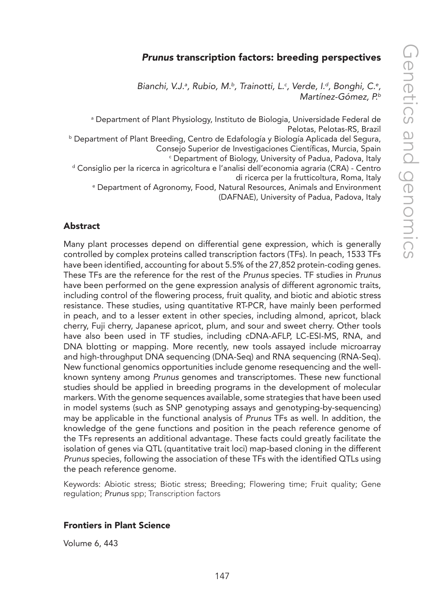# *Prunus* transcription factors: breeding perspectives

Bianchi, V.J.<sup>a</sup>, Rubio, M.<sup>b</sup>, Trainotti, L.<sup>c</sup>, Verde, I.<sup>d</sup>, Bonghi, C.<sup>e</sup>, *Martínez-Gómez, P.b*

a Department of Plant Physiology, Instituto de Biologia, Universidade Federal de Pelotas, Pelotas-RS, Brazil

b Department of Plant Breeding, Centro de Edafología y Biología Aplicada del Segura, Consejo Superior de Investigaciones Científicas, Murcia, Spain

 $\mathop{\varepsilon}\nolimits$  Department of Biology, University of Padua, Padova, Italy

d Consiglio per la ricerca in agricoltura e l'analisi dell'economia agraria (CRA) - Centro di ricerca per la frutticoltura, Roma, Italy

e Department of Agronomy, Food, Natural Resources, Animals and Environment

(DAFNAE), University of Padua, Padova, Italy

## Abstract

Many plant processes depend on differential gene expression, which is generally controlled by complex proteins called transcription factors (TFs). In peach, 1533 TFs have been identified, accounting for about 5.5% of the 27,852 protein-coding genes. These TFs are the reference for the rest of the *Prunus* species. TF studies in *Prunus* have been performed on the gene expression analysis of different agronomic traits, including control of the flowering process, fruit quality, and biotic and abiotic stress resistance. These studies, using quantitative RT-PCR, have mainly been performed in peach, and to a lesser extent in other species, including almond, apricot, black cherry, Fuji cherry, Japanese apricot, plum, and sour and sweet cherry. Other tools have also been used in TF studies, including cDNA-AFLP, LC-ESI-MS, RNA, and DNA blotting or mapping. More recently, new tools assayed include microarray and high-throughput DNA sequencing (DNA-Seq) and RNA sequencing (RNA-Seq). New functional genomics opportunities include genome resequencing and the wellknown synteny among *Prunus* genomes and transcriptomes. These new functional studies should be applied in breeding programs in the development of molecular markers. With the genome sequences available, some strategies that have been used in model systems (such as SNP genotyping assays and genotyping-by-sequencing) may be applicable in the functional analysis of *Prunus* TFs as well. In addition, the knowledge of the gene functions and position in the peach reference genome of the TFs represents an additional advantage. These facts could greatly facilitate the isolation of genes via QTL (quantitative trait loci) map-based cloning in the different *Prunus* species, following the association of these TFs with the identified QTLs using the peach reference genome.

Keywords: Abiotic stress; Biotic stress; Breeding; Flowering time; Fruit quality; Gene regulation; *Prunus* spp; Transcription factors

#### Frontiers in Plant Science

Volume 6, 443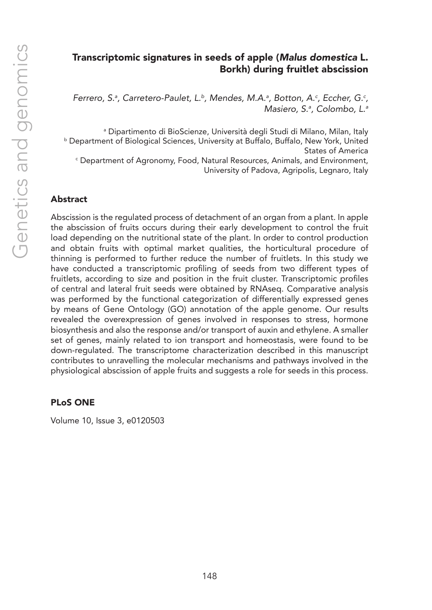# Transcriptomic signatures in seeds of apple (*Malus domestica* L. Borkh) during fruitlet abscission

*Ferrero, S.ª, Carretero-Paulet, L.<sup>b</sup>, Mendes, M.A.ª, Botton, A.<sup>c</sup>, Eccher, G.<sup>c</sup>, Masiero, S.a , Colombo, L.a*

a Dipartimento di BioScienze, Università degli Studi di Milano, Milan, Italy b Department of Biological Sciences, University at Buffalo, Buffalo, New York, United States of America c Department of Agronomy, Food, Natural Resources, Animals, and Environment, University of Padova, Agripolis, Legnaro, Italy

#### Abstract

Abscission is the regulated process of detachment of an organ from a plant. In apple the abscission of fruits occurs during their early development to control the fruit load depending on the nutritional state of the plant. In order to control production and obtain fruits with optimal market qualities, the horticultural procedure of thinning is performed to further reduce the number of fruitlets. In this study we have conducted a transcriptomic profiling of seeds from two different types of fruitlets, according to size and position in the fruit cluster. Transcriptomic profiles of central and lateral fruit seeds were obtained by RNAseq. Comparative analysis was performed by the functional categorization of differentially expressed genes by means of Gene Ontology (GO) annotation of the apple genome. Our results revealed the overexpression of genes involved in responses to stress, hormone biosynthesis and also the response and/or transport of auxin and ethylene. A smaller set of genes, mainly related to ion transport and homeostasis, were found to be down-regulated. The transcriptome characterization described in this manuscript contributes to unravelling the molecular mechanisms and pathways involved in the physiological abscission of apple fruits and suggests a role for seeds in this process.

#### PLoS ONE

Volume 10, Issue 3, e0120503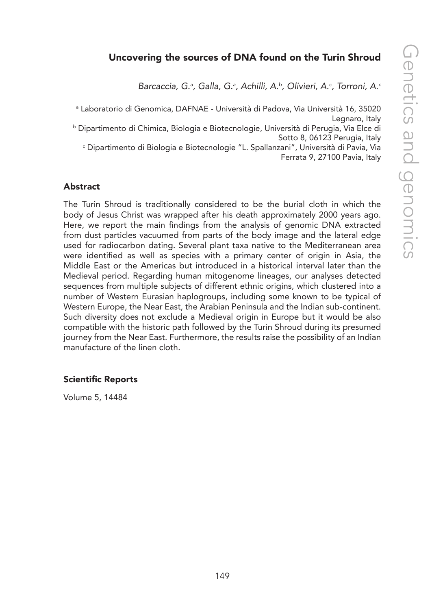# Uncovering the sources of DNA found on the Turin Shroud

*Barcaccia, G.a , Galla, G.a , Achilli, A.b, Olivieri, A.c , Torroni, A.c*

a Laboratorio di Genomica, DAFNAE - Università di Padova, Via Università 16, 35020 Legnaro, Italy

b Dipartimento di Chimica, Biologia e Biotecnologie, Università di Perugia, Via Elce di Sotto 8, 06123 Perugia, Italy

c Dipartimento di Biologia e Biotecnologie "L. Spallanzani", Università di Pavia, Via Ferrata 9, 27100 Pavia, Italy

#### Abstract

The Turin Shroud is traditionally considered to be the burial cloth in which the body of Jesus Christ was wrapped after his death approximately 2000 years ago. Here, we report the main findings from the analysis of genomic DNA extracted from dust particles vacuumed from parts of the body image and the lateral edge used for radiocarbon dating. Several plant taxa native to the Mediterranean area were identified as well as species with a primary center of origin in Asia, the Middle East or the Americas but introduced in a historical interval later than the Medieval period. Regarding human mitogenome lineages, our analyses detected sequences from multiple subjects of different ethnic origins, which clustered into a number of Western Eurasian haplogroups, including some known to be typical of Western Europe, the Near East, the Arabian Peninsula and the Indian sub-continent. Such diversity does not exclude a Medieval origin in Europe but it would be also compatible with the historic path followed by the Turin Shroud during its presumed journey from the Near East. Furthermore, the results raise the possibility of an Indian manufacture of the linen cloth.

#### Scientific Reports

Volume 5, 14484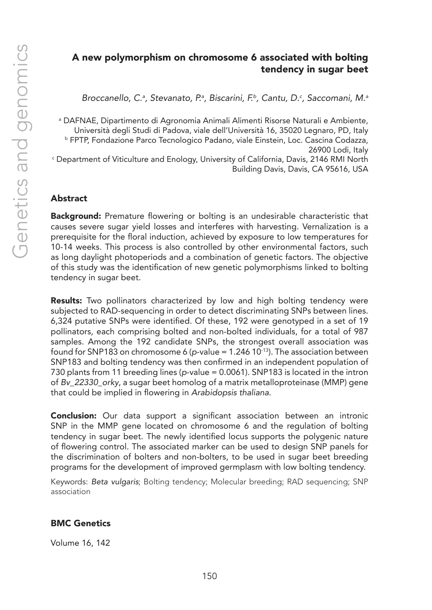# A new polymorphism on chromosome 6 associated with bolting tendency in sugar beet

*Broccanello, C.a , Stevanato, P.a , Biscarini, F.b, Cantu, D.c , Saccomani, M.a*

a DAFNAE, Dipartimento di Agronomia Animali Alimenti Risorse Naturali e Ambiente, Università degli Studi di Padova, viale dell'Università 16, 35020 Legnaro, PD, Italy b FPTP, Fondazione Parco Tecnologico Padano, viale Einstein, Loc. Cascina Codazza, 26900 Lodi, Italy  $\lq$  Department of Viticulture and Enology, University of California, Davis, 2146 RMI North Building Davis, Davis, CA 95616, USA

## Abstract

**Background:** Premature flowering or bolting is an undesirable characteristic that causes severe sugar yield losses and interferes with harvesting. Vernalization is a prerequisite for the floral induction, achieved by exposure to low temperatures for 10-14 weeks. This process is also controlled by other environmental factors, such as long daylight photoperiods and a combination of genetic factors. The objective of this study was the identification of new genetic polymorphisms linked to bolting tendency in sugar beet.

Results: Two pollinators characterized by low and high bolting tendency were subjected to RAD-sequencing in order to detect discriminating SNPs between lines. 6,324 putative SNPs were identified. Of these, 192 were genotyped in a set of 19 pollinators, each comprising bolted and non-bolted individuals, for a total of 987 samples. Among the 192 candidate SNPs, the strongest overall association was found for SNP183 on chromosome 6 (*p*-value = 1.246 10-13). The association between SNP183 and bolting tendency was then confirmed in an independent population of 730 plants from 11 breeding lines (*p*-value = 0.0061). SNP183 is located in the intron of *Bv\_22330\_orky*, a sugar beet homolog of a matrix metalloproteinase (MMP) gene that could be implied in flowering in *Arabidopsis thaliana*.

**Conclusion:** Our data support a significant association between an intronic SNP in the MMP gene located on chromosome 6 and the regulation of bolting tendency in sugar beet. The newly identified locus supports the polygenic nature of flowering control. The associated marker can be used to design SNP panels for the discrimination of bolters and non-bolters, to be used in sugar beet breeding programs for the development of improved germplasm with low bolting tendency.

Keywords: *Beta vulgaris*; Bolting tendency; Molecular breeding; RAD sequencing; SNP association

#### BMC Genetics

Volume 16, 142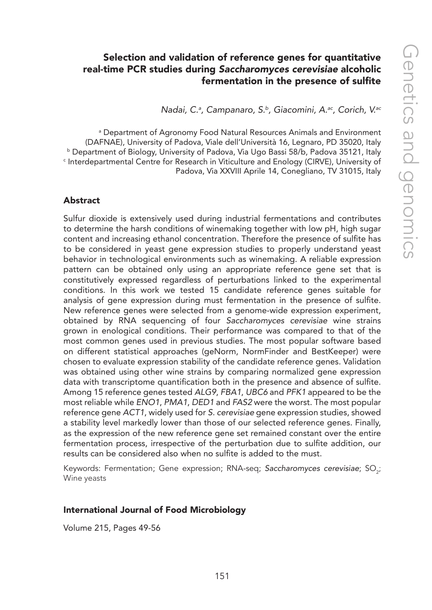# Selection and validation of reference genes for quantitative real-time PCR studies during *Saccharomyces cerevisiae* alcoholic fermentation in the presence of sulfite

*Nadai, C.a , Campanaro, S.b, Giacomini, A.ac, Corich, V.ac*

a Department of Agronomy Food Natural Resources Animals and Environment (DAFNAE), University of Padova, Viale dell'Università 16, Legnaro, PD 35020, Italy **b Department of Biology, University of Padova, Via Ugo Bassi 58/b, Padova 35121, Italy** c Interdepartmental Centre for Research in Viticulture and Enology (CIRVE), University of Padova, Via XXVIII Aprile 14, Conegliano, TV 31015, Italy

#### Abstract

Sulfur dioxide is extensively used during industrial fermentations and contributes to determine the harsh conditions of winemaking together with low pH, high sugar content and increasing ethanol concentration. Therefore the presence of sulfite has to be considered in yeast gene expression studies to properly understand yeast behavior in technological environments such as winemaking. A reliable expression pattern can be obtained only using an appropriate reference gene set that is constitutively expressed regardless of perturbations linked to the experimental conditions. In this work we tested 15 candidate reference genes suitable for analysis of gene expression during must fermentation in the presence of sulfite. New reference genes were selected from a genome-wide expression experiment, obtained by RNA sequencing of four *Saccharomyces cerevisiae* wine strains grown in enological conditions. Their performance was compared to that of the most common genes used in previous studies. The most popular software based on different statistical approaches (geNorm, NormFinder and BestKeeper) were chosen to evaluate expression stability of the candidate reference genes. Validation was obtained using other wine strains by comparing normalized gene expression data with transcriptome quantification both in the presence and absence of sulfite. Among 15 reference genes tested *ALG9*, *FBA1*, *UBC6* and *PFK1* appeared to be the most reliable while *ENO1*, *PMA1*, *DED1* and *FAS2* were the worst. The most popular reference gene *ACT1*, widely used for *S. cerevisiae* gene expression studies, showed a stability level markedly lower than those of our selected reference genes. Finally, as the expression of the new reference gene set remained constant over the entire fermentation process, irrespective of the perturbation due to sulfite addition, our results can be considered also when no sulfite is added to the must.

Keywords: Fermentation; Gene expression; RNA-seq; *Saccharomyces cerevisiae*; SO<sub>2</sub>; Wine yeasts

#### International Journal of Food Microbiology

Volume 215, Pages 49-56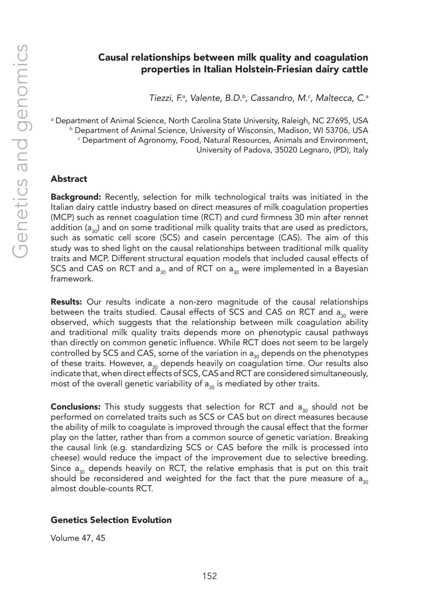# Causal relationships between milk quality and coagulation properties in Italian Holstein-Friesian dairy cattle

*Tiezzi, F.a , Valente, B.D.b, Cassandro, M.c , Maltecca, C.a*

a Department of Animal Science, North Carolina State University, Raleigh, NC 27695, USA b Department of Animal Science, University of Wisconsin, Madison, WI 53706, USA c Department of Agronomy, Food, Natural Resources, Animals and Environment, University of Padova, 35020 Legnaro, (PD), Italy

#### Abstract

**Background:** Recently, selection for milk technological traits was initiated in the Italian dairy cattle industry based on direct measures of milk coagulation properties (MCP) such as rennet coagulation time (RCT) and curd firmness 30 min after rennet addition ( $a_{30}$ ) and on some traditional milk quality traits that are used as predictors, such as somatic cell score (SCS) and casein percentage (CAS). The aim of this study was to shed light on the causal relationships between traditional milk quality traits and MCP. Different structural equation models that included causal effects of SCS and CAS on RCT and  $a_{30}$  and of RCT on  $a_{30}$  were implemented in a Bayesian framework.

Results: Our results indicate a non-zero magnitude of the causal relationships between the traits studied. Causal effects of SCS and CAS on RCT and  $a_{30}$  were observed, which suggests that the relationship between milk coagulation ability and traditional milk quality traits depends more on phenotypic causal pathways than directly on common genetic influence. While RCT does not seem to be largely controlled by SCS and CAS, some of the variation in  $a_{30}$  depends on the phenotypes of these traits. However,  $a_{30}$  depends heavily on coagulation time. Our results also indicate that, when direct effects of SCS, CAS and RCT are considered simultaneously, most of the overall genetic variability of  $a_{30}$  is mediated by other traits.

**Conclusions:** This study suggests that selection for RCT and  $a_{30}$  should not be performed on correlated traits such as SCS or CAS but on direct measures because the ability of milk to coagulate is improved through the causal effect that the former play on the latter, rather than from a common source of genetic variation. Breaking the causal link (e.g. standardizing SCS or CAS before the milk is processed into cheese) would reduce the impact of the improvement due to selective breeding. Since  $a_{20}$  depends heavily on RCT, the relative emphasis that is put on this trait should be reconsidered and weighted for the fact that the pure measure of  $a_{30}$ almost double-counts RCT.

#### Genetics Selection Evolution

Volume 47, 45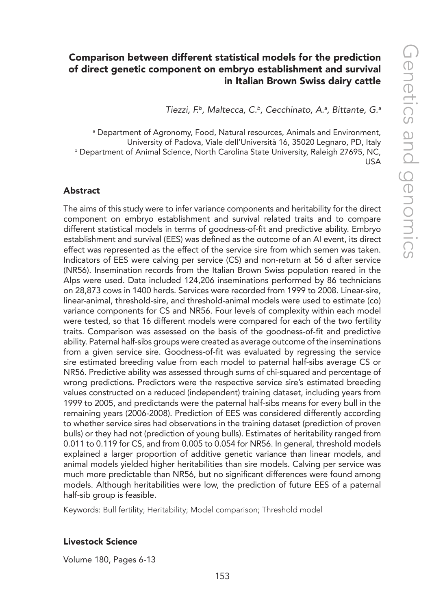# Comparison between different statistical models for the prediction of direct genetic component on embryo establishment and survival in Italian Brown Swiss dairy cattle

*Tiezzi, F.b, Maltecca, C.b, Cecchinato, A.a , Bittante, G.a*

a Department of Agronomy, Food, Natural resources, Animals and Environment, University of Padova, Viale dell'Università 16, 35020 Legnaro, PD, Italy **b Department of Animal Science, North Carolina State University, Raleigh 27695, NC,** USA

#### Abstract

The aims of this study were to infer variance components and heritability for the direct component on embryo establishment and survival related traits and to compare different statistical models in terms of goodness-of-fit and predictive ability. Embryo establishment and survival (EES) was defined as the outcome of an AI event, its direct effect was represented as the effect of the service sire from which semen was taken. Indicators of EES were calving per service (CS) and non-return at 56 d after service (NR56). Insemination records from the Italian Brown Swiss population reared in the Alps were used. Data included 124,206 inseminations performed by 86 technicians on 28,873 cows in 1400 herds. Services were recorded from 1999 to 2008. Linear-sire, linear-animal, threshold-sire, and threshold-animal models were used to estimate (co) variance components for CS and NR56. Four levels of complexity within each model were tested, so that 16 different models were compared for each of the two fertility traits. Comparison was assessed on the basis of the goodness-of-fit and predictive ability. Paternal half-sibs groups were created as average outcome of the inseminations from a given service sire. Goodness-of-fit was evaluated by regressing the service sire estimated breeding value from each model to paternal half-sibs average CS or NR56. Predictive ability was assessed through sums of chi-squared and percentage of wrong predictions. Predictors were the respective service sire's estimated breeding values constructed on a reduced (independent) training dataset, including years from 1999 to 2005, and predictands were the paternal half-sibs means for every bull in the remaining years (2006-2008). Prediction of EES was considered differently according to whether service sires had observations in the training dataset (prediction of proven bulls) or they had not (prediction of young bulls). Estimates of heritability ranged from 0.011 to 0.119 for CS, and from 0.005 to 0.054 for NR56. In general, threshold models explained a larger proportion of additive genetic variance than linear models, and animal models yielded higher heritabilities than sire models. Calving per service was much more predictable than NR56, but no significant differences were found among models. Although heritabilities were low, the prediction of future EES of a paternal half-sib group is feasible.

Keywords: Bull fertility; Heritability; Model comparison; Threshold model

#### Livestock Science

Volume 180, Pages 6-13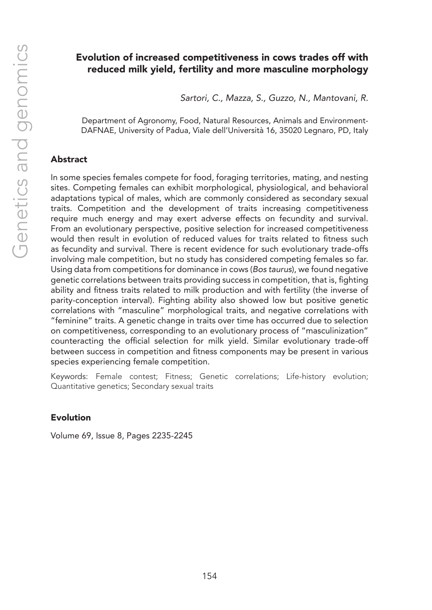# Evolution of increased competitiveness in cows trades off with reduced milk yield, fertility and more masculine morphology

*Sartori, C., Mazza, S., Guzzo, N., Mantovani, R.*

Department of Agronomy, Food, Natural Resources, Animals and Environment-DAFNAE, University of Padua, Viale dell'Università 16, 35020 Legnaro, PD, Italy

#### Abstract

In some species females compete for food, foraging territories, mating, and nesting sites. Competing females can exhibit morphological, physiological, and behavioral adaptations typical of males, which are commonly considered as secondary sexual traits. Competition and the development of traits increasing competitiveness require much energy and may exert adverse effects on fecundity and survival. From an evolutionary perspective, positive selection for increased competitiveness would then result in evolution of reduced values for traits related to fitness such as fecundity and survival. There is recent evidence for such evolutionary trade-offs involving male competition, but no study has considered competing females so far. Using data from competitions for dominance in cows (*Bos taurus*), we found negative genetic correlations between traits providing success in competition, that is, fighting ability and fitness traits related to milk production and with fertility (the inverse of parity-conception interval). Fighting ability also showed low but positive genetic correlations with "masculine" morphological traits, and negative correlations with "feminine" traits. A genetic change in traits over time has occurred due to selection on competitiveness, corresponding to an evolutionary process of "masculinization" counteracting the official selection for milk yield. Similar evolutionary trade-off between success in competition and fitness components may be present in various species experiencing female competition.

Keywords: Female contest; Fitness; Genetic correlations; Life-history evolution; Quantitative genetics; Secondary sexual traits

#### Evolution

Volume 69, Issue 8, Pages 2235-2245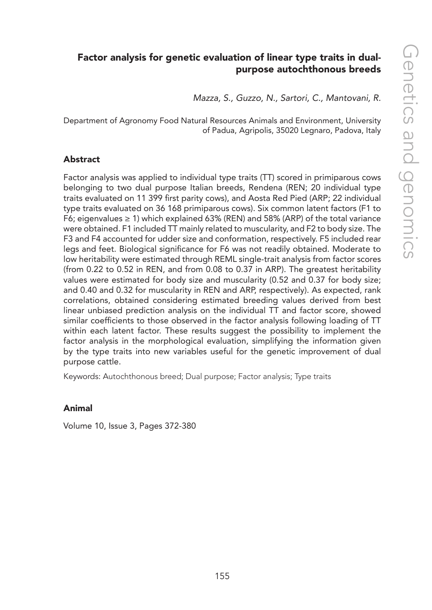# Factor analysis for genetic evaluation of linear type traits in dualpurpose autochthonous breeds

*Mazza, S., Guzzo, N., Sartori, C., Mantovani, R.*

Department of Agronomy Food Natural Resources Animals and Environment, University of Padua, Agripolis, 35020 Legnaro, Padova, Italy

#### Abstract

Factor analysis was applied to individual type traits (TT) scored in primiparous cows belonging to two dual purpose Italian breeds, Rendena (REN; 20 individual type traits evaluated on 11 399 first parity cows), and Aosta Red Pied (ARP; 22 individual type traits evaluated on 36 168 primiparous cows). Six common latent factors (F1 to F6; eigenvalues  $\geq$  1) which explained 63% (REN) and 58% (ARP) of the total variance were obtained. F1 included TT mainly related to muscularity, and F2 to body size. The F3 and F4 accounted for udder size and conformation, respectively. F5 included rear legs and feet. Biological significance for F6 was not readily obtained. Moderate to low heritability were estimated through REML single-trait analysis from factor scores (from 0.22 to 0.52 in REN, and from 0.08 to 0.37 in ARP). The greatest heritability values were estimated for body size and muscularity (0.52 and 0.37 for body size; and 0.40 and 0.32 for muscularity in REN and ARP, respectively). As expected, rank correlations, obtained considering estimated breeding values derived from best linear unbiased prediction analysis on the individual TT and factor score, showed similar coefficients to those observed in the factor analysis following loading of TT within each latent factor. These results suggest the possibility to implement the factor analysis in the morphological evaluation, simplifying the information given by the type traits into new variables useful for the genetic improvement of dual purpose cattle.

Keywords: Autochthonous breed; Dual purpose; Factor analysis; Type traits

#### Animal

Volume 10, Issue 3, Pages 372-380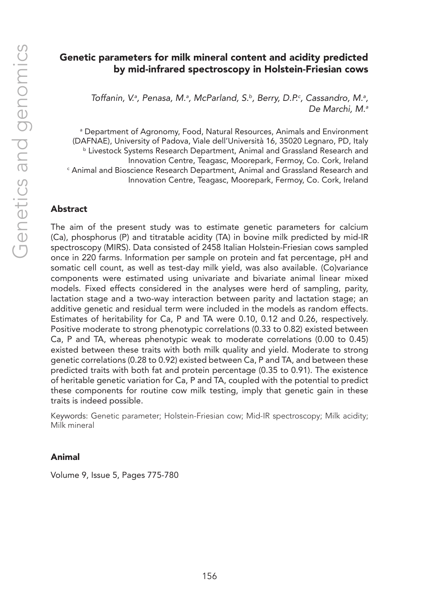## Genetic parameters for milk mineral content and acidity predicted by mid-infrared spectroscopy in Holstein-Friesian cows

Toffanin, V.ª, Penasa, M.ª, McParland, S.b, Berry, D.P.<sup>c</sup>, Cassandro, M.ª, *De Marchi, M.a*

a Department of Agronomy, Food, Natural Resources, Animals and Environment (DAFNAE), University of Padova, Viale dell'Università 16, 35020 Legnaro, PD, Italy **b Livestock Systems Research Department, Animal and Grassland Research and** Innovation Centre, Teagasc, Moorepark, Fermoy, Co. Cork, Ireland c Animal and Bioscience Research Department, Animal and Grassland Research and Innovation Centre, Teagasc, Moorepark, Fermoy, Co. Cork, Ireland

#### Abstract

The aim of the present study was to estimate genetic parameters for calcium (Ca), phosphorus (P) and titratable acidity (TA) in bovine milk predicted by mid-IR spectroscopy (MIRS). Data consisted of 2458 Italian Holstein-Friesian cows sampled once in 220 farms. Information per sample on protein and fat percentage, pH and somatic cell count, as well as test-day milk yield, was also available. (Co)variance components were estimated using univariate and bivariate animal linear mixed models. Fixed effects considered in the analyses were herd of sampling, parity, lactation stage and a two-way interaction between parity and lactation stage; an additive genetic and residual term were included in the models as random effects. Estimates of heritability for Ca, P and TA were 0.10, 0.12 and 0.26, respectively. Positive moderate to strong phenotypic correlations (0.33 to 0.82) existed between Ca, P and TA, whereas phenotypic weak to moderate correlations (0.00 to 0.45) existed between these traits with both milk quality and yield. Moderate to strong genetic correlations (0.28 to 0.92) existed between Ca, P and TA, and between these predicted traits with both fat and protein percentage (0.35 to 0.91). The existence of heritable genetic variation for Ca, P and TA, coupled with the potential to predict these components for routine cow milk testing, imply that genetic gain in these traits is indeed possible.

Keywords: Genetic parameter; Holstein-Friesian cow; Mid-IR spectroscopy; Milk acidity; Milk mineral

#### Animal

Volume 9, Issue 5, Pages 775-780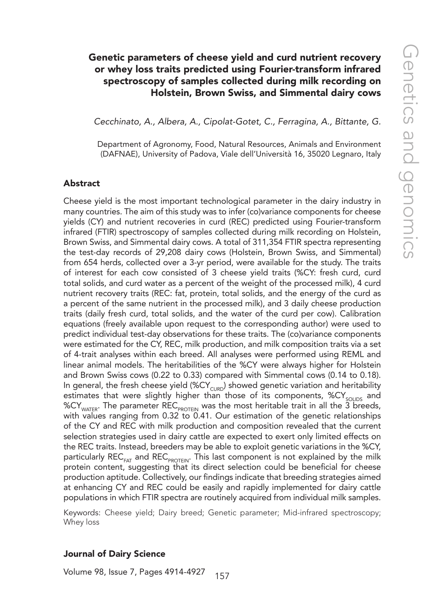# Genetic parameters of cheese yield and curd nutrient recovery or whey loss traits predicted using Fourier-transform infrared spectroscopy of samples collected during milk recording on Holstein, Brown Swiss, and Simmental dairy cows

*Cecchinato, A., Albera, A., Cipolat-Gotet, C., Ferragina, A., Bittante, G.*

Department of Agronomy, Food, Natural Resources, Animals and Environment (DAFNAE), University of Padova, Viale dell'Università 16, 35020 Legnaro, Italy

#### Abstract

Cheese yield is the most important technological parameter in the dairy industry in many countries. The aim of this study was to infer (co)variance components for cheese yields (CY) and nutrient recoveries in curd (REC) predicted using Fourier-transform infrared (FTIR) spectroscopy of samples collected during milk recording on Holstein, Brown Swiss, and Simmental dairy cows. A total of 311,354 FTIR spectra representing the test-day records of 29,208 dairy cows (Holstein, Brown Swiss, and Simmental) from 654 herds, collected over a 3-yr period, were available for the study. The traits of interest for each cow consisted of 3 cheese yield traits (%CY: fresh curd, curd total solids, and curd water as a percent of the weight of the processed milk), 4 curd nutrient recovery traits (REC: fat, protein, total solids, and the energy of the curd as a percent of the same nutrient in the processed milk), and 3 daily cheese production traits (daily fresh curd, total solids, and the water of the curd per cow). Calibration equations (freely available upon request to the corresponding author) were used to predict individual test-day observations for these traits. The (co)variance components were estimated for the CY, REC, milk production, and milk composition traits via a set of 4-trait analyses within each breed. All analyses were performed using REML and linear animal models. The heritabilities of the %CY were always higher for Holstein and Brown Swiss cows (0.22 to 0.33) compared with Simmental cows (0.14 to 0.18). In general, the fresh cheese yield (%CY<sub>CURD</sub>) showed genetic variation and heritability estimates that were slightly higher than those of its components,  $\%CY_{\text{cous}}$  and %CY<sub>WATER</sub>. The parameter REC<sub>PROTEIN</sub> was the most heritable trait in all the 3 breeds, with values ranging from 0.32 to 0.41. Our estimation of the genetic relationships of the CY and REC with milk production and composition revealed that the current selection strategies used in dairy cattle are expected to exert only limited effects on the REC traits. Instead, breeders may be able to exploit genetic variations in the %CY, particularly REC<sub>FAT</sub> and REC<sub>PROTEIN</sub>. This last component is not explained by the milk protein content, suggesting that its direct selection could be beneficial for cheese production aptitude. Collectively, our findings indicate that breeding strategies aimed at enhancing CY and REC could be easily and rapidly implemented for dairy cattle populations in which FTIR spectra are routinely acquired from individual milk samples.

Keywords: Cheese yield; Dairy breed; Genetic parameter; Mid-infrared spectroscopy; Whey loss

#### Journal of Dairy Science

157 Volume 98, Issue 7, Pages 4914-4927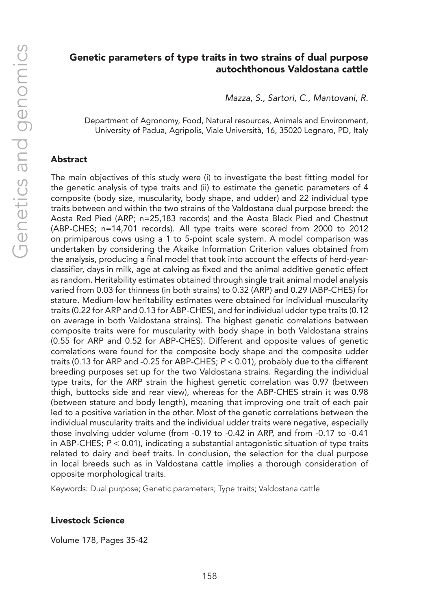# Genetic parameters of type traits in two strains of dual purpose autochthonous Valdostana cattle

*Mazza, S., Sartori, C., Mantovani, R.*

Department of Agronomy, Food, Natural resources, Animals and Environment, University of Padua, Agripolis, Viale Università, 16, 35020 Legnaro, PD, Italy

#### Abstract

The main objectives of this study were (i) to investigate the best fitting model for the genetic analysis of type traits and (ii) to estimate the genetic parameters of 4 composite (body size, muscularity, body shape, and udder) and 22 individual type traits between and within the two strains of the Valdostana dual purpose breed: the Aosta Red Pied (ARP; n=25,183 records) and the Aosta Black Pied and Chestnut (ABP-CHES; n=14,701 records). All type traits were scored from 2000 to 2012 on primiparous cows using a 1 to 5-point scale system. A model comparison was undertaken by considering the Akaike Information Criterion values obtained from the analysis, producing a final model that took into account the effects of herd-yearclassifier, days in milk, age at calving as fixed and the animal additive genetic effect as random. Heritability estimates obtained through single trait animal model analysis varied from 0.03 for thinness (in both strains) to 0.32 (ARP) and 0.29 (ABP-CHES) for stature. Medium-low heritability estimates were obtained for individual muscularity traits (0.22 for ARP and 0.13 for ABP-CHES), and for individual udder type traits (0.12 on average in both Valdostana strains). The highest genetic correlations between composite traits were for muscularity with body shape in both Valdostana strains (0.55 for ARP and 0.52 for ABP-CHES). Different and opposite values of genetic correlations were found for the composite body shape and the composite udder traits (0.13 for ARP and -0.25 for ABP-CHES; *P* < 0.01), probably due to the different breeding purposes set up for the two Valdostana strains. Regarding the individual type traits, for the ARP strain the highest genetic correlation was 0.97 (between thigh, buttocks side and rear view), whereas for the ABP-CHES strain it was 0.98 (between stature and body length), meaning that improving one trait of each pair led to a positive variation in the other. Most of the genetic correlations between the individual muscularity traits and the individual udder traits were negative, especially those involving udder volume (from -0.19 to -0.42 in ARP, and from -0.17 to -0.41 in ABP-CHES; *P* < 0.01), indicating a substantial antagonistic situation of type traits related to dairy and beef traits. In conclusion, the selection for the dual purpose in local breeds such as in Valdostana cattle implies a thorough consideration of opposite morphological traits.

Keywords: Dual purpose; Genetic parameters; Type traits; Valdostana cattle

#### Livestock Science

Volume 178, Pages 35-42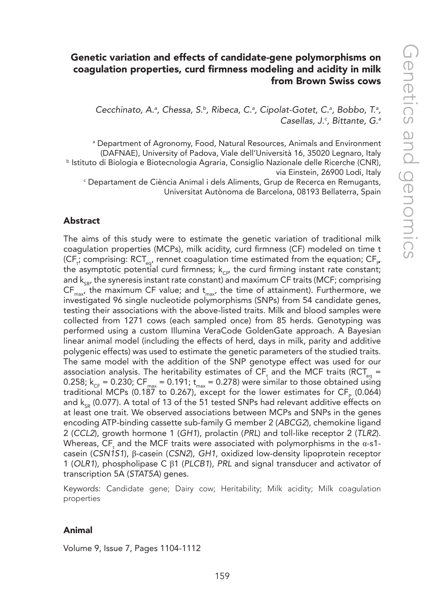# Genetic variation and effects of candidate-gene polymorphisms on coagulation properties, curd firmness modeling and acidity in milk from Brown Swiss cows

Cecchinato, A.<sup>a</sup>, Chessa, S.<sup>b</sup>, Ribeca, C.<sup>a</sup>, Cipolat-Gotet, C.<sup>a</sup>, Bobbo, T.<sup>a</sup>, *Casellas, J.c , Bittante, G.a*

a Department of Agronomy, Food, Natural Resources, Animals and Environment (DAFNAE), University of Padova, Viale dell'Università 16, 35020 Legnaro, Italy b Istituto di Biologia e Biotecnologia Agraria, Consiglio Nazionale delle Ricerche (CNR), via Einstein, 26900 Lodi, Italy

c Departament de Ciència Animal i dels Aliments, Grup de Recerca en Remugants, Universitat Autònoma de Barcelona, 08193 Bellaterra, Spain

#### Abstract

The aims of this study were to estimate the genetic variation of traditional milk coagulation properties (MCPs), milk acidity, curd firmness (CF) modeled on time t (CF<sub>t</sub>; comprising: RCT<sub>eq</sub>, rennet coagulation time estimated from the equation; CF<sub>P</sub> the asymptotic potential curd firmness;  $k_{CF}$  the curd firming instant rate constant; and  $k_{c,p}$ , the syneresis instant rate constant) and maximum CF traits (MCF; comprising  $CF_{\text{max}}$ , the maximum CF value; and  $t_{\text{max}}$ , the time of attainment). Furthermore, we investigated 96 single nucleotide polymorphisms (SNPs) from 54 candidate genes, testing their associations with the above-listed traits. Milk and blood samples were collected from 1271 cows (each sampled once) from 85 herds. Genotyping was performed using a custom Illumina VeraCode GoldenGate approach. A Bayesian linear animal model (including the effects of herd, days in milk, parity and additive polygenic effects) was used to estimate the genetic parameters of the studied traits. The same model with the addition of the SNP genotype effect was used for our association analysis. The heritability estimates of CF<sub>t</sub> and the MCF traits (RCT<sub>eq</sub> = 0.258;  $k_{CF} = 0.230$ ; CF<sub>max</sub> = 0.191;  $t_{max} = 0.278$ ) were similar to those obtained using traditional MCPs (0.187 to 0.267), except for the lower estimates for  $CF_{p}$  (0.064) and  $k_{sp}$  (0.077). A total of 13 of the 51 tested SNPs had relevant additive effects on at least one trait. We observed associations between MCPs and SNPs in the genes encoding ATP-binding cassette sub-family G member 2 (*ABCG2*), chemokine ligand 2 (*CCL2*), growth hormone 1 (*GH1*), prolactin (*PRL*) and toll-like receptor 2 (*TLR2*). Whereas,  $\textsf{CF}_\textsf{t}$  and the MCF traits were associated with polymorphisms in the  $\alpha$ -s1casein (*CSN1S1*), β-casein (*CSN2*), *GH1*, oxidized low-density lipoprotein receptor 1 (*OLR1*), phospholipase C β1 (*PLCB1*), *PRL* and signal transducer and activator of transcription 5A (*STAT5A*) genes.

Keywords: Candidate gene; Dairy cow; Heritability; Milk acidity; Milk coagulation properties

#### Animal

Volume 9, Issue 7, Pages 1104-1112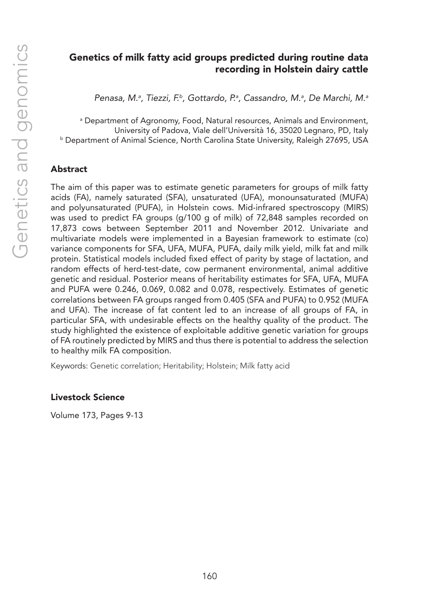# Genetics of milk fatty acid groups predicted during routine data recording in Holstein dairy cattle

*Penasa, M.a , Tiezzi, F.b, Gottardo, P.a , Cassandro, M.a , De Marchi, M.a*

a Department of Agronomy, Food, Natural resources, Animals and Environment, University of Padova, Viale dell'Università 16, 35020 Legnaro, PD, Italy b Department of Animal Science, North Carolina State University, Raleigh 27695, USA

#### Abstract

The aim of this paper was to estimate genetic parameters for groups of milk fatty acids (FA), namely saturated (SFA), unsaturated (UFA), monounsaturated (MUFA) and polyunsaturated (PUFA), in Holstein cows. Mid-infrared spectroscopy (MIRS) was used to predict FA groups (g/100 g of milk) of 72,848 samples recorded on 17,873 cows between September 2011 and November 2012. Univariate and multivariate models were implemented in a Bayesian framework to estimate (co) variance components for SFA, UFA, MUFA, PUFA, daily milk yield, milk fat and milk protein. Statistical models included fixed effect of parity by stage of lactation, and random effects of herd-test-date, cow permanent environmental, animal additive genetic and residual. Posterior means of heritability estimates for SFA, UFA, MUFA and PUFA were 0.246, 0.069, 0.082 and 0.078, respectively. Estimates of genetic correlations between FA groups ranged from 0.405 (SFA and PUFA) to 0.952 (MUFA and UFA). The increase of fat content led to an increase of all groups of FA, in particular SFA, with undesirable effects on the healthy quality of the product. The study highlighted the existence of exploitable additive genetic variation for groups of FA routinely predicted by MIRS and thus there is potential to address the selection to healthy milk FA composition.

Keywords: Genetic correlation; Heritability; Holstein; Milk fatty acid

#### Livestock Science

Volume 173, Pages 9-13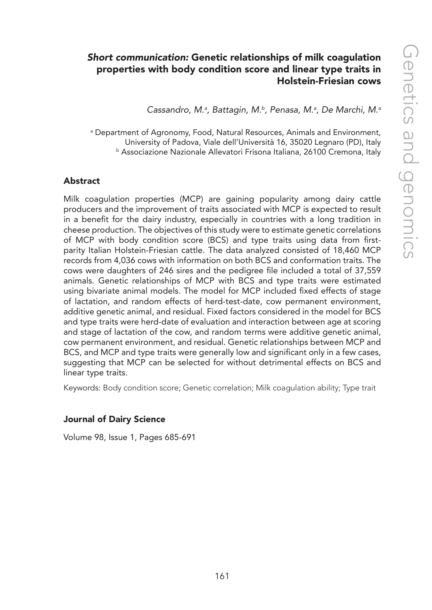# *Short communication:* Genetic relationships of milk coagulation properties with body condition score and linear type traits in Holstein-Friesian cows

*Cassandro, M.a , Battagin, M.b, Penasa, M.a , De Marchi, M.a*

a Department of Agronomy, Food, Natural Resources, Animals and Environment, University of Padova, Viale dell'Università 16, 35020 Legnaro (PD), Italy <sup>b</sup> Associazione Nazionale Allevatori Frisona Italiana, 26100 Cremona, Italy

#### Abstract

Milk coagulation properties (MCP) are gaining popularity among dairy cattle producers and the improvement of traits associated with MCP is expected to result in a benefit for the dairy industry, especially in countries with a long tradition in cheese production. The objectives of this study were to estimate genetic correlations of MCP with body condition score (BCS) and type traits using data from firstparity Italian Holstein-Friesian cattle. The data analyzed consisted of 18,460 MCP records from 4,036 cows with information on both BCS and conformation traits. The cows were daughters of 246 sires and the pedigree file included a total of 37,559 animals. Genetic relationships of MCP with BCS and type traits were estimated using bivariate animal models. The model for MCP included fixed effects of stage of lactation, and random effects of herd-test-date, cow permanent environment, additive genetic animal, and residual. Fixed factors considered in the model for BCS and type traits were herd-date of evaluation and interaction between age at scoring and stage of lactation of the cow, and random terms were additive genetic animal, cow permanent environment, and residual. Genetic relationships between MCP and BCS, and MCP and type traits were generally low and significant only in a few cases, suggesting that MCP can be selected for without detrimental effects on BCS and linear type traits.

Keywords: Body condition score; Genetic correlation; Milk coagulation ability; Type trait

#### Journal of Dairy Science

Volume 98, Issue 1, Pages 685-691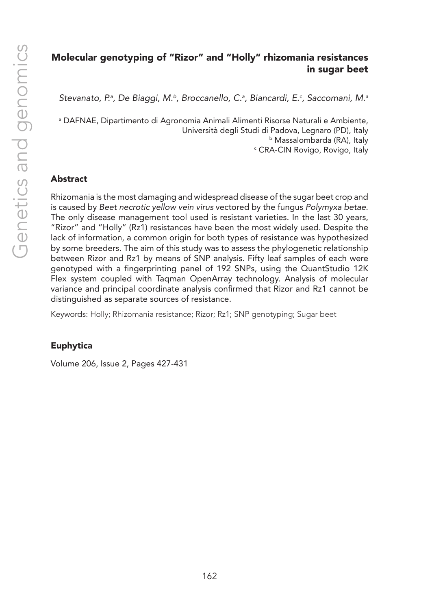# Molecular genotyping of "Rizor" and "Holly" rhizomania resistances in sugar beet

*Stevanato, P.a , De Biaggi, M.b, Broccanello, C.a , Biancardi, E.c , Saccomani, M.a*

a DAFNAE, Dipartimento di Agronomia Animali Alimenti Risorse Naturali e Ambiente, Università degli Studi di Padova, Legnaro (PD), Italy b Massalombarda (RA), Italy c CRA-CIN Rovigo, Rovigo, Italy

## Abstract

Rhizomania is the most damaging and widespread disease of the sugar beet crop and is caused by *Beet necrotic yellow vein virus* vectored by the fungus *Polymyxa betae*. The only disease management tool used is resistant varieties. In the last 30 years, "Rizor" and "Holly" (Rz1) resistances have been the most widely used. Despite the lack of information, a common origin for both types of resistance was hypothesized by some breeders. The aim of this study was to assess the phylogenetic relationship between Rizor and Rz1 by means of SNP analysis. Fifty leaf samples of each were genotyped with a fingerprinting panel of 192 SNPs, using the QuantStudio 12K Flex system coupled with Taqman OpenArray technology. Analysis of molecular variance and principal coordinate analysis confirmed that Rizor and Rz1 cannot be distinguished as separate sources of resistance.

Keywords: Holly; Rhizomania resistance; Rizor; Rz1; SNP genotyping; Sugar beet

## Euphytica

Volume 206, Issue 2, Pages 427-431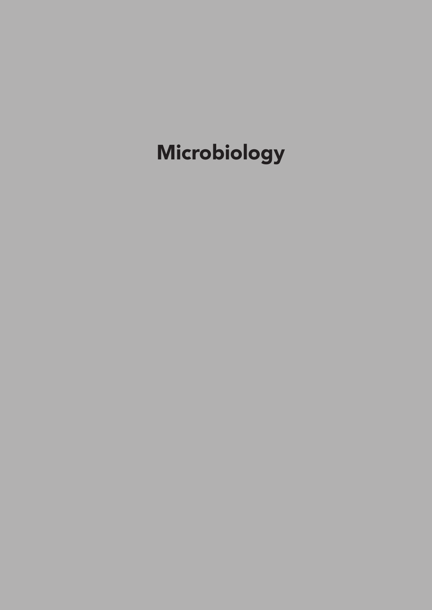# Microbiology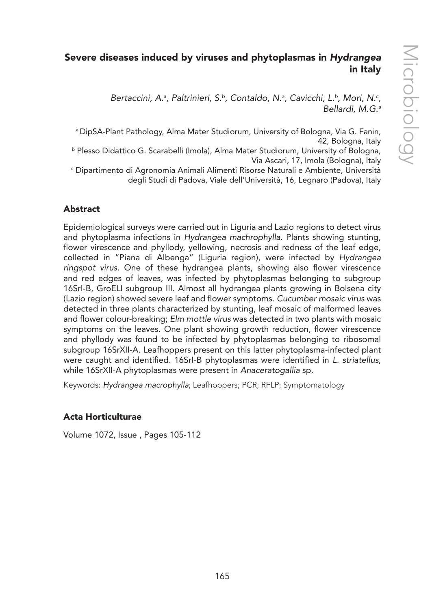# Severe diseases induced by viruses and phytoplasmas in *Hydrangea* in Italy

Bertaccini, A.<sup>a</sup>, Paltrinieri, S.<sup>b</sup>, Contaldo, N.<sup>a</sup>, Cavicchi, L.<sup>b</sup>, Mori, N.<sup>c</sup>, *Bellardi, M.G.a*

a DipSA-Plant Pathology, Alma Mater Studiorum, University of Bologna, Via G. Fanin, 42, Bologna, Italy

b Plesso Didattico G. Scarabelli (Imola), Alma Mater Studiorum, University of Bologna, Via Ascari, 17, Imola (Bologna), Italy

c Dipartimento di Agronomia Animali Alimenti Risorse Naturali e Ambiente, Università degli Studi di Padova, Viale dell'Università, 16, Legnaro (Padova), Italy

# Abstract

Epidemiological surveys were carried out in Liguria and Lazio regions to detect virus and phytoplasma infections in *Hydrangea machrophylla*. Plants showing stunting, flower virescence and phyllody, yellowing, necrosis and redness of the leaf edge, collected in "Piana di Albenga" (Liguria region), were infected by *Hydrangea ringspot virus*. One of these hydrangea plants, showing also flower virescence and red edges of leaves, was infected by phytoplasmas belonging to subgroup 16SrI-B, GroELI subgroup III. Almost all hydrangea plants growing in Bolsena city (Lazio region) showed severe leaf and flower symptoms. *Cucumber mosaic virus* was detected in three plants characterized by stunting, leaf mosaic of malformed leaves and flower colour-breaking; *Elm mottle virus* was detected in two plants with mosaic symptoms on the leaves. One plant showing growth reduction, flower virescence and phyllody was found to be infected by phytoplasmas belonging to ribosomal subgroup 16SrXII-A. Leafhoppers present on this latter phytoplasma-infected plant were caught and identified. 16SrI-B phytoplasmas were identified in *L. striatellus*, while 16SrXII-A phytoplasmas were present in *Anaceratogallia* sp.

Keywords: *Hydrangea macrophylla*; Leafhoppers; PCR; RFLP; Symptomatology

## Acta Horticulturae

Volume 1072, Issue , Pages 105-112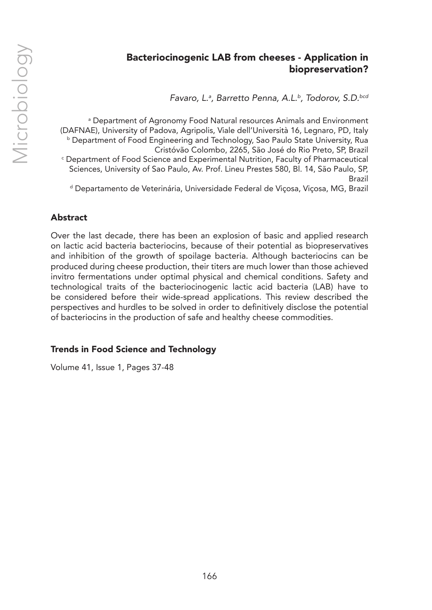# Bacteriocinogenic LAB from cheeses - Application in biopreservation?

*Favaro, L.a , Barretto Penna, A.L.b, Todorov, S.D.bcd*

a Department of Agronomy Food Natural resources Animals and Environment (DAFNAE), University of Padova, Agripolis, Viale dell'Università 16, Legnaro, PD, Italy b Department of Food Engineering and Technology, Sao Paulo State University, Rua Cristóvão Colombo, 2265, São José do Rio Preto, SP, Brazil c Department of Food Science and Experimental Nutrition, Faculty of Pharmaceutical Sciences, University of Sao Paulo, Av. Prof. Lineu Prestes 580, Bl. 14, São Paulo, SP, Brazil d Departamento de Veterinária, Universidade Federal de Viçosa, Viçosa, MG, Brazil

## Abstract

Over the last decade, there has been an explosion of basic and applied research on lactic acid bacteria bacteriocins, because of their potential as biopreservatives and inhibition of the growth of spoilage bacteria. Although bacteriocins can be produced during cheese production, their titers are much lower than those achieved invitro fermentations under optimal physical and chemical conditions. Safety and technological traits of the bacteriocinogenic lactic acid bacteria (LAB) have to be considered before their wide-spread applications. This review described the perspectives and hurdles to be solved in order to definitively disclose the potential of bacteriocins in the production of safe and healthy cheese commodities.

# Trends in Food Science and Technology

Volume 41, Issue 1, Pages 37-48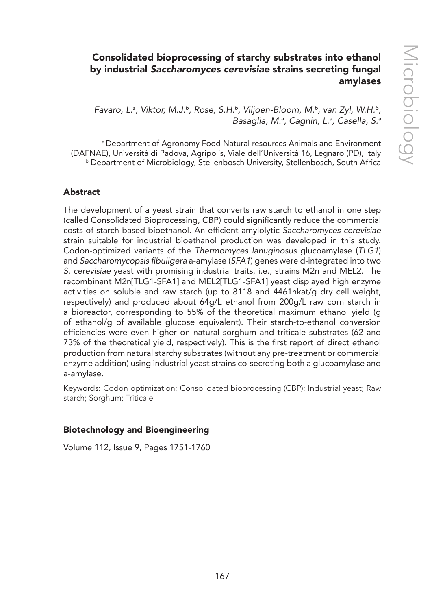# Consolidated bioprocessing of starchy substrates into ethanol by industrial *Saccharomyces cerevisiae* strains secreting fungal amylases

*Favaro, L.a , Viktor, M.J.b, Rose, S.H.b, Viljoen-Bloom, M.b, van Zyl, W.H.b, Basaglia, M.a , Cagnin, L.a , Casella, S.a*

a Department of Agronomy Food Natural resources Animals and Environment (DAFNAE), Università di Padova, Agripolis, Viale dell'Università 16, Legnaro (PD), Italy b Department of Microbiology, Stellenbosch University, Stellenbosch, South Africa

#### Abstract

The development of a yeast strain that converts raw starch to ethanol in one step (called Consolidated Bioprocessing, CBP) could significantly reduce the commercial costs of starch-based bioethanol. An efficient amylolytic *Saccharomyces cerevisiae* strain suitable for industrial bioethanol production was developed in this study. Codon-optimized variants of the *Thermomyces lanuginosus* glucoamylase (*TLG1*) and Saccharomycopsis fibuligera a-amylase (*SFA1*) genes were d-integrated into two *S. cerevisiae* yeast with promising industrial traits, i.e., strains M2n and MEL2. The recombinant M2n[TLG1-SFA1] and MEL2[TLG1-SFA1] yeast displayed high enzyme activities on soluble and raw starch (up to 8118 and 4461nkat/g dry cell weight, respectively) and produced about 64g/L ethanol from 200g/L raw corn starch in a bioreactor, corresponding to 55% of the theoretical maximum ethanol yield (g of ethanol/g of available glucose equivalent). Their starch-to-ethanol conversion efficiencies were even higher on natural sorghum and triticale substrates (62 and 73% of the theoretical yield, respectively). This is the first report of direct ethanol production from natural starchy substrates (without any pre-treatment or commercial enzyme addition) using industrial yeast strains co-secreting both a glucoamylase and a-amylase.

Keywords: Codon optimization; Consolidated bioprocessing (CBP); Industrial yeast; Raw starch; Sorghum; Triticale

#### Biotechnology and Bioengineering

Volume 112, Issue 9, Pages 1751-1760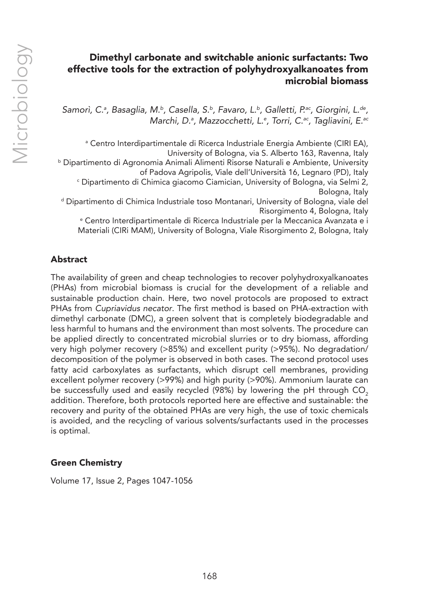# Dimethyl carbonate and switchable anionic surfactants: Two effective tools for the extraction of polyhydroxyalkanoates from microbial biomass

Samorì, C.ª, Basaglia, M.ʰ, Casella, S.ʰ, Favaro, L.ʰ, Galletti, P.ªc, Giorgini, L.<sup>de</sup>, *Marchi, D.a , Mazzocchetti, L.e , Torri, C.ac, Tagliavini, E.ac*

a Centro Interdipartimentale di Ricerca Industriale Energia Ambiente (CIRI EA), University of Bologna, via S. Alberto 163, Ravenna, Italy b Dipartimento di Agronomia Animali Alimenti Risorse Naturali e Ambiente, University of Padova Agripolis, Viale dell'Università 16, Legnaro (PD), Italy c Dipartimento di Chimica giacomo Ciamician, University of Bologna, via Selmi 2, Bologna, Italy d Dipartimento di Chimica Industriale toso Montanari, University of Bologna, viale del Risorgimento 4, Bologna, Italy e Centro Interdipartimentale di Ricerca Industriale per la Meccanica Avanzata e i Materiali (CIRi MAM), University of Bologna, Viale Risorgimento 2, Bologna, Italy

# Abstract

The availability of green and cheap technologies to recover polyhydroxyalkanoates (PHAs) from microbial biomass is crucial for the development of a reliable and sustainable production chain. Here, two novel protocols are proposed to extract PHAs from *Cupriavidus necator*. The first method is based on PHA-extraction with dimethyl carbonate (DMC), a green solvent that is completely biodegradable and less harmful to humans and the environment than most solvents. The procedure can be applied directly to concentrated microbial slurries or to dry biomass, affording very high polymer recovery (>85%) and excellent purity (>95%). No degradation/ decomposition of the polymer is observed in both cases. The second protocol uses fatty acid carboxylates as surfactants, which disrupt cell membranes, providing excellent polymer recovery (>99%) and high purity (>90%). Ammonium laurate can be successfully used and easily recycled (98%) by lowering the pH through CO<sub>2</sub> addition. Therefore, both protocols reported here are effective and sustainable: the recovery and purity of the obtained PHAs are very high, the use of toxic chemicals is avoided, and the recycling of various solvents/surfactants used in the processes is optimal.

## Green Chemistry

Volume 17, Issue 2, Pages 1047-1056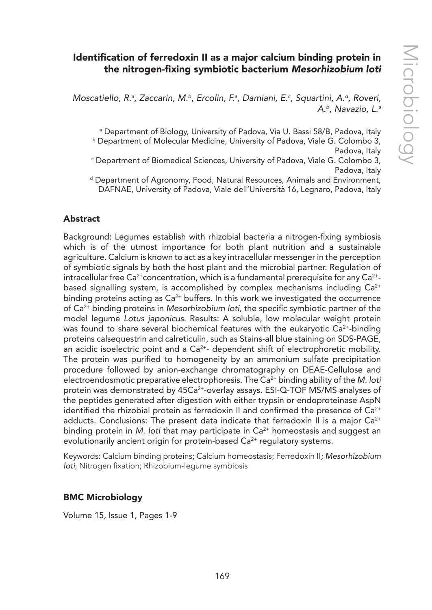# Identification of ferredoxin II as a major calcium binding protein in the nitrogen-fixing symbiotic bacterium *Mesorhizobium loti*

Moscatiello, R.ª, Zaccarin, M.<sup>b</sup>, Ercolin, F.ª, Damiani, E.<sup>c</sup>, Squartini, A.<sup>d</sup>, Roveri, *A.b, Navazio, L.a*

a Department of Biology, University of Padova, Via U. Bassi 58/B, Padova, Italy **b Department of Molecular Medicine, University of Padova, Viale G. Colombo 3,** Padova, Italy c Department of Biomedical Sciences, University of Padova, Viale G. Colombo 3, Padova, Italy

d Department of Agronomy, Food, Natural Resources, Animals and Environment, DAFNAE, University of Padova, Viale dell'Università 16, Legnaro, Padova, Italy

#### Abstract

Background: Legumes establish with rhizobial bacteria a nitrogen-fixing symbiosis which is of the utmost importance for both plant nutrition and a sustainable agriculture. Calcium is known to act as a key intracellular messenger in the perception of symbiotic signals by both the host plant and the microbial partner. Regulation of intracellular free  $Ca^{2+}$ concentration, which is a fundamental prerequisite for any  $Ca^{2+}$ based signalling system, is accomplished by complex mechanisms including  $Ca^{2+}$ binding proteins acting as  $Ca<sup>2+</sup>$  buffers. In this work we investigated the occurrence of Ca2+ binding proteins in *Mesorhizobium loti*, the specific symbiotic partner of the model legume *Lotus japonicus*. Results: A soluble, low molecular weight protein was found to share several biochemical features with the eukaryotic  $Ca^{2+}$ -binding proteins calsequestrin and calreticulin, such as Stains-all blue staining on SDS-PAGE, an acidic isoelectric point and a  $Ca<sup>2+</sup>$ - dependent shift of electrophoretic mobility. The protein was purified to homogeneity by an ammonium sulfate precipitation procedure followed by anion-exchange chromatography on DEAE-Cellulose and electroendosmotic preparative electrophoresis. The Ca2+ binding ability of the *M. loti* protein was demonstrated by 45Ca<sup>2+</sup>-overlay assays. ESI-Q-TOF MS/MS analyses of the peptides generated after digestion with either trypsin or endoproteinase AspN identified the rhizobial protein as ferredoxin II and confirmed the presence of  $Ca<sup>2+</sup>$ adducts. Conclusions: The present data indicate that ferredoxin II is a major  $Ca^{2+}$ binding protein in *M. loti* that may participate in Ca<sup>2+</sup> homeostasis and suggest an evolutionarily ancient origin for protein-based  $Ca<sup>2+</sup>$  regulatory systems.

Keywords: Calcium binding proteins; Calcium homeostasis; Ferredoxin II*; Mesorhizobium loti*; Nitrogen fixation; Rhizobium-legume symbiosis

#### BMC Microbiology

Volume 15, Issue 1, Pages 1-9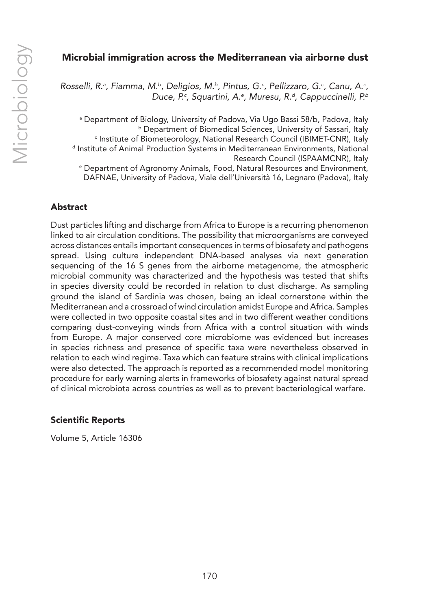## Microbial immigration across the Mediterranean via airborne dust

Rosselli, R.ª, Fiamma, M.ʰ, Deligios, M.ʰ, Pintus, G.¢, Pellizzaro, G.¢, Canu, A.¢, *Duce, P.c , Squartini, A.e , Muresu, R.d, Cappuccinelli, P.b*

a Department of Biology, University of Padova, Via Ugo Bassi 58/b, Padova, Italy **b Department of Biomedical Sciences, University of Sassari, Italy** c Institute of Biometeorology, National Research Council (IBIMET-CNR), Italy d Institute of Animal Production Systems in Mediterranean Environments, National Research Council (ISPAAMCNR), Italy e Department of Agronomy Animals, Food, Natural Resources and Environment, DAFNAE, University of Padova, Viale dell'Università 16, Legnaro (Padova), Italy

#### Abstract

Dust particles lifting and discharge from Africa to Europe is a recurring phenomenon linked to air circulation conditions. The possibility that microorganisms are conveyed across distances entails important consequences in terms of biosafety and pathogens spread. Using culture independent DNA-based analyses via next generation sequencing of the 16 S genes from the airborne metagenome, the atmospheric microbial community was characterized and the hypothesis was tested that shifts in species diversity could be recorded in relation to dust discharge. As sampling ground the island of Sardinia was chosen, being an ideal cornerstone within the Mediterranean and a crossroad of wind circulation amidst Europe and Africa. Samples were collected in two opposite coastal sites and in two different weather conditions comparing dust-conveying winds from Africa with a control situation with winds from Europe. A major conserved core microbiome was evidenced but increases in species richness and presence of specific taxa were nevertheless observed in relation to each wind regime. Taxa which can feature strains with clinical implications were also detected. The approach is reported as a recommended model monitoring procedure for early warning alerts in frameworks of biosafety against natural spread of clinical microbiota across countries as well as to prevent bacteriological warfare.

#### Scientific Reports

Volume 5, Article 16306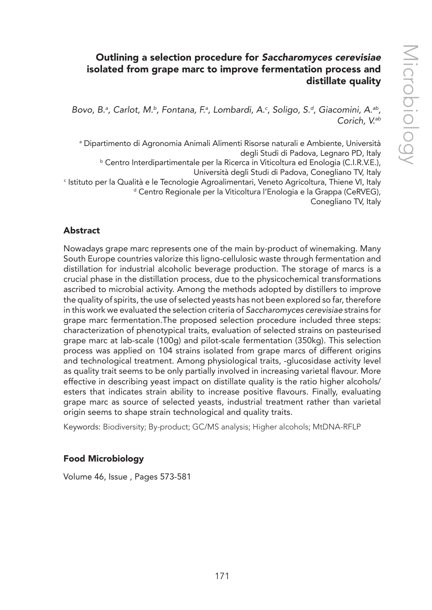# Outlining a selection procedure for *Saccharomyces cerevisiae* isolated from grape marc to improve fermentation process and distillate quality

Bovo, B.ª, Carlot, M.ʰ, Fontana, F.ª, Lombardi, A.¢, Soligo, S.ª, Giacomini, A.ªʰ, *Corich, V.ab*

a Dipartimento di Agronomia Animali Alimenti Risorse naturali e Ambiente, Università degli Studi di Padova, Legnaro PD, Italy b Centro Interdipartimentale per la Ricerca in Viticoltura ed Enologia (C.I.R.V.E.), Università degli Studi di Padova, Conegliano TV, Italy c Istituto per la Qualità e le Tecnologie Agroalimentari, Veneto Agricoltura, Thiene VI, Italy d Centro Regionale per la Viticoltura l'Enologia e la Grappa (CeRVEG), Conegliano TV, Italy

## Abstract

Nowadays grape marc represents one of the main by-product of winemaking. Many South Europe countries valorize this ligno-cellulosic waste through fermentation and distillation for industrial alcoholic beverage production. The storage of marcs is a crucial phase in the distillation process, due to the physicochemical transformations ascribed to microbial activity. Among the methods adopted by distillers to improve the quality of spirits, the use of selected yeasts has not been explored so far, therefore in this work we evaluated the selection criteria of *Saccharomyces cerevisiae* strains for grape marc fermentation.The proposed selection procedure included three steps: characterization of phenotypical traits, evaluation of selected strains on pasteurised grape marc at lab-scale (100g) and pilot-scale fermentation (350kg). This selection process was applied on 104 strains isolated from grape marcs of different origins and technological treatment. Among physiological traits, -glucosidase activity level as quality trait seems to be only partially involved in increasing varietal flavour. More effective in describing yeast impact on distillate quality is the ratio higher alcohols/ esters that indicates strain ability to increase positive flavours. Finally, evaluating grape marc as source of selected yeasts, industrial treatment rather than varietal origin seems to shape strain technological and quality traits.

Keywords: Biodiversity; By-product; GC/MS analysis; Higher alcohols; MtDNA-RFLP

## Food Microbiology

Volume 46, Issue , Pages 573-581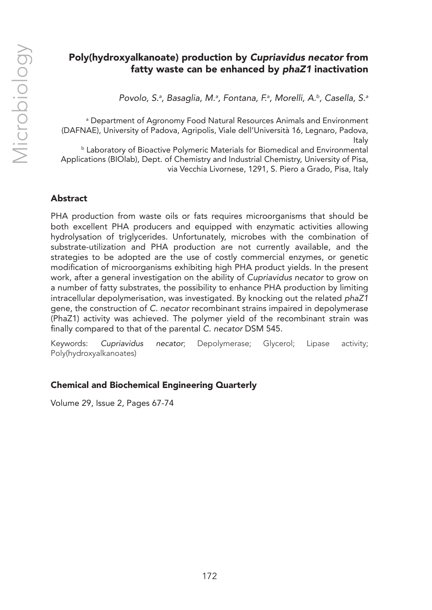# Poly(hydroxyalkanoate) production by *Cupriavidus necator* from fatty waste can be enhanced by *phaZ1* inactivation

*Povolo, S.a , Basaglia, M.a , Fontana, F.a , Morelli, A.b, Casella, S.a*

a Department of Agronomy Food Natural Resources Animals and Environment (DAFNAE), University of Padova, Agripolis, Viale dell'Università 16, Legnaro, Padova, Italy

**b Laboratory of Bioactive Polymeric Materials for Biomedical and Environmental** Applications (BIOlab), Dept. of Chemistry and Industrial Chemistry, University of Pisa, via Vecchia Livornese, 1291, S. Piero a Grado, Pisa, Italy

## Abstract

PHA production from waste oils or fats requires microorganisms that should be both excellent PHA producers and equipped with enzymatic activities allowing hydrolysation of triglycerides. Unfortunately, microbes with the combination of substrate-utilization and PHA production are not currently available, and the strategies to be adopted are the use of costly commercial enzymes, or genetic modification of microorganisms exhibiting high PHA product yields. In the present work, after a general investigation on the ability of *Cupriavidus necator* to grow on a number of fatty substrates, the possibility to enhance PHA production by limiting intracellular depolymerisation, was investigated. By knocking out the related *phaZ1*  gene, the construction of *C. necator* recombinant strains impaired in depolymerase (PhaZ1) activity was achieved. The polymer yield of the recombinant strain was finally compared to that of the parental *C. necator* DSM 545.

Keywords: *Cupriavidus necator*; Depolymerase; Glycerol; Lipase activity; Poly(hydroxyalkanoates)

## Chemical and Biochemical Engineering Quarterly

Volume 29, Issue 2, Pages 67-74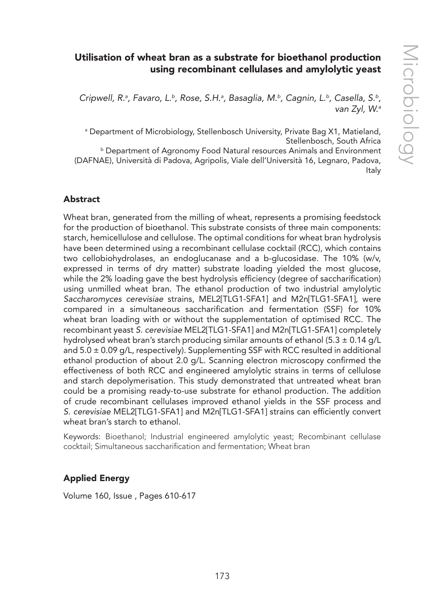# Utilisation of wheat bran as a substrate for bioethanol production using recombinant cellulases and amylolytic yeast

Cripwell, R.ª, Favaro, L.<sup>b</sup>, Rose, S.H.ª, Basaglia, M.<sup>b</sup>, Cagnin, L.<sup>b</sup>, Casella, S.<sup>b</sup>, *van Zyl, W.a*

a Department of Microbiology, Stellenbosch University, Private Bag X1, Matieland, Stellenbosch, South Africa **b Department of Agronomy Food Natural resources Animals and Environment** (DAFNAE), Università di Padova, Agripolis, Viale dell'Università 16, Legnaro, Padova, Italy

#### Abstract

Wheat bran, generated from the milling of wheat, represents a promising feedstock for the production of bioethanol. This substrate consists of three main components: starch, hemicellulose and cellulose. The optimal conditions for wheat bran hydrolysis have been determined using a recombinant cellulase cocktail (RCC), which contains two cellobiohydrolases, an endoglucanase and a b-glucosidase. The 10% (w/v, expressed in terms of dry matter) substrate loading yielded the most glucose, while the 2% loading gave the best hydrolysis efficiency (degree of saccharification) using unmilled wheat bran. The ethanol production of two industrial amylolytic *Saccharomyces cerevisiae* strains, MEL2[TLG1-SFA1] and M2n[TLG1-SFA1], were compared in a simultaneous saccharification and fermentation (SSF) for 10% wheat bran loading with or without the supplementation of optimised RCC. The recombinant yeast *S. cerevisiae* MEL2[TLG1-SFA1] and M2n[TLG1-SFA1] completely hydrolysed wheat bran's starch producing similar amounts of ethanol (5.3  $\pm$  0.14 g/L and  $5.0 \pm 0.09$  g/L, respectively). Supplementing SSF with RCC resulted in additional ethanol production of about 2.0 g/L. Scanning electron microscopy confirmed the effectiveness of both RCC and engineered amylolytic strains in terms of cellulose and starch depolymerisation. This study demonstrated that untreated wheat bran could be a promising ready-to-use substrate for ethanol production. The addition of crude recombinant cellulases improved ethanol yields in the SSF process and *S. cerevisiae* MEL2[TLG1-SFA1] and M2n[TLG1-SFA1] strains can efficiently convert wheat bran's starch to ethanol.

Keywords: Bioethanol; Industrial engineered amylolytic yeast; Recombinant cellulase cocktail; Simultaneous saccharification and fermentation; Wheat bran

## Applied Energy

Volume 160, Issue , Pages 610-617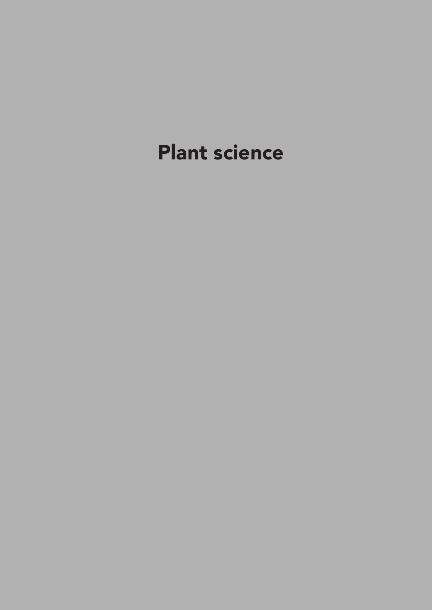# Plant science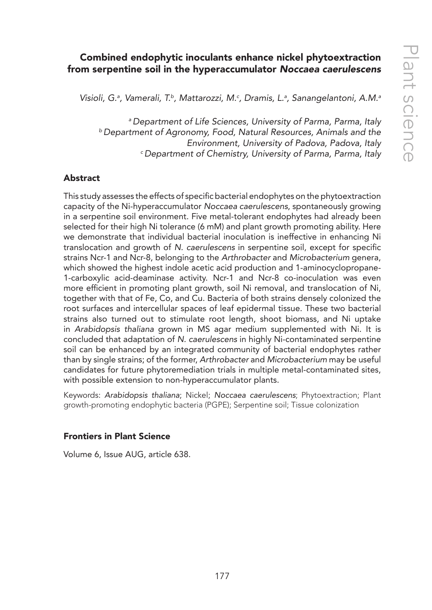# Combined endophytic inoculants enhance nickel phytoextraction from serpentine soil in the hyperaccumulator *Noccaea caerulescens*

*Visioli, G.a , Vamerali, T.b, Mattarozzi, M.c , Dramis, L.a , Sanangelantoni, A.M.a*

*a Department of Life Sciences, University of Parma, Parma, Italy b Department of Agronomy, Food, Natural Resources, Animals and the Environment, University of Padova, Padova, Italy c Department of Chemistry, University of Parma, Parma, Italy*

#### Abstract

This study assesses the effects of specific bacterial endophytes on the phytoextraction capacity of the Ni-hyperaccumulator *Noccaea caerulescens*, spontaneously growing in a serpentine soil environment. Five metal-tolerant endophytes had already been selected for their high Ni tolerance (6 mM) and plant growth promoting ability. Here we demonstrate that individual bacterial inoculation is ineffective in enhancing Ni translocation and growth of *N. caerulescens* in serpentine soil, except for specific strains Ncr-1 and Ncr-8, belonging to the *Arthrobacter* and *Microbacterium* genera, which showed the highest indole acetic acid production and 1-aminocyclopropane-1-carboxylic acid-deaminase activity. Ncr-1 and Ncr-8 co-inoculation was even more efficient in promoting plant growth, soil Ni removal, and translocation of Ni, together with that of Fe, Co, and Cu. Bacteria of both strains densely colonized the root surfaces and intercellular spaces of leaf epidermal tissue. These two bacterial strains also turned out to stimulate root length, shoot biomass, and Ni uptake in *Arabidopsis thaliana* grown in MS agar medium supplemented with Ni. It is concluded that adaptation of *N. caerulescens* in highly Ni-contaminated serpentine soil can be enhanced by an integrated community of bacterial endophytes rather than by single strains; of the former, *Arthrobacter* and *Microbacterium* may be useful candidates for future phytoremediation trials in multiple metal-contaminated sites, with possible extension to non-hyperaccumulator plants.

Keywords: *Arabidopsis thaliana*; Nickel; *Noccaea caerulescens*; Phytoextraction; Plant growth-promoting endophytic bacteria (PGPE); Serpentine soil; Tissue colonization

#### Frontiers in Plant Science

Volume 6, Issue AUG, article 638.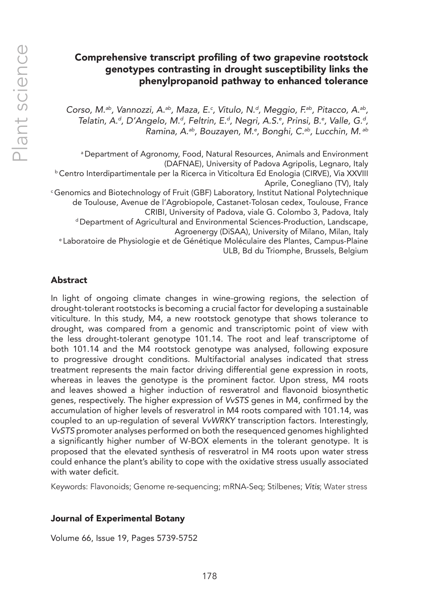# Comprehensive transcript profiling of two grapevine rootstock genotypes contrasting in drought susceptibility links the phenylpropanoid pathway to enhanced tolerance

Corso, M.<sup>ab</sup>, Vannozzi, A.<sup>ab</sup>, Maza, E.<sup>c</sup>, Vitulo, N.<sup>d</sup>, Meggio, F.<sup>ab</sup>, Pitacco, A.<sup>ab</sup>, *Telatin, A.d, D'Angelo, M.d, Feltrin, E.d, Negri, A.S.e , Prinsi, B.e , Valle, G.d, Ramina, A.ab, Bouzayen, M.e , Bonghi, C.ab, Lucchin, M. ab*

a Department of Agronomy, Food, Natural Resources, Animals and Environment <sup>b</sup> Centro Interdipartimentale per la Ricerca in Viticoltura Ed Enologia (CIRVE), Via XXVIII<br>Aprile, Conegliano (TV), Italy <sup>c</sup> Genomics and Biotechnology of Fruit (GBF) Laboratory, Institut National Polytechnique de Toulouse, Avenue de l'Agrobiopole, Castanet-Tolosan cedex, Toulouse, France CRIBI, University of Padova, viale G. Colombo 3, Padova, Italy d Department of Agricultural and Environmental Sciences-Production, Landscape, Agroenergy (DiSAA), University of Milano, Milan, Italy e Laboratoire de Physiologie et de Génétique Moléculaire des Plantes, Campus-Plaine ULB, Bd du Triomphe, Brussels, Belgium

#### Abstract

In light of ongoing climate changes in wine-growing regions, the selection of drought-tolerant rootstocks is becoming a crucial factor for developing a sustainable viticulture. In this study, M4, a new rootstock genotype that shows tolerance to drought, was compared from a genomic and transcriptomic point of view with the less drought-tolerant genotype 101.14. The root and leaf transcriptome of both 101.14 and the M4 rootstock genotype was analysed, following exposure to progressive drought conditions. Multifactorial analyses indicated that stress treatment represents the main factor driving differential gene expression in roots, whereas in leaves the genotype is the prominent factor. Upon stress, M4 roots and leaves showed a higher induction of resveratrol and flavonoid biosynthetic genes, respectively. The higher expression of *VvSTS* genes in M4, confirmed by the accumulation of higher levels of resveratrol in M4 roots compared with 101.14, was coupled to an up-regulation of several *VvWRKY* transcription factors. Interestingly, *VvSTS* promoter analyses performed on both the resequenced genomes highlighted a significantly higher number of W-BOX elements in the tolerant genotype. It is proposed that the elevated synthesis of resveratrol in M4 roots upon water stress could enhance the plant's ability to cope with the oxidative stress usually associated with water deficit.

Keywords: Flavonoids; Genome re-sequencing; mRNA-Seq; Stilbenes; *Vitis*; Water stress

#### Journal of Experimental Botany

Volume 66, Issue 19, Pages 5739-5752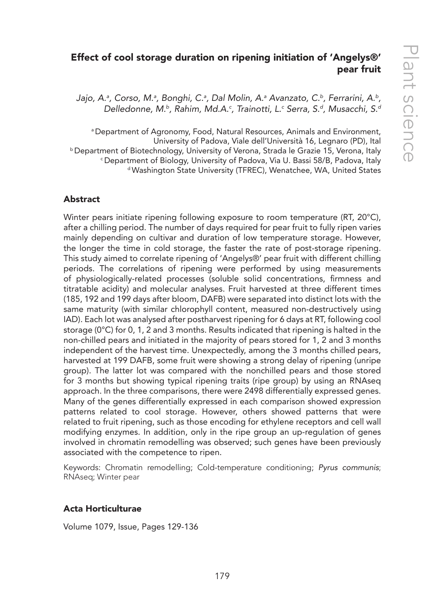# Effect of cool storage duration on ripening initiation of 'Angelys®' pear fruit

Jajo, A.ª, Corso, M.ª, Bonghi, C.ª, Dal Molin, A.ª Avanzato, C.<sup>b</sup>, Ferrarini, A.<sup>b</sup>, *Delledonne, M.b, Rahim, Md.A.c , Trainotti, L.c Serra, S.d, Musacchi, S.d*

a Department of Agronomy, Food, Natural Resources, Animals and Environment, University of Padova, Viale dell'Università 16, Legnaro (PD), Ital<br>Department of Biotechnology, University of Verona, Strada le Grazie 15, Verona, Italy <sup>c</sup> Department of Biology, University of Padova, Via U. Bassi 58/B, Padova, Italy d Washington State University (TFREC), Wenatchee, WA, United States

#### Abstract

Winter pears initiate ripening following exposure to room temperature (RT, 20°C), after a chilling period. The number of days required for pear fruit to fully ripen varies mainly depending on cultivar and duration of low temperature storage. However, the longer the time in cold storage, the faster the rate of post-storage ripening. This study aimed to correlate ripening of 'Angelys®' pear fruit with different chilling periods. The correlations of ripening were performed by using measurements of physiologically-related processes (soluble solid concentrations, firmness and titratable acidity) and molecular analyses. Fruit harvested at three different times (185, 192 and 199 days after bloom, DAFB) were separated into distinct lots with the same maturity (with similar chlorophyll content, measured non-destructively using IAD). Each lot was analysed after postharvest ripening for 6 days at RT, following cool storage (0°C) for 0, 1, 2 and 3 months. Results indicated that ripening is halted in the non-chilled pears and initiated in the majority of pears stored for 1, 2 and 3 months independent of the harvest time. Unexpectedly, among the 3 months chilled pears, harvested at 199 DAFB, some fruit were showing a strong delay of ripening (unripe group). The latter lot was compared with the nonchilled pears and those stored for 3 months but showing typical ripening traits (ripe group) by using an RNAseq approach. In the three comparisons, there were 2498 differentially expressed genes. Many of the genes differentially expressed in each comparison showed expression patterns related to cool storage. However, others showed patterns that were related to fruit ripening, such as those encoding for ethylene receptors and cell wall modifying enzymes. In addition, only in the ripe group an up-regulation of genes involved in chromatin remodelling was observed; such genes have been previously associated with the competence to ripen.

Keywords: Chromatin remodelling; Cold-temperature conditioning; *Pyrus communis*; RNAseq; Winter pear

#### Acta Horticulturae

Volume 1079, Issue, Pages 129-136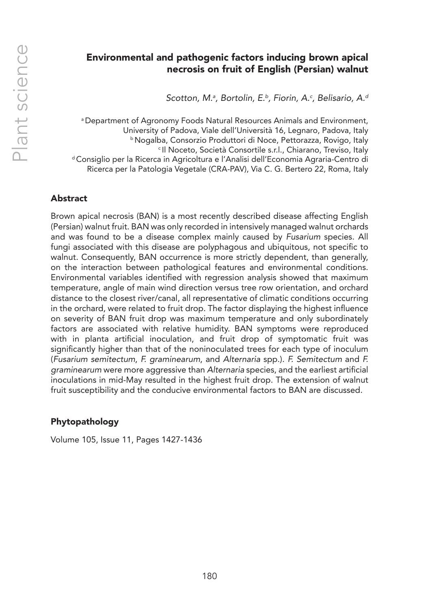# Environmental and pathogenic factors inducing brown apical necrosis on fruit of English (Persian) walnut

*Scotton, M.a , Bortolin, E.b, Fiorin, A.c , Belisario, A.d*

a Department of Agronomy Foods Natural Resources Animals and Environment, University of Padova, Viale dell'Università 16, Legnaro, Padova, Italy b Nogalba, Consorzio Produttori di Noce, Pettorazza, Rovigo, Italy c Il Noceto, Società Consortile s.r.l., Chiarano, Treviso, Italy d Consiglio per la Ricerca in Agricoltura e l'Analisi dell'Economia Agraria-Centro di Ricerca per la Patologia Vegetale (CRA-PAV), Via C. G. Bertero 22, Roma, Italy

## Abstract

Brown apical necrosis (BAN) is a most recently described disease affecting English (Persian) walnut fruit. BAN was only recorded in intensively managed walnut orchards and was found to be a disease complex mainly caused by *Fusarium* species. All fungi associated with this disease are polyphagous and ubiquitous, not specific to walnut. Consequently, BAN occurrence is more strictly dependent, than generally, on the interaction between pathological features and environmental conditions. Environmental variables identified with regression analysis showed that maximum temperature, angle of main wind direction versus tree row orientation, and orchard distance to the closest river/canal, all representative of climatic conditions occurring in the orchard, were related to fruit drop. The factor displaying the highest influence on severity of BAN fruit drop was maximum temperature and only subordinately factors are associated with relative humidity. BAN symptoms were reproduced with in planta artificial inoculation, and fruit drop of symptomatic fruit was significantly higher than that of the noninoculated trees for each type of inoculum (*Fusarium semitectum*, *F. graminearum*, and *Alternaria* spp.). *F. Semitectum* and *F. graminearum* were more aggressive than *Alternaria* species, and the earliest artificial inoculations in mid-May resulted in the highest fruit drop. The extension of walnut fruit susceptibility and the conducive environmental factors to BAN are discussed.

## Phytopathology

Volume 105, Issue 11, Pages 1427-1436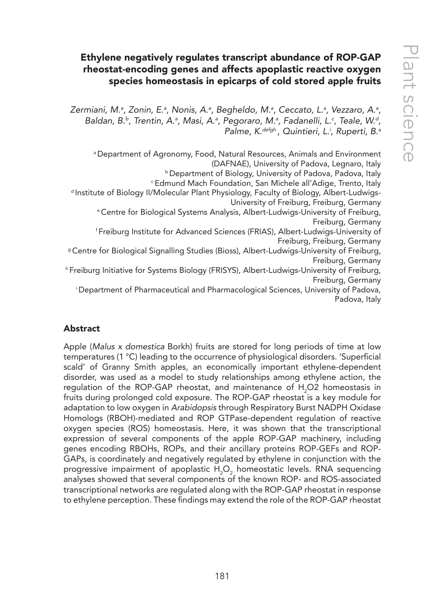# Ethylene negatively regulates transcript abundance of ROP-GAP rheostat-encoding genes and affects apoplastic reactive oxygen species homeostasis in epicarps of cold stored apple fruits

Zermiani, M.ª, Zonin, E.ª, Nonis, A.ª, Begheldo, M.ª, Ceccato, L.ª, Vezzaro, A.ª, Baldan, B.<sup>b</sup>, Trentin, A.ª, Masi, A.ª, Pegoraro, M.ª, Fadanelli, L.<sup>c</sup>, Teale, W.ª, *Palme, K.defgh , Quintieri, L.i , Ruperti, B.a*

a Department of Agronomy, Food, Natural Resources, Animals and Environment (DAFNAE), University of Padova, Legnaro, Italy

**b** Department of Biology, University of Padova, Padova, Italy

c Edmund Mach Foundation, San Michele all'Adige, Trento, Italy

d Institute of Biology II/Molecular Plant Physiology, Faculty of Biology, Albert-Ludwigs-University of Freiburg, Freiburg, Germany

e Centre for Biological Systems Analysis, Albert-Ludwigs-University of Freiburg, Freiburg, Germany

f Freiburg Institute for Advanced Sciences (FRIAS), Albert-Ludwigs-University of Freiburg, Freiburg, Germany

g Centre for Biological Signalling Studies (Bioss), Albert-Ludwigs-University of Freiburg, Freiburg, Germany

h Freiburg Initiative for Systems Biology (FRISYS), Albert-Ludwigs-University of Freiburg, Freiburg, Germany

i Department of Pharmaceutical and Pharmacological Sciences, University of Padova, Padova, Italy

## Abstract

Apple (*Malus x domestica* Borkh) fruits are stored for long periods of time at low temperatures (1 °C) leading to the occurrence of physiological disorders. 'Superficial scald' of Granny Smith apples, an economically important ethylene-dependent disorder, was used as a model to study relationships among ethylene action, the regulation of the ROP-GAP rheostat, and maintenance of  $H_2$ O2 homeostasis in fruits during prolonged cold exposure. The ROP-GAP rheostat is a key module for adaptation to low oxygen in *Arabidopsis* through Respiratory Burst NADPH Oxidase Homologs (RBOH)-mediated and ROP GTPase-dependent regulation of reactive oxygen species (ROS) homeostasis. Here, it was shown that the transcriptional expression of several components of the apple ROP-GAP machinery, including genes encoding RBOHs, ROPs, and their ancillary proteins ROP-GEFs and ROP-GAPs, is coordinately and negatively regulated by ethylene in conjunction with the progressive impairment of apoplastic  $H_2O_2$  homeostatic levels. RNA sequencing analyses showed that several components of the known ROP- and ROS-associated transcriptional networks are regulated along with the ROP-GAP rheostat in response to ethylene perception. These findings may extend the role of the ROP-GAP rheostat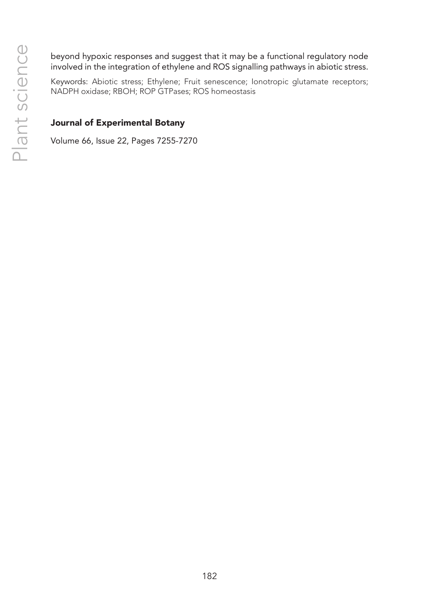beyond hypoxic responses and suggest that it may be a functional regulatory node involved in the integration of ethylene and ROS signalling pathways in abiotic stress.

Keywords: Abiotic stress; Ethylene; Fruit senescence; Ionotropic glutamate receptors; NADPH oxidase; RBOH; ROP GTPases; ROS homeostasis

## Journal of Experimental Botany

Volume 66, Issue 22, Pages 7255-7270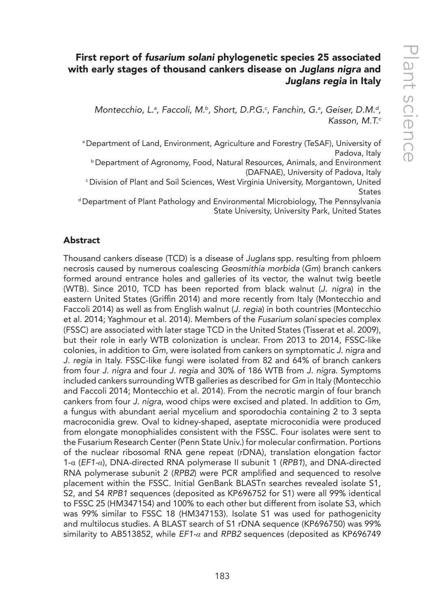# First report of *fusarium solani* phylogenetic species 25 associated with early stages of thousand cankers disease on *Juglans nigra* and *Juglans regia* in Italy

Montecchio, L.ª, Faccoli, M.b, Short, D.P.G.<sup>c</sup>, Fanchin, G.ª, Geiser, D.M.<sup>d</sup>, *Kasson, M.T.c*

a Department of Land, Environment, Agriculture and Forestry (TeSAF), University of Padova, Italy

b Department of Agronomy, Food, Natural Resources, Animals, and Environment (DAFNAE), University of Padova, Italy

c Division of Plant and Soil Sciences, West Virginia University, Morgantown, United **States** 

d Department of Plant Pathology and Environmental Microbiology, The Pennsylvania State University, University Park, United States

## Abstract

Thousand cankers disease (TCD) is a disease of *Juglans* spp. resulting from phloem necrosis caused by numerous coalescing *Geosmithia morbida* (*Gm*) branch cankers formed around entrance holes and galleries of its vector, the walnut twig beetle (WTB). Since 2010, TCD has been reported from black walnut (*J. nigra*) in the eastern United States (Griffin 2014) and more recently from Italy (Montecchio and Faccoli 2014) as well as from English walnut (*J. regia*) in both countries (Montecchio et al. 2014; Yaghmour et al. 2014). Members of the *Fusarium solani* species complex (FSSC) are associated with later stage TCD in the United States (Tisserat et al. 2009), but their role in early WTB colonization is unclear. From 2013 to 2014, FSSC-like colonies, in addition to *Gm*, were isolated from cankers on symptomatic *J. nigra* and *J. regia* in Italy. FSSC-like fungi were isolated from 82 and 64% of branch cankers from four *J. nigra* and four *J. regia* and 30% of 186 WTB from *J. nigra*. Symptoms included cankers surrounding WTB galleries as described for *Gm* in Italy (Montecchio and Faccoli 2014; Montecchio et al. 2014). From the necrotic margin of four branch cankers from four *J. nigra*, wood chips were excised and plated. In addition to *Gm*, a fungus with abundant aerial mycelium and sporodochia containing 2 to 3 septa macroconidia grew. Oval to kidney-shaped, aseptate microconidia were produced from elongate monophialides consistent with the FSSC. Four isolates were sent to the Fusarium Research Center (Penn State Univ.) for molecular confirmation. Portions of the nuclear ribosomal RNA gene repeat (rDNA), translation elongation factor 1-α (*EF1-α*), DNA-directed RNA polymerase II subunit 1 (*RPB1*), and DNA-directed RNA polymerase subunit 2 (*RPB2*) were PCR amplified and sequenced to resolve placement within the FSSC. Initial GenBank BLASTn searches revealed isolate S1, S2, and S4 *RPB1* sequences (deposited as KP696752 for S1) were all 99% identical to FSSC 25 (HM347154) and 100% to each other but different from isolate S3, which was 99% similar to FSSC 18 (HM347153). Isolate S1 was used for pathogenicity and multilocus studies. A BLAST search of S1 rDNA sequence (KP696750) was 99% similarity to AB513852, while *EF1-α* and *RPB2* sequences (deposited as KP696749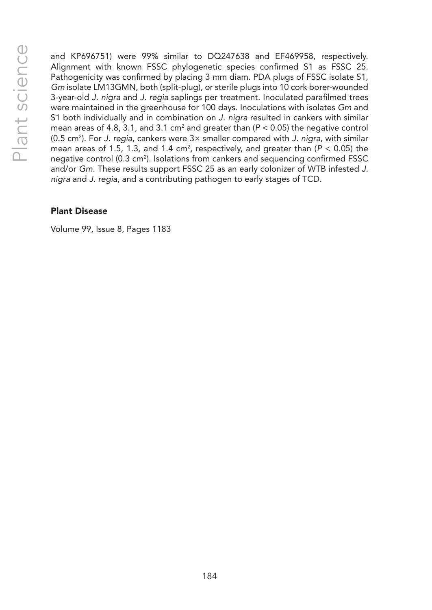and KP696751) were 99% similar to DQ247638 and EF469958, respectively. Alignment with known FSSC phylogenetic species confirmed S1 as FSSC 25. Pathogenicity was confirmed by placing 3 mm diam. PDA plugs of FSSC isolate S1, *Gm* isolate LM13GMN, both (split-plug), or sterile plugs into 10 cork borer-wounded 3-year-old *J. nigra* and *J. regia* saplings per treatment. Inoculated parafilmed trees were maintained in the greenhouse for 100 days. Inoculations with isolates *Gm* and S1 both individually and in combination on *J. nigra* resulted in cankers with similar mean areas of 4.8, 3.1, and 3.1 cm<sup>2</sup> and greater than ( $P$  < 0.05) the negative control (0.5 cm<sup>2</sup>). For *J. regia*, cankers were 3× smaller compared with *J. nigra*, with similar mean areas of 1.5, 1.3, and 1.4 cm<sup>2</sup>, respectively, and greater than (P < 0.05) the negative control (0.3 cm<sup>2</sup>). Isolations from cankers and sequencing confirmed FSSC and/or *Gm*. These results support FSSC 25 as an early colonizer of WTB infested *J. nigra* and *J. regia*, and a contributing pathogen to early stages of TCD.

#### Plant Disease

Volume 99, Issue 8, Pages 1183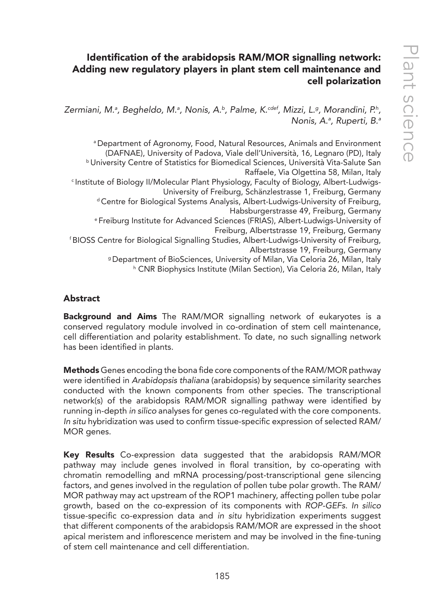# Identification of the arabidopsis RAM/MOR signalling network: Adding new regulatory players in plant stem cell maintenance and cell polarization

Zermiani, M.ª, Begheldo, M.ª, Nonis, A.ʰ, Palme, K.<sup>cdef</sup>, Mizzi, L.ª, Morandini, P.ʰ, *Nonis, A.a , Ruperti, B.a*

a Department of Agronomy, Food, Natural Resources, Animals and Environment <sup>b</sup> University Centre of Statistics for Biomedical Sciences, Università Vita-Salute San Raffaele, Via Olgettina 58, Milan, Italy c Institute of Biology II/Molecular Plant Physiology, Faculty of Biology, Albert-Ludwigs-University of Freiburg, Schänzlestrasse 1, Freiburg, Germany d Centre for Biological Systems Analysis, Albert-Ludwigs-University of Freiburg, Habsburgerstrasse 49, Freiburg, Germany e Freiburg Institute for Advanced Sciences (FRIAS), Albert-Ludwigs-University of Freiburg, Albertstrasse 19, Freiburg, Germany f BIOSS Centre for Biological Signalling Studies, Albert-Ludwigs-University of Freiburg, Albertstrasse 19, Freiburg, Germany g Department of BioSciences, University of Milan, Via Celoria 26, Milan, Italy h CNR Biophysics Institute (Milan Section), Via Celoria 26, Milan, Italy

## Abstract

Background and Aims The RAM/MOR signalling network of eukaryotes is a conserved regulatory module involved in co-ordination of stem cell maintenance, cell differentiation and polarity establishment. To date, no such signalling network has been identified in plants.

Methods Genes encoding the bona fide core components of the RAM/MOR pathway were identified in *Arabidopsis thaliana* (arabidopsis) by sequence similarity searches conducted with the known components from other species. The transcriptional network(s) of the arabidopsis RAM/MOR signalling pathway were identified by running in-depth *in silico* analyses for genes co-regulated with the core components. *In situ* hybridization was used to confirm tissue-specific expression of selected RAM/ MOR genes.

Key Results Co-expression data suggested that the arabidopsis RAM/MOR pathway may include genes involved in floral transition, by co-operating with chromatin remodelling and mRNA processing/post-transcriptional gene silencing factors, and genes involved in the regulation of pollen tube polar growth. The RAM/ MOR pathway may act upstream of the ROP1 machinery, affecting pollen tube polar growth, based on the co-expression of its components with *ROP-GEFs*. *In silico* tissue-specific co-expression data and *in situ* hybridization experiments suggest that different components of the arabidopsis RAM/MOR are expressed in the shoot apical meristem and inflorescence meristem and may be involved in the fine-tuning of stem cell maintenance and cell differentiation.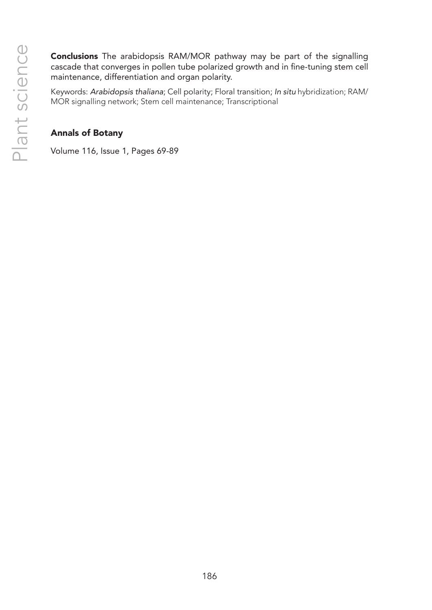Conclusions The arabidopsis RAM/MOR pathway may be part of the signalling cascade that converges in pollen tube polarized growth and in fine-tuning stem cell maintenance, differentiation and organ polarity.

Keywords: *Arabidopsis thaliana*; Cell polarity; Floral transition; *In situ* hybridization; RAM/ MOR signalling network; Stem cell maintenance; Transcriptional

## Annals of Botany

Volume 116, Issue 1, Pages 69-89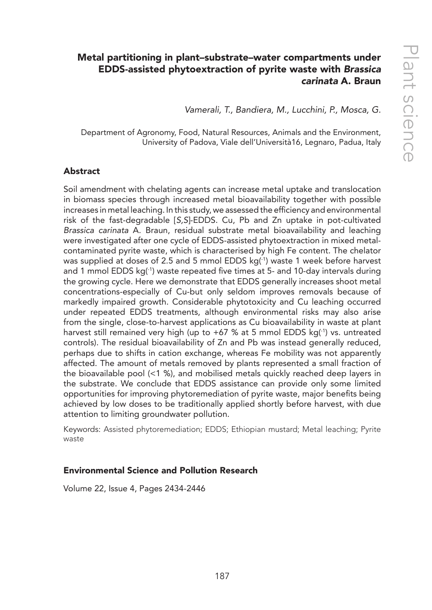# Metal partitioning in plant–substrate–water compartments under EDDS-assisted phytoextraction of pyrite waste with *Brassica carinata* A. Braun

*Vamerali, T., Bandiera, M., Lucchini, P., Mosca, G.*

Department of Agronomy, Food, Natural Resources, Animals and the Environment, University of Padova, Viale dell'Università16, Legnaro, Padua, Italy

#### Abstract

Soil amendment with chelating agents can increase metal uptake and translocation in biomass species through increased metal bioavailability together with possible increases in metal leaching. In this study, we assessed the efficiency and environmental risk of the fast-degradable [*S,S*]-EDDS. Cu, Pb and Zn uptake in pot-cultivated *Brassica carinata* A. Braun, residual substrate metal bioavailability and leaching were investigated after one cycle of EDDS-assisted phytoextraction in mixed metalcontaminated pyrite waste, which is characterised by high Fe content. The chelator was supplied at doses of 2.5 and 5 mmol EDDS kg(-1) waste 1 week before harvest and 1 mmol EDDS  $kg^{-1}$  waste repeated five times at 5- and 10-day intervals during the growing cycle. Here we demonstrate that EDDS generally increases shoot metal concentrations-especially of Cu-but only seldom improves removals because of markedly impaired growth. Considerable phytotoxicity and Cu leaching occurred under repeated EDDS treatments, although environmental risks may also arise from the single, close-to-harvest applications as Cu bioavailability in waste at plant harvest still remained very high (up to  $+67$  % at 5 mmol EDDS kg<sup>(-1</sup>) vs. untreated controls). The residual bioavailability of Zn and Pb was instead generally reduced, perhaps due to shifts in cation exchange, whereas Fe mobility was not apparently affected. The amount of metals removed by plants represented a small fraction of the bioavailable pool (<1 %), and mobilised metals quickly reached deep layers in the substrate. We conclude that EDDS assistance can provide only some limited opportunities for improving phytoremediation of pyrite waste, major benefits being achieved by low doses to be traditionally applied shortly before harvest, with due attention to limiting groundwater pollution.

Keywords: Assisted phytoremediation; EDDS; Ethiopian mustard; Metal leaching; Pyrite waste

#### Environmental Science and Pollution Research

Volume 22, Issue 4, Pages 2434-2446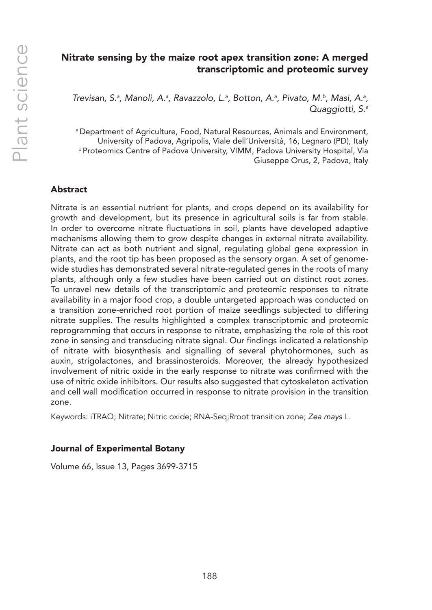## Nitrate sensing by the maize root apex transition zone: A merged transcriptomic and proteomic survey

Trevisan, S.ª, Manoli, A.ª, Ravazzolo, L.ª, Botton, A.ª, Pivato, M.b, Masi, A.ª, *Quaggiotti, S.a*

a Department of Agriculture, Food, Natural Resources, Animals and Environment, University of Padova, Agripolis, Viale dell'Università, 16, Legnaro (PD), Italy **b Proteomics Centre of Padova University, VIMM, Padova University Hospital, Via** Giuseppe Orus, 2, Padova, Italy

## Abstract

Nitrate is an essential nutrient for plants, and crops depend on its availability for growth and development, but its presence in agricultural soils is far from stable. In order to overcome nitrate fluctuations in soil, plants have developed adaptive mechanisms allowing them to grow despite changes in external nitrate availability. Nitrate can act as both nutrient and signal, regulating global gene expression in plants, and the root tip has been proposed as the sensory organ. A set of genomewide studies has demonstrated several nitrate-regulated genes in the roots of many plants, although only a few studies have been carried out on distinct root zones. To unravel new details of the transcriptomic and proteomic responses to nitrate availability in a major food crop, a double untargeted approach was conducted on a transition zone-enriched root portion of maize seedlings subjected to differing nitrate supplies. The results highlighted a complex transcriptomic and proteomic reprogramming that occurs in response to nitrate, emphasizing the role of this root zone in sensing and transducing nitrate signal. Our findings indicated a relationship of nitrate with biosynthesis and signalling of several phytohormones, such as auxin, strigolactones, and brassinosteroids. Moreover, the already hypothesized involvement of nitric oxide in the early response to nitrate was confirmed with the use of nitric oxide inhibitors. Our results also suggested that cytoskeleton activation and cell wall modification occurred in response to nitrate provision in the transition zone.

Keywords: iTRAQ; Nitrate; Nitric oxide; RNA-Seq;Rroot transition zone; *Zea mays* L.

#### Journal of Experimental Botany

Volume 66, Issue 13, Pages 3699-3715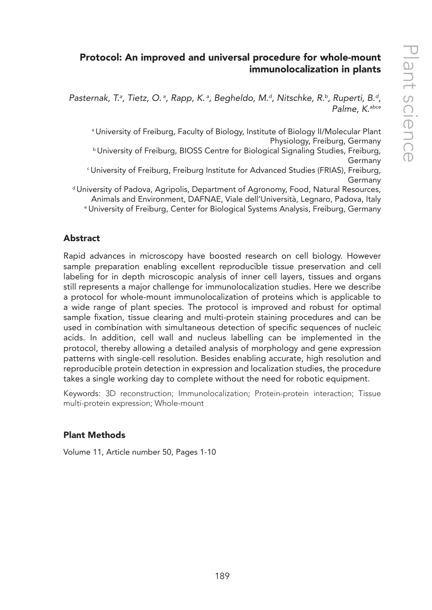# Protocol: An improved and universal procedure for whole-mount immunolocalization in plants

Pasternak, T.ª, Tietz, O.ª, Rapp, K.ª, Begheldo, M.ª, Nitschke, R.♭, Ruperti, B.ª, *Palme, K.abce*

a University of Freiburg, Faculty of Biology, Institute of Biology II/Molecular Plant Physiology, Freiburg, Germany b University of Freiburg, BIOSS Centre for Biological Signaling Studies, Freiburg,

Germany

c University of Freiburg, Freiburg Institute for Advanced Studies (FRIAS), Freiburg, Germany

d University of Padova, Agripolis, Department of Agronomy, Food, Natural Resources, Animals and Environment, DAFNAE, Viale dell'Università, Legnaro, Padova, Italy e University of Freiburg, Center for Biological Systems Analysis, Freiburg, Germany

## Abstract

Rapid advances in microscopy have boosted research on cell biology. However sample preparation enabling excellent reproducible tissue preservation and cell labeling for in depth microscopic analysis of inner cell layers, tissues and organs still represents a major challenge for immunolocalization studies. Here we describe a protocol for whole-mount immunolocalization of proteins which is applicable to a wide range of plant species. The protocol is improved and robust for optimal sample fixation, tissue clearing and multi-protein staining procedures and can be used in combination with simultaneous detection of specific sequences of nucleic acids. In addition, cell wall and nucleus labelling can be implemented in the protocol, thereby allowing a detailed analysis of morphology and gene expression patterns with single-cell resolution. Besides enabling accurate, high resolution and reproducible protein detection in expression and localization studies, the procedure takes a single working day to complete without the need for robotic equipment.

Keywords: 3D reconstruction; Immunolocalization; Protein-protein interaction; Tissue multi-protein expression; Whole-mount

## Plant Methods

Volume 11, Article number 50, Pages 1-10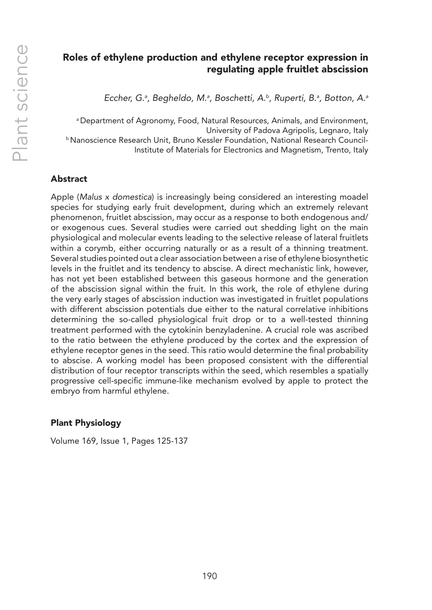# Roles of ethylene production and ethylene receptor expression in regulating apple fruitlet abscission

*Eccher, G.a , Begheldo, M.a , Boschetti, A.b, Ruperti, B.a , Botton, A.a*

a Department of Agronomy, Food, Natural Resources, Animals, and Environment, University of Padova Agripolis, Legnaro, Italy b Nanoscience Research Unit, Bruno Kessler Foundation, National Research Council-Institute of Materials for Electronics and Magnetism, Trento, Italy

## Abstract

Apple (*Malus x domestica*) is increasingly being considered an interesting moadel species for studying early fruit development, during which an extremely relevant phenomenon, fruitlet abscission, may occur as a response to both endogenous and/ or exogenous cues. Several studies were carried out shedding light on the main physiological and molecular events leading to the selective release of lateral fruitlets within a corymb, either occurring naturally or as a result of a thinning treatment. Several studies pointed out a clear association between a rise of ethylene biosynthetic levels in the fruitlet and its tendency to abscise. A direct mechanistic link, however, has not yet been established between this gaseous hormone and the generation of the abscission signal within the fruit. In this work, the role of ethylene during the very early stages of abscission induction was investigated in fruitlet populations with different abscission potentials due either to the natural correlative inhibitions determining the so-called physiological fruit drop or to a well-tested thinning treatment performed with the cytokinin benzyladenine. A crucial role was ascribed to the ratio between the ethylene produced by the cortex and the expression of ethylene receptor genes in the seed. This ratio would determine the final probability to abscise. A working model has been proposed consistent with the differential distribution of four receptor transcripts within the seed, which resembles a spatially progressive cell-specific immune-like mechanism evolved by apple to protect the embryo from harmful ethylene.

## Plant Physiology

Volume 169, Issue 1, Pages 125-137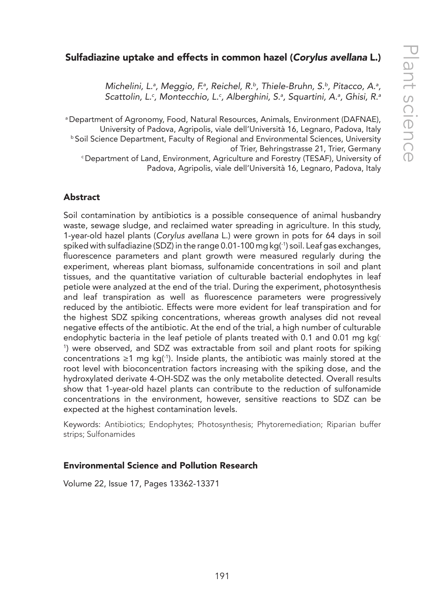# Sulfadiazine uptake and effects in common hazel (*Corylus avellana* L.)

Michelini, L.ª, Meggio, F.ª, Reichel, R.b, Thiele-Bruhn, S.b, Pitacco, A.ª, *Scattolin, L.c , Montecchio, L.c , Alberghini, S.a , Squartini, A.a , Ghisi, R.a*

<sup>a</sup> Department of Agronomy, Food, Natural Resources, Animals, Environment (DAFNAE),<br>University of Padova, Agripolis, viale dell'Università 16, Legnaro, Padova, Italy <sup>b</sup> Soil Science Department, Faculty of Regional and Environmental Sciences, University of Trier, Behringstrasse 21, Trier, Germany<br>Department of Land, Environment, Agriculture and Forestry (TESAF), University of Padova, Agripolis, viale dell'Università 16, Legnaro, Padova, Italy

## Abstract

Soil contamination by antibiotics is a possible consequence of animal husbandry waste, sewage sludge, and reclaimed water spreading in agriculture. In this study, 1-year-old hazel plants (*Corylus avellana* L.) were grown in pots for 64 days in soil spiked with sulfadiazine (SDZ) in the range 0.01-100 mg kg(1) soil. Leaf gas exchanges, fluorescence parameters and plant growth were measured regularly during the experiment, whereas plant biomass, sulfonamide concentrations in soil and plant tissues, and the quantitative variation of culturable bacterial endophytes in leaf petiole were analyzed at the end of the trial. During the experiment, photosynthesis and leaf transpiration as well as fluorescence parameters were progressively reduced by the antibiotic. Effects were more evident for leaf transpiration and for the highest SDZ spiking concentrations, whereas growth analyses did not reveal negative effects of the antibiotic. At the end of the trial, a high number of culturable endophytic bacteria in the leaf petiole of plants treated with 0.1 and 0.01 mg kg(- 1 ) were observed, and SDZ was extractable from soil and plant roots for spiking concentrations ≥1 mg kg( $\cdot$ ). Inside plants, the antibiotic was mainly stored at the root level with bioconcentration factors increasing with the spiking dose, and the hydroxylated derivate 4-OH-SDZ was the only metabolite detected. Overall results show that 1-year-old hazel plants can contribute to the reduction of sulfonamide concentrations in the environment, however, sensitive reactions to SDZ can be expected at the highest contamination levels.

Keywords: Antibiotics; Endophytes; Photosynthesis; Phytoremediation; Riparian buffer strips; Sulfonamides

#### Environmental Science and Pollution Research

Volume 22, Issue 17, Pages 13362-13371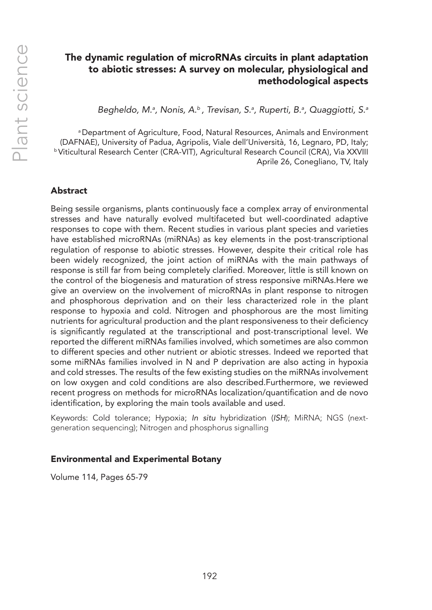# The dynamic regulation of microRNAs circuits in plant adaptation to abiotic stresses: A survey on molecular, physiological and methodological aspects

Begheldo, M.ª, Nonis, A.<sup>b</sup>, Trevisan, S.ª, Ruperti, B.ª, Quaggiotti, S.ª

a Department of Agriculture, Food, Natural Resources, Animals and Environment (DAFNAE), University of Padua, Agripolis, Viale dell'Università, 16, Legnaro, PD, Italy; b Viticultural Research Center (CRA-VIT), Agricultural Research Council (CRA), Via XXVIII Aprile 26, Conegliano, TV, Italy

## Abstract

Being sessile organisms, plants continuously face a complex array of environmental stresses and have naturally evolved multifaceted but well-coordinated adaptive responses to cope with them. Recent studies in various plant species and varieties have established microRNAs (miRNAs) as key elements in the post-transcriptional regulation of response to abiotic stresses. However, despite their critical role has been widely recognized, the joint action of miRNAs with the main pathways of response is still far from being completely clarified. Moreover, little is still known on the control of the biogenesis and maturation of stress responsive miRNAs.Here we give an overview on the involvement of microRNAs in plant response to nitrogen and phosphorous deprivation and on their less characterized role in the plant response to hypoxia and cold. Nitrogen and phosphorous are the most limiting nutrients for agricultural production and the plant responsiveness to their deficiency is significantly regulated at the transcriptional and post-transcriptional level. We reported the different miRNAs families involved, which sometimes are also common to different species and other nutrient or abiotic stresses. Indeed we reported that some miRNAs families involved in N and P deprivation are also acting in hypoxia and cold stresses. The results of the few existing studies on the miRNAs involvement on low oxygen and cold conditions are also described.Furthermore, we reviewed recent progress on methods for microRNAs localization/quantification and de novo identification, by exploring the main tools available and used.

Keywords: Cold tolerance; Hypoxia; *In situ* hybridization (*ISH*); MiRNA; NGS (nextgeneration sequencing); Nitrogen and phosphorus signalling

#### Environmental and Experimental Botany

Volume 114, Pages 65-79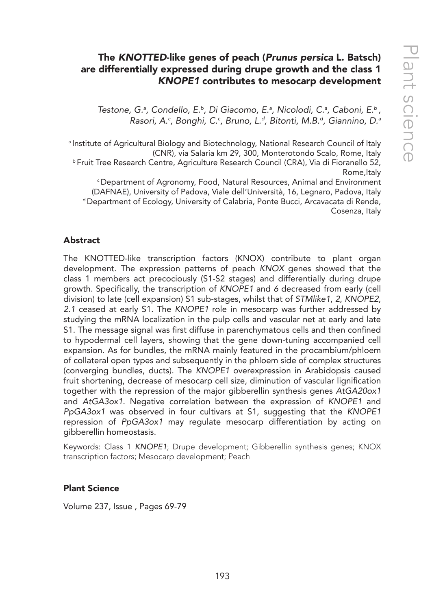# The *KNOTTED*-like genes of peach (*Prunus persica* L. Batsch) are differentially expressed during drupe growth and the class 1 *KNOPE1* contributes to mesocarp development

*Testone, G.a , Condello, E.b, Di Giacomo, E.a , Nicolodi, C.a , Caboni, E.b , Rasori, A.c , Bonghi, C.c , Bruno, L.d, Bitonti, M.B.d, Giannino, D.a*

a Institute of Agricultural Biology and Biotechnology, National Research Council of Italy (CNR), via Salaria km 29, 300, Monterotondo Scalo, Rome, Italy b Fruit Tree Research Centre, Agriculture Research Council (CRA), Via di Fioranello 52, Rome,Italy c Department of Agronomy, Food, Natural Resources, Animal and Environment

(DAFNAE), University of Padova, Viale dell'Università, 16, Legnaro, Padova, Italy d Department of Ecology, University of Calabria, Ponte Bucci, Arcavacata di Rende, Cosenza, Italy

#### Abstract

The KNOTTED-like transcription factors (KNOX) contribute to plant organ development. The expression patterns of peach *KNOX* genes showed that the class 1 members act precociously (S1-S2 stages) and differentially during drupe growth. Specifically, the transcription of *KNOPE1* and *6* decreased from early (cell division) to late (cell expansion) S1 sub-stages, whilst that of *STMlike1*, *2*, *KNOPE2*, *2.1* ceased at early S1. The *KNOPE1* role in mesocarp was further addressed by studying the mRNA localization in the pulp cells and vascular net at early and late S1. The message signal was first diffuse in parenchymatous cells and then confined to hypodermal cell layers, showing that the gene down-tuning accompanied cell expansion. As for bundles, the mRNA mainly featured in the procambium/phloem of collateral open types and subsequently in the phloem side of complex structures (converging bundles, ducts). The *KNOPE1* overexpression in Arabidopsis caused fruit shortening, decrease of mesocarp cell size, diminution of vascular lignification together with the repression of the major gibberellin synthesis genes *AtGA20ox1* and *AtGA3ox1*. Negative correlation between the expression of *KNOPE1* and *PpGA3ox1* was observed in four cultivars at S1, suggesting that the *KNOPE1* repression of *PpGA3ox1* may regulate mesocarp differentiation by acting on gibberellin homeostasis.

Keywords: Class 1 *KNOPE1*; Drupe development; Gibberellin synthesis genes; KNOX transcription factors; Mesocarp development; Peach

#### Plant Science

Volume 237, Issue , Pages 69-79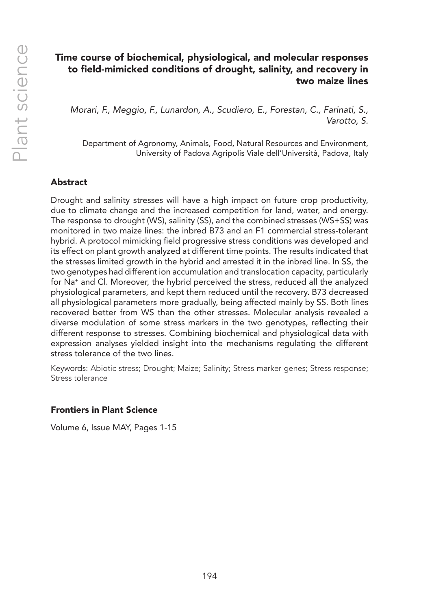# Time course of biochemical, physiological, and molecular responses to field-mimicked conditions of drought, salinity, and recovery in two maize lines

*Morari, F., Meggio, F., Lunardon, A., Scudiero, E., Forestan, C., Farinati, S., Varotto, S.*

Department of Agronomy, Animals, Food, Natural Resources and Environment, University of Padova Agripolis Viale dell'Università, Padova, Italy

## Abstract

Drought and salinity stresses will have a high impact on future crop productivity, due to climate change and the increased competition for land, water, and energy. The response to drought (WS), salinity (SS), and the combined stresses (WS+SS) was monitored in two maize lines: the inbred B73 and an F1 commercial stress-tolerant hybrid. A protocol mimicking field progressive stress conditions was developed and its effect on plant growth analyzed at different time points. The results indicated that the stresses limited growth in the hybrid and arrested it in the inbred line. In SS, the two genotypes had different ion accumulation and translocation capacity, particularly for Na<sup>+</sup> and Cl. Moreover, the hybrid perceived the stress, reduced all the analyzed physiological parameters, and kept them reduced until the recovery. B73 decreased all physiological parameters more gradually, being affected mainly by SS. Both lines recovered better from WS than the other stresses. Molecular analysis revealed a diverse modulation of some stress markers in the two genotypes, reflecting their different response to stresses. Combining biochemical and physiological data with expression analyses yielded insight into the mechanisms regulating the different stress tolerance of the two lines.

Keywords: Abiotic stress; Drought; Maize; Salinity; Stress marker genes; Stress response; Stress tolerance

#### Frontiers in Plant Science

Volume 6, Issue MAY, Pages 1-15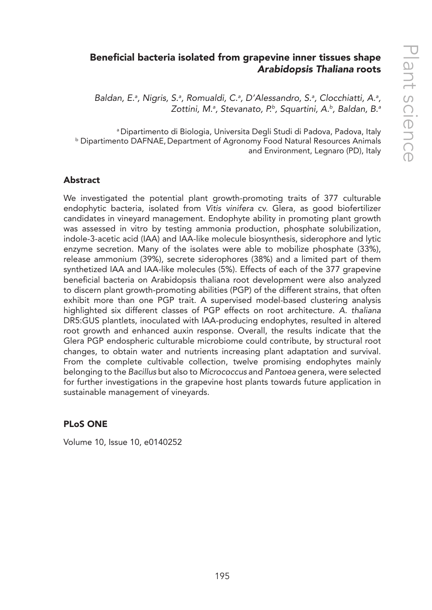# Beneficial bacteria isolated from grapevine inner tissues shape *Arabidopsis Thaliana* roots

Baldan, E.ª, Nigris, S.ª, Romualdi, C.ª, D'Alessandro, S.ª, Clocchiatti, A.ª, *Zottini, M.a , Stevanato, P.b, Squartini, A.b, Baldan, B.a*

a Dipartimento di Biologia, Universita Degli Studi di Padova, Padova, Italy b Dipartimento DAFNAE, Department of Agronomy Food Natural Resources Animals and Environment, Legnaro (PD), Italy

#### Abstract

We investigated the potential plant growth-promoting traits of 377 culturable endophytic bacteria, isolated from *Vitis vinifera* cv. Glera, as good biofertilizer candidates in vineyard management. Endophyte ability in promoting plant growth was assessed in vitro by testing ammonia production, phosphate solubilization, indole-3-acetic acid (IAA) and IAA-like molecule biosynthesis, siderophore and lytic enzyme secretion. Many of the isolates were able to mobilize phosphate (33%), release ammonium (39%), secrete siderophores (38%) and a limited part of them synthetized IAA and IAA-like molecules (5%). Effects of each of the 377 grapevine beneficial bacteria on Arabidopsis thaliana root development were also analyzed to discern plant growth-promoting abilities (PGP) of the different strains, that often exhibit more than one PGP trait. A supervised model-based clustering analysis highlighted six different classes of PGP effects on root architecture. *A. thaliana* DR5:GUS plantlets, inoculated with IAA-producing endophytes, resulted in altered root growth and enhanced auxin response. Overall, the results indicate that the Glera PGP endospheric culturable microbiome could contribute, by structural root changes, to obtain water and nutrients increasing plant adaptation and survival. From the complete cultivable collection, twelve promising endophytes mainly belonging to the *Bacillus* but also to *Micrococcus* and *Pantoea* genera, were selected for further investigations in the grapevine host plants towards future application in sustainable management of vineyards.

#### PLoS ONE

Volume 10, Issue 10, e0140252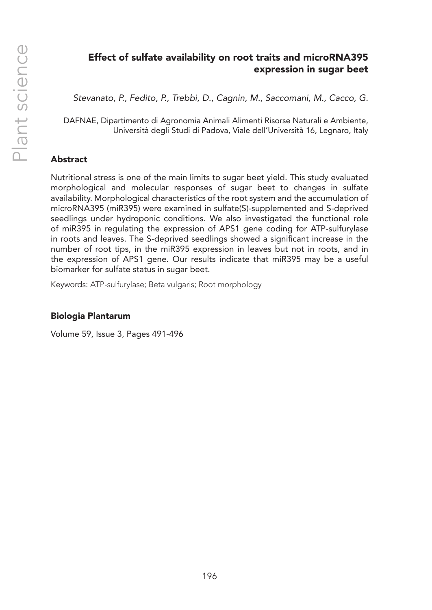# Effect of sulfate availability on root traits and microRNA395 expression in sugar beet

*Stevanato, P., Fedito, P., Trebbi, D., Cagnin, M., Saccomani, M., Cacco, G.*

DAFNAE, Dipartimento di Agronomia Animali Alimenti Risorse Naturali e Ambiente, Università degli Studi di Padova, Viale dell'Università 16, Legnaro, Italy

#### Abstract

Nutritional stress is one of the main limits to sugar beet yield. This study evaluated morphological and molecular responses of sugar beet to changes in sulfate availability. Morphological characteristics of the root system and the accumulation of microRNA395 (miR395) were examined in sulfate(S)-supplemented and S-deprived seedlings under hydroponic conditions. We also investigated the functional role of miR395 in regulating the expression of APS1 gene coding for ATP-sulfurylase in roots and leaves. The S-deprived seedlings showed a significant increase in the number of root tips, in the miR395 expression in leaves but not in roots, and in the expression of APS1 gene. Our results indicate that miR395 may be a useful biomarker for sulfate status in sugar beet.

Keywords: ATP-sulfurylase; Beta vulgaris; Root morphology

#### Biologia Plantarum

Volume 59, Issue 3, Pages 491-496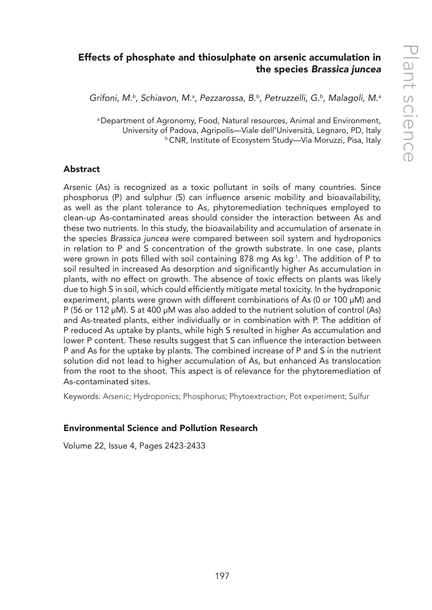# Effects of phosphate and thiosulphate on arsenic accumulation in the species *Brassica juncea*

*Grifoni, M.b, Schiavon, M.a , Pezzarossa, B.b, Petruzzelli, G.b, Malagoli, M.a*

a Department of Agronomy, Food, Natural resources, Animal and Environment, University of Padova, Agripolis—Viale dell'Università, Legnaro, PD, Italy b CNR, Institute of Ecosystem Study—Via Moruzzi, Pisa, Italy

#### **Abstract**

Arsenic (As) is recognized as a toxic pollutant in soils of many countries. Since phosphorus (P) and sulphur (S) can influence arsenic mobility and bioavailability, as well as the plant tolerance to As, phytoremediation techniques employed to clean-up As-contaminated areas should consider the interaction between As and these two nutrients. In this study, the bioavailability and accumulation of arsenate in the species *Brassica juncea* were compared between soil system and hydroponics in relation to P and S concentration of the growth substrate. In one case, plants were grown in pots filled with soil containing 878 mg As kg-1. The addition of P to soil resulted in increased As desorption and significantly higher As accumulation in plants, with no effect on growth. The absence of toxic effects on plants was likely due to high S in soil, which could efficiently mitigate metal toxicity. In the hydroponic experiment, plants were grown with different combinations of As (0 or 100 µM) and P (56 or 112 µM). S at 400 µM was also added to the nutrient solution of control (As) and As-treated plants, either individually or in combination with P. The addition of P reduced As uptake by plants, while high S resulted in higher As accumulation and lower P content. These results suggest that S can influence the interaction between P and As for the uptake by plants. The combined increase of P and S in the nutrient solution did not lead to higher accumulation of As, but enhanced As translocation from the root to the shoot. This aspect is of relevance for the phytoremediation of As-contaminated sites.

Keywords: Arsenic; Hydroponics; Phosphorus; Phytoextraction; Pot experiment; Sulfur

#### Environmental Science and Pollution Research

Volume 22, Issue 4, Pages 2423-2433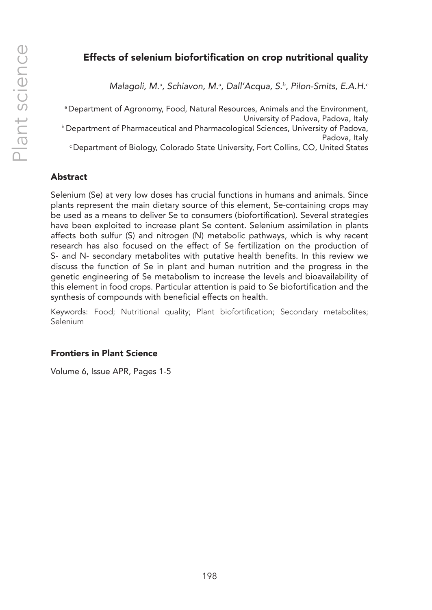# Effects of selenium biofortification on crop nutritional quality

*Malagoli, M.a , Schiavon, M.a , Dall'Acqua, S.b, Pilon-Smits, E.A.H.c*

a Department of Agronomy, Food, Natural Resources, Animals and the Environment, University of Padova, Padova, Italy **b Department of Pharmaceutical and Pharmacological Sciences, University of Padova,** Padova, Italy c Department of Biology, Colorado State University, Fort Collins, CO, United States

## Abstract

Selenium (Se) at very low doses has crucial functions in humans and animals. Since plants represent the main dietary source of this element, Se-containing crops may be used as a means to deliver Se to consumers (biofortification). Several strategies have been exploited to increase plant Se content. Selenium assimilation in plants affects both sulfur (S) and nitrogen (N) metabolic pathways, which is why recent research has also focused on the effect of Se fertilization on the production of S- and N- secondary metabolites with putative health benefits. In this review we discuss the function of Se in plant and human nutrition and the progress in the genetic engineering of Se metabolism to increase the levels and bioavailability of this element in food crops. Particular attention is paid to Se biofortification and the synthesis of compounds with beneficial effects on health.

Keywords: Food; Nutritional quality; Plant biofortification; Secondary metabolites; Selenium

#### Frontiers in Plant Science

Volume 6, Issue APR, Pages 1-5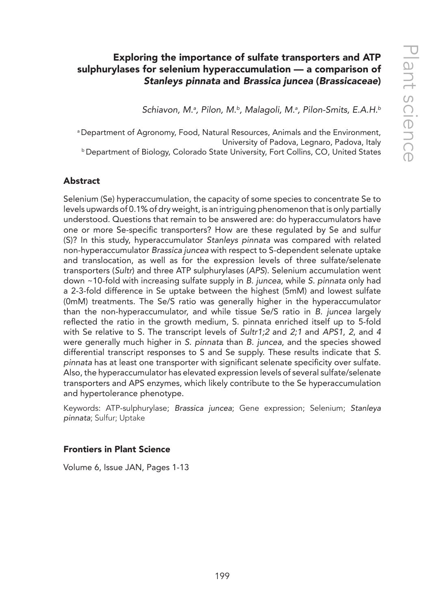# Exploring the importance of sulfate transporters and ATP sulphurylases for selenium hyperaccumulation — a comparison of *Stanleys pinnata* and *Brassica juncea* (*Brassicaceae*)

*Schiavon, M.a , Pilon, M.b, Malagoli, M.a , Pilon-Smits, E.A.H.b*

a Department of Agronomy, Food, Natural Resources, Animals and the Environment, University of Padova, Legnaro, Padova, Italy b Department of Biology, Colorado State University, Fort Collins, CO, United States

#### Abstract

Selenium (Se) hyperaccumulation, the capacity of some species to concentrate Se to levels upwards of 0.1% of dry weight, is an intriguing phenomenon that is only partially understood. Questions that remain to be answered are: do hyperaccumulators have one or more Se-specific transporters? How are these regulated by Se and sulfur (S)? In this study, hyperaccumulator *Stanleys pinnata* was compared with related non-hyperaccumulator *Brassica juncea* with respect to S-dependent selenate uptake and translocation, as well as for the expression levels of three sulfate/selenate transporters (*Sultr*) and three ATP sulphurylases (*APS*). Selenium accumulation went down ~10-fold with increasing sulfate supply in *B. juncea*, while *S. pinnata* only had a 2-3-fold difference in Se uptake between the highest (5mM) and lowest sulfate (0mM) treatments. The Se/S ratio was generally higher in the hyperaccumulator than the non-hyperaccumulator, and while tissue Se/S ratio in *B. juncea* largely reflected the ratio in the growth medium, S. pinnata enriched itself up to 5-fold with Se relative to S. The transcript levels of *Sultr1;2* and *2;1* and *APS1*, *2*, and *4* were generally much higher in *S. pinnata* than *B. juncea*, and the species showed differential transcript responses to S and Se supply. These results indicate that *S. pinnata* has at least one transporter with significant selenate specificity over sulfate. Also, the hyperaccumulator has elevated expression levels of several sulfate/selenate transporters and APS enzymes, which likely contribute to the Se hyperaccumulation and hypertolerance phenotype.

Keywords: ATP-sulphurylase; *Brassica juncea*; Gene expression; Selenium; *Stanleya pinnata*; Sulfur; Uptake

#### Frontiers in Plant Science

Volume 6, Issue JAN, Pages 1-13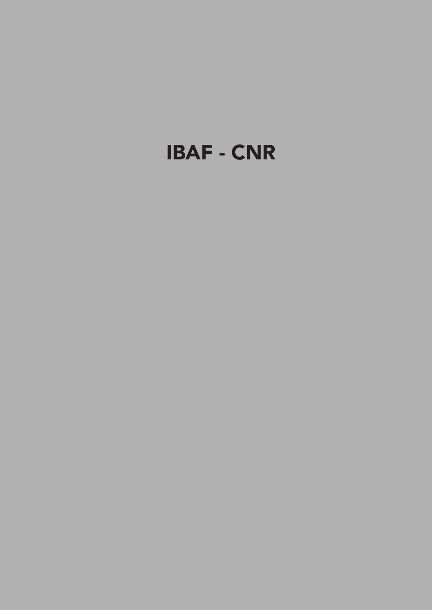# IBAF - CNR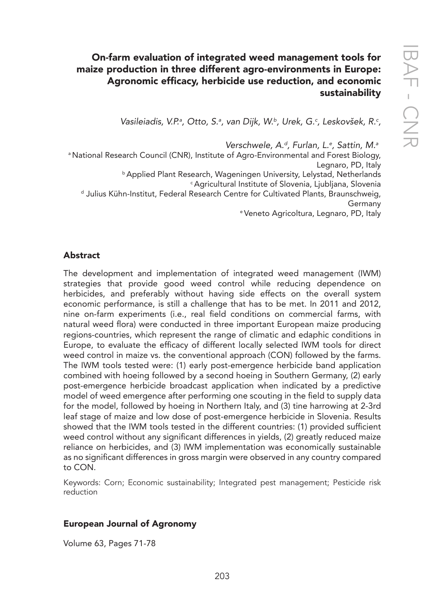# On-farm evaluation of integrated weed management tools for maize production in three different agro-environments in Europe: Agronomic efficacy, herbicide use reduction, and economic sustainability

*Vasileiadis, V.P.a , Otto, S.a , van Dijk, W.b, Urek, G.c , Leskovšek, R.c ,*

*Verschwele, A.d, Furlan, L.e , Sattin, M.a*

a National Research Council (CNR), Institute of Agro-Environmental and Forest Biology,

Legnaro, PD, Italy<br>Applied Plant Research, Wageningen University, Lelystad, Netherlands<sup>6</sup><br>Gyricultural Institute of Slovenia, Ljubljana, Slovenia فال Julius Kühn-Institut, Federal Research Centre for Cultivated Plants, Br

Germany e Veneto Agricoltura, Legnaro, PD, Italy

## Abstract

The development and implementation of integrated weed management (IWM) strategies that provide good weed control while reducing dependence on herbicides, and preferably without having side effects on the overall system economic performance, is still a challenge that has to be met. In 2011 and 2012, nine on-farm experiments (i.e., real field conditions on commercial farms, with natural weed flora) were conducted in three important European maize producing regions-countries, which represent the range of climatic and edaphic conditions in Europe, to evaluate the efficacy of different locally selected IWM tools for direct weed control in maize vs. the conventional approach (CON) followed by the farms. The IWM tools tested were: (1) early post-emergence herbicide band application combined with hoeing followed by a second hoeing in Southern Germany, (2) early post-emergence herbicide broadcast application when indicated by a predictive model of weed emergence after performing one scouting in the field to supply data for the model, followed by hoeing in Northern Italy, and (3) tine harrowing at 2-3rd leaf stage of maize and low dose of post-emergence herbicide in Slovenia. Results showed that the IWM tools tested in the different countries: (1) provided sufficient weed control without any significant differences in yields, (2) greatly reduced maize reliance on herbicides, and (3) IWM implementation was economically sustainable as no significant differences in gross margin were observed in any country compared to CON.

Keywords: Corn; Economic sustainability; Integrated pest management; Pesticide risk reduction

#### European Journal of Agronomy

Volume 63, Pages 71-78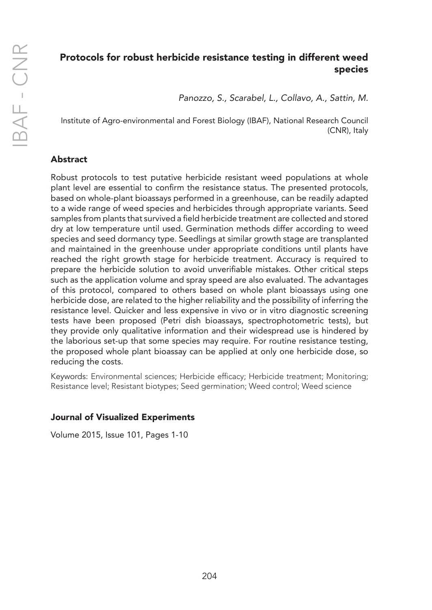# Protocols for robust herbicide resistance testing in different weed species

*Panozzo, S., Scarabel, L., Collavo, A., Sattin, M.* 

Institute of Agro-environmental and Forest Biology (IBAF), National Research Council (CNR), Italy

# Abstract

Robust protocols to test putative herbicide resistant weed populations at whole plant level are essential to confirm the resistance status. The presented protocols, based on whole-plant bioassays performed in a greenhouse, can be readily adapted to a wide range of weed species and herbicides through appropriate variants. Seed samples from plants that survived a field herbicide treatment are collected and stored dry at low temperature until used. Germination methods differ according to weed species and seed dormancy type. Seedlings at similar growth stage are transplanted and maintained in the greenhouse under appropriate conditions until plants have reached the right growth stage for herbicide treatment. Accuracy is required to prepare the herbicide solution to avoid unverifiable mistakes. Other critical steps such as the application volume and spray speed are also evaluated. The advantages of this protocol, compared to others based on whole plant bioassays using one herbicide dose, are related to the higher reliability and the possibility of inferring the resistance level. Quicker and less expensive in vivo or in vitro diagnostic screening tests have been proposed (Petri dish bioassays, spectrophotometric tests), but they provide only qualitative information and their widespread use is hindered by the laborious set-up that some species may require. For routine resistance testing, the proposed whole plant bioassay can be applied at only one herbicide dose, so reducing the costs.

Keywords: Environmental sciences; Herbicide efficacy; Herbicide treatment; Monitoring; Resistance level; Resistant biotypes; Seed germination; Weed control; Weed science

## Journal of Visualized Experiments

Volume 2015, Issue 101, Pages 1-10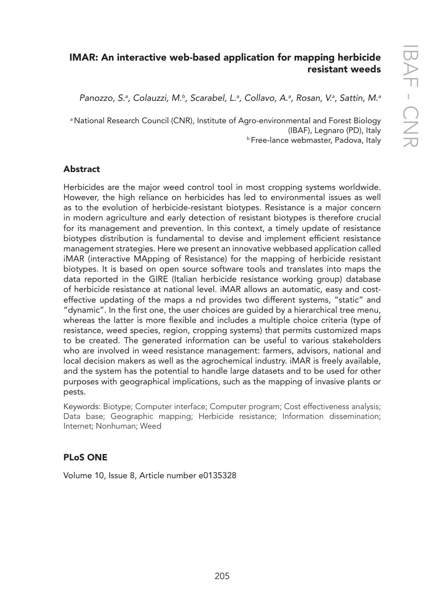# IMAR: An interactive web-based application for mapping herbicide resistant weeds

*Panozzo, S.a , Colauzzi, M.b, Scarabel, L.a , Collavo, A.a , Rosan, V.a , Sattin, M.a*

<sup>a</sup> National Research Council (CNR), Institute of Agro-environmental and Forest Biology (IBAF), Legnaro (PD), Italy<br><sup>b</sup> Free-lance webmaster, Padova, Italy

## **Abstract**

Herbicides are the major weed control tool in most cropping systems worldwide. However, the high reliance on herbicides has led to environmental issues as well as to the evolution of herbicide-resistant biotypes. Resistance is a major concern in modern agriculture and early detection of resistant biotypes is therefore crucial for its management and prevention. In this context, a timely update of resistance biotypes distribution is fundamental to devise and implement efficient resistance management strategies. Here we present an innovative webbased application called iMAR (interactive MApping of Resistance) for the mapping of herbicide resistant biotypes. It is based on open source software tools and translates into maps the data reported in the GIRE (Italian herbicide resistance working group) database of herbicide resistance at national level. iMAR allows an automatic, easy and costeffective updating of the maps a nd provides two different systems, "static" and "dynamic". In the first one, the user choices are guided by a hierarchical tree menu, whereas the latter is more flexible and includes a multiple choice criteria (type of resistance, weed species, region, cropping systems) that permits customized maps to be created. The generated information can be useful to various stakeholders who are involved in weed resistance management: farmers, advisors, national and local decision makers as well as the agrochemical industry. iMAR is freely available, and the system has the potential to handle large datasets and to be used for other purposes with geographical implications, such as the mapping of invasive plants or pests.

Keywords: Biotype; Computer interface; Computer program; Cost effectiveness analysis; Data base; Geographic mapping; Herbicide resistance; Information dissemination; Internet; Nonhuman; Weed

## PLoS ONE

Volume 10, Issue 8, Article number e0135328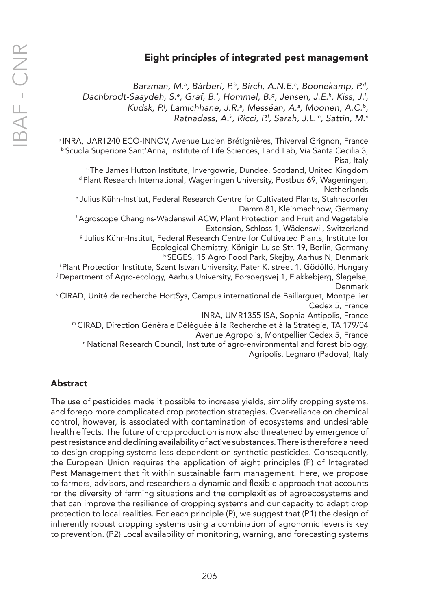# Eight principles of integrated pest management

*Barzman, M.a , Bàrberi, P.b, Birch, A.N.E.c , Boonekamp, P.d, Dachbrodt-Saaydeh, S.e , Graf, B.f , Hommel, B.g, Jensen, J.E.h , Kiss, J.i , Kudsk, P.j , Lamichhane, J.R.a , Messéan, A.a , Moonen, A.C.b, Ratnadass, A.k , Ricci, P.l , Sarah, J.L.m, Sattin, M.n*

<sup>a</sup> INRA, UAR1240 ECO-INNOV, Avenue Lucien Brétignières, Thiverval Grignon, France <sup>b</sup> Scuola Superiore Sant'Anna, Institute of Life Sciences, Land Lab, Via Santa Cecilia 3, Pisa, Italy

<sup>c</sup>The James Hutton Institute, Invergowrie, Dundee, Scotland, United Kingdom d Plant Research International, Wageningen University, Postbus 69, Wageningen, **Netherlands** 

e Julius Kühn-Institut, Federal Research Centre for Cultivated Plants, Stahnsdorfer Damm 81, Kleinmachnow, Germany

f Agroscope Changins-Wädenswil ACW, Plant Protection and Fruit and Vegetable Extension, Schloss 1, Wädenswil, Switzerland

<sup>g</sup>Julius Kühn-Institut, Federal Research Centre for Cultivated Plants, Institute for Ecological Chemistry, Königin-Luise-Str. 19, Berlin, Germany

h SEGES, 15 Agro Food Park, Skejby, Aarhus N, Denmark

<sup>i</sup>Plant Protection Institute, Szent Istvan University, Pater K. street 1, Gödöllö, Hungary j Department of Agro-ecology, Aarhus University, Forsoegsvej 1, Flakkebjerg, Slagelse, Denmark

k CIRAD, Unité de recherche HortSys, Campus international de Baillarguet, Montpellier Cedex 5, France

l INRA, UMR1355 ISA, Sophia-Antipolis, France

<sup>m</sup>CIRAD, Direction Générale Déléguée à la Recherche et à la Stratégie, TA 179/04 Avenue Agropolis, Montpellier Cedex 5, France

n National Research Council, Institute of agro-environmental and forest biology, Agripolis, Legnaro (Padova), Italy

#### Abstract

The use of pesticides made it possible to increase yields, simplify cropping systems, and forego more complicated crop protection strategies. Over-reliance on chemical control, however, is associated with contamination of ecosystems and undesirable health effects. The future of crop production is now also threatened by emergence of pest resistance and declining availability of active substances. There is therefore a need to design cropping systems less dependent on synthetic pesticides. Consequently, the European Union requires the application of eight principles (P) of Integrated Pest Management that fit within sustainable farm management. Here, we propose to farmers, advisors, and researchers a dynamic and flexible approach that accounts for the diversity of farming situations and the complexities of agroecosystems and that can improve the resilience of cropping systems and our capacity to adapt crop protection to local realities. For each principle (P), we suggest that (P1) the design of inherently robust cropping systems using a combination of agronomic levers is key to prevention. (P2) Local availability of monitoring, warning, and forecasting systems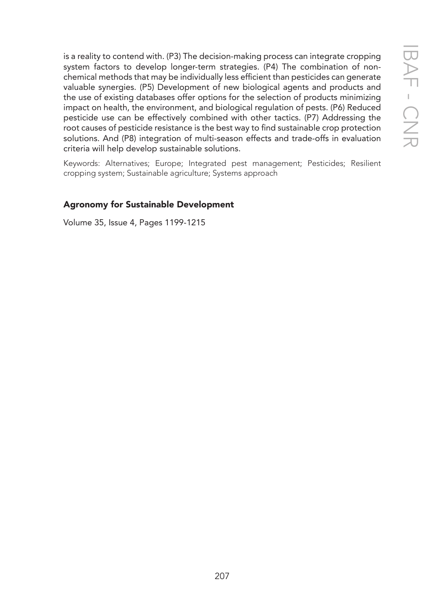is a reality to contend with. (P3) The decision-making process can integrate cropping system factors to develop longer-term strategies. (P4) The combination of nonchemical methods that may be individually less efficient than pesticides can generate valuable synergies. (P5) Development of new biological agents and products and the use of existing databases offer options for the selection of products minimizing impact on health, the environment, and biological regulation of pests. (P6) Reduced pesticide use can be effectively combined with other tactics. (P7) Addressing the root causes of pesticide resistance is the best way to find sustainable crop protection solutions. And (P8) integration of multi-season effects and trade-offs in evaluation criteria will help develop sustainable solutions.

Keywords: Alternatives; Europe; Integrated pest management; Pesticides; Resilient cropping system; Sustainable agriculture; Systems approach

## Agronomy for Sustainable Development

Volume 35, Issue 4, Pages 1199-1215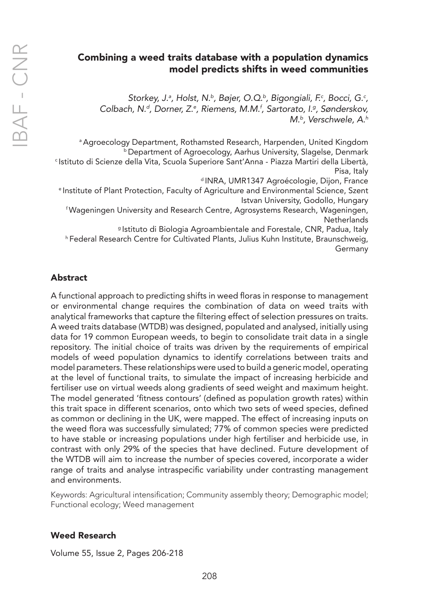# Combining a weed traits database with a population dynamics model predicts shifts in weed communities

*Storkey, J.a , Holst, N.b, Bøjer, O.Q.b, Bigongiali, F.c , Bocci, G.c , Colbach, N.d, Dorner, Z.e , Riemens, M.M.f , Sartorato, I.g, Sønderskov, M.b, Verschwele, A.h*

a Agroecology Department, Rothamsted Research, Harpenden, United Kingdom b Department of Agroecology, Aarhus University, Slagelse, Denmark c Istituto di Scienze della Vita, Scuola Superiore Sant'Anna - Piazza Martiri della Libertà, Pisa, Italy

dINRA, UMR1347 Agroécologie, Dijon, France

e Institute of Plant Protection, Faculty of Agriculture and Environmental Science, Szent Istvan University, Godollo, Hungary

f Wageningen University and Research Centre, Agrosystems Research, Wageningen, **Netherlands** 

g Istituto di Biologia Agroambientale and Forestale, CNR, Padua, Italy

h Federal Research Centre for Cultivated Plants, Julius Kuhn Institute, Braunschweig, Germany

## Abstract

A functional approach to predicting shifts in weed floras in response to management or environmental change requires the combination of data on weed traits with analytical frameworks that capture the filtering effect of selection pressures on traits. A weed traits database (WTDB) was designed, populated and analysed, initially using data for 19 common European weeds, to begin to consolidate trait data in a single repository. The initial choice of traits was driven by the requirements of empirical models of weed population dynamics to identify correlations between traits and model parameters. These relationships were used to build a generic model, operating at the level of functional traits, to simulate the impact of increasing herbicide and fertiliser use on virtual weeds along gradients of seed weight and maximum height. The model generated 'fitness contours' (defined as population growth rates) within this trait space in different scenarios, onto which two sets of weed species, defined as common or declining in the UK, were mapped. The effect of increasing inputs on the weed flora was successfully simulated; 77% of common species were predicted to have stable or increasing populations under high fertiliser and herbicide use, in contrast with only 29% of the species that have declined. Future development of the WTDB will aim to increase the number of species covered, incorporate a wider range of traits and analyse intraspecific variability under contrasting management and environments.

Keywords: Agricultural intensification; Community assembly theory; Demographic model; Functional ecology; Weed management

#### Weed Research

Volume 55, Issue 2, Pages 206-218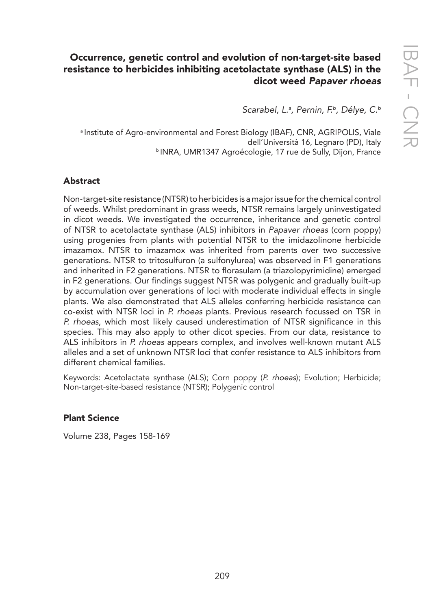# Occurrence, genetic control and evolution of non-target-site based resistance to herbicides inhibiting acetolactate synthase (ALS) in the dicot weed *Papaver rhoeas*

*Scarabel, L.a , Pernin, F.b, Délye, C.b*

a Institute of Agro-environmental and Forest Biology (IBAF), CNR, AGRIPOLIS, Viale dell'Università 16, Legnaro (PD), Italy **bINRA, UMR1347 Agroécologie, 17 rue de Sully, Dijon, France** 

## **Abstract**

Non-target-site resistance (NTSR) to herbicides is a major issue for the chemical control of weeds. Whilst predominant in grass weeds, NTSR remains largely uninvestigated in dicot weeds. We investigated the occurrence, inheritance and genetic control of NTSR to acetolactate synthase (ALS) inhibitors in *Papaver rhoeas* (corn poppy) using progenies from plants with potential NTSR to the imidazolinone herbicide imazamox. NTSR to imazamox was inherited from parents over two successive generations. NTSR to tritosulfuron (a sulfonylurea) was observed in F1 generations and inherited in F2 generations. NTSR to florasulam (a triazolopyrimidine) emerged in F2 generations. Our findings suggest NTSR was polygenic and gradually built-up by accumulation over generations of loci with moderate individual effects in single plants. We also demonstrated that ALS alleles conferring herbicide resistance can co-exist with NTSR loci in *P. rhoeas* plants. Previous research focussed on TSR in *P. rhoeas*, which most likely caused underestimation of NTSR significance in this species. This may also apply to other dicot species. From our data, resistance to ALS inhibitors in *P. rhoeas* appears complex, and involves well-known mutant ALS alleles and a set of unknown NTSR loci that confer resistance to ALS inhibitors from different chemical families.

Keywords: Acetolactate synthase (ALS); Corn poppy (*P. rhoeas*); Evolution; Herbicide; Non-target-site-based resistance (NTSR); Polygenic control

#### Plant Science

Volume 238, Pages 158-169